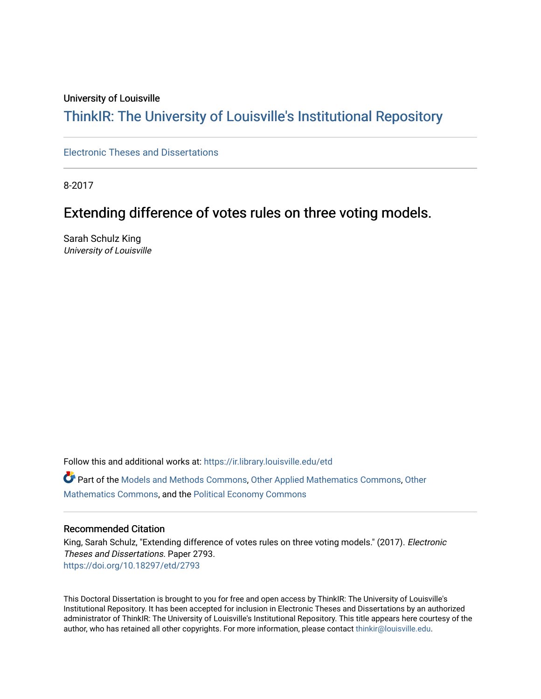### University of Louisville

# ThinkIR: The Univ[ersity of Louisville's Institutional Reposit](https://ir.library.louisville.edu/)ory

[Electronic Theses and Dissertations](https://ir.library.louisville.edu/etd)

8-2017

# Extending difference of votes rules on three voting models.

Sarah Schulz King University of Louisville

Follow this and additional works at: [https://ir.library.louisville.edu/etd](https://ir.library.louisville.edu/etd?utm_source=ir.library.louisville.edu%2Fetd%2F2793&utm_medium=PDF&utm_campaign=PDFCoverPages) 

Part of the [Models and Methods Commons,](http://network.bepress.com/hgg/discipline/390?utm_source=ir.library.louisville.edu%2Fetd%2F2793&utm_medium=PDF&utm_campaign=PDFCoverPages) [Other Applied Mathematics Commons](http://network.bepress.com/hgg/discipline/122?utm_source=ir.library.louisville.edu%2Fetd%2F2793&utm_medium=PDF&utm_campaign=PDFCoverPages), [Other](http://network.bepress.com/hgg/discipline/185?utm_source=ir.library.louisville.edu%2Fetd%2F2793&utm_medium=PDF&utm_campaign=PDFCoverPages)  [Mathematics Commons](http://network.bepress.com/hgg/discipline/185?utm_source=ir.library.louisville.edu%2Fetd%2F2793&utm_medium=PDF&utm_campaign=PDFCoverPages), and the [Political Economy Commons](http://network.bepress.com/hgg/discipline/352?utm_source=ir.library.louisville.edu%2Fetd%2F2793&utm_medium=PDF&utm_campaign=PDFCoverPages)

#### Recommended Citation

King, Sarah Schulz, "Extending difference of votes rules on three voting models." (2017). Electronic Theses and Dissertations. Paper 2793. <https://doi.org/10.18297/etd/2793>

This Doctoral Dissertation is brought to you for free and open access by ThinkIR: The University of Louisville's Institutional Repository. It has been accepted for inclusion in Electronic Theses and Dissertations by an authorized administrator of ThinkIR: The University of Louisville's Institutional Repository. This title appears here courtesy of the author, who has retained all other copyrights. For more information, please contact [thinkir@louisville.edu.](mailto:thinkir@louisville.edu)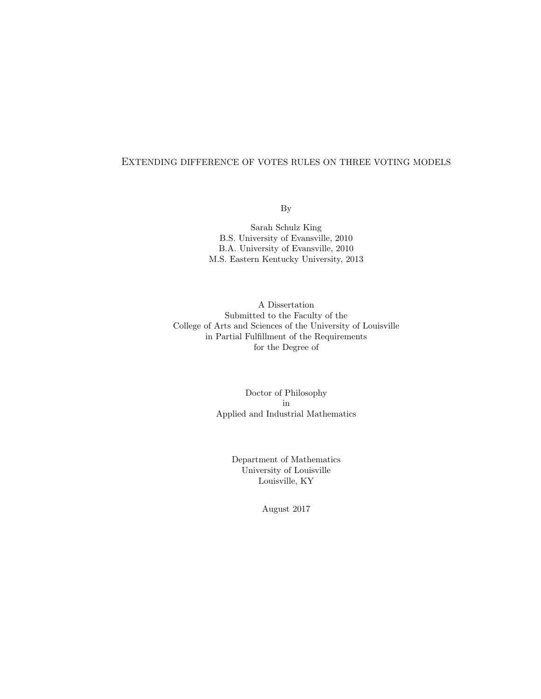#### EXTENDING DIFFERENCE OF VOTES RULES ON THREE VOTING MODELS

By

Sarah Schulz King B.S. University of Evansville, 2010 B.A. University of Evansville, 2010 M.S. Eastern Kentucky University, 2013

A Dissertation Submitted to the Faculty of the College of Arts and Sciences of the University of Louisville in Partial Fulfillment of the Requirements for the Degree of

> Doctor of Philosophy in Applied and Industrial Mathematics

Department of Mathematics University of Louisville Louisville, KY

August 2017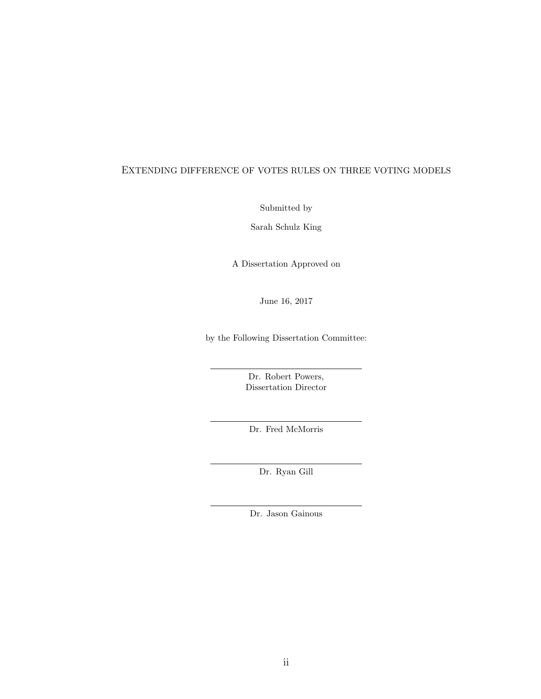### EXTENDING DIFFERENCE OF VOTES RULES ON THREE VOTING MODELS

Submitted by

Sarah Schulz King

A Dissertation Approved on

June 16, 2017

by the Following Dissertation Committee:

Dr. Robert Powers, Dissertation Director

Dr. Fred McMorris

Dr. Ryan Gill

Dr. Jason Gainous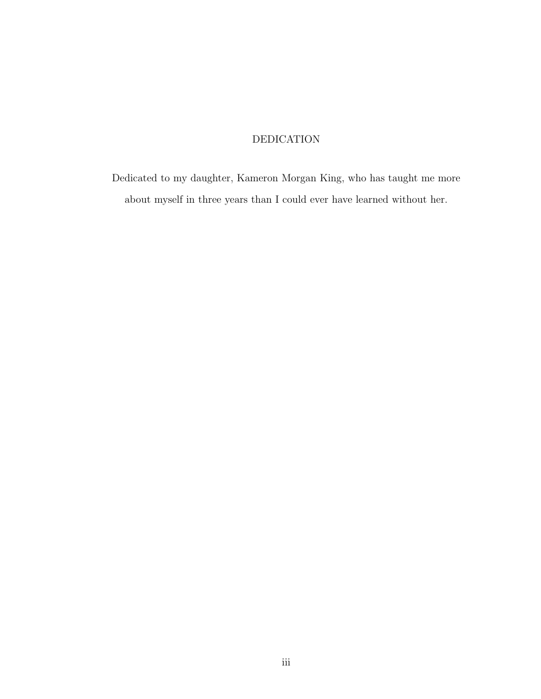### DEDICATION

Dedicated to my daughter, Kameron Morgan King, who has taught me more about myself in three years than I could ever have learned without her.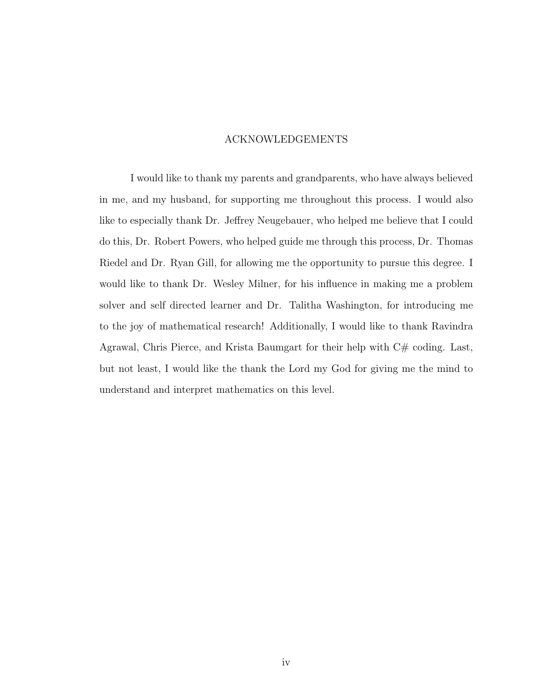#### ACKNOWLEDGEMENTS

I would like to thank my parents and grandparents, who have always believed in me, and my husband, for supporting me throughout this process. I would also like to especially thank Dr. Jeffrey Neugebauer, who helped me believe that I could do this, Dr. Robert Powers, who helped guide me through this process, Dr. Thomas Riedel and Dr. Ryan Gill, for allowing me the opportunity to pursue this degree. I would like to thank Dr. Wesley Milner, for his influence in making me a problem solver and self directed learner and Dr. Talitha Washington, for introducing me to the joy of mathematical research! Additionally, I would like to thank Ravindra Agrawal, Chris Pierce, and Krista Baumgart for their help with C# coding. Last, but not least, I would like the thank the Lord my God for giving me the mind to understand and interpret mathematics on this level.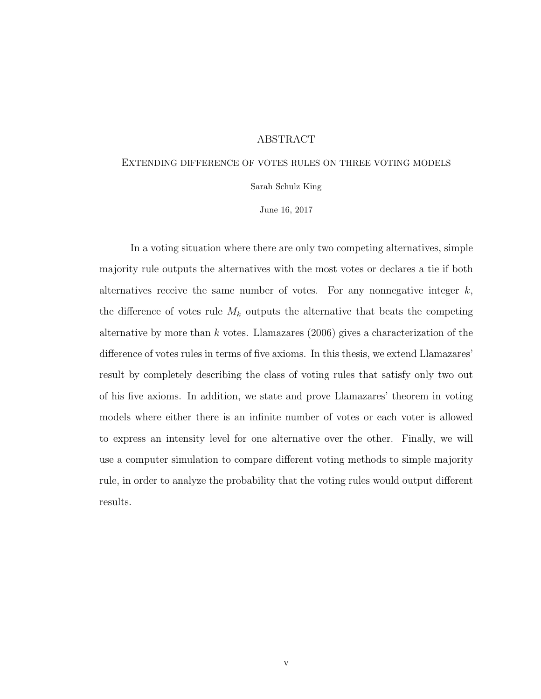#### ABSTRACT

# EXTENDING DIFFERENCE OF VOTES RULES ON THREE VOTING MODELS Sarah Schulz King

June 16, 2017

In a voting situation where there are only two competing alternatives, simple majority rule outputs the alternatives with the most votes or declares a tie if both alternatives receive the same number of votes. For any nonnegative integer  $k$ , the difference of votes rule  $M_k$  outputs the alternative that beats the competing alternative by more than  $k$  votes. Llamazares (2006) gives a characterization of the difference of votes rules in terms of five axioms. In this thesis, we extend Llamazares' result by completely describing the class of voting rules that satisfy only two out of his five axioms. In addition, we state and prove Llamazares' theorem in voting models where either there is an infinite number of votes or each voter is allowed to express an intensity level for one alternative over the other. Finally, we will use a computer simulation to compare different voting methods to simple majority rule, in order to analyze the probability that the voting rules would output different results.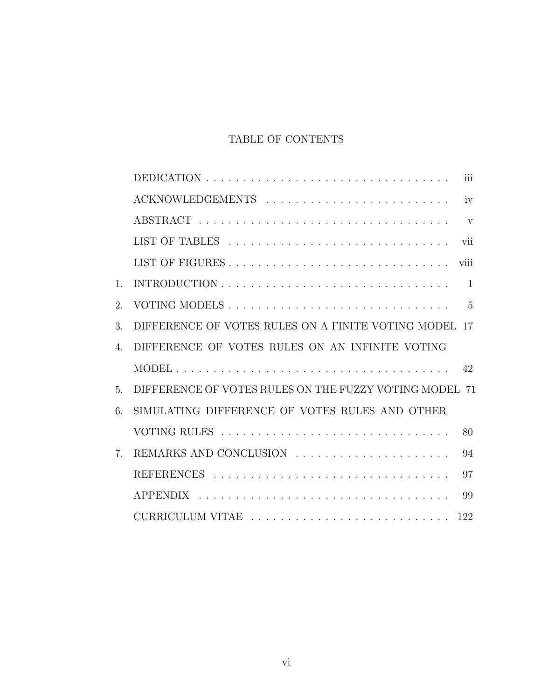### TABLE OF CONTENTS

|                | iii                                                      |
|----------------|----------------------------------------------------------|
|                | ACKNOWLEDGEMENTS<br>iv                                   |
|                | $\overline{\mathbf{V}}$                                  |
|                | vii                                                      |
|                | viii                                                     |
| 1.             | $\mathbf{1}$                                             |
| 2.             | $\overline{5}$                                           |
| 3.             | DIFFERENCE OF VOTES RULES ON A FINITE VOTING MODEL<br>17 |
| $\overline{4}$ | DIFFERENCE OF VOTES RULES ON AN INFINITE VOTING          |
|                | 42                                                       |
| 5.             | DIFFERENCE OF VOTES RULES ON THE FUZZY VOTING MODEL 71   |
| 6.             | SIMULATING DIFFERENCE OF VOTES RULES AND OTHER           |
|                | 80                                                       |
| 7.             | REMARKS AND CONCLUSION<br>94                             |
|                | 97                                                       |
|                | 99                                                       |
|                | 122                                                      |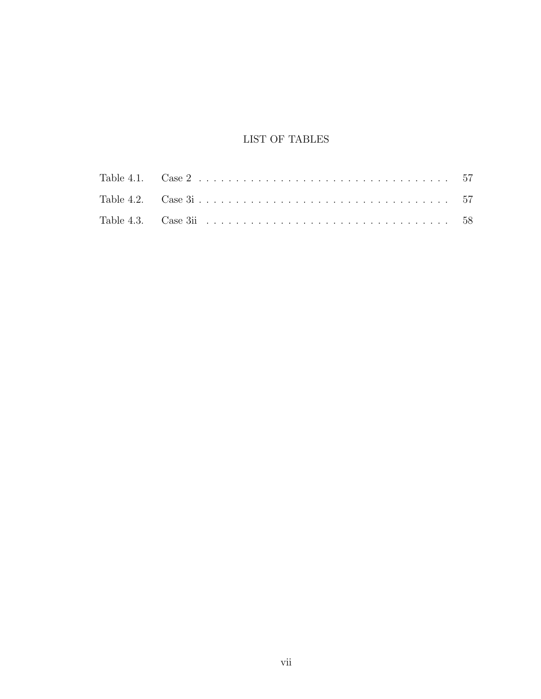## LIST OF TABLES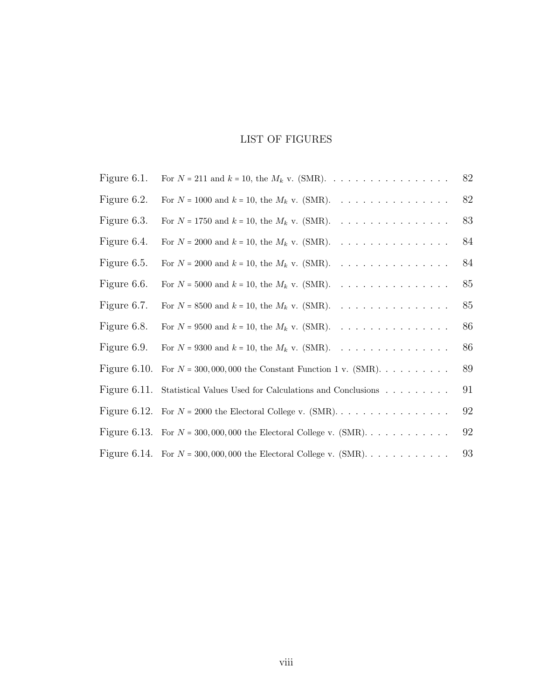### LIST OF FIGURES

| Figure 6.1.     | For $N = 211$ and $k = 10$ , the $M_k$ v. (SMR).                                | 82 |
|-----------------|---------------------------------------------------------------------------------|----|
| Figure 6.2.     | For $N = 1000$ and $k = 10$ , the $M_k$ v. (SMR).                               | 82 |
| Figure 6.3.     | For $N = 1750$ and $k = 10$ , the $M_k$ v. (SMR).                               | 83 |
| Figure 6.4.     | For $N = 2000$ and $k = 10$ , the $M_k$ v. (SMR).                               | 84 |
| Figure 6.5.     | For $N = 2000$ and $k = 10$ , the $M_k$ v. (SMR).                               | 84 |
| Figure 6.6.     | For $N = 5000$ and $k = 10$ , the $M_k$ v. (SMR).                               | 85 |
| Figure 6.7.     | For $N = 8500$ and $k = 10$ , the $M_k$ v. (SMR).                               | 85 |
| Figure 6.8.     | For $N = 9500$ and $k = 10$ , the $M_k$ v. (SMR).                               | 86 |
| Figure 6.9.     | For $N = 9300$ and $k = 10$ , the $M_k$ v. (SMR).                               | 86 |
| Figure $6.10$ . | For $N = 300,000,000$ the Constant Function 1 v. (SMR).                         | 89 |
| Figure 6.11.    | Statistical Values Used for Calculations and Conclusions $\ldots \ldots \ldots$ | 91 |
|                 | Figure 6.12. For $N = 2000$ the Electoral College v. (SMR)                      | 92 |
|                 | Figure 6.13. For $N = 300,000,000$ the Electoral College v. (SMR)               | 92 |
|                 | Figure 6.14. For $N = 300,000,000$ the Electoral College v. (SMR)               | 93 |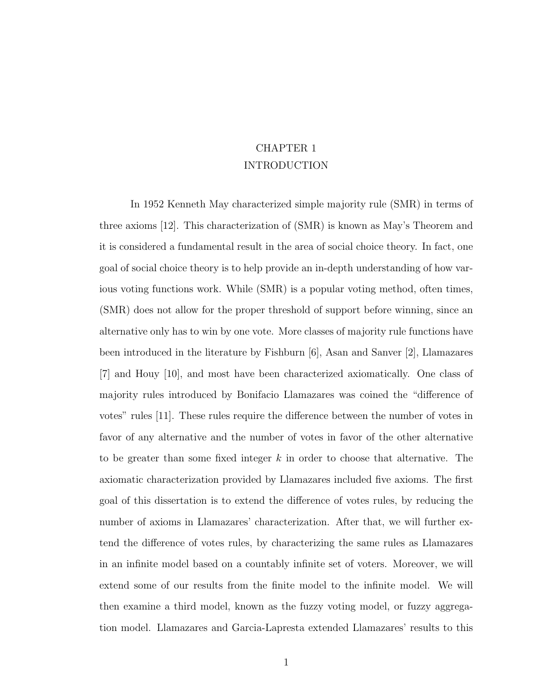### CHAPTER 1 INTRODUCTION

In 1952 Kenneth May characterized simple majority rule (SMR) in terms of three axioms [12]. This characterization of (SMR) is known as May's Theorem and it is considered a fundamental result in the area of social choice theory. In fact, one goal of social choice theory is to help provide an in-depth understanding of how various voting functions work. While (SMR) is a popular voting method, often times, (SMR) does not allow for the proper threshold of support before winning, since an alternative only has to win by one vote. More classes of majority rule functions have been introduced in the literature by Fishburn [6], Asan and Sanver [2], Llamazares [7] and Houy [10], and most have been characterized axiomatically. One class of majority rules introduced by Bonifacio Llamazares was coined the "difference of votes" rules [11]. These rules require the difference between the number of votes in favor of any alternative and the number of votes in favor of the other alternative to be greater than some fixed integer k in order to choose that alternative. The axiomatic characterization provided by Llamazares included five axioms. The first goal of this dissertation is to extend the difference of votes rules, by reducing the number of axioms in Llamazares' characterization. After that, we will further extend the difference of votes rules, by characterizing the same rules as Llamazares in an infinite model based on a countably infinite set of voters. Moreover, we will extend some of our results from the finite model to the infinite model. We will then examine a third model, known as the fuzzy voting model, or fuzzy aggregation model. Llamazares and Garcia-Lapresta extended Llamazares' results to this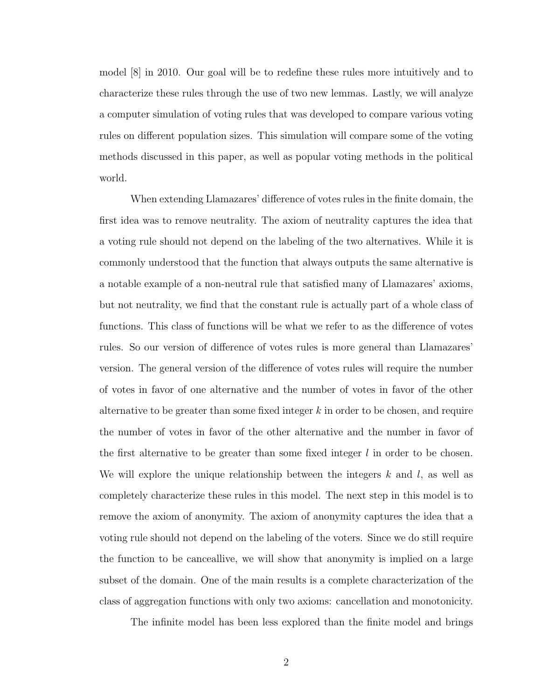model [8] in 2010. Our goal will be to redefine these rules more intuitively and to characterize these rules through the use of two new lemmas. Lastly, we will analyze a computer simulation of voting rules that was developed to compare various voting rules on different population sizes. This simulation will compare some of the voting methods discussed in this paper, as well as popular voting methods in the political world.

When extending Llamazares' difference of votes rules in the finite domain, the first idea was to remove neutrality. The axiom of neutrality captures the idea that a voting rule should not depend on the labeling of the two alternatives. While it is commonly understood that the function that always outputs the same alternative is a notable example of a non-neutral rule that satisfied many of Llamazares' axioms, but not neutrality, we find that the constant rule is actually part of a whole class of functions. This class of functions will be what we refer to as the difference of votes rules. So our version of difference of votes rules is more general than Llamazares' version. The general version of the difference of votes rules will require the number of votes in favor of one alternative and the number of votes in favor of the other alternative to be greater than some fixed integer  $k$  in order to be chosen, and require the number of votes in favor of the other alternative and the number in favor of the first alternative to be greater than some fixed integer  $l$  in order to be chosen. We will explore the unique relationship between the integers  $k$  and  $l$ , as well as completely characterize these rules in this model. The next step in this model is to remove the axiom of anonymity. The axiom of anonymity captures the idea that a voting rule should not depend on the labeling of the voters. Since we do still require the function to be canceallive, we will show that anonymity is implied on a large subset of the domain. One of the main results is a complete characterization of the class of aggregation functions with only two axioms: cancellation and monotonicity.

The infinite model has been less explored than the finite model and brings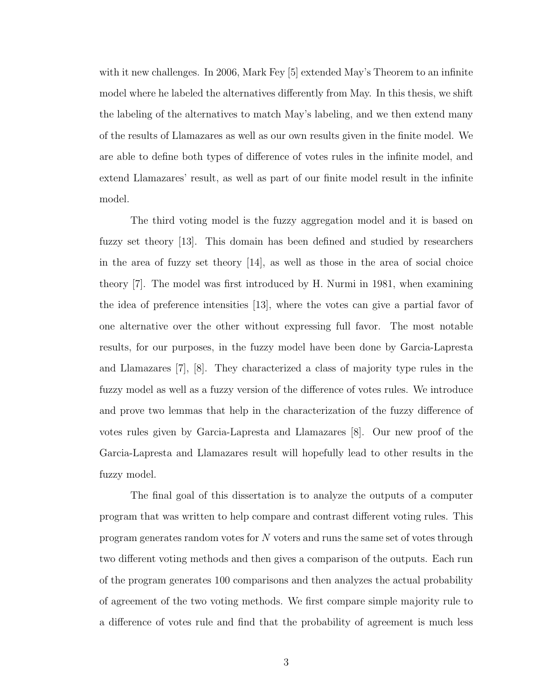with it new challenges. In 2006, Mark Fey [5] extended May's Theorem to an infinite model where he labeled the alternatives differently from May. In this thesis, we shift the labeling of the alternatives to match May's labeling, and we then extend many of the results of Llamazares as well as our own results given in the finite model. We are able to define both types of difference of votes rules in the infinite model, and extend Llamazares' result, as well as part of our finite model result in the infinite model.

The third voting model is the fuzzy aggregation model and it is based on fuzzy set theory [13]. This domain has been defined and studied by researchers in the area of fuzzy set theory  $|14|$ , as well as those in the area of social choice theory [7]. The model was first introduced by H. Nurmi in 1981, when examining the idea of preference intensities [13], where the votes can give a partial favor of one alternative over the other without expressing full favor. The most notable results, for our purposes, in the fuzzy model have been done by Garcia-Lapresta and Llamazares [7], [8]. They characterized a class of majority type rules in the fuzzy model as well as a fuzzy version of the difference of votes rules. We introduce and prove two lemmas that help in the characterization of the fuzzy difference of votes rules given by Garcia-Lapresta and Llamazares [8]. Our new proof of the Garcia-Lapresta and Llamazares result will hopefully lead to other results in the fuzzy model.

The final goal of this dissertation is to analyze the outputs of a computer program that was written to help compare and contrast different voting rules. This program generates random votes for N voters and runs the same set of votes through two different voting methods and then gives a comparison of the outputs. Each run of the program generates 100 comparisons and then analyzes the actual probability of agreement of the two voting methods. We first compare simple majority rule to a difference of votes rule and find that the probability of agreement is much less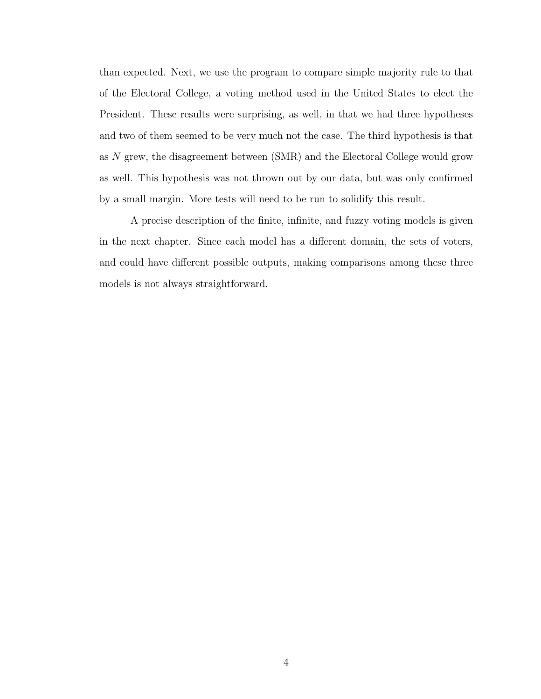than expected. Next, we use the program to compare simple majority rule to that of the Electoral College, a voting method used in the United States to elect the President. These results were surprising, as well, in that we had three hypotheses and two of them seemed to be very much not the case. The third hypothesis is that as N grew, the disagreement between (SMR) and the Electoral College would grow as well. This hypothesis was not thrown out by our data, but was only confirmed by a small margin. More tests will need to be run to solidify this result.

A precise description of the finite, infinite, and fuzzy voting models is given in the next chapter. Since each model has a different domain, the sets of voters, and could have different possible outputs, making comparisons among these three models is not always straightforward.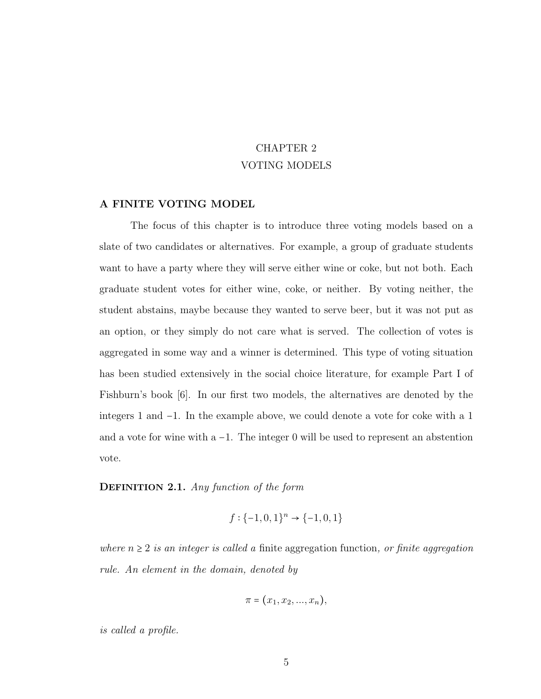## CHAPTER 2 VOTING MODELS

#### A FINITE VOTING MODEL

The focus of this chapter is to introduce three voting models based on a slate of two candidates or alternatives. For example, a group of graduate students want to have a party where they will serve either wine or coke, but not both. Each graduate student votes for either wine, coke, or neither. By voting neither, the student abstains, maybe because they wanted to serve beer, but it was not put as an option, or they simply do not care what is served. The collection of votes is aggregated in some way and a winner is determined. This type of voting situation has been studied extensively in the social choice literature, for example Part I of Fishburn's book [6]. In our first two models, the alternatives are denoted by the integers 1 and −1. In the example above, we could denote a vote for coke with a 1 and a vote for wine with a −1. The integer 0 will be used to represent an abstention vote.

#### DEFINITION 2.1. Any function of the form

$$
f: \{-1, 0, 1\}^n \to \{-1, 0, 1\}
$$

where  $n \geq 2$  is an integer is called a finite aggregation function, or finite aggregation rule. An element in the domain, denoted by

$$
\pi=(x_1,x_2,...,x_n),
$$

is called a profile.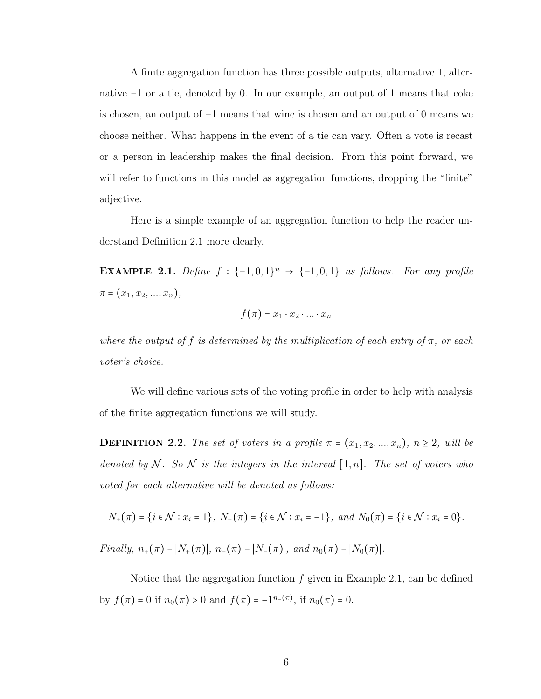A finite aggregation function has three possible outputs, alternative 1, alternative −1 or a tie, denoted by 0. In our example, an output of 1 means that coke is chosen, an output of −1 means that wine is chosen and an output of 0 means we choose neither. What happens in the event of a tie can vary. Often a vote is recast or a person in leadership makes the final decision. From this point forward, we will refer to functions in this model as aggregation functions, dropping the "finite" adjective.

Here is a simple example of an aggregation function to help the reader understand Definition 2.1 more clearly.

**EXAMPLE 2.1.** Define  $f: \{-1,0,1\}^n \rightarrow \{-1,0,1\}$  as follows. For any profile  $\pi = (x_1, x_2, ..., x_n),$ 

$$
f(\pi) = x_1 \cdot x_2 \cdot \ldots \cdot x_n
$$

where the output of f is determined by the multiplication of each entry of  $\pi$ , or each voter's choice.

We will define various sets of the voting profile in order to help with analysis of the finite aggregation functions we will study.

**DEFINITION 2.2.** The set of voters in a profile  $\pi = (x_1, x_2, ..., x_n)$ ,  $n \ge 2$ , will be denoted by N. So N is the integers in the interval  $[1, n]$ . The set of voters who voted for each alternative will be denoted as follows:

$$
N_{+}(\pi) = \{i \in \mathcal{N} : x_{i} = 1\}, N_{-}(\pi) = \{i \in \mathcal{N} : x_{i} = -1\}, and N_{0}(\pi) = \{i \in \mathcal{N} : x_{i} = 0\}.
$$

Finally,  $n_+(\pi) = |N_+(\pi)|$ ,  $n_-(\pi) = |N_-(\pi)|$ , and  $n_0(\pi) = |N_0(\pi)|$ .

Notice that the aggregation function  $f$  given in Example 2.1, can be defined by  $f(\pi) = 0$  if  $n_0(\pi) > 0$  and  $f(\pi) = -1^{n_-(\pi)}$ , if  $n_0(\pi) = 0$ .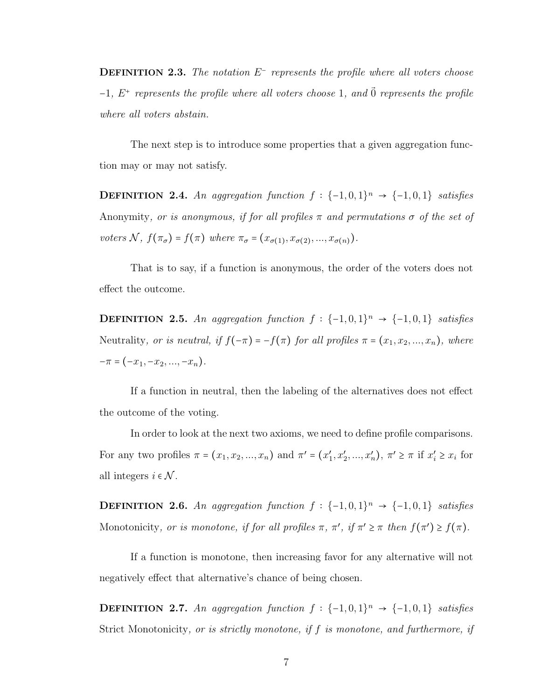**DEFINITION 2.3.** The notation  $E^-$  represents the profile where all voters choose  $-1$ ,  $E^+$  represents the profile where all voters choose 1, and  $\vec{0}$  represents the profile where all voters abstain.

The next step is to introduce some properties that a given aggregation function may or may not satisfy.

**DEFINITION** 2.4. An aggregation function  $f: \{-1,0,1\}^n \rightarrow \{-1,0,1\}$  satisfies Anonymity, or is anonymous, if for all profiles  $\pi$  and permutations  $\sigma$  of the set of voters  $\mathcal{N}, f(\pi_{\sigma}) = f(\pi)$  where  $\pi_{\sigma} = (x_{\sigma(1)}, x_{\sigma(2)}, ..., x_{\sigma(n)})$ .

That is to say, if a function is anonymous, the order of the voters does not effect the outcome.

**DEFINITION** 2.5. An aggregation function  $f: \{-1,0,1\}^n \rightarrow \{-1,0,1\}$  satisfies Neutrality, or is neutral, if  $f(-\pi) = -f(\pi)$  for all profiles  $\pi = (x_1, x_2, ..., x_n)$ , where  $-\pi = (-x_1, -x_2, ..., -x_n).$ 

If a function in neutral, then the labeling of the alternatives does not effect the outcome of the voting.

In order to look at the next two axioms, we need to define profile comparisons. For any two profiles  $\pi = (x_1, x_2, ..., x_n)$  and  $\pi' = (x'_1, x'_2, ..., x'_n)$ ,  $\pi' \geq \pi$  if  $x'_i \geq x_i$  for all integers  $i \in \mathcal{N}$ .

**DEFINITION** 2.6. An aggregation function  $f: \{-1,0,1\}^n \rightarrow \{-1,0,1\}$  satisfies Monotonicity, or is monotone, if for all profiles  $\pi$ ,  $\pi'$ , if  $\pi' \geq \pi$  then  $f(\pi') \geq f(\pi)$ .

If a function is monotone, then increasing favor for any alternative will not negatively effect that alternative's chance of being chosen.

**DEFINITION 2.7.** An aggregation function  $f: \{-1,0,1\}^n \rightarrow \{-1,0,1\}$  satisfies Strict Monotonicity, or is strictly monotone, if f is monotone, and furthermore, if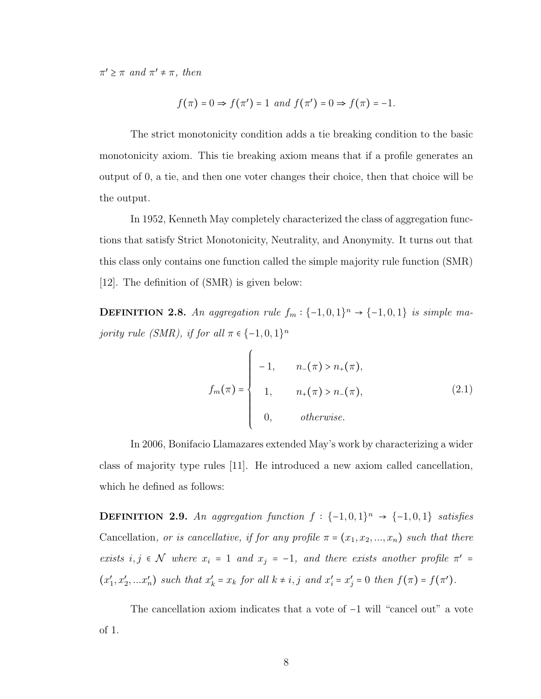$\pi' \geq \pi$  and  $\pi' \neq \pi$ , then

$$
f(\pi) = 0 \Rightarrow f(\pi') = 1 \text{ and } f(\pi') = 0 \Rightarrow f(\pi) = -1.
$$

The strict monotonicity condition adds a tie breaking condition to the basic monotonicity axiom. This tie breaking axiom means that if a profile generates an output of 0, a tie, and then one voter changes their choice, then that choice will be the output.

In 1952, Kenneth May completely characterized the class of aggregation functions that satisfy Strict Monotonicity, Neutrality, and Anonymity. It turns out that this class only contains one function called the simple majority rule function (SMR) [12]. The definition of (SMR) is given below:

**DEFINITION 2.8.** An aggregation rule  $f_m: \{-1,0,1\}^n \rightarrow \{-1,0,1\}$  is simple majority rule (SMR), if for all  $\pi \in \{-1,0,1\}^n$ 

$$
f_m(\pi) = \begin{cases} -1, & n_-(\pi) > n_+(\pi), \\ 1, & n_+(\pi) > n_-(\pi), \\ 0, & \text{otherwise.} \end{cases}
$$
 (2.1)

In 2006, Bonifacio Llamazares extended May's work by characterizing a wider class of majority type rules [11]. He introduced a new axiom called cancellation, which he defined as follows:

**DEFINITION** 2.9. An aggregation function  $f: \{-1,0,1\}^n \rightarrow \{-1,0,1\}$  satisfies Cancellation, or is cancellative, if for any profile  $\pi = (x_1, x_2, ..., x_n)$  such that there exists  $i, j \in \mathcal{N}$  where  $x_i = 1$  and  $x_j = -1$ , and there exists another profile  $\pi' =$  $(x'_1, x'_2, ... x'_n)$  such that  $x'_k = x_k$  for all  $k \neq i, j$  and  $x'_i = x'_j = 0$  then  $f(\pi) = f(\pi')$ .

The cancellation axiom indicates that a vote of −1 will "cancel out" a vote of 1.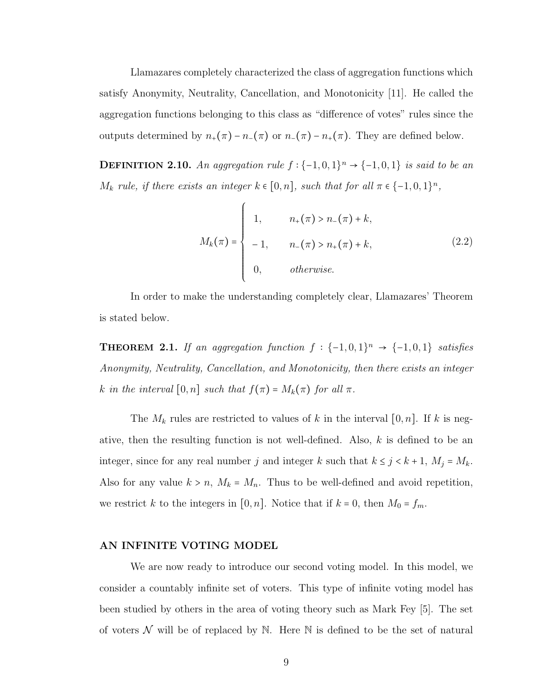Llamazares completely characterized the class of aggregation functions which satisfy Anonymity, Neutrality, Cancellation, and Monotonicity [11]. He called the aggregation functions belonging to this class as "difference of votes" rules since the outputs determined by  $n_+(\pi) - n_-(\pi)$  or  $n_-(\pi) - n_+(\pi)$ . They are defined below.

**DEFINITION 2.10.** An aggregation rule  $f: \{-1,0,1\}^n \rightarrow \{-1,0,1\}$  is said to be an  $M_k$  rule, if there exists an integer  $k \in [0,n]$ , such that for all  $\pi \in \{-1,0,1\}^n$ ,

$$
M_k(\pi) = \begin{cases} 1, & n_+(\pi) > n_-(\pi) + k, \\ -1, & n_-(\pi) > n_+(\pi) + k, \\ 0, & \text{otherwise.} \end{cases}
$$
 (2.2)

In order to make the understanding completely clear, Llamazares' Theorem is stated below.

**THEOREM 2.1.** If an aggregation function  $f: \{-1,0,1\}^n \rightarrow \{-1,0,1\}$  satisfies Anonymity, Neutrality, Cancellation, and Monotonicity, then there exists an integer k in the interval  $[0,n]$  such that  $f(\pi) = M_k(\pi)$  for all  $\pi$ .

The  $M_k$  rules are restricted to values of k in the interval  $[0, n]$ . If k is negative, then the resulting function is not well-defined. Also, k is defined to be an integer, since for any real number j and integer k such that  $k \le j \le k + 1$ ,  $M_j = M_k$ . Also for any value  $k > n$ ,  $M_k = M_n$ . Thus to be well-defined and avoid repetition, we restrict k to the integers in  $[0, n]$ . Notice that if  $k = 0$ , then  $M_0 = f_m$ .

#### AN INFINITE VOTING MODEL

We are now ready to introduce our second voting model. In this model, we consider a countably infinite set of voters. This type of infinite voting model has been studied by others in the area of voting theory such as Mark Fey [5]. The set of voters  $\mathcal N$  will be of replaced by N. Here N is defined to be the set of natural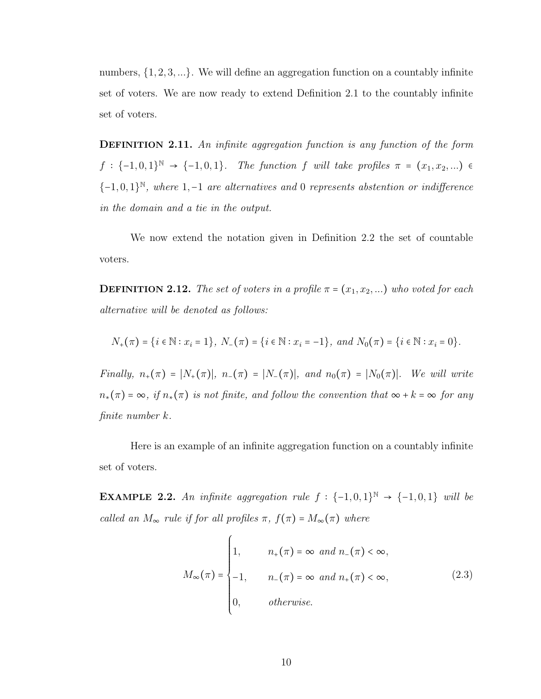numbers,  $\{1, 2, 3, ...\}$ . We will define an aggregation function on a countably infinite set of voters. We are now ready to extend Definition 2.1 to the countably infinite set of voters.

DEFINITION 2.11. An infinite aggregation function is any function of the form  $f: \{-1,0,1\}^{\mathbb{N}} \to \{-1,0,1\}$ . The function f will take profiles  $\pi = (x_1, x_2,...)$ {−1, 0, 1} <sup>N</sup>, where 1,−1 are alternatives and 0 represents abstention or indifference in the domain and a tie in the output.

We now extend the notation given in Definition 2.2 the set of countable voters.

**DEFINITION 2.12.** The set of voters in a profile  $\pi = (x_1, x_2, ...)$  who voted for each alternative will be denoted as follows:

$$
N_{+}(\pi) = \{i \in \mathbb{N} : x_{i} = 1\}, N_{-}(\pi) = \{i \in \mathbb{N} : x_{i} = -1\}, and N_{0}(\pi) = \{i \in \mathbb{N} : x_{i} = 0\}.
$$

Finally,  $n_+(\pi) = |N_+(\pi)|$ ,  $n_-(\pi) = |N_-(\pi)|$ , and  $n_0(\pi) = |N_0(\pi)|$ . We will write  $n_*(\pi) = \infty$ , if  $n_*(\pi)$  is not finite, and follow the convention that  $\infty + k = \infty$  for any finite number k.

Here is an example of an infinite aggregation function on a countably infinite set of voters.

**EXAMPLE 2.2.** An infinite aggregation rule  $f: \{-1,0,1\}^{\mathbb{N}} \rightarrow \{-1,0,1\}$  will be called an  $M_{\infty}$  rule if for all profiles  $\pi$ ,  $f(\pi) = M_{\infty}(\pi)$  where

$$
M_{\infty}(\pi) = \begin{cases} 1, & n_{+}(\pi) = \infty \text{ and } n_{-}(\pi) < \infty, \\ -1, & n_{-}(\pi) = \infty \text{ and } n_{+}(\pi) < \infty, \\ 0, & \text{otherwise.} \end{cases}
$$
 (2.3)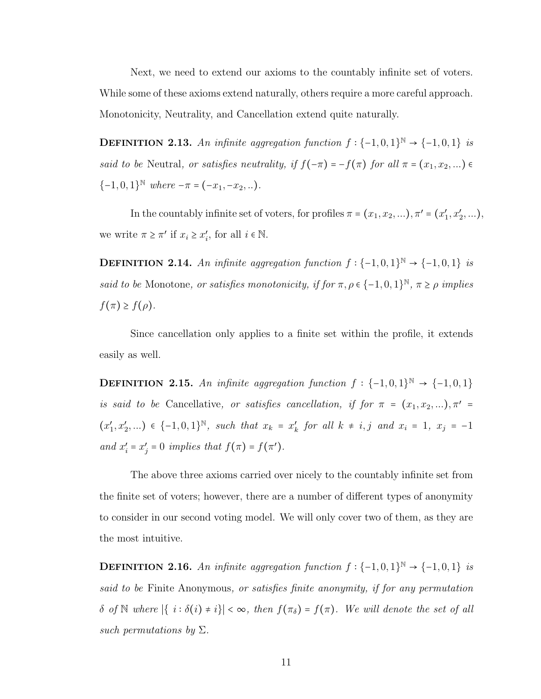Next, we need to extend our axioms to the countably infinite set of voters. While some of these axioms extend naturally, others require a more careful approach. Monotonicity, Neutrality, and Cancellation extend quite naturally.

**DEFINITION 2.13.** An infinite aggregation function  $f: \{-1,0,1\}^{\mathbb{N}} \to \{-1,0,1\}$  is said to be Neutral, or satisfies neutrality, if  $f(-\pi) = -f(\pi)$  for all  $\pi = (x_1, x_2, ...)$  $\{-1,0,1\}^{\mathbb{N}}$  where  $-\pi = (-x_1,-x_2,..).$ 

In the countably infinite set of voters, for profiles  $\pi = (x_1, x_2, \ldots), \pi' = (x'_1, x'_2, \ldots),$ we write  $\pi \geq \pi'$  if  $x_i \geq x'_i$ , for all  $i \in \mathbb{N}$ .

**DEFINITION 2.14.** An infinite aggregation function  $f: \{-1,0,1\}^{\mathbb{N}} \to \{-1,0,1\}$  is said to be Monotone, or satisfies monotonicity, if for  $\pi, \rho \in \{-1, 0, 1\}^{\mathbb{N}}, \pi \ge \rho$  implies  $f(\pi) \geq f(\rho)$ .

Since cancellation only applies to a finite set within the profile, it extends easily as well.

**DEFINITION 2.15.** An infinite aggregation function  $f: \{-1,0,1\}^{\mathbb{N}} \rightarrow \{-1,0,1\}$ is said to be Cancellative, or satisfies cancellation, if for  $\pi = (x_1, x_2, \ldots), \pi' =$  $(x'_1, x'_2, ...) \in \{-1, 0, 1\}^{\mathbb{N}}, \text{ such that } x_k = x'_k \text{ for all } k \neq i, j \text{ and } x_i = 1, x_j = -1$ and  $x'_i = x'_j = 0$  implies that  $f(\pi) = f(\pi')$ .

The above three axioms carried over nicely to the countably infinite set from the finite set of voters; however, there are a number of different types of anonymity to consider in our second voting model. We will only cover two of them, as they are the most intuitive.

**DEFINITION 2.16.** An infinite aggregation function  $f: \{-1,0,1\}^{\mathbb{N}} \to \{-1,0,1\}$  is said to be Finite Anonymous, or satisfies finite anonymity, if for any permutation  $\delta$  of  $\mathbb N$  where  $|\{i : \delta(i) \neq i\}| < \infty$ , then  $f(\pi_{\delta}) = f(\pi)$ . We will denote the set of all such permutations by  $\Sigma$ .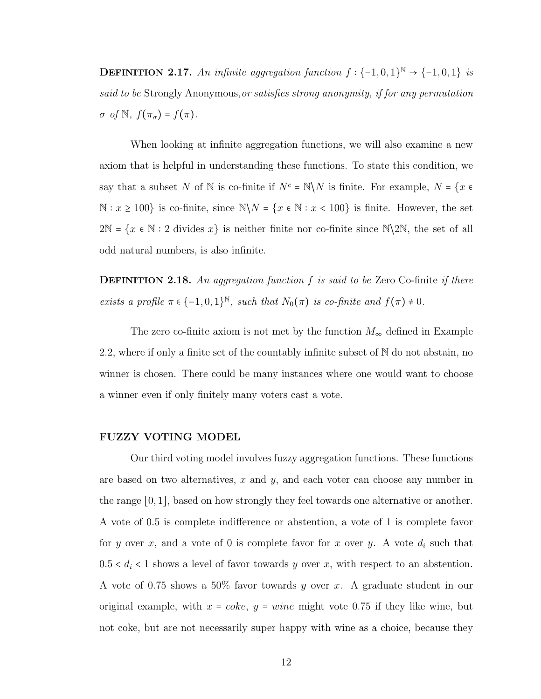**DEFINITION 2.17.** An infinite aggregation function  $f: \{-1,0,1\}^{\mathbb{N}} \rightarrow \{-1,0,1\}$  is said to be Strongly Anonymous,or satisfies strong anonymity, if for any permutation  $\sigma$  of  $\mathbb{N}$ ,  $f(\pi_{\sigma}) = f(\pi)$ .

When looking at infinite aggregation functions, we will also examine a new axiom that is helpful in understanding these functions. To state this condition, we say that a subset N of N is co-finite if  $N^c = N \setminus N$  is finite. For example,  $N = \{x \in$ N :  $x \ge 100$ } is co-finite, since N\N = { $x \in \mathbb{N}$  :  $x < 100$ } is finite. However, the set  $2\mathbb{N} = \{x \in \mathbb{N} : 2 \text{ divides } x\}$  is neither finite nor co-finite since  $\mathbb{N}\backslash 2\mathbb{N}$ , the set of all odd natural numbers, is also infinite.

**DEFINITION 2.18.** An aggregation function f is said to be Zero Co-finite if there exists a profile  $\pi \in \{-1,0,1\}^{\mathbb{N}}$ , such that  $N_0(\pi)$  is co-finite and  $f(\pi) \neq 0$ .

The zero co-finite axiom is not met by the function  $M_{\infty}$  defined in Example 2.2, where if only a finite set of the countably infinite subset of  $\mathbb N$  do not abstain, no winner is chosen. There could be many instances where one would want to choose a winner even if only finitely many voters cast a vote.

#### FUZZY VOTING MODEL

Our third voting model involves fuzzy aggregation functions. These functions are based on two alternatives,  $x$  and  $y$ , and each voter can choose any number in the range [0, 1], based on how strongly they feel towards one alternative or another. A vote of 0.5 is complete indifference or abstention, a vote of 1 is complete favor for y over x, and a vote of 0 is complete favor for x over y. A vote  $d_i$  such that  $0.5 < d_i < 1$  shows a level of favor towards y over x, with respect to an abstention. A vote of 0.75 shows a 50% favor towards y over x. A graduate student in our original example, with  $x = \csc y = \csc y = \sin \theta$  might vote 0.75 if they like wine, but not coke, but are not necessarily super happy with wine as a choice, because they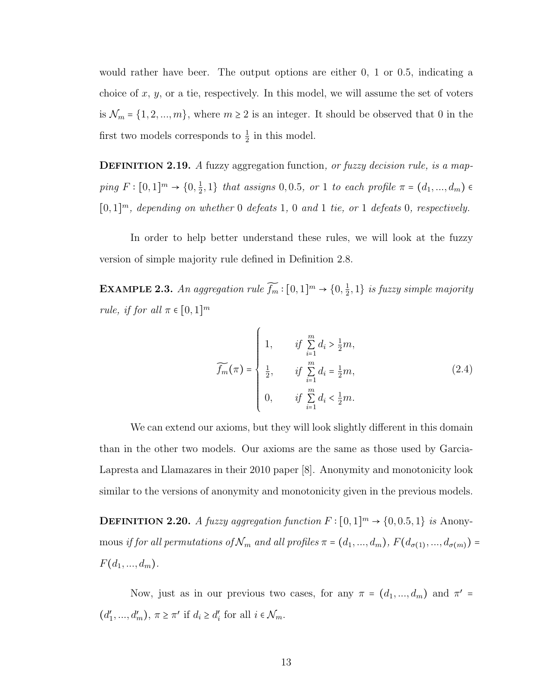would rather have beer. The output options are either 0, 1 or 0.5, indicating a choice of  $x, y$ , or a tie, respectively. In this model, we will assume the set of voters is  $\mathcal{N}_m = \{1, 2, ..., m\}$ , where  $m \geq 2$  is an integer. It should be observed that 0 in the first two models corresponds to  $\frac{1}{2}$  in this model.

DEFINITION 2.19. A fuzzy aggregation function, or fuzzy decision rule, is a map*ping*  $F : [0,1]^m$  →  $\{0,\frac{1}{2}\}$  $\{\frac{1}{2},1\}$  that assigns 0,0.5, or 1 to each profile  $\pi = (d_1, ..., d_m)$  $[0,1]^m$ , depending on whether 0 defeats 1, 0 and 1 tie, or 1 defeats 0, respectively.

In order to help better understand these rules, we will look at the fuzzy version of simple majority rule defined in Definition 2.8.

**EXAMPLE 2.3.** An aggregation rule  $\widetilde{f_m}$  :  $[0,1]^m \rightarrow \{0,\frac{1}{2}\}$  $\frac{1}{2}$ , 1} is fuzzy simple majority rule, if for all  $\pi \in [0,1]^m$ 

$$
\widetilde{f_m}(\pi) = \begin{cases}\n1, & \text{if } \sum_{i=1}^{m} d_i > \frac{1}{2}m, \\
\frac{1}{2}, & \text{if } \sum_{i=1}^{m} d_i = \frac{1}{2}m, \\
0, & \text{if } \sum_{i=1}^{m} d_i < \frac{1}{2}m.\n\end{cases}
$$
\n(2.4)

We can extend our axioms, but they will look slightly different in this domain than in the other two models. Our axioms are the same as those used by Garcia-Lapresta and Llamazares in their 2010 paper [8]. Anonymity and monotonicity look similar to the versions of anonymity and monotonicity given in the previous models.

**DEFINITION 2.20.** A fuzzy aggregation function  $F : [0,1]^m \rightarrow \{0, 0.5, 1\}$  is Anonymous if for all permutations of  $\mathcal{N}_m$  and all profiles  $\pi = (d_1, ..., d_m)$ ,  $F(d_{\sigma(1)}, ..., d_{\sigma(m)}) =$  $F(d_1, ..., d_m).$ 

Now, just as in our previous two cases, for any  $\pi = (d_1, ..., d_m)$  and  $\pi' =$  $(d'_1, ..., d'_m), \pi \geq \pi'$  if  $d_i \geq d'_i$  for all  $i \in \mathcal{N}_m$ .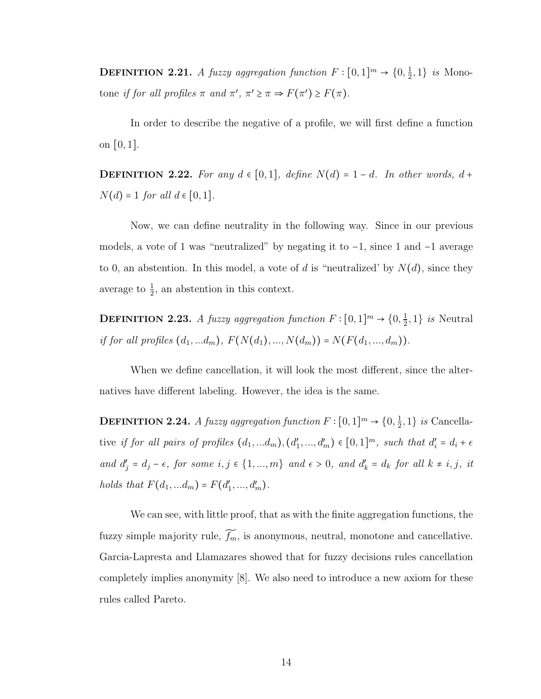**DEFINITION 2.21.** A fuzzy aggregation function  $F : [0,1]^m \rightarrow \{0,\frac{1}{2}\}$  $\frac{1}{2}, 1$  *is* Monotone if for all profiles  $\pi$  and  $\pi'$ ,  $\pi' \geq \pi \Rightarrow F(\pi') \geq F(\pi)$ .

In order to describe the negative of a profile, we will first define a function on [0, 1].

**DEFINITION 2.22.** For any  $d \in [0,1]$ , define  $N(d) = 1-d$ . In other words,  $d +$  $N(d) = 1$  for all  $d \in [0, 1]$ .

Now, we can define neutrality in the following way. Since in our previous models, a vote of 1 was "neutralized" by negating it to −1, since 1 and −1 average to 0, an abstention. In this model, a vote of d is "neutralized' by  $N(d)$ , since they average to  $\frac{1}{2}$ , an abstention in this context.

**DEFINITION 2.23.** A fuzzy aggregation function  $F : [0,1]^m \rightarrow \{0,\frac{1}{2}\}$  $\frac{1}{2}$ , 1 is Neutral if for all profiles  $(d_1, ... d_m)$ ,  $F(N(d_1), ..., N(d_m)) = N(F(d_1, ..., d_m))$ .

When we define cancellation, it will look the most different, since the alternatives have different labeling. However, the idea is the same.

**DEFINITION 2.24.** A fuzzy aggregation function  $F : [0,1]^m \rightarrow \{0,\frac{1}{2}\}$  $\frac{1}{2}$ , 1 is Cancellative if for all pairs of profiles  $(d_1, ... d_m)$ ,  $(d'_1, ..., d'_m) \in [0,1]^m$ , such that  $d'_i = d_i + \epsilon$ and  $d'_j = d_j - \epsilon$ , for some  $i, j \in \{1, ..., m\}$  and  $\epsilon > 0$ , and  $d'_k = d_k$  for all  $k \neq i, j$ , it holds that  $F(d_1, ... d_m) = F(d'_1, ..., d'_m)$ .

We can see, with little proof, that as with the finite aggregation functions, the fuzzy simple majority rule,  $\widetilde{f_m}$ , is anonymous, neutral, monotone and cancellative. Garcia-Lapresta and Llamazares showed that for fuzzy decisions rules cancellation completely implies anonymity [8]. We also need to introduce a new axiom for these rules called Pareto.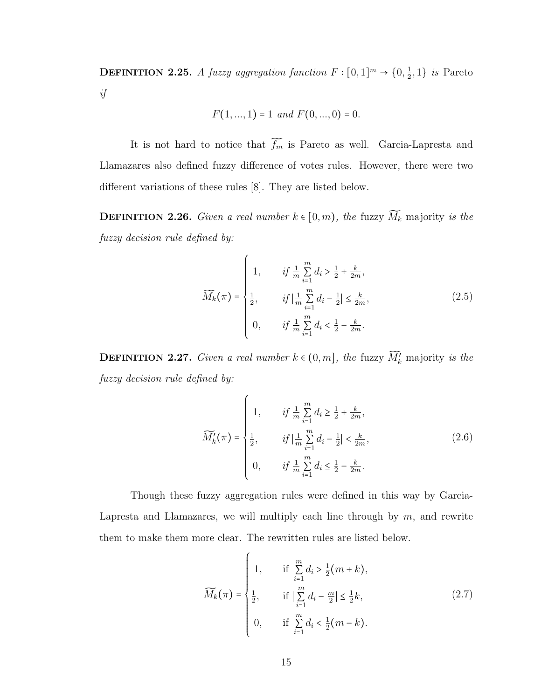**DEFINITION 2.25.** A fuzzy aggregation function  $F : [0,1]^m \rightarrow \{0,\frac{1}{2}\}$  $\frac{1}{2}$ , 1 is Pareto if

$$
F(1, ..., 1) = 1 \ and \ F(0, ..., 0) = 0.
$$

It is not hard to notice that  $\widetilde{f_m}$  is Pareto as well. Garcia-Lapresta and Llamazares also defined fuzzy difference of votes rules. However, there were two different variations of these rules [8]. They are listed below.

**DEFINITION 2.26.** Given a real number  $k \in [0, m)$ , the fuzzy  $\widetilde{M}_k$  majority is the fuzzy decision rule defined by:

$$
\widetilde{M}_k(\pi) = \begin{cases}\n1, & \text{if } \frac{1}{m} \sum_{i=1}^m d_i > \frac{1}{2} + \frac{k}{2m}, \\
\frac{1}{2}, & \text{if } |\frac{1}{m} \sum_{i=1}^m d_i - \frac{1}{2}| \le \frac{k}{2m}, \\
0, & \text{if } \frac{1}{m} \sum_{i=1}^m d_i < \frac{1}{2} - \frac{k}{2m}.\n\end{cases}
$$
\n(2.5)

**DEFINITION 2.27.** Given a real number  $k \in (0, m]$ , the fuzzy  $\widetilde{M}'_k$  majority is the fuzzy decision rule defined by:

$$
\widetilde{M}'_k(\pi) = \begin{cases}\n1, & \text{if } \frac{1}{m} \sum_{i=1}^m d_i \ge \frac{1}{2} + \frac{k}{2m}, \\
\frac{1}{2}, & \text{if } |\frac{1}{m} \sum_{i=1}^m d_i - \frac{1}{2}| < \frac{k}{2m}, \\
0, & \text{if } \frac{1}{m} \sum_{i=1}^m d_i \le \frac{1}{2} - \frac{k}{2m}.\n\end{cases} \tag{2.6}
$$

Though these fuzzy aggregation rules were defined in this way by Garcia-Lapresta and Llamazares, we will multiply each line through by  $m$ , and rewrite them to make them more clear. The rewritten rules are listed below.

$$
\widetilde{M}_k(\pi) = \begin{cases}\n1, & \text{if } \sum_{i=1}^m d_i > \frac{1}{2}(m+k), \\
\frac{1}{2}, & \text{if } \left| \sum_{i=1}^m d_i - \frac{m}{2} \right| \le \frac{1}{2}k, \\
0, & \text{if } \sum_{i=1}^m d_i < \frac{1}{2}(m-k).\n\end{cases}
$$
\n(2.7)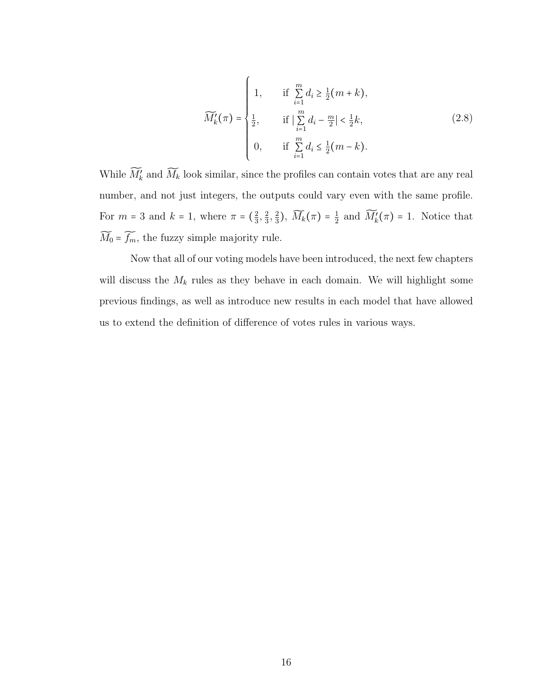$$
\widetilde{M}'_k(\pi) = \begin{cases}\n1, & \text{if } \sum_{i=1}^m d_i \ge \frac{1}{2}(m+k), \\
\frac{1}{2}, & \text{if } |\sum_{i=1}^m d_i - \frac{m}{2}| < \frac{1}{2}k, \\
0, & \text{if } \sum_{i=1}^m d_i \le \frac{1}{2}(m-k).\n\end{cases} \tag{2.8}
$$

While  $\widetilde{M}'_k$  and  $\widetilde{M}_k$  look similar, since the profiles can contain votes that are any real number, and not just integers, the outputs could vary even with the same profile. For  $m = 3$  and  $k = 1$ , where  $\pi = \left(\frac{2}{3}\right)$  $\frac{2}{3}, \frac{2}{3}$  $\frac{2}{3}, \frac{2}{3}$  $(\frac{2}{3}), \ \widetilde{M}_k(\pi) = \frac{1}{2}$  $\frac{1}{2}$  and  $\widetilde{M}'_k(\pi) = 1$ . Notice that  $\widetilde{M}_{0}=\widetilde{f_{m}},$  the fuzzy simple majority rule.

Now that all of our voting models have been introduced, the next few chapters will discuss the  $M_k$  rules as they behave in each domain. We will highlight some previous findings, as well as introduce new results in each model that have allowed us to extend the definition of difference of votes rules in various ways.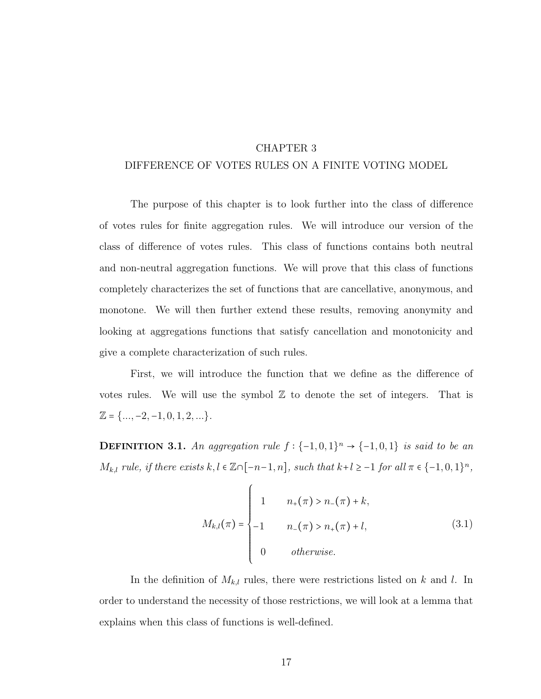## CHAPTER 3 DIFFERENCE OF VOTES RULES ON A FINITE VOTING MODEL

The purpose of this chapter is to look further into the class of difference of votes rules for finite aggregation rules. We will introduce our version of the class of difference of votes rules. This class of functions contains both neutral and non-neutral aggregation functions. We will prove that this class of functions completely characterizes the set of functions that are cancellative, anonymous, and monotone. We will then further extend these results, removing anonymity and looking at aggregations functions that satisfy cancellation and monotonicity and give a complete characterization of such rules.

First, we will introduce the function that we define as the difference of votes rules. We will use the symbol  $\mathbb Z$  to denote the set of integers. That is  $\mathbb{Z} = \{\ldots, -2, -1, 0, 1, 2, \ldots\}.$ 

**DEFINITION 3.1.** An aggregation rule  $f: \{-1,0,1\}^n \rightarrow \{-1,0,1\}$  is said to be an  $M_{k,l}$  rule, if there exists  $k, l \in \mathbb{Z} \cap [-n-1, n]$ , such that  $k+l \geq -1$  for all  $\pi \in \{-1, 0, 1\}^n$ ,

$$
M_{k,l}(\pi) = \begin{cases} 1 & n_{+}(\pi) > n_{-}(\pi) + k, \\ -1 & n_{-}(\pi) > n_{+}(\pi) + l, \\ 0 & otherwise. \end{cases}
$$
 (3.1)

In the definition of  $M_{k,l}$  rules, there were restrictions listed on k and l. In order to understand the necessity of those restrictions, we will look at a lemma that explains when this class of functions is well-defined.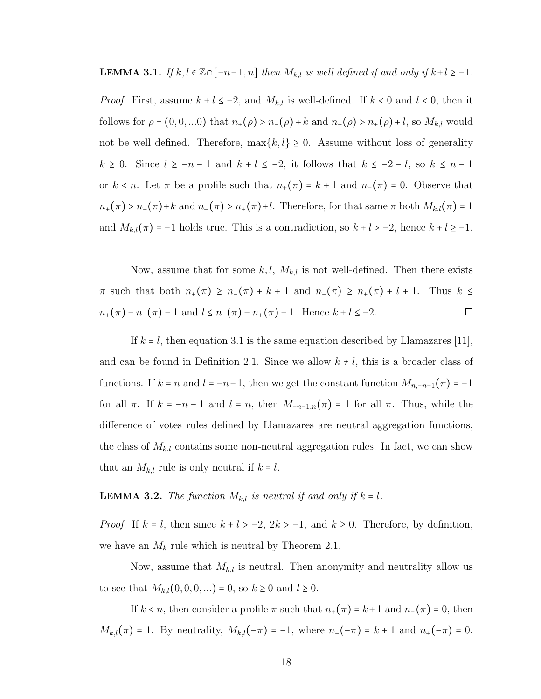**LEMMA 3.1.** If  $k, l \in \mathbb{Z} \cap [-n-1, n]$  then  $M_{k,l}$  is well defined if and only if  $k+l \geq -1$ .

*Proof.* First, assume  $k + l \leq -2$ , and  $M_{k,l}$  is well-defined. If  $k < 0$  and  $l < 0$ , then it follows for  $\rho = (0, 0, ...0)$  that  $n_{+}(\rho) > n_{-}(\rho) + k$  and  $n_{-}(\rho) > n_{+}(\rho) + l$ , so  $M_{k,l}$  would not be well defined. Therefore,  $\max\{k, l\} \geq 0$ . Assume without loss of generality  $k \ge 0$ . Since  $l \ge -n-1$  and  $k+l \le -2$ , it follows that  $k \le -2-l$ , so  $k \le n-1$ or  $k < n$ . Let  $\pi$  be a profile such that  $n_+(\pi) = k+1$  and  $n_-(\pi) = 0$ . Observe that  $n_+(\pi) > n_-(\pi) + k$  and  $n_-(\pi) > n_+(\pi) + l$ . Therefore, for that same  $\pi$  both  $M_{k,l}(\pi) = 1$ and  $M_{k,l}(\pi) = -1$  holds true. This is a contradiction, so  $k + l > -2$ , hence  $k + l \ge -1$ .

Now, assume that for some  $k, l, M_{k,l}$  is not well-defined. Then there exists  $\pi$  such that both  $n_+(\pi) \geq n_-(\pi) + k + 1$  and  $n_-(\pi) \geq n_+(\pi) + l + 1$ . Thus  $k \leq$  $n_+(\pi) - n_-(\pi) - 1$  and  $l \leq n_-(\pi) - n_+(\pi) - 1$ . Hence  $k + l \leq -2$ .  $\Box$ 

If  $k = l$ , then equation 3.1 is the same equation described by Llamazares [11], and can be found in Definition 2.1. Since we allow  $k \neq l$ , this is a broader class of functions. If  $k = n$  and  $l = -n-1$ , then we get the constant function  $M_{n,-n-1}(\pi) = -1$ for all  $\pi$ . If  $k = -n - 1$  and  $l = n$ , then  $M_{-n-1,n}(\pi) = 1$  for all  $\pi$ . Thus, while the difference of votes rules defined by Llamazares are neutral aggregation functions, the class of  $M_{k,l}$  contains some non-neutral aggregation rules. In fact, we can show that an  $M_{k,l}$  rule is only neutral if  $k = l$ .

## **LEMMA 3.2.** The function  $M_{k,l}$  is neutral if and only if  $k = l$ .

*Proof.* If  $k = l$ , then since  $k + l > -2$ ,  $2k > -1$ , and  $k \ge 0$ . Therefore, by definition, we have an  $M_k$  rule which is neutral by Theorem 2.1.

Now, assume that  $M_{k,l}$  is neutral. Then anonymity and neutrality allow us to see that  $M_{k,l}(0, 0, 0, ...) = 0$ , so  $k \ge 0$  and  $l \ge 0$ .

If  $k < n$ , then consider a profile  $\pi$  such that  $n_+(\pi) = k+1$  and  $n_-(\pi) = 0$ , then  $M_{k,l}(\pi) = 1$ . By neutrality,  $M_{k,l}(-\pi) = -1$ , where  $n_-(-\pi) = k+1$  and  $n_+(-\pi) = 0$ .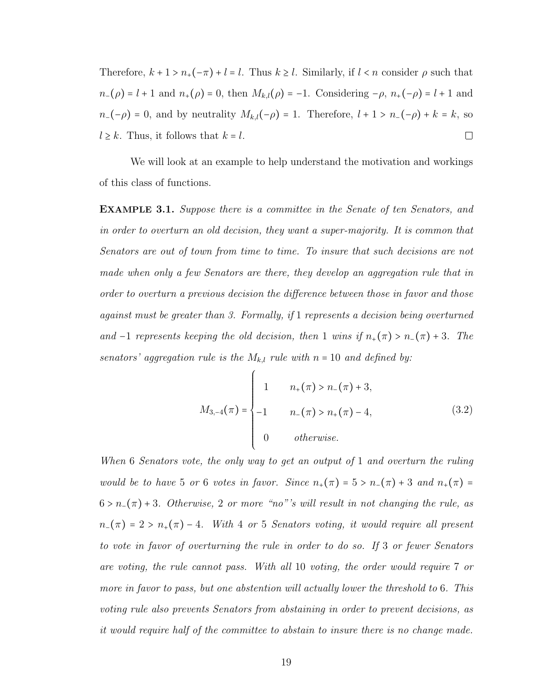Therefore,  $k + 1 > n<sub>+</sub>(-\pi) + l = l$ . Thus  $k \ge l$ . Similarly, if  $l < n$  consider  $\rho$  such that  $n_{-}(\rho) = l + 1$  and  $n_{+}(\rho) = 0$ , then  $M_{k,l}(\rho) = -1$ . Considering  $-\rho$ ,  $n_{+}(-\rho) = l + 1$  and  $n_{-}(-\rho) = 0$ , and by neutrality  $M_{k,l}(-\rho) = 1$ . Therefore,  $l + 1 > n_{-}(-\rho) + k = k$ , so  $l \geq k$ . Thus, it follows that  $k = l$ .  $\Box$ 

We will look at an example to help understand the motivation and workings of this class of functions.

**EXAMPLE 3.1.** Suppose there is a committee in the Senate of ten Senators, and in order to overturn an old decision, they want a super-majority. It is common that Senators are out of town from time to time. To insure that such decisions are not made when only a few Senators are there, they develop an aggregation rule that in order to overturn a previous decision the difference between those in favor and those against must be greater than 3. Formally, if 1 represents a decision being overturned and  $-1$  represents keeping the old decision, then 1 wins if  $n_+(\pi) > n_-(\pi) + 3$ . The senators' aggregation rule is the  $M_{k,l}$  rule with  $n = 10$  and defined by:

$$
M_{3,-4}(\pi) = \begin{cases} 1 & n_{+}(\pi) > n_{-}(\pi) + 3, \\ -1 & n_{-}(\pi) > n_{+}(\pi) - 4, \\ 0 & otherwise. \end{cases}
$$
 (3.2)

When 6 Senators vote, the only way to get an output of 1 and overturn the ruling would be to have 5 or 6 votes in favor. Since  $n_+(\pi) = 5 > n_-(\pi) + 3$  and  $n_+(\pi) =$  $6 > n_-(\pi) + 3$ . Otherwise, 2 or more "no"'s will result in not changing the rule, as  $n_{-}(\pi) = 2 > n_{+}(\pi) - 4$ . With 4 or 5 Senators voting, it would require all present to vote in favor of overturning the rule in order to do so. If 3 or fewer Senators are voting, the rule cannot pass. With all 10 voting, the order would require 7 or more in favor to pass, but one abstention will actually lower the threshold to 6. This voting rule also prevents Senators from abstaining in order to prevent decisions, as it would require half of the committee to abstain to insure there is no change made.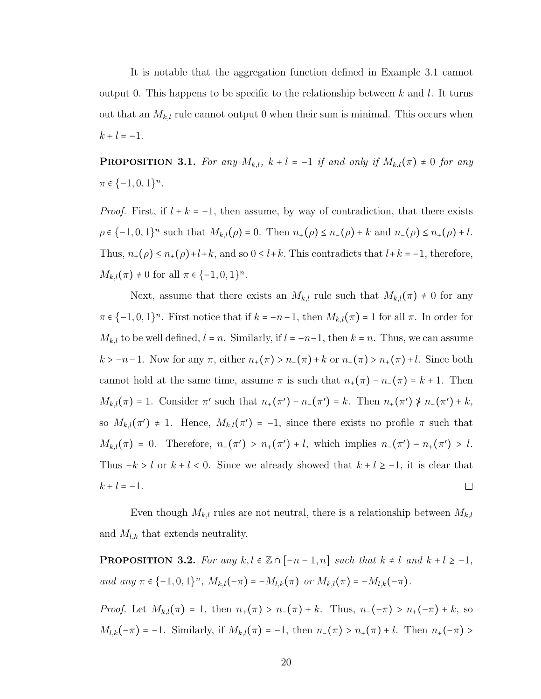It is notable that the aggregation function defined in Example 3.1 cannot output 0. This happens to be specific to the relationship between k and l. It turns out that an  $M_{k,l}$  rule cannot output 0 when their sum is minimal. This occurs when  $k + l = -1.$ 

**PROPOSITION 3.1.** For any  $M_{k,l}$ ,  $k+l = -1$  if and only if  $M_{k,l}(\pi) \neq 0$  for any  $\pi \in \{-1, 0, 1\}^n$ .

*Proof.* First, if  $l + k = -1$ , then assume, by way of contradiction, that there exists  $\rho \in \{-1, 0, 1\}^n$  such that  $M_{k,l}(\rho) = 0$ . Then  $n_+(\rho) \leq n_-(\rho) + k$  and  $n_-(\rho) \leq n_+(\rho) + l$ . Thus,  $n_+(\rho) \leq n_+(\rho)+l+k$ , and so  $0 \leq l+k$ . This contradicts that  $l+k = -1$ , therefore,  $M_{k,l}(\pi) \neq 0$  for all  $\pi \in \{-1,0,1\}^n$ .

Next, assume that there exists an  $M_{k,l}$  rule such that  $M_{k,l}(\pi) \neq 0$  for any  $\pi \in \{-1, 0, 1\}^n$ . First notice that if  $k = -n-1$ , then  $M_{k,l}(\pi) = 1$  for all  $\pi$ . In order for  $M_{k,l}$  to be well defined,  $l = n$ . Similarly, if  $l = -n-1$ , then  $k = n$ . Thus, we can assume  $k > -n-1$ . Now for any  $\pi$ , either  $n_+(\pi) > n_-(\pi) + k$  or  $n_-(\pi) > n_+(\pi) + l$ . Since both cannot hold at the same time, assume  $\pi$  is such that  $n_+(\pi) - n_-(\pi) = k + 1$ . Then  $M_{k,l}(\pi) = 1$ . Consider  $\pi'$  such that  $n_+(\pi') - n_-(\pi') = k$ . Then  $n_+(\pi') \nless n_-(\pi') + k$ , so  $M_{k,l}(\pi') \neq 1$ . Hence,  $M_{k,l}(\pi') = -1$ , since there exists no profile  $\pi$  such that  $M_{k,l}(\pi) = 0$ . Therefore,  $n_-(\pi') > n_+(\pi') + l$ , which implies  $n_-(\pi') - n_+(\pi') > l$ . Thus  $-k > l$  or  $k + l < 0$ . Since we already showed that  $k + l \ge -1$ , it is clear that  $k + l = -1.$  $\Box$ 

Even though  $M_{k,l}$  rules are not neutral, there is a relationship between  $M_{k,l}$ and  $M_{l,k}$  that extends neutrality.

**PROPOSITION 3.2.** For any  $k, l \in \mathbb{Z} \cap [-n-1, n]$  such that  $k \neq l$  and  $k + l \geq -1$ , and any  $\pi \in \{-1,0,1\}^n$ ,  $M_{k,l}(-\pi) = -M_{l,k}(\pi)$  or  $M_{k,l}(\pi) = -M_{l,k}(-\pi)$ .

Proof. Let  $M_{k,l}(\pi) = 1$ , then  $n_+(\pi) > n_-(\pi) + k$ . Thus,  $n_-(-\pi) > n_+(-\pi) + k$ , so  $M_{l,k}(-\pi) = -1.$  Similarly, if  $M_{k,l}(\pi) = -1$ , then  $n_-(\pi) > n_+(\pi) + l$ . Then  $n_+(-\pi) >$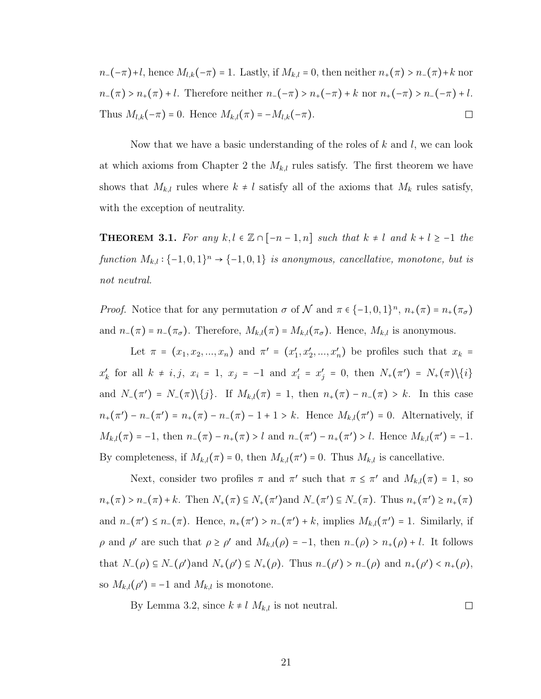$n_{-}(-\pi)+l$ , hence  $M_{l,k}(-\pi)=1$ . Lastly, if  $M_{k,l}=0$ , then neither  $n_{+}(\pi)>n_{-}(\pi)+k$  nor  $n_{-}(\pi) > n_{+}(\pi) + l$ . Therefore neither  $n_{-}(-\pi) > n_{+}(-\pi) + k$  nor  $n_{+}(-\pi) > n_{-}(-\pi) + l$ . Thus  $M_{l,k}(-\pi) = 0$ . Hence  $M_{k,l}(\pi) = -M_{l,k}(-\pi)$ .  $\Box$ 

Now that we have a basic understanding of the roles of  $k$  and  $l$ , we can look at which axioms from Chapter 2 the  $M_{k,l}$  rules satisfy. The first theorem we have shows that  $M_{k,l}$  rules where  $k \neq l$  satisfy all of the axioms that  $M_k$  rules satisfy, with the exception of neutrality.

**THEOREM 3.1.** For any  $k, l \in \mathbb{Z} \cap [-n-1, n]$  such that  $k \neq l$  and  $k + l \geq -1$  the function  $M_{k,l}: \{-1,0,1\}^n \to \{-1,0,1\}$  is anonymous, cancellative, monotone, but is not neutral.

*Proof.* Notice that for any permutation  $\sigma$  of  $\mathcal N$  and  $\pi \in \{-1,0,1\}^n$ ,  $n_+(\pi) = n_+(\pi_{\sigma})$ and  $n_{-}(\pi) = n_{-}(\pi_{\sigma})$ . Therefore,  $M_{k,l}(\pi) = M_{k,l}(\pi_{\sigma})$ . Hence,  $M_{k,l}$  is anonymous.

Let  $\pi = (x_1, x_2, ..., x_n)$  and  $\pi' = (x'_1, x'_2, ..., x'_n)$  be profiles such that  $x_k =$  $x'_k$  for all  $k \neq i, j$ ,  $x_i = 1$ ,  $x_j = -1$  and  $x'_i = x'_j = 0$ , then  $N_+(\pi') = N_+(\pi) \setminus \{i\}$ and  $N_-(\pi') = N_-(\pi) \setminus \{j\}$ . If  $M_{k,l}(\pi) = 1$ , then  $n_+(\pi) - n_-(\pi) > k$ . In this case  $n_+(\pi') - n_-(\pi') = n_+(\pi) - n_-(\pi) - 1 + 1 > k$ . Hence  $M_{k,l}(\pi') = 0$ . Alternatively, if  $M_{k,l}(\pi) = -1$ , then  $n_{-}(\pi) - n_{+}(\pi) > l$  and  $n_{-}(\pi') - n_{+}(\pi') > l$ . Hence  $M_{k,l}(\pi') = -1$ . By completeness, if  $M_{k,l}(\pi) = 0$ , then  $M_{k,l}(\pi') = 0$ . Thus  $M_{k,l}$  is cancellative.

Next, consider two profiles  $\pi$  and  $\pi'$  such that  $\pi \leq \pi'$  and  $M_{k,l}(\pi) = 1$ , so  $n_+(\pi) > n_-(\pi) + k$ . Then  $N_+(\pi) \subseteq N_+(\pi')$  and  $N_-(\pi') \subseteq N_-(\pi)$ . Thus  $n_+(\pi') \ge n_+(\pi)$ and  $n_{-}(\pi') \leq n_{-}(\pi)$ . Hence,  $n_{+}(\pi') > n_{-}(\pi') + k$ , implies  $M_{k,l}(\pi') = 1$ . Similarly, if  $\rho$  and  $\rho'$  are such that  $\rho \ge \rho'$  and  $M_{k,l}(\rho) = -1$ , then  $n_{-}(\rho) > n_{+}(\rho) + l$ . It follows that  $N_{-}(\rho) \subseteq N_{-}(\rho')$  and  $N_{+}(\rho') \subseteq N_{+}(\rho)$ . Thus  $n_{-}(\rho') > n_{-}(\rho)$  and  $n_{+}(\rho') < n_{+}(\rho)$ , so  $M_{k,l}(\rho') = -1$  and  $M_{k,l}$  is monotone.

By Lemma 3.2, since  $k \neq l$   $M_{k,l}$  is not neutral.  $\Box$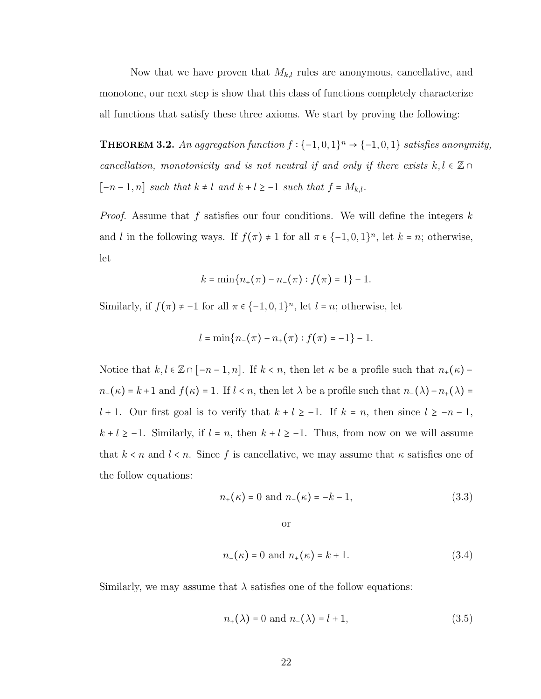Now that we have proven that  $M_{k,l}$  rules are anonymous, cancellative, and monotone, our next step is show that this class of functions completely characterize all functions that satisfy these three axioms. We start by proving the following:

**THEOREM 3.2.** An aggregation function  $f: \{-1,0,1\}^n \rightarrow \{-1,0,1\}$  satisfies anonymity, cancellation, monotonicity and is not neutral if and only if there exists  $k, l \in \mathbb{Z} \cap$  $[-n-1, n]$  such that  $k \neq l$  and  $k + l \geq -1$  such that  $f = M_{k,l}$ .

*Proof.* Assume that  $f$  satisfies our four conditions. We will define the integers  $k$ and l in the following ways. If  $f(\pi) \neq 1$  for all  $\pi \in \{-1,0,1\}^n$ , let  $k = n$ ; otherwise, let

$$
k = \min\{n_+(\pi) - n_-(\pi) : f(\pi) = 1\} - 1.
$$

Similarly, if  $f(\pi) \neq -1$  for all  $\pi \in \{-1,0,1\}^n$ , let  $l = n$ ; otherwise, let

$$
l = \min\{n_-(\pi) - n_+(\pi) : f(\pi) = -1\} - 1.
$$

Notice that  $k, l \in \mathbb{Z} \cap [-n-1, n]$ . If  $k < n$ , then let  $\kappa$  be a profile such that  $n_+(\kappa)$  –  $n_{-}(\kappa) = k+1$  and  $f(\kappa) = 1$ . If  $l < n$ , then let  $\lambda$  be a profile such that  $n_{-}(\lambda) - n_{+}(\lambda) =$ l + 1. Our first goal is to verify that  $k + l \ge -1$ . If  $k = n$ , then since  $l \ge -n - 1$ ,  $k + l \ge -1$ . Similarly, if  $l = n$ , then  $k + l \ge -1$ . Thus, from now on we will assume that  $k < n$  and  $l < n$ . Since f is cancellative, we may assume that  $\kappa$  satisfies one of the follow equations:

$$
n_{+}(\kappa) = 0 \text{ and } n_{-}(\kappa) = -k - 1,
$$
\n(3.3)

or  

$$
n_{-}(\kappa) = 0 \text{ and } n_{+}(\kappa) = k + 1.
$$
 (3.4)

Similarly, we may assume that  $\lambda$  satisfies one of the follow equations:

$$
n_{+}(\lambda) = 0 \text{ and } n_{-}(\lambda) = l + 1,
$$
\n
$$
(3.5)
$$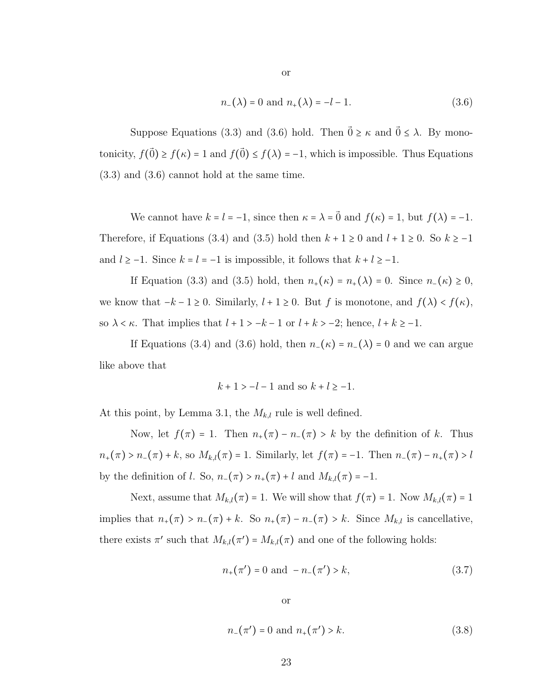$$
n_{-}(\lambda) = 0 \text{ and } n_{+}(\lambda) = -l - 1. \tag{3.6}
$$

Suppose Equations (3.3) and (3.6) hold. Then  $\vec{0} \ge \kappa$  and  $\vec{0} \le \lambda$ . By monotonicity,  $f(\vec{0}) \ge f(\kappa) = 1$  and  $f(\vec{0}) \le f(\lambda) = -1$ , which is impossible. Thus Equations (3.3) and (3.6) cannot hold at the same time.

or

We cannot have  $k = l = -1$ , since then  $\kappa = \lambda = \vec{0}$  and  $f(\kappa) = 1$ , but  $f(\lambda) = -1$ . Therefore, if Equations (3.4) and (3.5) hold then  $k + 1 \ge 0$  and  $l + 1 \ge 0$ . So  $k \ge -1$ and  $l \ge -1$ . Since  $k = l = -1$  is impossible, it follows that  $k + l \ge -1$ .

If Equation (3.3) and (3.5) hold, then  $n_+(\kappa) = n_+(\lambda) = 0$ . Since  $n_-(\kappa) \ge 0$ , we know that  $-k-1 \ge 0$ . Similarly,  $l + 1 \ge 0$ . But f is monotone, and  $f(\lambda) < f(\kappa)$ , so  $\lambda < \kappa$ . That implies that  $l + 1 > -k - 1$  or  $l + k > -2$ ; hence,  $l + k \ge -1$ .

If Equations (3.4) and (3.6) hold, then  $n_{-}(\kappa) = n_{-}(\lambda) = 0$  and we can argue like above that

$$
k + 1 > -l - 1
$$
 and so  $k + l \ge -1$ .

At this point, by Lemma 3.1, the  $M_{k,l}$  rule is well defined.

Now, let  $f(\pi) = 1$ . Then  $n_+(\pi) - n_-(\pi) > k$  by the definition of k. Thus  $n_{+}(\pi) > n_{-}(\pi) + k$ , so  $M_{k,l}(\pi) = 1$ . Similarly, let  $f(\pi) = -1$ . Then  $n_{-}(\pi) - n_{+}(\pi) > l$ by the definition of l. So,  $n_{-}(\pi) > n_{+}(\pi) + l$  and  $M_{k,l}(\pi) = -1$ .

Next, assume that  $M_{k,l}(\pi) = 1$ . We will show that  $f(\pi) = 1$ . Now  $M_{k,l}(\pi) = 1$ implies that  $n_+(\pi) > n_-(\pi) + k$ . So  $n_+(\pi) - n_-(\pi) > k$ . Since  $M_{k,l}$  is cancellative, there exists  $\pi'$  such that  $M_{k,l}(\pi') = M_{k,l}(\pi)$  and one of the following holds:

$$
n_{+}(\pi') = 0 \text{ and } -n_{-}(\pi') > k,
$$
\n(3.7)

$$
\overline{\text{or}}
$$

$$
n_{-}(\pi') = 0 \text{ and } n_{+}(\pi') > k. \tag{3.8}
$$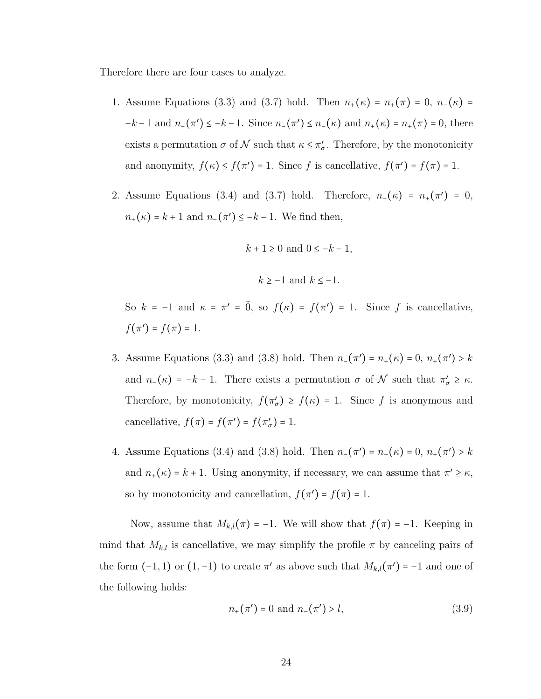Therefore there are four cases to analyze.

- 1. Assume Equations (3.3) and (3.7) hold. Then  $n_+(\kappa) = n_+(\pi) = 0$ ,  $n_-(\kappa) =$  $-k-1$  and  $n_-(\pi') \leq -k-1$ . Since  $n_-(\pi') \leq n_-(\kappa)$  and  $n_+(\kappa) = n_+(\pi) = 0$ , there exists a permutation  $\sigma$  of  $\mathcal N$  such that  $\kappa \leq \pi'_\sigma$ . Therefore, by the monotonicity and anonymity,  $f(\kappa) \le f(\pi') = 1$ . Since f is cancellative,  $f(\pi') = f(\pi) = 1$ .
- 2. Assume Equations (3.4) and (3.7) hold. Therefore,  $n_-(\kappa) = n_+(\pi') = 0$ ,  $n_+(\kappa) = k+1$  and  $n_-(\pi') \leq -k-1$ . We find then,

$$
k+1 \ge 0 \text{ and } 0 \le -k-1,
$$

$$
k \ge -1 \text{ and } k \le -1.
$$

So  $k = -1$  and  $\kappa = \pi' = \vec{0}$ , so  $f(\kappa) = f(\pi') = 1$ . Since f is cancellative,  $f(\pi') = f(\pi) = 1.$ 

- 3. Assume Equations (3.3) and (3.8) hold. Then  $n_-(\pi') = n_+(\kappa) = 0$ ,  $n_+(\pi') > k$ and  $n_-(\kappa) = -k - 1$ . There exists a permutation  $\sigma$  of  $\mathcal N$  such that  $\pi'_{\sigma} \geq \kappa$ . Therefore, by monotonicity,  $f(\pi_{\sigma}') \geq f(\kappa) = 1$ . Since f is anonymous and cancellative,  $f(\pi) = f(\pi') = f(\pi'_{\sigma}) = 1$ .
- 4. Assume Equations (3.4) and (3.8) hold. Then  $n_-(\pi') = n_-(\kappa) = 0$ ,  $n_+(\pi') > k$ and  $n_+(\kappa) = k + 1$ . Using anonymity, if necessary, we can assume that  $\pi' \geq \kappa$ , so by monotonicity and cancellation,  $f(\pi') = f(\pi) = 1$ .

Now, assume that  $M_{k,l}(\pi) = -1$ . We will show that  $f(\pi) = -1$ . Keeping in mind that  $M_{k,l}$  is cancellative, we may simplify the profile  $\pi$  by canceling pairs of the form  $(-1,1)$  or  $(1,-1)$  to create  $\pi'$  as above such that  $M_{k,l}(\pi') = -1$  and one of the following holds:

$$
n_{+}(\pi') = 0 \text{ and } n_{-}(\pi') > l,
$$
\n(3.9)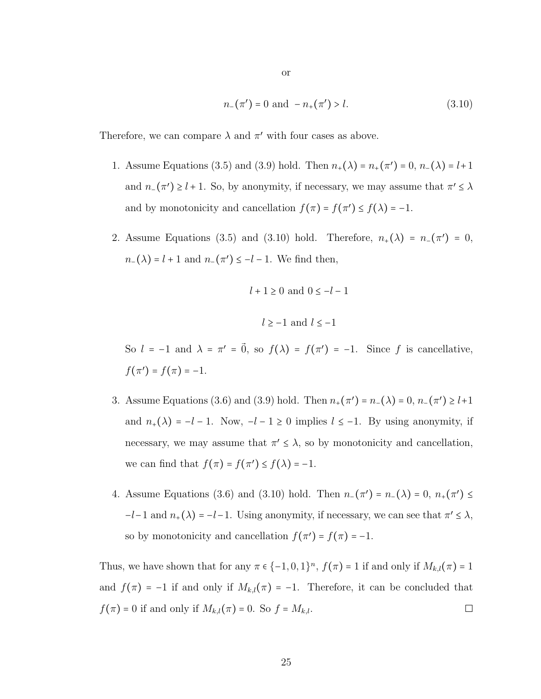$$
n_{-}(\pi') = 0 \text{ and } -n_{+}(\pi') > l. \tag{3.10}
$$

Therefore, we can compare  $\lambda$  and  $\pi'$  with four cases as above.

1. Assume Equations (3.5) and (3.9) hold. Then  $n_+(\lambda) = n_+(\pi') = 0$ ,  $n_-(\lambda) = l+1$ and  $n_-(\pi') \geq l + 1$ . So, by anonymity, if necessary, we may assume that  $\pi' \leq \lambda$ and by monotonicity and cancellation  $f(\pi) = f(\pi') \le f(\lambda) = -1$ .

or

2. Assume Equations (3.5) and (3.10) hold. Therefore,  $n_+(\lambda) = n_-(\pi') = 0$ ,  $n_-(\lambda) = l + 1$  and  $n_-(\pi') \le -l - 1$ . We find then,

$$
l+1\geq 0 \text{ and } 0\leq -l-1
$$

$$
l \ge -1 \text{ and } l \le -1
$$

So  $l = -1$  and  $\lambda = \pi' = \vec{0}$ , so  $f(\lambda) = f(\pi') = -1$ . Since f is cancellative,  $f(\pi') = f(\pi) = -1.$ 

- 3. Assume Equations (3.6) and (3.9) hold. Then  $n_+(\pi') = n_-(\lambda) = 0$ ,  $n_-(\pi') \ge l+1$ and  $n_+(\lambda) = -l - 1$ . Now,  $-l - 1 \ge 0$  implies  $l \le -1$ . By using anonymity, if necessary, we may assume that  $\pi' \leq \lambda$ , so by monotonicity and cancellation, we can find that  $f(\pi) = f(\pi') \leq f(\lambda) = -1$ .
- 4. Assume Equations (3.6) and (3.10) hold. Then  $n_-(\pi') = n_-(\lambda) = 0$ ,  $n_+(\pi') \le$  $-l-1$  and  $n_+(\lambda) = -l-1$ . Using anonymity, if necessary, we can see that  $\pi' \leq \lambda$ , so by monotonicity and cancellation  $f(\pi') = f(\pi) = -1$ .

Thus, we have shown that for any  $\pi \in \{-1,0,1\}^n$ ,  $f(\pi) = 1$  if and only if  $M_{k,l}(\pi) = 1$ and  $f(\pi) = -1$  if and only if  $M_{k,l}(\pi) = -1$ . Therefore, it can be concluded that  $f(\pi) = 0$  if and only if  $M_{k,l}(\pi) = 0$ . So  $f = M_{k,l}$ .  $\Box$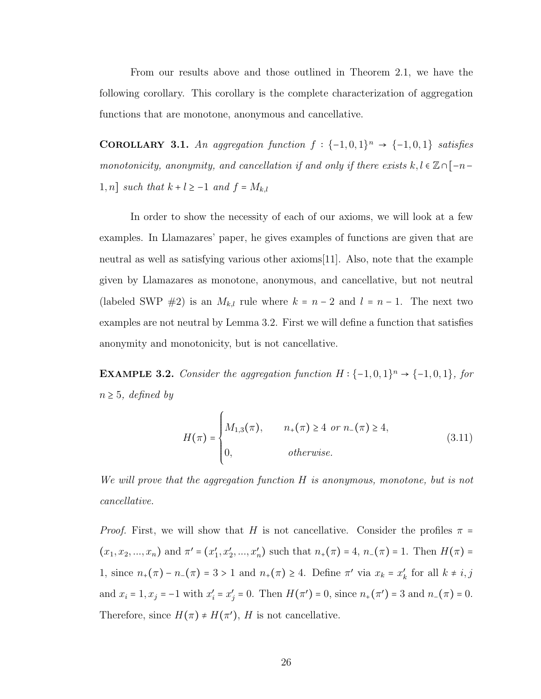From our results above and those outlined in Theorem 2.1, we have the following corollary. This corollary is the complete characterization of aggregation functions that are monotone, anonymous and cancellative.

**COROLLARY 3.1.** An aggregation function  $f: \{-1,0,1\}^n \rightarrow \{-1,0,1\}$  satisfies monotonicity, anonymity, and cancellation if and only if there exists  $k, l \in \mathbb{Z} \cap [-n-1]$ 1, n] such that  $k + l \ge -1$  and  $f = M_{k,l}$ 

In order to show the necessity of each of our axioms, we will look at a few examples. In Llamazares' paper, he gives examples of functions are given that are neutral as well as satisfying various other axioms[11]. Also, note that the example given by Llamazares as monotone, anonymous, and cancellative, but not neutral (labeled SWP #2) is an  $M_{k,l}$  rule where  $k = n - 2$  and  $l = n - 1$ . The next two examples are not neutral by Lemma 3.2. First we will define a function that satisfies anonymity and monotonicity, but is not cancellative.

**EXAMPLE 3.2.** Consider the aggregation function  $H: \{-1,0,1\}^n \rightarrow \{-1,0,1\}$ , for  $n \geq 5$ , defined by

$$
H(\pi) = \begin{cases} M_{1,3}(\pi), & n_+(\pi) \ge 4 \text{ or } n_-(\pi) \ge 4, \\ 0, & otherwise. \end{cases}
$$
 (3.11)

We will prove that the aggregation function H is anonymous, monotone, but is not cancellative.

*Proof.* First, we will show that H is not cancellative. Consider the profiles  $\pi$  =  $(x_1, x_2, ..., x_n)$  and  $\pi' = (x'_1, x'_2, ..., x'_n)$  such that  $n_+(\pi) = 4$ ,  $n_-(\pi) = 1$ . Then  $H(\pi) =$ 1, since  $n_+(\pi) - n_-(\pi) = 3 > 1$  and  $n_+(\pi) \ge 4$ . Define  $\pi'$  via  $x_k = x'_k$  for all  $k \ne i, j$ and  $x_i = 1, x_j = -1$  with  $x'_i = x'_j = 0$ . Then  $H(\pi') = 0$ , since  $n_+(\pi') = 3$  and  $n_-(\pi) = 0$ . Therefore, since  $H(\pi) \neq H(\pi')$ , H is not cancellative.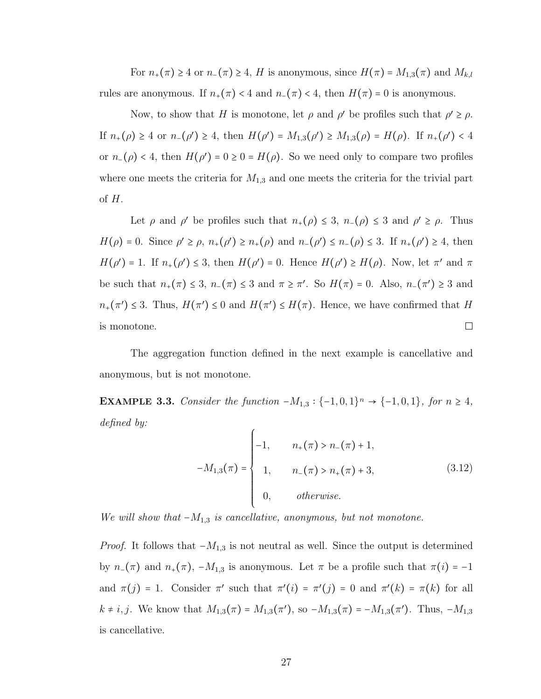For  $n_+(\pi) \geq 4$  or  $n_-(\pi) \geq 4$ , H is anonymous, since  $H(\pi) = M_{1,3}(\pi)$  and  $M_{k,l}$ rules are anonymous. If  $n_+(\pi) < 4$  and  $n_-(\pi) < 4$ , then  $H(\pi) = 0$  is anonymous.

Now, to show that H is monotone, let  $\rho$  and  $\rho'$  be profiles such that  $\rho' \ge \rho$ . If  $n_+(\rho) \geq 4$  or  $n_-(\rho') \geq 4$ , then  $H(\rho') = M_{1,3}(\rho') \geq M_{1,3}(\rho) = H(\rho)$ . If  $n_+(\rho') < 4$ or  $n_-(\rho) < 4$ , then  $H(\rho') = 0 \ge 0 = H(\rho)$ . So we need only to compare two profiles where one meets the criteria for  $M_{1,3}$  and one meets the criteria for the trivial part of H.

Let  $\rho$  and  $\rho'$  be profiles such that  $n_+(\rho) \leq 3$ ,  $n_-(\rho) \leq 3$  and  $\rho' \geq \rho$ . Thus  $H(\rho) = 0$ . Since  $\rho' \ge \rho$ ,  $n_+(\rho') \ge n_+(\rho)$  and  $n_-(\rho') \le n_-(\rho) \le 3$ . If  $n_+(\rho') \ge 4$ , then  $H(\rho') = 1$ . If  $n_+(\rho') \leq 3$ , then  $H(\rho') = 0$ . Hence  $H(\rho') \geq H(\rho)$ . Now, let  $\pi'$  and  $\pi$ be such that  $n_+(\pi) \leq 3$ ,  $n_-(\pi) \leq 3$  and  $\pi \geq \pi'$ . So  $H(\pi) = 0$ . Also,  $n_-(\pi') \geq 3$  and  $n_+(\pi') \leq 3$ . Thus,  $H(\pi') \leq 0$  and  $H(\pi') \leq H(\pi)$ . Hence, we have confirmed that H is monotone.  $\Box$ 

The aggregation function defined in the next example is cancellative and anonymous, but is not monotone.

**EXAMPLE 3.3.** Consider the function  $-M_{1,3}: \{-1,0,1\}^n \to \{-1,0,1\}$ , for  $n \ge 4$ , defined by:

$$
-M_{1,3}(\pi) = \begin{cases} -1, & n_+(\pi) > n_-(\pi) + 1, \\ 1, & n_-(\pi) > n_+(\pi) + 3, \\ 0, & \text{otherwise.} \end{cases}
$$
 (3.12)

We will show that  $-M_{1,3}$  is cancellative, anonymous, but not monotone.

*Proof.* It follows that  $-M_{1,3}$  is not neutral as well. Since the output is determined by  $n_{-}(\pi)$  and  $n_{+}(\pi)$ ,  $-M_{1,3}$  is anonymous. Let  $\pi$  be a profile such that  $\pi(i) = -1$ and  $\pi(j) = 1$ . Consider  $\pi'$  such that  $\pi'(i) = \pi'(j) = 0$  and  $\pi'(k) = \pi(k)$  for all  $k \neq i, j$ . We know that  $M_{1,3}(\pi) = M_{1,3}(\pi')$ , so  $-M_{1,3}(\pi) = -M_{1,3}(\pi')$ . Thus,  $-M_{1,3}$ is cancellative.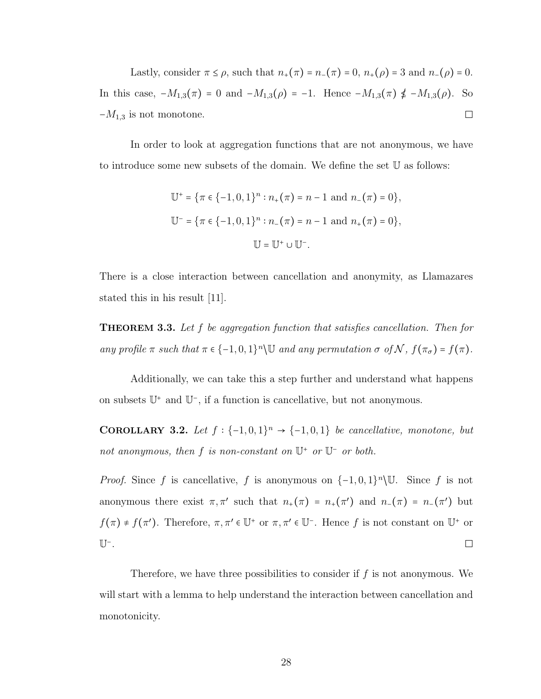Lastly, consider  $\pi \leq \rho$ , such that  $n_+(\pi) = n_-(\pi) = 0$ ,  $n_+(\rho) = 3$  and  $n_-(\rho) = 0$ . In this case,  $-M_{1,3}(\pi) = 0$  and  $-M_{1,3}(\rho) = -1$ . Hence  $-M_{1,3}(\pi)$  ≰  $-M_{1,3}(\rho)$ . So  $-M_{1,3}$  is not monotone.  $\Box$ 

In order to look at aggregation functions that are not anonymous, we have to introduce some new subsets of the domain. We define the set U as follows:

$$
\mathbb{U}^+ = \{ \pi \in \{-1, 0, 1\}^n : n_+(\pi) = n - 1 \text{ and } n_-(\pi) = 0 \},
$$
  

$$
\mathbb{U}^- = \{ \pi \in \{-1, 0, 1\}^n : n_-(\pi) = n - 1 \text{ and } n_+(\pi) = 0 \},
$$
  

$$
\mathbb{U} = \mathbb{U}^+ \cup \mathbb{U}^-.
$$

There is a close interaction between cancellation and anonymity, as Llamazares stated this in his result [11].

THEOREM 3.3. Let f be aggregation function that satisfies cancellation. Then for any profile  $\pi$  such that  $\pi \in \{-1,0,1\}^n \setminus \mathbb{U}$  and any permutation  $\sigma$  of  $\mathcal{N}$ ,  $f(\pi_{\sigma}) = f(\pi)$ .

Additionally, we can take this a step further and understand what happens on subsets U<sup>+</sup> and U<sup>−</sup>, if a function is cancellative, but not anonymous.

**COROLLARY 3.2.** Let  $f: \{-1,0,1\}^n \rightarrow \{-1,0,1\}$  be cancellative, monotone, but not anonymous, then  $f$  is non-constant on  $\mathbb{U}^{+}$  or  $\mathbb{U}^{-}$  or both.

*Proof.* Since f is cancellative, f is anonymous on  $\{-1,0,1\}$ <sup>n</sup> $\setminus$ U. Since f is not anonymous there exist  $\pi, \pi'$  such that  $n_+(\pi) = n_+(\pi')$  and  $n_-(\pi) = n_-(\pi')$  but  $f(\pi) \neq f(\pi')$ . Therefore,  $\pi, \pi' \in \mathbb{U}^+$  or  $\pi, \pi' \in \mathbb{U}^-$ . Hence f is not constant on  $\mathbb{U}^+$  or U<sup>−</sup>.  $\Box$ 

Therefore, we have three possibilities to consider if  $f$  is not anonymous. We will start with a lemma to help understand the interaction between cancellation and monotonicity.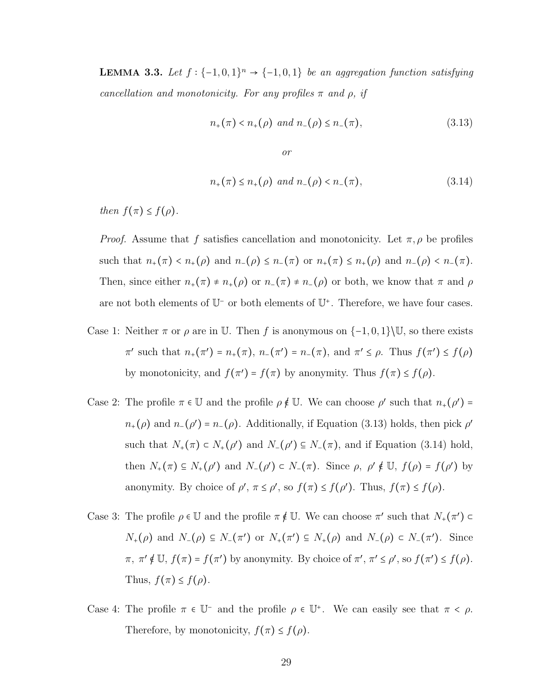**LEMMA 3.3.** Let  $f: \{-1,0,1\}^n \rightarrow \{-1,0,1\}$  be an aggregation function satisfying cancellation and monotonicity. For any profiles  $\pi$  and  $\rho$ , if

$$
n_{+}(\pi) < n_{+}(\rho) \ \text{and} \ n_{-}(\rho) \leq n_{-}(\pi), \tag{3.13}
$$

or

$$
n_{+}(\pi) \le n_{+}(\rho) \text{ and } n_{-}(\rho) < n_{-}(\pi), \tag{3.14}
$$

then  $f(\pi) \leq f(\rho)$ .

*Proof.* Assume that f satisfies cancellation and monotonicity. Let  $\pi$ ,  $\rho$  be profiles such that  $n_+(\pi) < n_+(\rho)$  and  $n_-(\rho) \le n_-(\pi)$  or  $n_+(\pi) \le n_+(\rho)$  and  $n_-(\rho) < n_-(\pi)$ . Then, since either  $n_+(\pi) \neq n_+(\rho)$  or  $n_-(\pi) \neq n_-(\rho)$  or both, we know that  $\pi$  and  $\rho$ are not both elements of U<sup>−</sup> or both elements of U<sup>+</sup>. Therefore, we have four cases.

- Case 1: Neither  $\pi$  or  $\rho$  are in U. Then f is anonymous on  $\{-1,0,1\}\$ U, so there exists  $\pi'$  such that  $n_+(\pi') = n_+(\pi)$ ,  $n_-(\pi') = n_-(\pi)$ , and  $\pi' \leq \rho$ . Thus  $f(\pi') \leq f(\rho)$ by monotonicity, and  $f(\pi') = f(\pi)$  by anonymity. Thus  $f(\pi) \leq f(\rho)$ .
- Case 2: The profile  $\pi \in \mathbb{U}$  and the profile  $\rho \notin \mathbb{U}$ . We can choose  $\rho'$  such that  $n_+(\rho') =$  $n_{+}(\rho)$  and  $n_{-}(\rho') = n_{-}(\rho)$ . Additionally, if Equation (3.13) holds, then pick  $\rho'$ such that  $N_+(\pi) \subset N_+(\rho')$  and  $N_-(\rho') \subset N_-(\pi)$ , and if Equation (3.14) hold, then  $N_+(\pi) \subseteq N_+(\rho')$  and  $N_-(\rho') \subset N_-(\pi)$ . Since  $\rho$ ,  $\rho' \notin \mathbb{U}$ ,  $f(\rho) = f(\rho')$  by anonymity. By choice of  $\rho'$ ,  $\pi \leq \rho'$ , so  $f(\pi) \leq f(\rho')$ . Thus,  $f(\pi) \leq f(\rho)$ .
- Case 3: The profile  $\rho \in \mathbb{U}$  and the profile  $\pi \notin \mathbb{U}$ . We can choose  $\pi'$  such that  $N_+(\pi') \subset$  $N_+(\rho)$  and  $N_-(\rho) \subseteq N_-(\pi')$  or  $N_+(\pi') \subseteq N_+(\rho)$  and  $N_-(\rho) \subset N_-(\pi')$ . Since  $\pi, \pi' \notin \mathbb{U}, f(\pi) = f(\pi')$  by anonymity. By choice of  $\pi', \pi' \leq \rho'$ , so  $f(\pi') \leq f(\rho)$ . Thus,  $f(\pi) \leq f(\rho)$ .
- Case 4: The profile  $\pi \in \mathbb{U}^-$  and the profile  $\rho \in \mathbb{U}^+$ . We can easily see that  $\pi < \rho$ . Therefore, by monotonicity,  $f(\pi) \leq f(\rho)$ .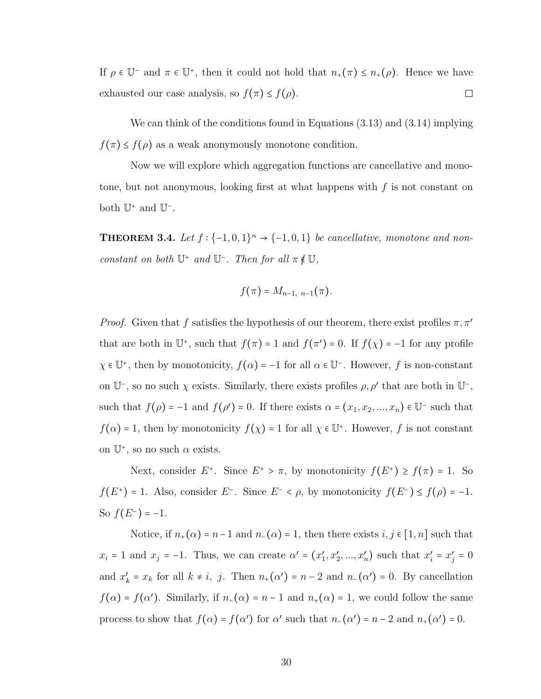If  $\rho \in \mathbb{U}^-$  and  $\pi \in \mathbb{U}^+$ , then it could not hold that  $n_+(\pi) \leq n_+(\rho)$ . Hence we have exhausted our case analysis, so  $f(\pi) \leq f(\rho)$ .  $\Box$ 

We can think of the conditions found in Equations (3.13) and (3.14) implying  $f(\pi) \leq f(\rho)$  as a weak anonymously monotone condition.

Now we will explore which aggregation functions are cancellative and monotone, but not anonymous, looking first at what happens with  $f$  is not constant on both  $\mathbb{U}^+$  and  $\mathbb{U}^-$ .

**THEOREM 3.4.** Let  $f: \{-1,0,1\}^n \rightarrow \{-1,0,1\}$  be cancellative, monotone and nonconstant on both  $\mathbb{U}^+$  and  $\mathbb{U}^-$ . Then for all  $\pi \notin \mathbb{U}$ ,

$$
f(\pi)=M_{n-1, n-1}(\pi).
$$

*Proof.* Given that f satisfies the hypothesis of our theorem, there exist profiles  $\pi, \pi'$ that are both in  $\mathbb{U}^+$ , such that  $f(\pi) = 1$  and  $f(\pi') = 0$ . If  $f(\chi) = -1$  for any profile  $\chi \in \mathbb{U}^+$ , then by monotonicity,  $f(\alpha) = -1$  for all  $\alpha \in \mathbb{U}^-$ . However, f is non-constant on  $\mathbb{U}^{\mathsf{-}}$ , so no such  $\chi$  exists. Similarly, there exists profiles  $\rho, \rho'$  that are both in  $\mathbb{U}^{\mathsf{-}}$ , such that  $f(\rho) = -1$  and  $f(\rho') = 0$ . If there exists  $\alpha = (x_1, x_2, ..., x_n) \in \mathbb{U}$  such that  $f(\alpha) = 1$ , then by monotonicity  $f(\chi) = 1$  for all  $\chi \in \mathbb{U}^+$ . However, f is not constant on  $\mathbb{U}^*$ , so no such  $\alpha$  exists.

Next, consider  $E^+$ . Since  $E^+ > \pi$ , by monotonicity  $f(E^+) \ge f(\pi) = 1$ . So  $f(E^+) = 1$ . Also, consider E<sup>-</sup>. Since  $E^- < \rho$ , by monotonicity  $f(E^-) \le f(\rho) = -1$ . So  $f(E^-) = -1$ .

Notice, if  $n_+(\alpha) = n-1$  and  $n_-(\alpha) = 1$ , then there exists  $i, j \in [1, n]$  such that  $x_i = 1$  and  $x_j = -1$ . Thus, we can create  $\alpha' = (x'_1, x'_2, ..., x'_n)$  such that  $x'_i = x'_j = 0$ and  $x'_k = x_k$  for all  $k \neq i$ , j. Then  $n_+(\alpha') = n - 2$  and  $n_-(\alpha') = 0$ . By cancellation  $f(\alpha) = f(\alpha')$ . Similarly, if  $n_{-}(\alpha) = n - 1$  and  $n_{+}(\alpha) = 1$ , we could follow the same process to show that  $f(\alpha) = f(\alpha')$  for  $\alpha'$  such that  $n_-(\alpha') = n - 2$  and  $n_+(\alpha') = 0$ .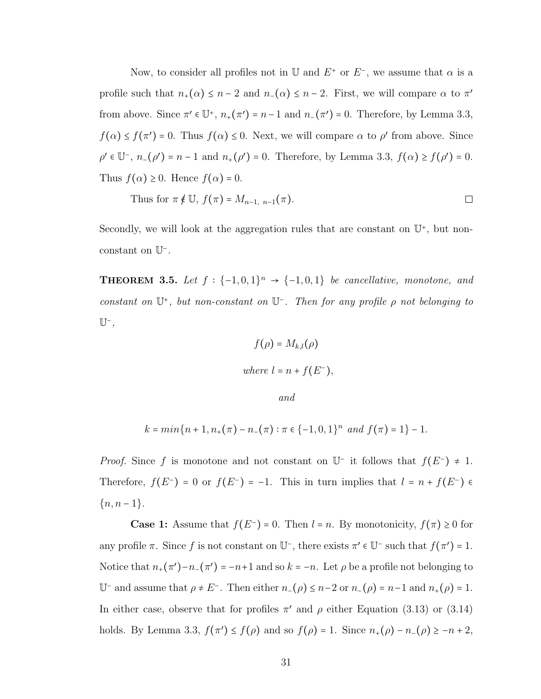Now, to consider all profiles not in  $\mathbb U$  and  $E^+$  or  $E^-$ , we assume that  $\alpha$  is a profile such that  $n_+(\alpha) \leq n-2$  and  $n_-(\alpha) \leq n-2$ . First, we will compare  $\alpha$  to  $\pi'$ from above. Since  $\pi' \in \mathbb{U}^+, n_+(\pi') = n - 1$  and  $n_-(\pi') = 0$ . Therefore, by Lemma 3.3,  $f(\alpha) \le f(\pi') = 0$ . Thus  $f(\alpha) \le 0$ . Next, we will compare  $\alpha$  to  $\rho'$  from above. Since  $\rho' \in \mathbb{U}^-, n_-(\rho') = n - 1$  and  $n_+(\rho') = 0$ . Therefore, by Lemma 3.3,  $f(\alpha) \ge f(\rho') = 0$ . Thus  $f(\alpha) \geq 0$ . Hence  $f(\alpha) = 0$ .

Thus for 
$$
\pi \notin \mathbb{U}
$$
,  $f(\pi) = M_{n-1, n-1}(\pi)$ .

Secondly, we will look at the aggregation rules that are constant on  $\mathbb{U}^*$ , but nonconstant on U<sup>−</sup>.

**THEOREM 3.5.** Let  $f: \{-1,0,1\}^n \rightarrow \{-1,0,1\}$  be cancellative, monotone, and constant on  $\mathbb{U}^+$ , but non-constant on  $\mathbb{U}^-$ . Then for any profile  $\rho$  not belonging to U<sup>−</sup>,

$$
f(\rho) = M_{k,l}(\rho)
$$
  
where  $l = n + f(E^-)$ ,  
and

 $k = min\{n + 1, n_+(\pi) - n_-(\pi) : \pi \in \{-1, 0, 1\}^n \text{ and } f(\pi) = 1\} - 1.$ 

*Proof.* Since f is monotone and not constant on  $\mathbb{U}^-$  it follows that  $f(E^-) \neq 1$ . Therefore,  $f(E^-) = 0$  or  $f(E^-) = -1$ . This in turn implies that  $l = n + f(E^-) \in$  $\{n, n-1\}.$ 

**Case 1:** Assume that  $f(E^-) = 0$ . Then  $l = n$ . By monotonicity,  $f(\pi) \ge 0$  for any profile  $\pi$ . Since f is not constant on  $\mathbb{U}^-$ , there exists  $\pi' \in \mathbb{U}^-$  such that  $f(\pi') = 1$ . Notice that  $n_+(\pi') - n_-(\pi') = -n+1$  and so  $k = -n$ . Let  $\rho$  be a profile not belonging to U<sup>−</sup> and assume that  $\rho \neq E^-$ . Then either  $n_-(\rho) \leq n-2$  or  $n_-(\rho) = n-1$  and  $n_+(\rho) = 1$ . In either case, observe that for profiles  $\pi'$  and  $\rho$  either Equation (3.13) or (3.14) holds. By Lemma 3.3,  $f(\pi') \le f(\rho)$  and so  $f(\rho) = 1$ . Since  $n_+(\rho) - n_-(\rho) \ge -n + 2$ ,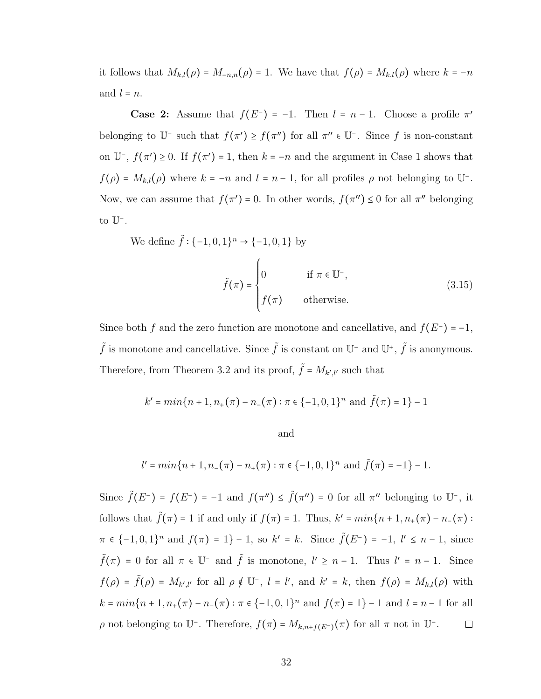it follows that  $M_{k,l}(\rho) = M_{-n,n}(\rho) = 1$ . We have that  $f(\rho) = M_{k,l}(\rho)$  where  $k = -n$ and  $l = n$ .

**Case 2:** Assume that  $f(E^-) = -1$ . Then  $l = n - 1$ . Choose a profile  $\pi'$ belonging to  $\mathbb{U}^-$  such that  $f(\pi') \geq f(\pi'')$  for all  $\pi'' \in \mathbb{U}^-$ . Since f is non-constant on  $\mathbb{U}^-, f(\pi') \geq 0$ . If  $f(\pi') = 1$ , then  $k = -n$  and the argument in Case 1 shows that  $f(\rho) = M_{k,l}(\rho)$  where  $k = -n$  and  $l = n - 1$ , for all profiles  $\rho$  not belonging to  $\mathbb{U}^-$ . Now, we can assume that  $f(\pi') = 0$ . In other words,  $f(\pi'') \leq 0$  for all  $\pi''$  belonging to U<sup>−</sup>.

We define  $\tilde{f} : \{-1, 0, 1\}^n \to \{-1, 0, 1\}$  by

$$
\tilde{f}(\pi) = \begin{cases}\n0 & \text{if } \pi \in \mathbb{U}^-, \\
f(\pi) & \text{otherwise.} \n\end{cases}
$$
\n(3.15)

Since both f and the zero function are monotone and cancellative, and  $f(E^-) = -1$ ,  $\tilde{f}$  is monotone and cancellative. Since  $\tilde{f}$  is constant on  $\mathbb{U}^+$  and  $\mathbb{U}^+$ ,  $\tilde{f}$  is anonymous. Therefore, from Theorem 3.2 and its proof,  $\tilde{f} = M_{k',l'}$  such that

$$
k' = min{n+1, n_+(\pi) - n_-(\pi)} : \pi \in \{-1, 0, 1\}^n
$$
 and  $\tilde{f}(\pi) = 1\} - 1$ 

and

$$
l' = \min\{n+1, n_-(\pi) - n_+(\pi) : \pi \in \{-1, 0, 1\}^n \text{ and } \tilde{f}(\pi) = -1\} - 1.
$$

Since  $\tilde{f}(E^-) = f(E^-) = -1$  and  $f(\pi'') \le \tilde{f}(\pi'') = 0$  for all  $\pi''$  belonging to  $\mathbb{U}^-$ , it follows that  $\tilde{f}(\pi) = 1$  if and only if  $f(\pi) = 1$ . Thus,  $k' = min\{n + 1, n_+(\pi) - n_-(\pi)$ :  $\pi \in \{-1,0,1\}^n$  and  $f(\pi) = 1\} - 1$ , so  $k' = k$ . Since  $\tilde{f}(E^-) = -1$ ,  $l' \leq n - 1$ , since  $\tilde{f}(\pi) = 0$  for all  $\pi \in \mathbb{U}^-$  and  $\tilde{f}$  is monotone,  $l' \geq n-1$ . Thus  $l' = n-1$ . Since  $f(\rho) = \tilde{f}(\rho) = M_{k',l'}$  for all  $\rho \notin \mathbb{U}^-, l = l'$ , and  $k' = k$ , then  $f(\rho) = M_{k,l}(\rho)$  with  $k = min\{n+1, n_+(\pi) - n_-(\pi) : \pi \in \{-1, 0, 1\}^n \text{ and } f(\pi) = 1\} - 1 \text{ and } l = n - 1 \text{ for all }$ ρ not belonging to  $\mathbb{U}^-$ . Therefore,  $f(\pi) = M_{k,n+f(E^-)}(\pi)$  for all  $\pi$  not in  $\mathbb{U}^-$ .  $\Box$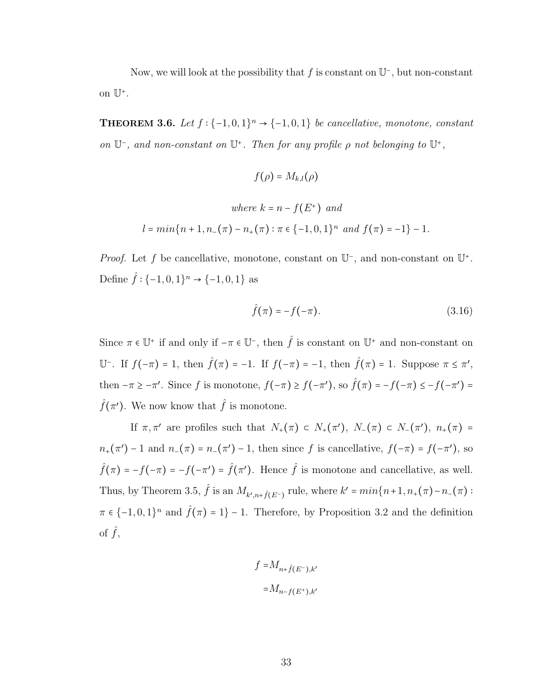Now, we will look at the possibility that f is constant on  $\mathbb{U}^{\text{-}}$ , but non-constant on  $\mathbb{U}^*$ .

**THEOREM 3.6.** Let  $f: \{-1,0,1\}^n \rightarrow \{-1,0,1\}$  be cancellative, monotone, constant on  $\mathbb{U}^-,$  and non-constant on  $\mathbb{U}^+.$  Then for any profile  $\rho$  not belonging to  $\mathbb{U}^+,$ 

$$
f(\rho) = M_{k,l}(\rho)
$$
  
where  $k = n - f(E^+)$  and  

$$
l = min\{n + 1, n_{-}(\pi) - n_{+}(\pi) : \pi \in \{-1, 0, 1\}^n \text{ and } f(\pi) = -1\} - 1.
$$

*Proof.* Let f be cancellative, monotone, constant on  $\mathbb{U}^{\text{-}}$ , and non-constant on  $\mathbb{U}^{\text{+}}$ . Define  $\hat{f}$ : {-1, 0, 1}<sup>n</sup> → {-1, 0, 1} as

$$
\hat{f}(\pi) = -f(-\pi). \tag{3.16}
$$

Since  $\pi \in \mathbb{U}^+$  if and only if  $-\pi \in \mathbb{U}^-$ , then  $\hat{f}$  is constant on  $\mathbb{U}^+$  and non-constant on U<sup>-</sup>. If  $f(-\pi) = 1$ , then  $\hat{f}(\pi) = -1$ . If  $f(-\pi) = -1$ , then  $\hat{f}(\pi) = 1$ . Suppose  $\pi \leq \pi'$ , then  $-\pi \ge -\pi'$ . Since f is monotone,  $f(-\pi) \ge f(-\pi')$ , so  $\hat{f}(\pi) = -f(-\pi) \le -f(-\pi') =$  $\hat{f}(\pi')$ . We now know that  $\hat{f}$  is monotone.

If  $\pi, \pi'$  are profiles such that  $N_+(\pi) \subset N_+(\pi')$ ,  $N_-(\pi) \subset N_-(\pi')$ ,  $n_+(\pi) =$  $n_+(\pi') - 1$  and  $n_-(\pi) = n_-(\pi') - 1$ , then since f is cancellative,  $f(-\pi) = f(-\pi')$ , so  $\hat{f}(\pi) = -f(-\pi) = -f(-\pi') = \hat{f}(\pi')$ . Hence  $\hat{f}$  is monotone and cancellative, as well. Thus, by Theorem 3.5,  $\hat{f}$  is an  $M_{k',n+\hat{f}(E^-)}$  rule, where  $k' = min\{n+1, n_+(\pi) - n_-(\pi)$ :  $\pi \in \{-1, 0, 1\}^n$  and  $\hat{f}(\pi) = 1\} - 1$ . Therefore, by Proposition 3.2 and the definition of  $\hat{f}$ ,

$$
f = M_{n+\hat{f}(E^-),k'}
$$

$$
= M_{n-f(E^+),k'}
$$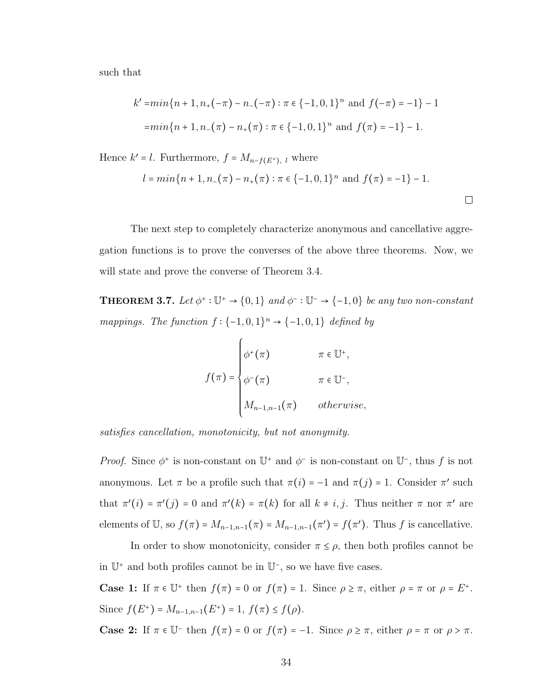such that

$$
k' = \min\{n+1, n_+(-\pi) - n_-(-\pi) : \pi \in \{-1, 0, 1\}^n \text{ and } f(-\pi) = -1\} - 1
$$

$$
= \min\{n+1, n_-(\pi) - n_+(\pi) : \pi \in \{-1, 0, 1\}^n \text{ and } f(\pi) = -1\} - 1.
$$

Hence  $k' = l$ . Furthermore,  $f = M_{n-f(E^+), l}$  where

$$
l = \min\{n+1, n_{-}(\pi) - n_{+}(\pi) : \pi \in \{-1, 0, 1\}^{n} \text{ and } f(\pi) = -1\} - 1.
$$

The next step to completely characterize anonymous and cancellative aggregation functions is to prove the converses of the above three theorems. Now, we will state and prove the converse of Theorem 3.4.

**THEOREM 3.7.** Let  $\phi^*: \mathbb{U}^* \to \{0,1\}$  and  $\phi^-: \mathbb{U}^- \to \{-1,0\}$  be any two non-constant mappings. The function  $f: \{-1,0,1\}^n \rightarrow \{-1,0,1\}$  defined by

$$
f(\pi) = \begin{cases} \phi^+(\pi) & \pi \in \mathbb{U}^+, \\ \phi^-(\pi) & \pi \in \mathbb{U}^-, \\ M_{n-1,n-1}(\pi) & otherwise, \end{cases}
$$

satisfies cancellation, monotonicity, but not anonymity.

*Proof.* Since  $\phi^+$  is non-constant on  $\mathbb{U}^+$  and  $\phi^-$  is non-constant on  $\mathbb{U}^-$ , thus f is not anonymous. Let  $\pi$  be a profile such that  $\pi(i) = -1$  and  $\pi(j) = 1$ . Consider  $\pi'$  such that  $\pi'(i) = \pi'(j) = 0$  and  $\pi'(k) = \pi(k)$  for all  $k \neq i, j$ . Thus neither  $\pi$  nor  $\pi'$  are elements of U, so  $f(\pi) = M_{n-1,n-1}(\pi) = M_{n-1,n-1}(\pi') = f(\pi')$ . Thus f is cancellative.

In order to show monotonicity, consider  $\pi \leq \rho$ , then both profiles cannot be in  $\mathbb{U}^+$  and both profiles cannot be in  $\mathbb{U}^-$ , so we have five cases.

**Case 1:** If  $\pi \in \mathbb{U}^+$  then  $f(\pi) = 0$  or  $f(\pi) = 1$ . Since  $\rho \ge \pi$ , either  $\rho = \pi$  or  $\rho = E^+$ . Since  $f(E^+) = M_{n-1,n-1}(E^+) = 1, f(\pi) \le f(\rho)$ .

**Case 2:** If  $\pi \in \mathbb{U}^-$  then  $f(\pi) = 0$  or  $f(\pi) = -1$ . Since  $\rho \geq \pi$ , either  $\rho = \pi$  or  $\rho > \pi$ .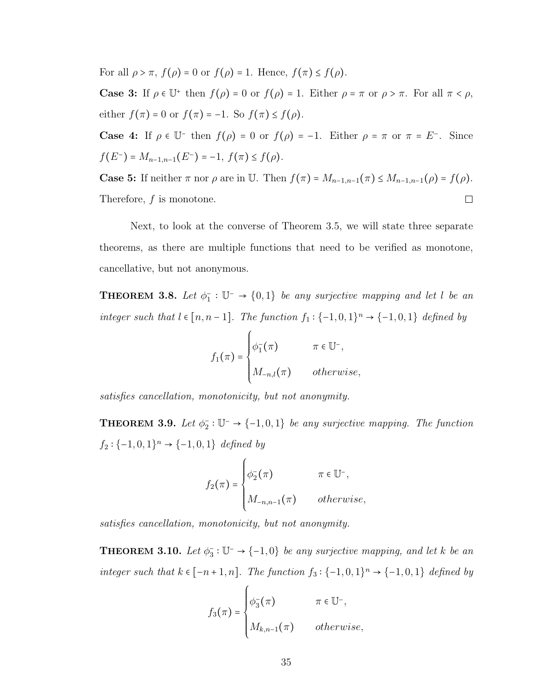For all  $\rho > \pi$ ,  $f(\rho) = 0$  or  $f(\rho) = 1$ . Hence,  $f(\pi) \leq f(\rho)$ . **Case 3:** If  $\rho \in \mathbb{U}^+$  then  $f(\rho) = 0$  or  $f(\rho) = 1$ . Either  $\rho = \pi$  or  $\rho > \pi$ . For all  $\pi < \rho$ , either  $f(\pi) = 0$  or  $f(\pi) = -1$ . So  $f(\pi) \le f(\rho)$ . **Case 4:** If  $\rho \in \mathbb{U}^-$  then  $f(\rho) = 0$  or  $f(\rho) = -1$ . Either  $\rho = \pi$  or  $\pi = E^-$ . Since  $f(E^-) = M_{n-1,n-1}(E^-) = -1, f(\pi) \le f(\rho).$ **Case 5:** If neither  $\pi$  nor  $\rho$  are in U. Then  $f(\pi) = M_{n-1,n-1}(\pi) \leq M_{n-1,n-1}(\rho) = f(\rho)$ .

Therefore,  $f$  is monotone.

Next, to look at the converse of Theorem 3.5, we will state three separate theorems, as there are multiple functions that need to be verified as monotone, cancellative, but not anonymous.

 $\Box$ 

**THEOREM 3.8.** Let  $\phi_1^- : \mathbb{U}^- \to \{0,1\}$  be any surjective mapping and let l be an integer such that  $l \in [n, n-1]$ . The function  $f_1: \{-1, 0, 1\}^n \to \{-1, 0, 1\}$  defined by

$$
f_1(\pi) = \begin{cases} \phi_1^-(\pi) & \pi \in \mathbb{U}^-, \\ M_{-n,l}(\pi) & otherwise, \end{cases}
$$

satisfies cancellation, monotonicity, but not anonymity.

**THEOREM 3.9.** Let  $\phi_2^- : \mathbb{U}^- \to \{-1,0,1\}$  be any surjective mapping. The function  $f_2: \{-1,0,1\}^n \to \{-1,0,1\}$  defined by

$$
f_2(\pi) = \begin{cases} \phi_2^-(\pi) & \pi \in \mathbb{U}^-, \\ M_{-n,n-1}(\pi) & otherwise, \end{cases}
$$

satisfies cancellation, monotonicity, but not anonymity.

**THEOREM 3.10.** Let  $\phi_3^-:\mathbb{U}^-\to\{-1,0\}$  be any surjective mapping, and let k be an integer such that  $k \in [-n+1, n]$ . The function  $f_3: \{-1, 0, 1\}^n \to \{-1, 0, 1\}$  defined by

$$
f_3(\pi) = \begin{cases} \phi_3^-(\pi) & \pi \in \mathbb{U}^-, \\ M_{k,n-1}(\pi) & otherwise, \end{cases}
$$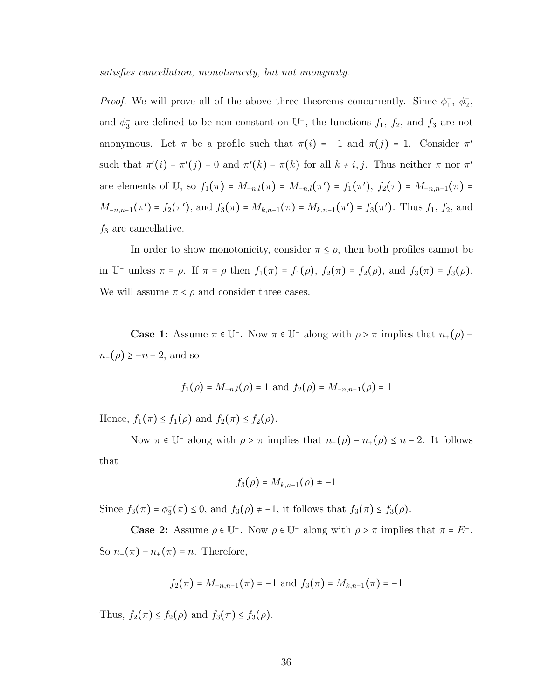satisfies cancellation, monotonicity, but not anonymity.

*Proof.* We will prove all of the above three theorems concurrently. Since  $\phi_1^-, \phi_2^-,$ and  $\phi_3^-$  are defined to be non-constant on  $\mathbb{U}^-$ , the functions  $f_1$ ,  $f_2$ , and  $f_3$  are not anonymous. Let  $\pi$  be a profile such that  $\pi(i) = -1$  and  $\pi(j) = 1$ . Consider  $\pi'$ such that  $\pi'(i) = \pi'(j) = 0$  and  $\pi'(k) = \pi(k)$  for all  $k \neq i, j$ . Thus neither  $\pi$  nor  $\pi'$ are elements of U, so  $f_1(\pi) = M_{-n,l}(\pi) = M_{-n,l}(\pi') = f_1(\pi'), f_2(\pi) = M_{-n,n-1}(\pi) =$  $M_{-n,n-1}(\pi') = f_2(\pi')$ , and  $f_3(\pi) = M_{k,n-1}(\pi) = M_{k,n-1}(\pi') = f_3(\pi')$ . Thus  $f_1, f_2$ , and  $f_3$  are cancellative.

In order to show monotonicity, consider  $\pi \leq \rho$ , then both profiles cannot be in  $\mathbb{U}^-$  unless  $\pi = \rho$ . If  $\pi = \rho$  then  $f_1(\pi) = f_1(\rho)$ ,  $f_2(\pi) = f_2(\rho)$ , and  $f_3(\pi) = f_3(\rho)$ . We will assume  $\pi < \rho$  and consider three cases.

**Case 1:** Assume  $\pi \in \mathbb{U}^-$ . Now  $\pi \in \mathbb{U}^-$  along with  $\rho > \pi$  implies that  $n_+(\rho)$  –  $n_-(\rho) \ge -n+2$ , and so

$$
f_1(\rho) = M_{-n,l}(\rho) = 1
$$
 and  $f_2(\rho) = M_{-n,n-1}(\rho) = 1$ 

Hence,  $f_1(\pi) \le f_1(\rho)$  and  $f_2(\pi) \le f_2(\rho)$ .

Now  $\pi \in \mathbb{U}^-$  along with  $\rho > \pi$  implies that  $n_-(\rho) - n_+(\rho) \leq n-2$ . It follows that

$$
f_3(\rho) = M_{k,n-1}(\rho) \neq -1
$$

Since  $f_3(\pi) = \phi_3^-(\pi) \le 0$ , and  $f_3(\rho) \ne -1$ , it follows that  $f_3(\pi) \le f_3(\rho)$ .

**Case 2:** Assume  $\rho \in \mathbb{U}^-$ . Now  $\rho \in \mathbb{U}^-$  along with  $\rho > \pi$  implies that  $\pi = E^-$ . So  $n_-(\pi) - n_+(\pi) = n$ . Therefore,

$$
f_2(\pi) = M_{-n,n-1}(\pi) = -1
$$
 and  $f_3(\pi) = M_{k,n-1}(\pi) = -1$ 

Thus,  $f_2(\pi) \le f_2(\rho)$  and  $f_3(\pi) \le f_3(\rho)$ .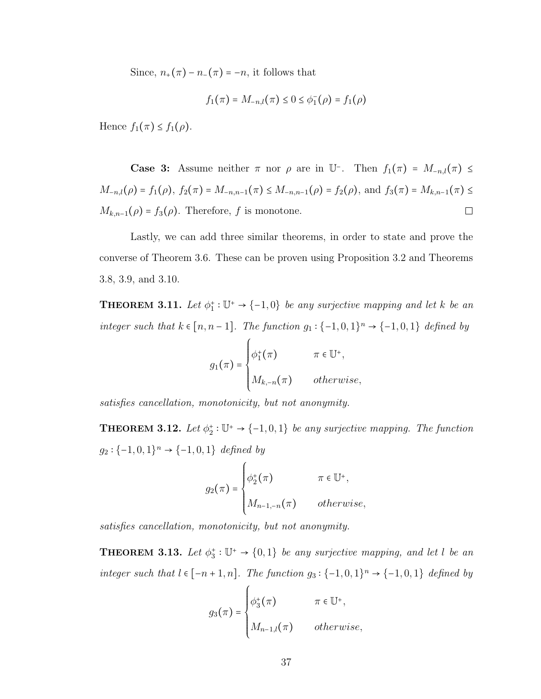Since,  $n_+(\pi) - n_-(\pi) = -n$ , it follows that

$$
f_1(\pi) = M_{-n,l}(\pi) \le 0 \le \phi_1^-(\rho) = f_1(\rho)
$$

Hence  $f_1(\pi) \leq f_1(\rho)$ .

**Case 3:** Assume neither  $\pi$  nor  $\rho$  are in  $\mathbb{U}^-$ . Then  $f_1(\pi) = M_{-n,l}(\pi) \leq$  $M_{-n,l}(\rho) = f_1(\rho), f_2(\pi) = M_{-n,n-1}(\pi) \leq M_{-n,n-1}(\rho) = f_2(\rho), \text{ and } f_3(\pi) = M_{k,n-1}(\pi) \leq$  $M_{k,n-1}(\rho) = f_3(\rho)$ . Therefore, f is monotone.  $\Box$ 

Lastly, we can add three similar theorems, in order to state and prove the converse of Theorem 3.6. These can be proven using Proposition 3.2 and Theorems 3.8, 3.9, and 3.10.

**THEOREM 3.11.** Let  $\phi_1^*: \mathbb{U}^* \to \{-1,0\}$  be any surjective mapping and let k be an integer such that  $k \in [n, n-1]$ . The function  $g_1: \{-1, 0, 1\}^n \rightarrow \{-1, 0, 1\}$  defined by

$$
g_1(\pi) = \begin{cases} \phi_1^+(\pi) & \pi \in \mathbb{U}^+, \\ M_{k,-n}(\pi) & otherwise, \end{cases}
$$

satisfies cancellation, monotonicity, but not anonymity.

**THEOREM 3.12.** Let  $\phi_2^*: \mathbb{U}^* \to \{-1,0,1\}$  be any surjective mapping. The function  $g_2: \{-1,0,1\}^n \to \{-1,0,1\}$  defined by

$$
g_2(\pi) = \begin{cases} \phi_2^+(\pi) & \pi \in \mathbb{U}^+, \\ M_{n-1,-n}(\pi) & otherwise, \end{cases}
$$

satisfies cancellation, monotonicity, but not anonymity.

**THEOREM 3.13.** Let  $\phi_3^*: \mathbb{U}^* \to \{0,1\}$  be any surjective mapping, and let l be an integer such that  $l \in [-n+1, n]$ . The function  $g_3: \{-1, 0, 1\}^n \to \{-1, 0, 1\}$  defined by

$$
g_3(\pi) = \begin{cases} \phi_3^+(\pi) & \pi \in \mathbb{U}^+, \\ M_{n-1,l}(\pi) & otherwise, \end{cases}
$$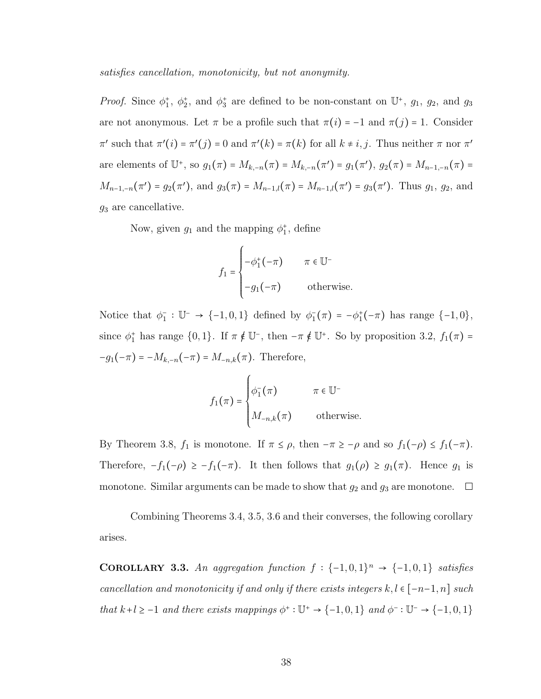satisfies cancellation, monotonicity, but not anonymity.

*Proof.* Since  $\phi_1^+$ ,  $\phi_2^+$ , and  $\phi_3^+$  are defined to be non-constant on  $\mathbb{U}^+$ ,  $g_1$ ,  $g_2$ , and  $g_3$ are not anonymous. Let  $\pi$  be a profile such that  $\pi(i) = -1$  and  $\pi(j) = 1$ . Consider  $\pi'$  such that  $\pi'(i) = \pi'(j) = 0$  and  $\pi'(k) = \pi(k)$  for all  $k \neq i, j$ . Thus neither  $\pi$  nor  $\pi'$ are elements of  $\mathbb{U}^+$ , so  $g_1(\pi) = M_{k,-n}(\pi) = M_{k,-n}(\pi') = g_1(\pi')$ ,  $g_2(\pi) = M_{n-1,-n}(\pi) =$  $M_{n-1,-n}(\pi') = g_2(\pi')$ , and  $g_3(\pi) = M_{n-1,l}(\pi) = M_{n-1,l}(\pi') = g_3(\pi')$ . Thus  $g_1, g_2$ , and  $g_3$  are cancellative.

Now, given  $g_1$  and the mapping  $\phi_1^*$ , define

$$
f_1 = \begin{cases} -\phi_1^+(-\pi) & \pi \in \mathbb{U}^- \\ -g_1(-\pi) & \text{otherwise.} \end{cases}
$$

Notice that  $\phi_1^- : \mathbb{U}^- \to \{-1, 0, 1\}$  defined by  $\phi_1^-(\pi) = -\phi_1^*(-\pi)$  has range  $\{-1, 0\}$ , since  $\phi_1^+$  has range  $\{0,1\}$ . If  $\pi \notin \mathbb{U}^-,$  then  $-\pi \notin \mathbb{U}^+$ . So by proposition 3.2,  $f_1(\pi) =$  $-g_1(-\pi) = -M_{k,-n}(-\pi) = M_{-n,k}(\pi)$ . Therefore,

$$
f_1(\pi) = \begin{cases} \phi_1^-(\pi) & \pi \in \mathbb{U}^- \\ M_{-n,k}(\pi) & \text{otherwise.} \end{cases}
$$

By Theorem 3.8,  $f_1$  is monotone. If  $\pi \leq \rho$ , then  $-\pi \geq -\rho$  and so  $f_1(-\rho) \leq f_1(-\pi)$ . Therefore,  $-f_1(-\rho) \geq -f_1(-\pi)$ . It then follows that  $g_1(\rho) \geq g_1(\pi)$ . Hence  $g_1$  is monotone. Similar arguments can be made to show that  $g_2$  and  $g_3$  are monotone.  $\Box$ 

Combining Theorems 3.4, 3.5, 3.6 and their converses, the following corollary arises.

**COROLLARY 3.3.** An aggregation function  $f: \{-1,0,1\}^n \rightarrow \{-1,0,1\}$  satisfies cancellation and monotonicity if and only if there exists integers  $k, l \in [-n-1, n]$  such that  $k+l \geq -1$  and there exists mappings  $\phi^+:\mathbb{U}^+\to \{-1,0,1\}$  and  $\phi^-:\mathbb{U}^-\to \{-1,0,1\}$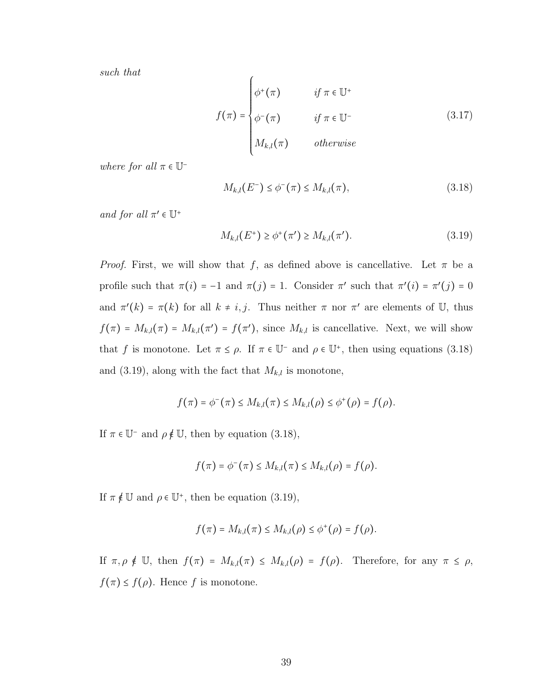such that

$$
f(\pi) = \begin{cases} \phi^+(\pi) & \text{if } \pi \in \mathbb{U}^+ \\ \phi^-(\pi) & \text{if } \pi \in \mathbb{U}^- \\ M_{k,l}(\pi) & \text{otherwise} \end{cases}
$$
 (3.17)

where for all  $\pi \in \mathbb{U}^-$ 

$$
M_{k,l}(E^-) \le \phi^-(\pi) \le M_{k,l}(\pi),\tag{3.18}
$$

and for all  $\pi' \in \mathbb{U}^+$ 

$$
M_{k,l}(E^+) \ge \phi^+(\pi') \ge M_{k,l}(\pi'). \tag{3.19}
$$

*Proof.* First, we will show that f, as defined above is cancellative. Let  $\pi$  be a profile such that  $\pi(i) = -1$  and  $\pi(j) = 1$ . Consider  $\pi'$  such that  $\pi'(i) = \pi'(j) = 0$ and  $\pi'(k) = \pi(k)$  for all  $k \neq i, j$ . Thus neither  $\pi$  nor  $\pi'$  are elements of U, thus  $f(\pi) = M_{k,l}(\pi) = M_{k,l}(\pi') = f(\pi')$ , since  $M_{k,l}$  is cancellative. Next, we will show that f is monotone. Let  $\pi \leq \rho$ . If  $\pi \in \mathbb{U}^+$  and  $\rho \in \mathbb{U}^+$ , then using equations (3.18) and (3.19), along with the fact that  $M_{k,l}$  is monotone,

$$
f(\pi) = \phi^{-}(\pi) \leq M_{k,l}(\pi) \leq M_{k,l}(\rho) \leq \phi^{+}(\rho) = f(\rho).
$$

If  $\pi \in \mathbb{U}^-$  and  $\rho \notin \mathbb{U}$ , then by equation (3.18),

$$
f(\pi) = \phi^{-}(\pi) \le M_{k,l}(\pi) \le M_{k,l}(\rho) = f(\rho).
$$

If  $\pi \notin \mathbb{U}$  and  $\rho \in \mathbb{U}^+$ , then be equation (3.19),

$$
f(\pi) = M_{k,l}(\pi) \leq M_{k,l}(\rho) \leq \phi^+(\rho) = f(\rho).
$$

If  $\pi, \rho \notin \mathbb{U}$ , then  $f(\pi) = M_{k,l}(\pi) \leq M_{k,l}(\rho) = f(\rho)$ . Therefore, for any  $\pi \leq \rho$ ,  $f(\pi) \leq f(\rho)$ . Hence f is monotone.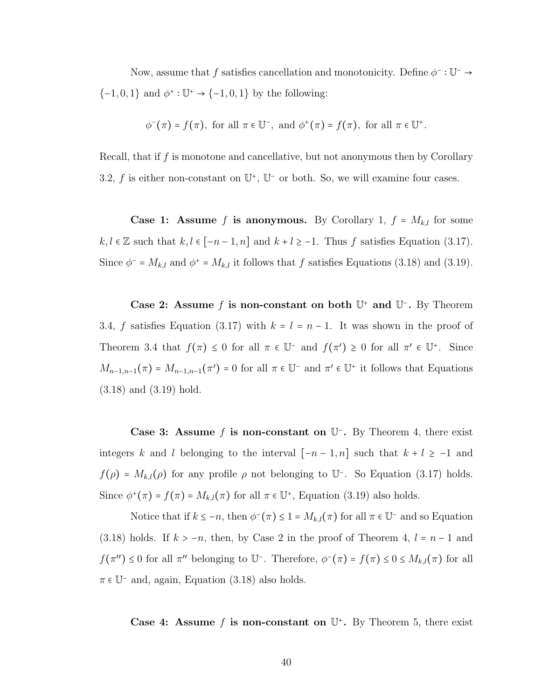Now, assume that f satisfies cancellation and monotonicity. Define  $\phi^- : \mathbb{U}^- \to$  $\{-1,0,1\}$  and  $\phi^+:\mathbb{U}^+\to \{-1,0,1\}$  by the following:

$$
\phi^-(\pi)=f(\pi), \text{ for all }\pi\in\mathbb{U}^-, \text{ and } \phi^+(\pi)=f(\pi), \text{ for all }\pi\in\mathbb{U}^+.
$$

Recall, that if  $f$  is monotone and cancellative, but not anonymous then by Corollary 3.2, f is either non-constant on  $\mathbb{U}^*$ ,  $\mathbb{U}^-$  or both. So, we will examine four cases.

**Case 1:** Assume f is anonymous. By Corollary 1,  $f = M_{k,l}$  for some  $k, l \in \mathbb{Z}$  such that  $k, l \in [-n-1, n]$  and  $k + l \ge -1$ . Thus f satisfies Equation (3.17). Since  $\phi^- = M_{k,l}$  and  $\phi^+ = M_{k,l}$  it follows that f satisfies Equations (3.18) and (3.19).

Case 2: Assume f is non-constant on both  $\mathbb{U}^+$  and  $\mathbb{U}^-$ . By Theorem 3.4, f satisfies Equation (3.17) with  $k = l = n - 1$ . It was shown in the proof of Theorem 3.4 that  $f(\pi) \leq 0$  for all  $\pi \in \mathbb{U}^-$  and  $f(\pi') \geq 0$  for all  $\pi' \in \mathbb{U}^+$ . Since  $M_{n-1,n-1}(\pi) = M_{n-1,n-1}(\pi') = 0$  for all  $\pi \in \mathbb{U}^+$  and  $\pi' \in \mathbb{U}^+$  it follows that Equations (3.18) and (3.19) hold.

Case 3: Assume f is non-constant on  $\mathbb{U}^-$ . By Theorem 4, there exist integers k and l belonging to the interval  $[-n-1,n]$  such that  $k+l \ge -1$  and  $f(\rho) = M_{k,l}(\rho)$  for any profile  $\rho$  not belonging to  $\mathbb{U}^-$ . So Equation (3.17) holds. Since  $\phi^+(\pi) = f(\pi) = M_{k,l}(\pi)$  for all  $\pi \in \mathbb{U}^+$ , Equation (3.19) also holds.

Notice that if  $k \leq -n$ , then  $\phi^{-}(\pi) \leq 1 = M_{k,l}(\pi)$  for all  $\pi \in \mathbb{U}^{-}$  and so Equation (3.18) holds. If  $k > -n$ , then, by Case 2 in the proof of Theorem 4,  $l = n - 1$  and  $f(\pi'') \leq 0$  for all  $\pi''$  belonging to  $\mathbb{U}^-$ . Therefore,  $\phi^-(\pi) = f(\pi) \leq 0 \leq M_{k,l}(\pi)$  for all  $\pi \in \mathbb{U}^-$  and, again, Equation (3.18) also holds.

Case 4: Assume f is non-constant on  $\mathbb{U}^*$ . By Theorem 5, there exist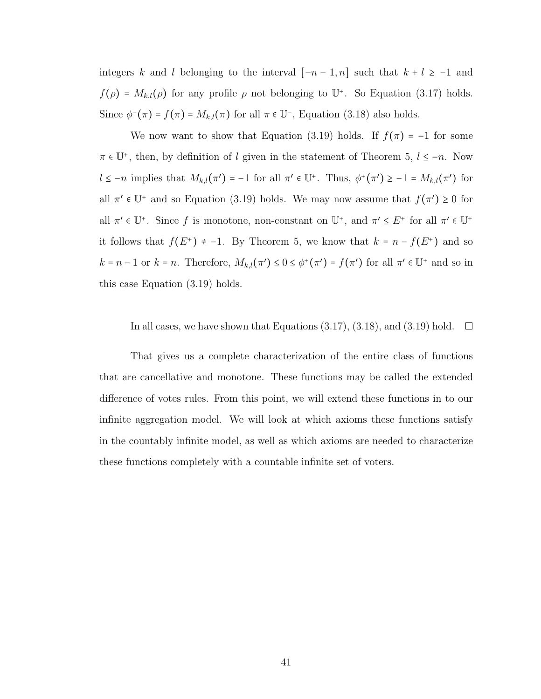integers k and l belonging to the interval  $[-n-1,n]$  such that  $k+l \ge -1$  and  $f(\rho) = M_{k,l}(\rho)$  for any profile  $\rho$  not belonging to  $\mathbb{U}^*$ . So Equation (3.17) holds. Since  $\phi^-(\pi) = f(\pi) = M_{k,l}(\pi)$  for all  $\pi \in \mathbb{U}^-,$  Equation (3.18) also holds.

We now want to show that Equation (3.19) holds. If  $f(\pi) = -1$  for some  $π ∈ **U**<sup>+</sup>$ , then, by definition of l given in the statement of Theorem 5,  $l ≤ -n$ . Now  $l \leq -n$  implies that  $M_{k,l}(\pi') = -1$  for all  $\pi' \in \mathbb{U}^+$ . Thus,  $\phi^+(\pi') \geq -1 = M_{k,l}(\pi')$  for all  $\pi' \in \mathbb{U}^+$  and so Equation (3.19) holds. We may now assume that  $f(\pi') \geq 0$  for all  $\pi' \in \mathbb{U}^+$ . Since f is monotone, non-constant on  $\mathbb{U}^+$ , and  $\pi' \leq E^+$  for all  $\pi' \in \mathbb{U}^+$ it follows that  $f(E^+) \neq -1$ . By Theorem 5, we know that  $k = n - f(E^+)$  and so  $k = n - 1$  or  $k = n$ . Therefore,  $M_{k,l}(\pi') \leq 0 \leq \phi^+(\pi') = f(\pi')$  for all  $\pi' \in \mathbb{U}^+$  and so in this case Equation (3.19) holds.

In all cases, we have shown that Equations  $(3.17)$ ,  $(3.18)$ , and  $(3.19)$  hold.  $\Box$ 

That gives us a complete characterization of the entire class of functions that are cancellative and monotone. These functions may be called the extended difference of votes rules. From this point, we will extend these functions in to our infinite aggregation model. We will look at which axioms these functions satisfy in the countably infinite model, as well as which axioms are needed to characterize these functions completely with a countable infinite set of voters.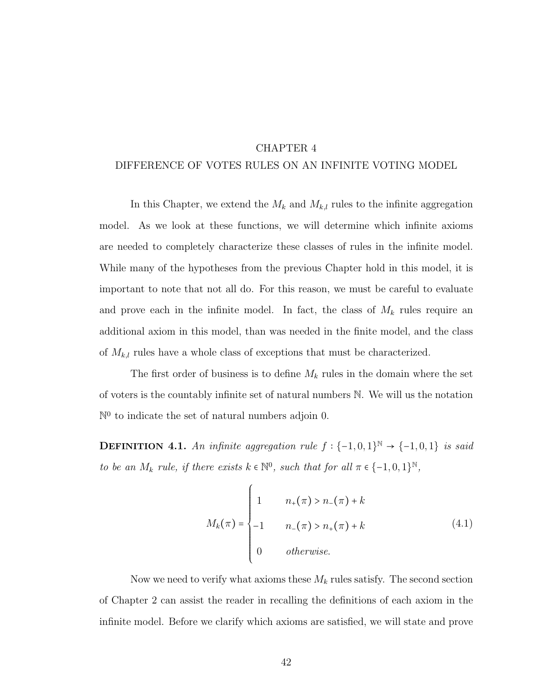## CHAPTER 4

## DIFFERENCE OF VOTES RULES ON AN INFINITE VOTING MODEL

In this Chapter, we extend the  $M_k$  and  $M_{k,l}$  rules to the infinite aggregation model. As we look at these functions, we will determine which infinite axioms are needed to completely characterize these classes of rules in the infinite model. While many of the hypotheses from the previous Chapter hold in this model, it is important to note that not all do. For this reason, we must be careful to evaluate and prove each in the infinite model. In fact, the class of  $M_k$  rules require an additional axiom in this model, than was needed in the finite model, and the class of  $M_{k,l}$  rules have a whole class of exceptions that must be characterized.

The first order of business is to define  $M_k$  rules in the domain where the set of voters is the countably infinite set of natural numbers N. We will us the notation  $\mathbb{N}^0$  to indicate the set of natural numbers adjoin 0.

**DEFINITION 4.1.** An infinite aggregation rule  $f: \{-1,0,1\}^{\mathbb{N}} \rightarrow \{-1,0,1\}$  is said to be an  $M_k$  rule, if there exists  $k \in \mathbb{N}^0$ , such that for all  $\pi \in \{-1,0,1\}^{\mathbb{N}}$ ,

$$
M_k(\pi) = \begin{cases} 1 & n_+(\pi) > n_-(\pi) + k \\ -1 & n_-(\pi) > n_+(\pi) + k \\ 0 & otherwise. \end{cases}
$$
 (4.1)

Now we need to verify what axioms these  $M_k$  rules satisfy. The second section of Chapter 2 can assist the reader in recalling the definitions of each axiom in the infinite model. Before we clarify which axioms are satisfied, we will state and prove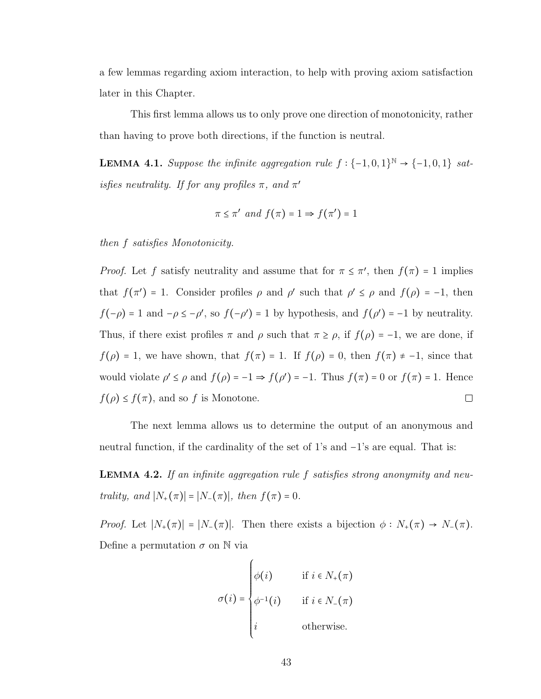a few lemmas regarding axiom interaction, to help with proving axiom satisfaction later in this Chapter.

This first lemma allows us to only prove one direction of monotonicity, rather than having to prove both directions, if the function is neutral.

**LEMMA 4.1.** Suppose the infinite aggregation rule  $f: \{-1,0,1\}^{\mathbb{N}} \to \{-1,0,1\}$  satisfies neutrality. If for any profiles  $\pi$ , and  $\pi'$ 

$$
\pi \le \pi' \ and \ f(\pi) = 1 \Rightarrow f(\pi') = 1
$$

then f satisfies Monotonicity.

*Proof.* Let f satisfy neutrality and assume that for  $\pi \leq \pi'$ , then  $f(\pi) = 1$  implies that  $f(\pi') = 1$ . Consider profiles  $\rho$  and  $\rho'$  such that  $\rho' \le \rho$  and  $f(\rho) = -1$ , then  $f(-\rho) = 1$  and  $-\rho \le -\rho'$ , so  $f(-\rho') = 1$  by hypothesis, and  $f(\rho') = -1$  by neutrality. Thus, if there exist profiles  $\pi$  and  $\rho$  such that  $\pi \ge \rho$ , if  $f(\rho) = -1$ , we are done, if  $f(\rho) = 1$ , we have shown, that  $f(\pi) = 1$ . If  $f(\rho) = 0$ , then  $f(\pi) \neq -1$ , since that would violate  $\rho' \le \rho$  and  $f(\rho) = -1 \Rightarrow f(\rho') = -1$ . Thus  $f(\pi) = 0$  or  $f(\pi) = 1$ . Hence  $f(\rho) \leq f(\pi)$ , and so f is Monotone.  $\Box$ 

The next lemma allows us to determine the output of an anonymous and neutral function, if the cardinality of the set of 1's and −1's are equal. That is:

**LEMMA 4.2.** If an infinite aggregation rule f satisfies strong anonymity and neutrality, and  $|N_+(\pi)| = |N_-(\pi)|$ , then  $f(\pi) = 0$ .

*Proof.* Let  $|N_+(\pi)| = |N_-(\pi)|$ . Then there exists a bijection  $\phi : N_+(\pi) \to N_-(\pi)$ . Define a permutation  $\sigma$  on  $\mathbb N$  via

$$
\sigma(i) = \begin{cases} \phi(i) & \text{if } i \in N_+(\pi) \\ \phi^{-1}(i) & \text{if } i \in N_-(\pi) \\ i & \text{otherwise.} \end{cases}
$$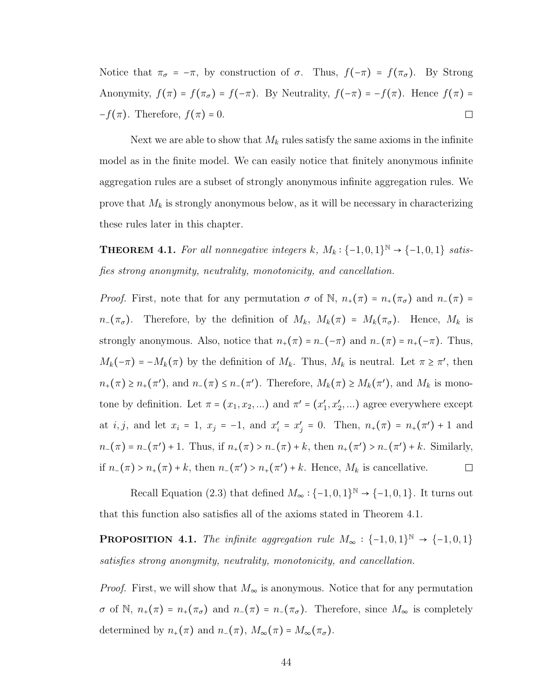Notice that  $\pi_{\sigma} = -\pi$ , by construction of  $\sigma$ . Thus,  $f(-\pi) = f(\pi_{\sigma})$ . By Strong Anonymity,  $f(\pi) = f(\pi_{\sigma}) = f(-\pi)$ . By Neutrality,  $f(-\pi) = -f(\pi)$ . Hence  $f(\pi) =$  $-f(\pi)$ . Therefore,  $f(\pi) = 0$ .  $\Box$ 

Next we are able to show that  $M_k$  rules satisfy the same axioms in the infinite model as in the finite model. We can easily notice that finitely anonymous infinite aggregation rules are a subset of strongly anonymous infinite aggregation rules. We prove that  $M_k$  is strongly anonymous below, as it will be necessary in characterizing these rules later in this chapter.

**THEOREM 4.1.** For all nonnegative integers k,  $M_k: \{-1,0,1\}^{\mathbb{N}} \rightarrow \{-1,0,1\}$  satisfies strong anonymity, neutrality, monotonicity, and cancellation.

*Proof.* First, note that for any permutation  $\sigma$  of N,  $n_+(\pi) = n_+(\pi)$  and  $n_-(\pi) =$  $n_{-}(\pi_{\sigma})$ . Therefore, by the definition of  $M_{k}$ ,  $M_{k}(\pi) = M_{k}(\pi_{\sigma})$ . Hence,  $M_{k}$  is strongly anonymous. Also, notice that  $n_+(\pi) = n_-(-\pi)$  and  $n_-(\pi) = n_+(-\pi)$ . Thus,  $M_k(-\pi) = -M_k(\pi)$  by the definition of  $M_k$ . Thus,  $M_k$  is neutral. Let  $\pi \geq \pi'$ , then  $n_+(\pi) \geq n_+(\pi')$ , and  $n_-(\pi) \leq n_-(\pi')$ . Therefore,  $M_k(\pi) \geq M_k(\pi')$ , and  $M_k$  is monotone by definition. Let  $\pi = (x_1, x_2, ...)$  and  $\pi' = (x'_1, x'_2, ...)$  agree everywhere except at *i*, *j*, and let  $x_i = 1$ ,  $x_j = -1$ , and  $x'_i = x'_j = 0$ . Then,  $n_+(\pi) = n_+(\pi') + 1$  and  $n_-(\pi) = n_-(\pi') + 1$ . Thus, if  $n_+(\pi) > n_-(\pi) + k$ , then  $n_+(\pi') > n_-(\pi') + k$ . Similarly, if  $n_-(\pi) > n_+(\pi) + k$ , then  $n_-(\pi') > n_+(\pi') + k$ . Hence,  $M_k$  is cancellative.  $\Box$ 

Recall Equation (2.3) that defined  $M_{\infty} : \{-1,0,1\}^{\mathbb{N}} \to \{-1,0,1\}$ . It turns out that this function also satisfies all of the axioms stated in Theorem 4.1.

**PROPOSITION** 4.1. The infinite aggregation rule  $M_{\infty} : \{-1,0,1\}^{\mathbb{N}} \to \{-1,0,1\}$ satisfies strong anonymity, neutrality, monotonicity, and cancellation.

*Proof.* First, we will show that  $M_{\infty}$  is anonymous. Notice that for any permutation  $\sigma$  of N,  $n_+(\pi) = n_+(\pi_{\sigma})$  and  $n_-(\pi) = n_-(\pi_{\sigma})$ . Therefore, since  $M_{\infty}$  is completely determined by  $n_+(\pi)$  and  $n_-(\pi)$ ,  $M_\infty(\pi) = M_\infty(\pi_\sigma)$ .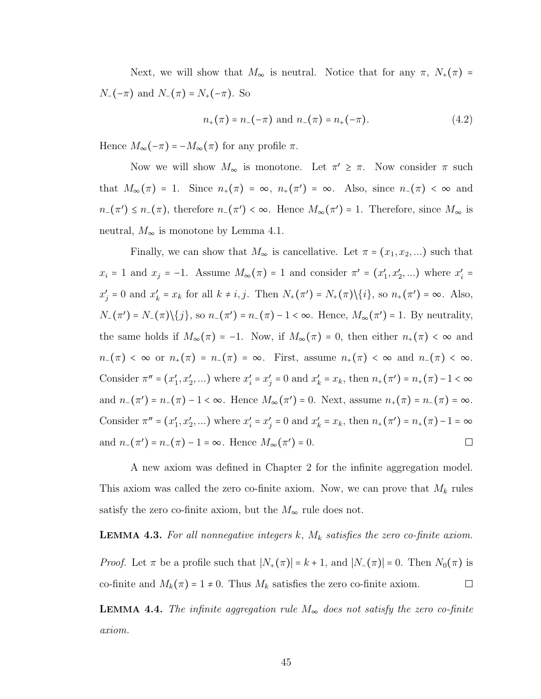Next, we will show that  $M_{\infty}$  is neutral. Notice that for any  $\pi$ ,  $N_{+}(\pi)$  =  $N_{-}(-\pi)$  and  $N_{-}(\pi) = N_{+}(-\pi)$ . So

$$
n_{+}(\pi) = n_{-}(-\pi) \text{ and } n_{-}(\pi) = n_{+}(-\pi). \tag{4.2}
$$

Hence  $M_{\infty}(-\pi) = -M_{\infty}(\pi)$  for any profile  $\pi$ .

Now we will show  $M_{\infty}$  is monotone. Let  $\pi' \geq \pi$ . Now consider  $\pi$  such that  $M_{\infty}(\pi) = 1$ . Since  $n_{+}(\pi) = \infty$ ,  $n_{+}(\pi') = \infty$ . Also, since  $n_{-}(\pi) < \infty$  and  $n_-(\pi') \leq n_-(\pi)$ , therefore  $n_-(\pi') < \infty$ . Hence  $M_\infty(\pi') = 1$ . Therefore, since  $M_\infty$  is neutral,  $M_{\infty}$  is monotone by Lemma 4.1.

Finally, we can show that  $M_{\infty}$  is cancellative. Let  $\pi = (x_1, x_2, ...)$  such that  $x_i = 1$  and  $x_j = -1$ . Assume  $M_\infty(\pi) = 1$  and consider  $\pi' = (x'_1, x'_2, \dots)$  where  $x'_i =$  $x'_j = 0$  and  $x'_k = x_k$  for all  $k \neq i, j$ . Then  $N_+(\pi') = N_+(\pi) \setminus \{i\}$ , so  $n_+(\pi') = \infty$ . Also,  $N_{-}(\pi') = N_{-}(\pi)\setminus\{j\},$  so  $n_{-}(\pi') = n_{-}(\pi) - 1 < \infty$ . Hence,  $M_{\infty}(\pi') = 1$ . By neutrality, the same holds if  $M_{\infty}(\pi) = -1$ . Now, if  $M_{\infty}(\pi) = 0$ , then either  $n_{+}(\pi) < \infty$  and  $n_{-}(\pi) < \infty$  or  $n_{+}(\pi) = n_{-}(\pi) = \infty$ . First, assume  $n_{+}(\pi) < \infty$  and  $n_{-}(\pi) < \infty$ . Consider  $\pi'' = (x'_1, x'_2, \dots)$  where  $x'_i = x'_j = 0$  and  $x'_k = x_k$ , then  $n_+(\pi') = n_+(\pi) - 1 < \infty$ and  $n_{-}(\pi') = n_{-}(\pi) - 1 < \infty$ . Hence  $M_{\infty}(\pi') = 0$ . Next, assume  $n_{+}(\pi) = n_{-}(\pi) = \infty$ . Consider  $\pi'' = (x'_1, x'_2, \dots)$  where  $x'_i = x'_j = 0$  and  $x'_k = x_k$ , then  $n_+(\pi') = n_+(\pi) - 1 = \infty$ and  $n_{-}(\pi') = n_{-}(\pi) - 1 = \infty$ . Hence  $M_{\infty}(\pi') = 0$ .  $\Box$ 

A new axiom was defined in Chapter 2 for the infinite aggregation model. This axiom was called the zero co-finite axiom. Now, we can prove that  $M_k$  rules satisfy the zero co-finite axiom, but the  $M_{\infty}$  rule does not.

**LEMMA 4.3.** For all nonnegative integers k,  $M_k$  satisfies the zero co-finite axiom.

*Proof.* Let  $\pi$  be a profile such that  $|N_+(\pi)| = k + 1$ , and  $|N_-(\pi)| = 0$ . Then  $N_0(\pi)$  is co-finite and  $M_k(\pi) = 1 \neq 0$ . Thus  $M_k$  satisfies the zero co-finite axiom.  $\Box$ 

**LEMMA 4.4.** The infinite aggregation rule  $M_{\infty}$  does not satisfy the zero co-finite axiom.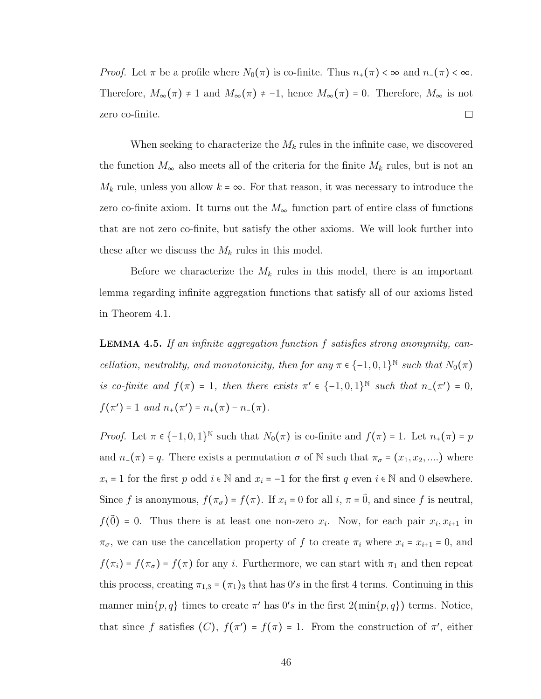*Proof.* Let  $\pi$  be a profile where  $N_0(\pi)$  is co-finite. Thus  $n_+(\pi) < \infty$  and  $n_-(\pi) < \infty$ . Therefore,  $M_{\infty}(\pi) \neq 1$  and  $M_{\infty}(\pi) \neq -1$ , hence  $M_{\infty}(\pi) = 0$ . Therefore,  $M_{\infty}$  is not zero co-finite.  $\Box$ 

When seeking to characterize the  $M_k$  rules in the infinite case, we discovered the function  $M_{\infty}$  also meets all of the criteria for the finite  $M_k$  rules, but is not an  $M_k$  rule, unless you allow  $k = \infty$ . For that reason, it was necessary to introduce the zero co-finite axiom. It turns out the  $M_{\infty}$  function part of entire class of functions that are not zero co-finite, but satisfy the other axioms. We will look further into these after we discuss the  $M_k$  rules in this model.

Before we characterize the  $M_k$  rules in this model, there is an important lemma regarding infinite aggregation functions that satisfy all of our axioms listed in Theorem 4.1.

LEMMA 4.5. If an infinite aggregation function f satisfies strong anonymity, cancellation, neutrality, and monotonicity, then for any  $\pi \in \{-1,0,1\}^{\mathbb{N}}$  such that  $N_0(\pi)$ is co-finite and  $f(\pi) = 1$ , then there exists  $\pi' \in \{-1,0,1\}^{\mathbb{N}}$  such that  $n_-(\pi') = 0$ ,  $f(\pi') = 1$  and  $n_+(\pi') = n_+(\pi) - n_-(\pi)$ .

*Proof.* Let  $\pi \in \{-1, 0, 1\}^{\mathbb{N}}$  such that  $N_0(\pi)$  is co-finite and  $f(\pi) = 1$ . Let  $n_+(\pi) = p$ and  $n_{-}(\pi) = q$ . There exists a permutation  $\sigma$  of N such that  $\pi_{\sigma} = (x_1, x_2, ....)$  where  $x_i = 1$  for the first p odd  $i \in \mathbb{N}$  and  $x_i = -1$  for the first q even  $i \in \mathbb{N}$  and 0 elsewhere. Since f is anonymous,  $f(\pi_{\sigma}) = f(\pi)$ . If  $x_i = 0$  for all  $i, \pi = 0$ , and since f is neutral,  $f(\vec{0}) = 0$ . Thus there is at least one non-zero  $x_i$ . Now, for each pair  $x_i, x_{i+1}$  in  $\pi_{\sigma}$ , we can use the cancellation property of f to create  $\pi_i$  where  $x_i = x_{i+1} = 0$ , and  $f(\pi_i) = f(\pi_{\sigma}) = f(\pi)$  for any *i*. Furthermore, we can start with  $\pi_1$  and then repeat this process, creating  $\pi_{1,3} = (\pi_1)_3$  that has 0's in the first 4 terms. Continuing in this manner min $\{p,q\}$  times to create  $\pi'$  has  $0's$  in the first  $2(\min\{p,q\})$  terms. Notice, that since f satisfies  $(C)$ ,  $f(\pi') = f(\pi) = 1$ . From the construction of  $\pi'$ , either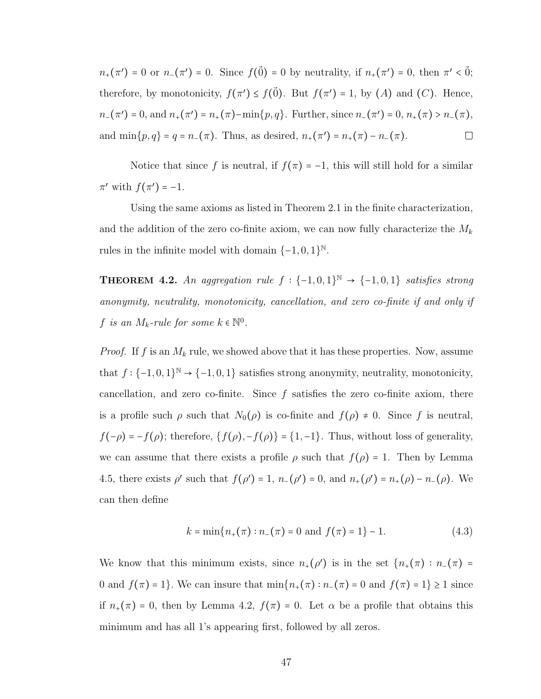$n_+(\pi') = 0$  or  $n_-(\pi') = 0$ . Since  $f(\vec{0}) = 0$  by neutrality, if  $n_+(\pi') = 0$ , then  $\pi' < \vec{0}$ ; therefore, by monotonicity,  $f(\pi') \leq f(\vec{0})$ . But  $f(\pi') = 1$ , by (A) and (C). Hence,  $n_-(\pi') = 0$ , and  $n_+(\pi') = n_+(\pi) - \min\{p, q\}$ . Further, since  $n_-(\pi') = 0$ ,  $n_+(\pi) > n_-(\pi)$ , and  $\min\{p, q\} = q = n_-(\pi)$ . Thus, as desired,  $n_+(\pi') = n_+(\pi) - n_-(\pi)$ .  $\Box$ 

Notice that since f is neutral, if  $f(\pi) = -1$ , this will still hold for a similar  $\pi'$  with  $f(\pi') = -1$ .

Using the same axioms as listed in Theorem 2.1 in the finite characterization, and the addition of the zero co-finite axiom, we can now fully characterize the  $M_k$ rules in the infinite model with domain  $\{-1,0,1\}^{\mathbb{N}}$ .

**THEOREM 4.2.** An aggregation rule  $f : \{-1,0,1\}^{\mathbb{N}} \rightarrow \{-1,0,1\}$  satisfies strong anonymity, neutrality, monotonicity, cancellation, and zero co-finite if and only if f is an  $M_k$ -rule for some  $k \in \mathbb{N}^0$ .

*Proof.* If f is an  $M_k$  rule, we showed above that it has these properties. Now, assume that  $f: \{-1,0,1\}^{\mathbb{N}} \to \{-1,0,1\}$  satisfies strong anonymity, neutrality, monotonicity, cancellation, and zero co-finite. Since  $f$  satisfies the zero co-finite axiom, there is a profile such  $\rho$  such that  $N_0(\rho)$  is co-finite and  $f(\rho) \neq 0$ . Since f is neutral,  $f(-\rho) = -f(\rho)$ ; therefore,  $\{f(\rho), -f(\rho)\} = \{1, -1\}$ . Thus, without loss of generality, we can assume that there exists a profile  $\rho$  such that  $f(\rho) = 1$ . Then by Lemma 4.5, there exists  $\rho'$  such that  $f(\rho') = 1$ ,  $n_{-}(\rho') = 0$ , and  $n_{+}(\rho') = n_{+}(\rho) - n_{-}(\rho)$ . We can then define

$$
k = \min\{n_+(\pi) : n_-(\pi) = 0 \text{ and } f(\pi) = 1\} - 1. \tag{4.3}
$$

We know that this minimum exists, since  $n_+(\rho')$  is in the set  $\{n_+(\pi): n_-(\pi) =$ 0 and  $f(\pi) = 1$ . We can insure that  $\min\{n_+(\pi): n_-(\pi) = 0 \text{ and } f(\pi) = 1\} \ge 1$  since if  $n_+(\pi) = 0$ , then by Lemma 4.2,  $f(\pi) = 0$ . Let  $\alpha$  be a profile that obtains this minimum and has all 1's appearing first, followed by all zeros.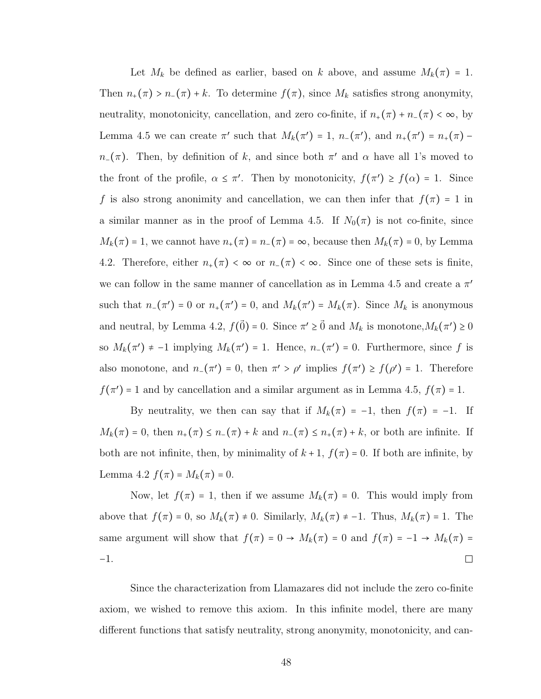Let  $M_k$  be defined as earlier, based on k above, and assume  $M_k(\pi) = 1$ . Then  $n_+(\pi) > n_-(\pi) + k$ . To determine  $f(\pi)$ , since  $M_k$  satisfies strong anonymity, neutrality, monotonicity, cancellation, and zero co-finite, if  $n_+(\pi) + n_-(\pi) < \infty$ , by Lemma 4.5 we can create  $\pi'$  such that  $M_k(\pi') = 1$ ,  $n_-(\pi')$ , and  $n_+(\pi') = n_+(\pi)$  $n_-(\pi)$ . Then, by definition of k, and since both  $\pi'$  and  $\alpha$  have all 1's moved to the front of the profile,  $\alpha \leq \pi'$ . Then by monotonicity,  $f(\pi') \geq f(\alpha) = 1$ . Since f is also strong anonimity and cancellation, we can then infer that  $f(\pi) = 1$  in a similar manner as in the proof of Lemma 4.5. If  $N_0(\pi)$  is not co-finite, since  $M_k(\pi) = 1$ , we cannot have  $n_+(\pi) = n_-(\pi) = \infty$ , because then  $M_k(\pi) = 0$ , by Lemma 4.2. Therefore, either  $n_+(\pi) < \infty$  or  $n_-(\pi) < \infty$ . Since one of these sets is finite, we can follow in the same manner of cancellation as in Lemma 4.5 and create a  $\pi'$ such that  $n_-(\pi') = 0$  or  $n_+(\pi') = 0$ , and  $M_k(\pi') = M_k(\pi)$ . Since  $M_k$  is anonymous and neutral, by Lemma 4.2,  $f(\vec{0}) = 0$ . Since  $\pi' \geq \vec{0}$  and  $M_k$  is monotone,  $M_k(\pi') \geq 0$ so  $M_k(\pi') \neq -1$  implying  $M_k(\pi') = 1$ . Hence,  $n_-(\pi') = 0$ . Furthermore, since f is also monotone, and  $n_-(\pi') = 0$ , then  $\pi' > \rho'$  implies  $f(\pi') \geq f(\rho') = 1$ . Therefore  $f(\pi') = 1$  and by cancellation and a similar argument as in Lemma 4.5,  $f(\pi) = 1$ .

By neutrality, we then can say that if  $M_k(\pi) = -1$ , then  $f(\pi) = -1$ . If  $M_k(\pi) = 0$ , then  $n_+(\pi) \leq n_-(\pi) + k$  and  $n_-(\pi) \leq n_+(\pi) + k$ , or both are infinite. If both are not infinite, then, by minimality of  $k + 1$ ,  $f(\pi) = 0$ . If both are infinite, by Lemma 4.2  $f(\pi) = M_k(\pi) = 0$ .

Now, let  $f(\pi) = 1$ , then if we assume  $M_k(\pi) = 0$ . This would imply from above that  $f(\pi) = 0$ , so  $M_k(\pi) \neq 0$ . Similarly,  $M_k(\pi) \neq -1$ . Thus,  $M_k(\pi) = 1$ . The same argument will show that  $f(\pi) = 0 \rightarrow M_k(\pi) = 0$  and  $f(\pi) = -1 \rightarrow M_k(\pi) =$  $\Box$ −1.

Since the characterization from Llamazares did not include the zero co-finite axiom, we wished to remove this axiom. In this infinite model, there are many different functions that satisfy neutrality, strong anonymity, monotonicity, and can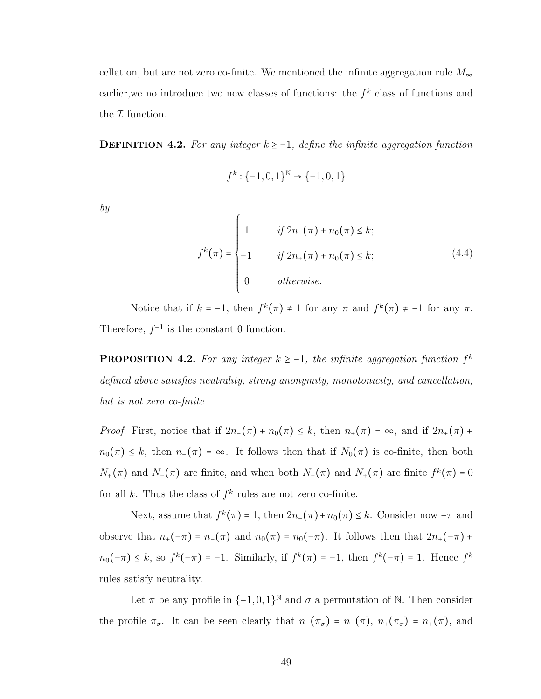cellation, but are not zero co-finite. We mentioned the infinite aggregation rule  $M_\infty$ earlier, we no introduce two new classes of functions: the  $f^k$  class of functions and the  $\mathcal I$  function.

**DEFINITION 4.2.** For any integer  $k \geq -1$ , define the infinite aggregation function

$$
f^k: \{-1,0,1\}^{\mathbb{N}} \to \{-1,0,1\}
$$

by

$$
f^{k}(\pi) = \begin{cases} 1 & \text{if } 2n_{-}(\pi) + n_{0}(\pi) \leq k; \\ -1 & \text{if } 2n_{+}(\pi) + n_{0}(\pi) \leq k; \\ 0 & \text{otherwise.} \end{cases}
$$
(4.4)

Notice that if  $k = -1$ , then  $f^k(\pi) \neq 1$  for any  $\pi$  and  $f^k(\pi) \neq -1$  for any  $\pi$ . Therefore,  $f^{-1}$  is the constant 0 function.

**PROPOSITION 4.2.** For any integer  $k \geq -1$ , the infinite aggregation function  $f^k$ defined above satisfies neutrality, strong anonymity, monotonicity, and cancellation, but is not zero co-finite.

*Proof.* First, notice that if  $2n_-(\pi) + n_0(\pi) \leq k$ , then  $n_+(\pi) = \infty$ , and if  $2n_+(\pi) +$  $n_0(\pi) \leq k$ , then  $n_-(\pi) = \infty$ . It follows then that if  $N_0(\pi)$  is co-finite, then both  $N_+(\pi)$  and  $N_-(\pi)$  are finite, and when both  $N_-(\pi)$  and  $N_+(\pi)$  are finite  $f^k(\pi) = 0$ for all k. Thus the class of  $f^k$  rules are not zero co-finite.

Next, assume that  $f^k(\pi) = 1$ , then  $2n_-(\pi) + n_0(\pi) \leq k$ . Consider now  $-\pi$  and observe that  $n_{+}(-\pi) = n_{-}(\pi)$  and  $n_{0}(\pi) = n_{0}(-\pi)$ . It follows then that  $2n_{+}(-\pi)$  +  $n_0(-\pi) \leq k$ , so  $f^k(-\pi) = -1$ . Similarly, if  $f^k(\pi) = -1$ , then  $f^k(-\pi) = 1$ . Hence  $f^k$ rules satisfy neutrality.

Let  $\pi$  be any profile in  $\{-1,0,1\}^{\mathbb{N}}$  and  $\sigma$  a permutation of  $\mathbb{N}$ . Then consider the profile  $\pi_{\sigma}$ . It can be seen clearly that  $n_{-}(\pi_{\sigma}) = n_{-}(\pi)$ ,  $n_{+}(\pi_{\sigma}) = n_{+}(\pi)$ , and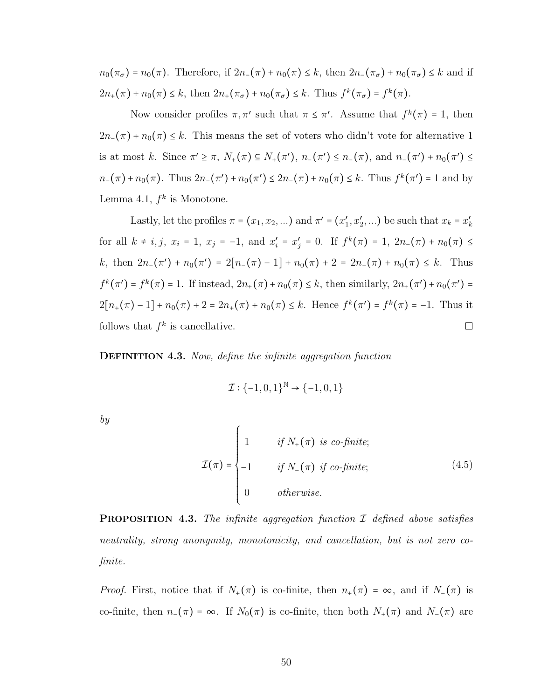$n_0(\pi_{\sigma}) = n_0(\pi)$ . Therefore, if  $2n_-(\pi) + n_0(\pi) \leq k$ , then  $2n_-(\pi_{\sigma}) + n_0(\pi_{\sigma}) \leq k$  and if  $2n_{+}(\pi) + n_{0}(\pi) \leq k$ , then  $2n_{+}(\pi_{\sigma}) + n_{0}(\pi_{\sigma}) \leq k$ . Thus  $f^{k}(\pi_{\sigma}) = f^{k}(\pi)$ .

Now consider profiles  $\pi, \pi'$  such that  $\pi \leq \pi'$ . Assume that  $f^k(\pi) = 1$ , then  $2n_-(\pi) + n_0(\pi) \leq k$ . This means the set of voters who didn't vote for alternative 1 is at most k. Since  $\pi' \ge \pi$ ,  $N_+(\pi) \subseteq N_+(\pi')$ ,  $n_-(\pi') \le n_-(\pi)$ , and  $n_-(\pi') + n_0(\pi') \le$  $n_-(\pi) + n_0(\pi)$ . Thus  $2n_-(\pi') + n_0(\pi') \leq 2n_-(\pi) + n_0(\pi) \leq k$ . Thus  $f^k(\pi') = 1$  and by Lemma 4.1,  $f^k$  is Monotone.

Lastly, let the profiles  $\pi = (x_1, x_2, ...)$  and  $\pi' = (x'_1, x'_2, ...)$  be such that  $x_k = x'_k$ for all  $k \neq i, j$ ,  $x_i = 1$ ,  $x_j = -1$ , and  $x'_i = x'_j = 0$ . If  $f^k(\pi) = 1$ ,  $2n_-(\pi) + n_0(\pi) \le$ k, then  $2n_-(\pi') + n_0(\pi') = 2[n_-(\pi) - 1] + n_0(\pi) + 2 = 2n_-(\pi) + n_0(\pi) \leq k$ . Thus  $f^k(\pi') = f^k(\pi) = 1$ . If instead,  $2n_+(\pi) + n_0(\pi) \leq k$ , then similarly,  $2n_+(\pi') + n_0(\pi') =$  $2[n_+(\pi)-1] + n_0(\pi) + 2 = 2n_+(\pi) + n_0(\pi) \le k$ . Hence  $f^k(\pi') = f^k(\pi) = -1$ . Thus it follows that  $f^k$  is cancellative.  $\Box$ 

**DEFINITION 4.3.** Now, define the infinite aggregation function

$$
\mathcal{I}: \{-1, 0, 1\}^{\mathbb{N}} \to \{-1, 0, 1\}
$$

by

$$
\mathcal{I}(\pi) = \begin{cases}\n1 & \text{if } N_{+}(\pi) \text{ is co-finite;} \\
-1 & \text{if } N_{-}(\pi) \text{ if co-finite;} \\
0 & \text{otherwise.} \n\end{cases}
$$
\n(4.5)

**PROPOSITION 4.3.** The infinite aggregation function  $\mathcal{I}$  defined above satisfies neutrality, strong anonymity, monotonicity, and cancellation, but is not zero cofinite.

*Proof.* First, notice that if  $N_+(\pi)$  is co-finite, then  $n_+(\pi) = \infty$ , and if  $N_-(\pi)$  is co-finite, then  $n_-(\pi) = \infty$ . If  $N_0(\pi)$  is co-finite, then both  $N_+(\pi)$  and  $N_-(\pi)$  are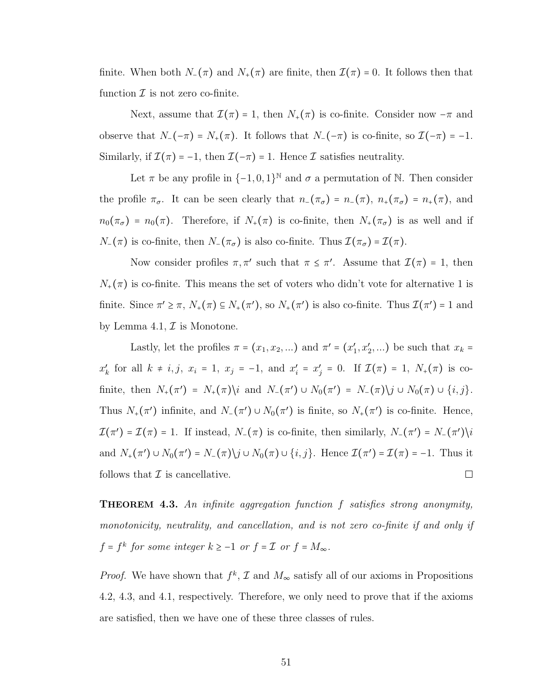finite. When both  $N_-(\pi)$  and  $N_+(\pi)$  are finite, then  $\mathcal{I}(\pi) = 0$ . It follows then that function  $\mathcal I$  is not zero co-finite.

Next, assume that  $\mathcal{I}(\pi) = 1$ , then  $N_+(\pi)$  is co-finite. Consider now  $-\pi$  and observe that  $N_{-}(-\pi) = N_{+}(\pi)$ . It follows that  $N_{-}(-\pi)$  is co-finite, so  $\mathcal{I}(-\pi) = -1$ . Similarly, if  $\mathcal{I}(\pi) = -1$ , then  $\mathcal{I}(-\pi) = 1$ . Hence  $\mathcal I$  satisfies neutrality.

Let  $\pi$  be any profile in  $\{-1,0,1\}^{\mathbb{N}}$  and  $\sigma$  a permutation of  $\mathbb{N}$ . Then consider the profile  $\pi_{\sigma}$ . It can be seen clearly that  $n_{-}(\pi_{\sigma}) = n_{-}(\pi)$ ,  $n_{+}(\pi_{\sigma}) = n_{+}(\pi)$ , and  $n_0(\pi_{\sigma}) = n_0(\pi)$ . Therefore, if  $N_+(\pi)$  is co-finite, then  $N_+(\pi_{\sigma})$  is as well and if  $N_{-}(\pi)$  is co-finite, then  $N_{-}(\pi_{\sigma})$  is also co-finite. Thus  $\mathcal{I}(\pi_{\sigma}) = \mathcal{I}(\pi)$ .

Now consider profiles  $\pi, \pi'$  such that  $\pi \leq \pi'$ . Assume that  $\mathcal{I}(\pi) = 1$ , then  $N_{+}(\pi)$  is co-finite. This means the set of voters who didn't vote for alternative 1 is finite. Since  $\pi' \geq \pi$ ,  $N_+(\pi) \subseteq N_+(\pi')$ , so  $N_+(\pi')$  is also co-finite. Thus  $\mathcal{I}(\pi') = 1$  and by Lemma 4.1,  $\mathcal I$  is Monotone.

Lastly, let the profiles  $\pi = (x_1, x_2, ...)$  and  $\pi' = (x'_1, x'_2, ...)$  be such that  $x_k =$  $x'_k$  for all  $k \neq i, j$ ,  $x_i = 1$ ,  $x_j = -1$ , and  $x'_i = x'_j = 0$ . If  $\mathcal{I}(\pi) = 1$ ,  $N_+(\pi)$  is cofinite, then  $N_+(\pi') = N_+(\pi) \backslash i$  and  $N_-(\pi') \cup N_0(\pi') = N_-(\pi) \backslash j \cup N_0(\pi) \cup \{i, j\}.$ Thus  $N_+(\pi')$  infinite, and  $N_-(\pi') \cup N_0(\pi')$  is finite, so  $N_+(\pi')$  is co-finite. Hence,  $\mathcal{I}(\pi') = \mathcal{I}(\pi) = 1$ . If instead,  $N_{-}(\pi)$  is co-finite, then similarly,  $N_{-}(\pi') = N_{-}(\pi')\backslash i$ and  $N_+(\pi') \cup N_0(\pi') = N_-(\pi) \backslash j \cup N_0(\pi) \cup \{i, j\}$ . Hence  $\mathcal{I}(\pi') = \mathcal{I}(\pi) = -1$ . Thus it follows that  $\mathcal I$  is cancellative.  $\Box$ 

THEOREM 4.3. An infinite aggregation function f satisfies strong anonymity, monotonicity, neutrality, and cancellation, and is not zero co-finite if and only if  $f = f^k$  for some integer  $k \ge -1$  or  $f = \mathcal{I}$  or  $f = M_\infty$ .

*Proof.* We have shown that  $f^k$ ,  $\mathcal I$  and  $M_\infty$  satisfy all of our axioms in Propositions 4.2, 4.3, and 4.1, respectively. Therefore, we only need to prove that if the axioms are satisfied, then we have one of these three classes of rules.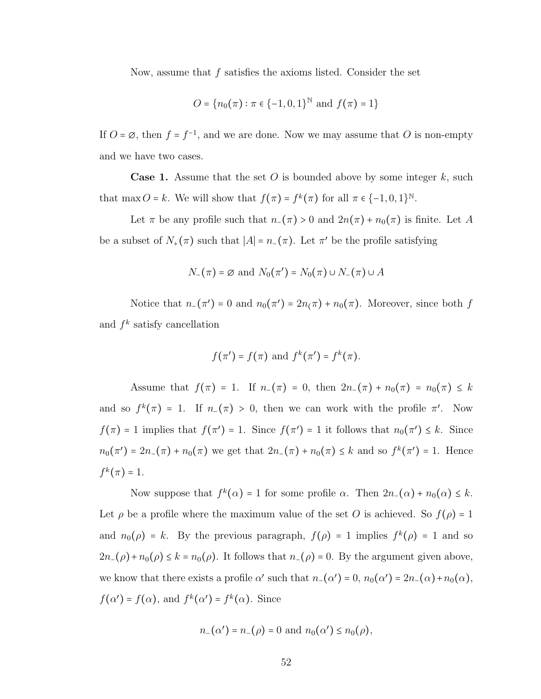Now, assume that  $f$  satisfies the axioms listed. Consider the set

$$
O = \{ n_0(\pi) : \pi \in \{-1, 0, 1\}^{\mathbb{N}} \text{ and } f(\pi) = 1 \}
$$

If  $O = \emptyset$ , then  $f = f^{-1}$ , and we are done. Now we may assume that O is non-empty and we have two cases.

**Case 1.** Assume that the set O is bounded above by some integer  $k$ , such that max  $O = k$ . We will show that  $f(\pi) = f^k(\pi)$  for all  $\pi \in \{-1, 0, 1\}^{\mathbb{N}}$ .

Let  $\pi$  be any profile such that  $n_-(\pi) > 0$  and  $2n(\pi) + n_0(\pi)$  is finite. Let A be a subset of  $N_+(\pi)$  such that  $|A| = n_-(\pi)$ . Let  $\pi'$  be the profile satisfying

$$
N_{-}(\pi) = \emptyset
$$
 and  $N_0(\pi') = N_0(\pi) \cup N_{-}(\pi) \cup A$ 

Notice that  $n_-(\pi') = 0$  and  $n_0(\pi') = 2n(\pi) + n_0(\pi)$ . Moreover, since both f and  $f^k$  satisfy cancellation

$$
f(\pi') = f(\pi) \text{ and } f^k(\pi') = f^k(\pi).
$$

Assume that  $f(\pi) = 1$ . If  $n_-(\pi) = 0$ , then  $2n_-(\pi) + n_0(\pi) = n_0(\pi) \le k$ and so  $f^k(\pi) = 1$ . If  $n_-(\pi) > 0$ , then we can work with the profile  $\pi'$ . Now  $f(\pi) = 1$  implies that  $f(\pi') = 1$ . Since  $f(\pi') = 1$  it follows that  $n_0(\pi') \leq k$ . Since  $n_0(\pi') = 2n_-(\pi) + n_0(\pi)$  we get that  $2n_-(\pi) + n_0(\pi) \le k$  and so  $f^k(\pi') = 1$ . Hence  $f^k(\pi) = 1.$ 

Now suppose that  $f^k(\alpha) = 1$  for some profile  $\alpha$ . Then  $2n_-(\alpha) + n_0(\alpha) \leq k$ . Let  $\rho$  be a profile where the maximum value of the set O is achieved. So  $f(\rho) = 1$ and  $n_0(\rho) = k$ . By the previous paragraph,  $f(\rho) = 1$  implies  $f^k(\rho) = 1$  and so  $2n_{-}(\rho)+n_{0}(\rho) \leq k = n_{0}(\rho)$ . It follows that  $n_{-}(\rho) = 0$ . By the argument given above, we know that there exists a profile  $\alpha'$  such that  $n_{-}(\alpha') = 0$ ,  $n_{0}(\alpha') = 2n_{-}(\alpha) + n_{0}(\alpha)$ ,  $f(\alpha') = f(\alpha)$ , and  $f^k(\alpha') = f^k(\alpha)$ . Since

$$
n_{-}(\alpha') = n_{-}(\rho) = 0 \text{ and } n_{0}(\alpha') \leq n_{0}(\rho),
$$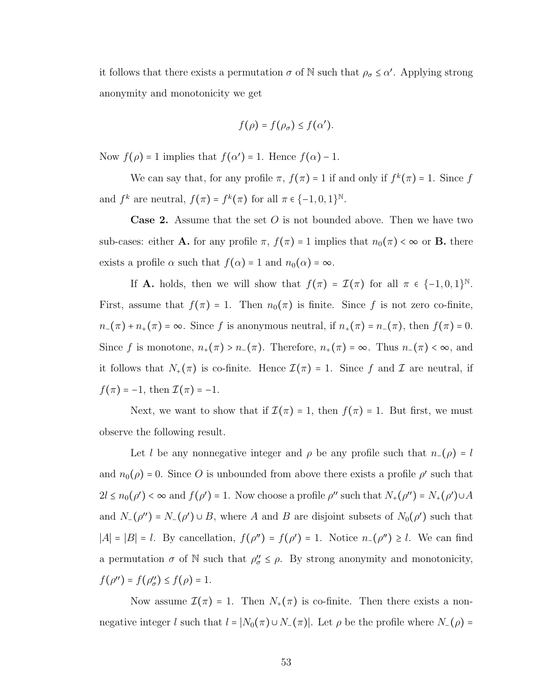it follows that there exists a permutation  $\sigma$  of N such that  $\rho_{\sigma} \leq \alpha'$ . Applying strong anonymity and monotonicity we get

$$
f(\rho) = f(\rho_{\sigma}) \le f(\alpha').
$$

Now  $f(\rho) = 1$  implies that  $f(\alpha') = 1$ . Hence  $f(\alpha) - 1$ .

We can say that, for any profile  $\pi$ ,  $f(\pi) = 1$  if and only if  $f^k(\pi) = 1$ . Since f and  $f^k$  are neutral,  $f(\pi) = f^k(\pi)$  for all  $\pi \in \{-1, 0, 1\}^{\mathbb{N}}$ .

**Case 2.** Assume that the set  $O$  is not bounded above. Then we have two sub-cases: either **A**. for any profile  $\pi$ ,  $f(\pi) = 1$  implies that  $n_0(\pi) < \infty$  or **B**. there exists a profile  $\alpha$  such that  $f(\alpha) = 1$  and  $n_0(\alpha) = \infty$ .

If **A.** holds, then we will show that  $f(\pi) = \mathcal{I}(\pi)$  for all  $\pi \in \{-1, 0, 1\}^{\mathbb{N}}$ . First, assume that  $f(\pi) = 1$ . Then  $n_0(\pi)$  is finite. Since f is not zero co-finite,  $n_{-}(\pi) + n_{+}(\pi) = \infty$ . Since f is anonymous neutral, if  $n_{+}(\pi) = n_{-}(\pi)$ , then  $f(\pi) = 0$ . Since f is monotone,  $n_+(\pi) > n_-(\pi)$ . Therefore,  $n_+(\pi) = \infty$ . Thus  $n_-(\pi) < \infty$ , and it follows that  $N_+(\pi)$  is co-finite. Hence  $\mathcal{I}(\pi) = 1$ . Since f and I are neutral, if  $f(\pi) = -1$ , then  $\mathcal{I}(\pi) = -1$ .

Next, we want to show that if  $\mathcal{I}(\pi) = 1$ , then  $f(\pi) = 1$ . But first, we must observe the following result.

Let l be any nonnegative integer and  $\rho$  be any profile such that  $n_-(\rho) = l$ and  $n_0(\rho) = 0$ . Since O is unbounded from above there exists a profile  $\rho'$  such that  $2l \leq n_0(\rho') < \infty$  and  $f(\rho') = 1$ . Now choose a profile  $\rho''$  such that  $N_+(\rho'') = N_+(\rho') \cup A$ and  $N_{-}(\rho'') = N_{-}(\rho') \cup B$ , where A and B are disjoint subsets of  $N_0(\rho')$  such that  $|A| = |B| = l$ . By cancellation,  $f(\rho'') = f(\rho') = 1$ . Notice  $n_-(\rho'') \geq l$ . We can find a permutation  $\sigma$  of N such that  $\rho''_{\sigma} \leq \rho$ . By strong anonymity and monotonicity,  $f(\rho'') = f(\rho''_{\sigma}) \le f(\rho) = 1.$ 

Now assume  $\mathcal{I}(\pi) = 1$ . Then  $N_+(\pi)$  is co-finite. Then there exists a nonnegative integer l such that  $l = |N_0(\pi) \cup N_-(\pi)|$ . Let  $\rho$  be the profile where  $N_-(\rho)$  =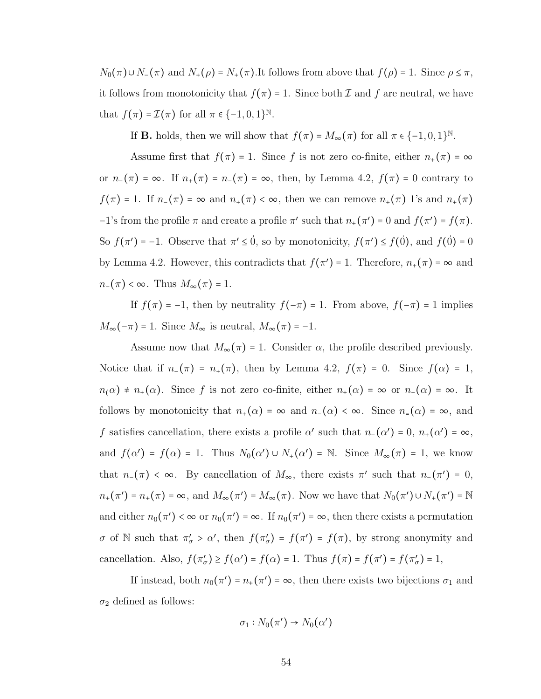$N_0(\pi) \cup N_-(\pi)$  and  $N_+(\rho) = N_+(\pi)$ .It follows from above that  $f(\rho) = 1$ . Since  $\rho \leq \pi$ , it follows from monotonicity that  $f(\pi) = 1$ . Since both  $\mathcal I$  and  $f$  are neutral, we have that  $f(\pi) = \mathcal{I}(\pi)$  for all  $\pi \in \{-1, 0, 1\}^{\mathbb{N}}$ .

If **B.** holds, then we will show that  $f(\pi) = M_{\infty}(\pi)$  for all  $\pi \in \{-1, 0, 1\}^{\mathbb{N}}$ .

Assume first that  $f(\pi) = 1$ . Since f is not zero co-finite, either  $n_+(\pi) = \infty$ or  $n_{-}(\pi) = \infty$ . If  $n_{+}(\pi) = n_{-}(\pi) = \infty$ , then, by Lemma 4.2,  $f(\pi) = 0$  contrary to  $f(\pi) = 1$ . If  $n_-(\pi) = \infty$  and  $n_+(\pi) < \infty$ , then we can remove  $n_+(\pi)$  1's and  $n_+(\pi)$  $-1$ 's from the profile π and create a profile π' such that  $n_{+}(\pi') = 0$  and  $f(\pi') = f(\pi)$ . So  $f(\pi') = -1$ . Observe that  $\pi' \leq \vec{0}$ , so by monotonicity,  $f(\pi') \leq f(\vec{0})$ , and  $f(\vec{0}) = 0$ by Lemma 4.2. However, this contradicts that  $f(\pi') = 1$ . Therefore,  $n_+(\pi) = \infty$  and  $n_-(\pi) < \infty$ . Thus  $M_\infty(\pi) = 1$ .

If  $f(\pi) = -1$ , then by neutrality  $f(-\pi) = 1$ . From above,  $f(-\pi) = 1$  implies  $M_{\infty}(-\pi) = 1$ . Since  $M_{\infty}$  is neutral,  $M_{\infty}(\pi) = -1$ .

Assume now that  $M_{\infty}(\pi) = 1$ . Consider  $\alpha$ , the profile described previously. Notice that if  $n_{-}(\pi) = n_{+}(\pi)$ , then by Lemma 4.2,  $f(\pi) = 0$ . Since  $f(\alpha) = 1$ ,  $n_1(\alpha) \neq n_+(\alpha)$ . Since f is not zero co-finite, either  $n_+(\alpha) = \infty$  or  $n_-(\alpha) = \infty$ . It follows by monotonicity that  $n_+(\alpha) = \infty$  and  $n_-(\alpha) < \infty$ . Since  $n_=(\alpha) = \infty$ , and f satisfies cancellation, there exists a profile  $\alpha'$  such that  $n_-(\alpha') = 0$ ,  $n_+(\alpha') = \infty$ , and  $f(\alpha') = f(\alpha) = 1$ . Thus  $N_0(\alpha') \cup N_+(\alpha') = \mathbb{N}$ . Since  $M_\infty(\pi) = 1$ , we know that  $n_-(\pi) < \infty$ . By cancellation of  $M_\infty$ , there exists  $\pi'$  such that  $n_-(\pi') = 0$ ,  $n_+(\pi') = n_+(\pi) = \infty$ , and  $M_\infty(\pi') = M_\infty(\pi)$ . Now we have that  $N_0(\pi') \cup N_+(\pi') = \mathbb{N}$ and either  $n_0(\pi') < \infty$  or  $n_0(\pi') = \infty$ . If  $n_0(\pi') = \infty$ , then there exists a permutation σ of N such that  $\pi'_{\sigma} > \alpha'$ , then  $f(\pi'_{\sigma}) = f(\pi') = f(\pi)$ , by strong anonymity and cancellation. Also,  $f(\pi'_{\sigma}) \ge f(\alpha') = f(\alpha) = 1$ . Thus  $f(\pi) = f(\pi') = f(\pi'_{\sigma}) = 1$ ,

If instead, both  $n_0(\pi') = n_+(\pi') = \infty$ , then there exists two bijections  $\sigma_1$  and  $\sigma_2$  defined as follows:

$$
\sigma_1: N_0(\pi') \to N_0(\alpha')
$$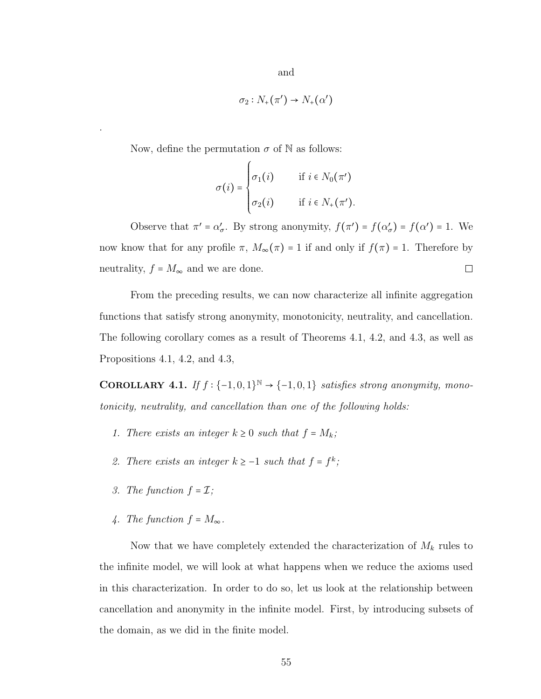and

$$
\sigma_2: N_+(\pi') \to N_+(\alpha')
$$

Now, define the permutation  $\sigma$  of N as follows:

$$
\sigma(i) = \begin{cases} \sigma_1(i) & \text{if } i \in N_0(\pi') \\ \sigma_2(i) & \text{if } i \in N_+(\pi'). \end{cases}
$$

Observe that  $\pi' = \alpha'_{\sigma}$ . By strong anonymity,  $f(\pi') = f(\alpha'_{\sigma}) = f(\alpha') = 1$ . We now know that for any profile  $\pi$ ,  $M_{\infty}(\pi) = 1$  if and only if  $f(\pi) = 1$ . Therefore by neutrality,  $f = M_{\infty}$  and we are done.  $\Box$ 

From the preceding results, we can now characterize all infinite aggregation functions that satisfy strong anonymity, monotonicity, neutrality, and cancellation. The following corollary comes as a result of Theorems 4.1, 4.2, and 4.3, as well as Propositions 4.1, 4.2, and 4.3,

**COROLLARY 4.1.** If  $f: \{-1,0,1\}^{\mathbb{N}} \rightarrow \{-1,0,1\}$  satisfies strong anonymity, monotonicity, neutrality, and cancellation than one of the following holds:

- 1. There exists an integer  $k \geq 0$  such that  $f = M_k$ ;
- 2. There exists an integer  $k \geq -1$  such that  $f = f^k$ ;
- 3. The function  $f = \mathcal{I}$ ;

.

4. The function  $f = M_{\infty}$ .

Now that we have completely extended the characterization of  $M_k$  rules to the infinite model, we will look at what happens when we reduce the axioms used in this characterization. In order to do so, let us look at the relationship between cancellation and anonymity in the infinite model. First, by introducing subsets of the domain, as we did in the finite model.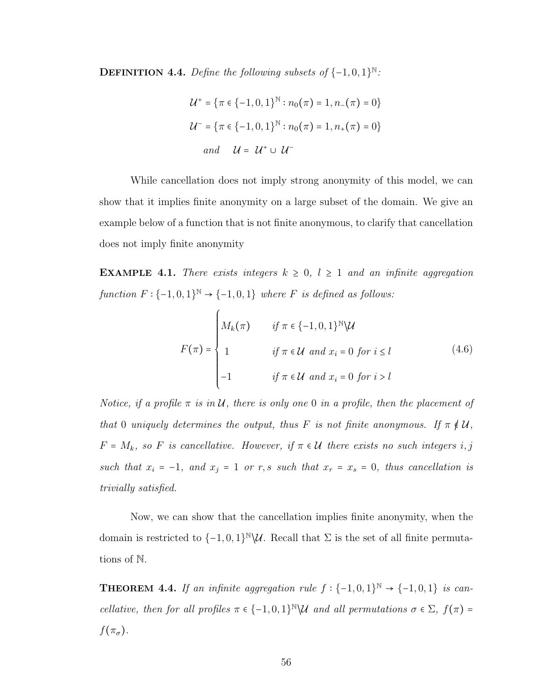**DEFINITION 4.4.** Define the following subsets of  $\{-1,0,1\}^{\mathbb{N}}$ :

$$
\mathcal{U}^+ = \{ \pi \in \{-1, 0, 1\}^{\mathbb{N}} : n_0(\pi) = 1, n_-(\pi) = 0 \}
$$
  

$$
\mathcal{U}^- = \{ \pi \in \{-1, 0, 1\}^{\mathbb{N}} : n_0(\pi) = 1, n_+(\pi) = 0 \}
$$
  
and 
$$
\mathcal{U} = \mathcal{U}^+ \cup \mathcal{U}^-
$$

While cancellation does not imply strong anonymity of this model, we can show that it implies finite anonymity on a large subset of the domain. We give an example below of a function that is not finite anonymous, to clarify that cancellation does not imply finite anonymity

**EXAMPLE 4.1.** There exists integers  $k \geq 0$ ,  $l \geq 1$  and an infinite aggregation function  $F: \{-1,0,1\}^{\mathbb{N}} \to \{-1,0,1\}$  where F is defined as follows:

$$
F(\pi) = \begin{cases} M_k(\pi) & \text{if } \pi \in \{-1, 0, 1\}^{\mathbb{N}} \setminus \mathcal{U} \\ 1 & \text{if } \pi \in \mathcal{U} \text{ and } x_i = 0 \text{ for } i \le l \\ -1 & \text{if } \pi \in \mathcal{U} \text{ and } x_i = 0 \text{ for } i > l \end{cases}
$$
(4.6)

Notice, if a profile  $\pi$  is in U, there is only one 0 in a profile, then the placement of that 0 uniquely determines the output, thus F is not finite anonymous. If  $\pi \notin \mathcal{U}$ ,  $F = M_k$ , so F is cancellative. However, if  $\pi \in \mathcal{U}$  there exists no such integers i, j such that  $x_i = -1$ , and  $x_j = 1$  or r, s such that  $x_r = x_s = 0$ , thus cancellation is trivially satisfied.

Now, we can show that the cancellation implies finite anonymity, when the domain is restricted to  $\{-1,0,1\}^{\mathbb{N}}\setminus\mathcal{U}$ . Recall that  $\Sigma$  is the set of all finite permutations of N.

**THEOREM 4.4.** If an infinite aggregation rule  $f: \{-1,0,1\}^{\mathbb{N}} \rightarrow \{-1,0,1\}$  is cancellative, then for all profiles  $\pi \in \{-1,0,1\}^{\mathbb{N}}\setminus\mathcal{U}$  and all permutations  $\sigma \in \Sigma$ ,  $f(\pi) =$  $f(\pi_{\sigma}).$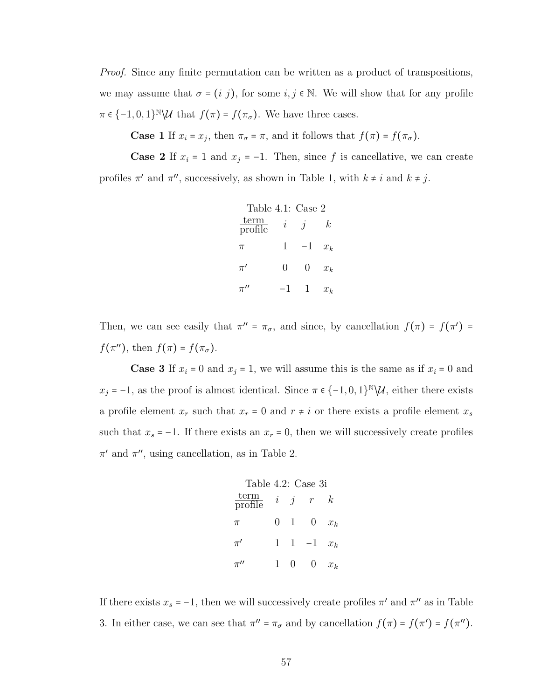Proof. Since any finite permutation can be written as a product of transpositions, we may assume that  $\sigma = (i \, j)$ , for some  $i, j \in \mathbb{N}$ . We will show that for any profile  $\pi \in \{-1,0,1\}^{\mathbb{N}}\setminus\mathcal{U}$  that  $f(\pi) = f(\pi_{\sigma})$ . We have three cases.

**Case 1** If  $x_i = x_j$ , then  $\pi_{\sigma} = \pi$ , and it follows that  $f(\pi) = f(\pi_{\sigma})$ .

**Case 2** If  $x_i = 1$  and  $x_j = -1$ . Then, since f is cancellative, we can create profiles  $\pi'$  and  $\pi''$ , successively, as shown in Table 1, with  $k \neq i$  and  $k \neq j$ .

| Table 4.1: Case $2$                        |                  |                     |       |
|--------------------------------------------|------------------|---------------------|-------|
| <u>term</u><br>$\overline{\text{profile}}$ | $\dot{\imath}$   | $\overline{\jmath}$ | k     |
| π                                          | 1                | -1                  | $x_k$ |
| $\pi'$                                     | $\left( \right)$ | $\left( \right)$    | $x_k$ |
|                                            | -1               | 1                   | $x_k$ |

Then, we can see easily that  $\pi'' = \pi_{\sigma}$ , and since, by cancellation  $f(\pi) = f(\pi') =$  $f(\pi'')$ , then  $f(\pi) = f(\pi_{\sigma})$ .

**Case 3** If  $x_i = 0$  and  $x_j = 1$ , we will assume this is the same as if  $x_i = 0$  and  $x_j = -1$ , as the proof is almost identical. Since  $\pi \in \{-1,0,1\}^{\mathbb{N}}\setminus\mathcal{U}$ , either there exists a profile element  $x_r$  such that  $x_r = 0$  and  $r \neq i$  or there exists a profile element  $x_s$ such that  $x_s = -1$ . If there exists an  $x_r = 0$ , then we will successively create profiles  $\pi'$  and  $\pi''$ , using cancellation, as in Table 2.

| Table 4.2: Case 3i                                |              |  |                       |          |  |  |  |
|---------------------------------------------------|--------------|--|-----------------------|----------|--|--|--|
| $\frac{\text{term}}{\text{profile}}$ <i>i j r</i> |              |  |                       | $\kappa$ |  |  |  |
| $\pi$                                             | $\mathbf{0}$ |  | $1 \quad 0$           | $x_k$    |  |  |  |
| $\pi'$                                            |              |  | 1 1 $-1$ $x_k$        |          |  |  |  |
|                                                   |              |  | $0 \quad 0 \quad x_k$ |          |  |  |  |

If there exists  $x_s = -1$ , then we will successively create profiles  $\pi'$  and  $\pi''$  as in Table 3. In either case, we can see that  $\pi'' = \pi_{\sigma}$  and by cancellation  $f(\pi) = f(\pi') = f(\pi'')$ .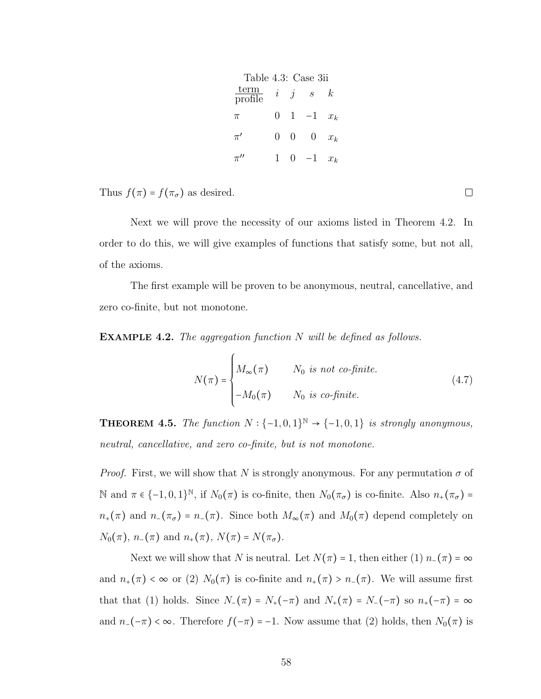| Table 4.3: Case 3ii                               |              |                 |                        |          |  |  |  |
|---------------------------------------------------|--------------|-----------------|------------------------|----------|--|--|--|
| $\frac{\text{term}}{\text{profile}}$ <i>i j s</i> |              |                 |                        | $\kappa$ |  |  |  |
| $\pi$                                             | $\Omega$     |                 | $1 \quad -1 \quad x_k$ |          |  |  |  |
| $\pi'$                                            | $\Omega$     | $\vert 0 \vert$ | $\vert 0 \vert$        | $x_k$    |  |  |  |
| $\pi$ <sup><math>\prime\prime</math></sup>        | $\mathbf{1}$ |                 | 0 $-1$ $x_k$           |          |  |  |  |

Thus  $f(\pi) = f(\pi_{\sigma})$  as desired.

Next we will prove the necessity of our axioms listed in Theorem 4.2. In order to do this, we will give examples of functions that satisfy some, but not all, of the axioms.

The first example will be proven to be anonymous, neutral, cancellative, and zero co-finite, but not monotone.

**EXAMPLE 4.2.** The aggregation function  $N$  will be defined as follows.

$$
N(\pi) = \begin{cases} M_{\infty}(\pi) & N_0 \text{ is not co-finite.} \\ -M_0(\pi) & N_0 \text{ is co-finite.} \end{cases}
$$
 (4.7)

 $\Box$ 

**THEOREM 4.5.** The function  $N: \{-1,0,1\}^{\mathbb{N}} \to \{-1,0,1\}$  is strongly anonymous, neutral, cancellative, and zero co-finite, but is not monotone.

*Proof.* First, we will show that N is strongly anonymous. For any permutation  $\sigma$  of N and  $\pi \in \{-1,0,1\}^{\mathbb{N}},$  if  $N_0(\pi)$  is co-finite, then  $N_0(\pi_{\sigma})$  is co-finite. Also  $n_+(\pi_{\sigma})$  =  $n_+(\pi)$  and  $n_-(\pi_{\sigma}) = n_-(\pi)$ . Since both  $M_{\infty}(\pi)$  and  $M_0(\pi)$  depend completely on  $N_0(\pi)$ ,  $n_-(\pi)$  and  $n_+(\pi)$ ,  $N(\pi) = N(\pi_{\sigma})$ .

Next we will show that N is neutral. Let  $N(\pi) = 1$ , then either  $(1) n_-(\pi) = \infty$ and  $n_+(\pi) < \infty$  or (2)  $N_0(\pi)$  is co-finite and  $n_+(\pi) > n_-(\pi)$ . We will assume first that that (1) holds. Since  $N_{-}(\pi) = N_{+}(-\pi)$  and  $N_{+}(\pi) = N_{-}(-\pi)$  so  $n_{+}(-\pi) = \infty$ and  $n_{-}(-\pi) < \infty$ . Therefore  $f(-\pi) = -1$ . Now assume that (2) holds, then  $N_0(\pi)$  is

58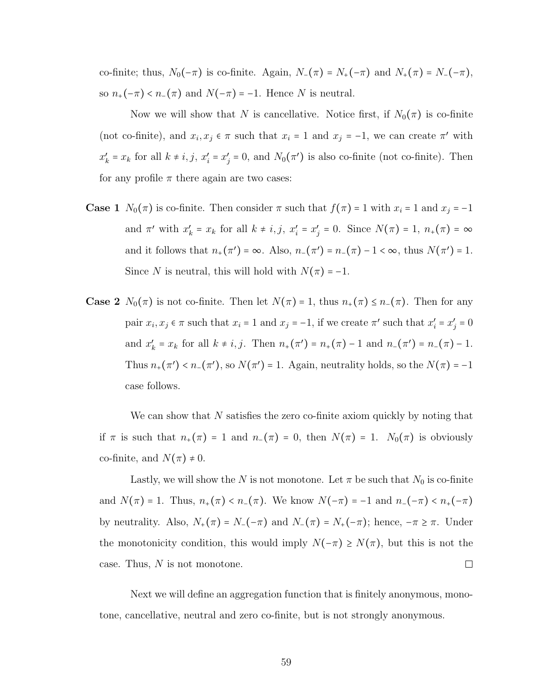co-finite; thus,  $N_0(-\pi)$  is co-finite. Again,  $N_-(\pi) = N_+(-\pi)$  and  $N_+(\pi) = N_-(-\pi)$ , so  $n_{+}(-\pi) < n_{-}(\pi)$  and  $N(-\pi) = -1$ . Hence N is neutral.

Now we will show that N is cancellative. Notice first, if  $N_0(\pi)$  is co-finite (not co-finite), and  $x_i, x_j \in \pi$  such that  $x_i = 1$  and  $x_j = -1$ , we can create  $\pi'$  with  $x'_k = x_k$  for all  $k \neq i, j, x'_i = x'_j = 0$ , and  $N_0(\pi')$  is also co-finite (not co-finite). Then for any profile  $\pi$  there again are two cases:

- **Case 1**  $N_0(\pi)$  is co-finite. Then consider  $\pi$  such that  $f(\pi) = 1$  with  $x_i = 1$  and  $x_j = -1$ and  $\pi'$  with  $x'_k = x_k$  for all  $k \neq i, j$ ,  $x'_i = x'_j = 0$ . Since  $N(\pi) = 1$ ,  $n_+(\pi) = \infty$ and it follows that  $n_+(\pi') = \infty$ . Also,  $n_-(\pi') = n_-(\pi) - 1 < \infty$ , thus  $N(\pi') = 1$ . Since N is neutral, this will hold with  $N(\pi) = -1$ .
- **Case 2**  $N_0(\pi)$  is not co-finite. Then let  $N(\pi) = 1$ , thus  $n_+(\pi) \leq n_-(\pi)$ . Then for any pair  $x_i, x_j \in \pi$  such that  $x_i = 1$  and  $x_j = -1$ , if we create  $\pi'$  such that  $x'_i = x'_j = 0$ and  $x'_k = x_k$  for all  $k \neq i, j$ . Then  $n_+(\pi') = n_+(\pi) - 1$  and  $n_-(\pi') = n_-(\pi) - 1$ . Thus  $n_+(\pi') < n_-(\pi')$ , so  $N(\pi') = 1$ . Again, neutrality holds, so the  $N(\pi) = -1$ case follows.

We can show that  $N$  satisfies the zero co-finite axiom quickly by noting that if  $\pi$  is such that  $n_+(\pi) = 1$  and  $n_-(\pi) = 0$ , then  $N(\pi) = 1$ .  $N_0(\pi)$  is obviously co-finite, and  $N(\pi) \neq 0$ .

Lastly, we will show the N is not monotone. Let  $\pi$  be such that  $N_0$  is co-finite and  $N(\pi) = 1$ . Thus,  $n_+(\pi) < n_-(\pi)$ . We know  $N(-\pi) = -1$  and  $n_-(-\pi) < n_+(-\pi)$ by neutrality. Also,  $N_+(\pi) = N_-(\pi)$  and  $N_-(\pi) = N_+(-\pi)$ ; hence,  $-\pi \ge \pi$ . Under the monotonicity condition, this would imply  $N(-\pi) \geq N(\pi)$ , but this is not the case. Thus, N is not monotone.  $\Box$ 

Next we will define an aggregation function that is finitely anonymous, monotone, cancellative, neutral and zero co-finite, but is not strongly anonymous.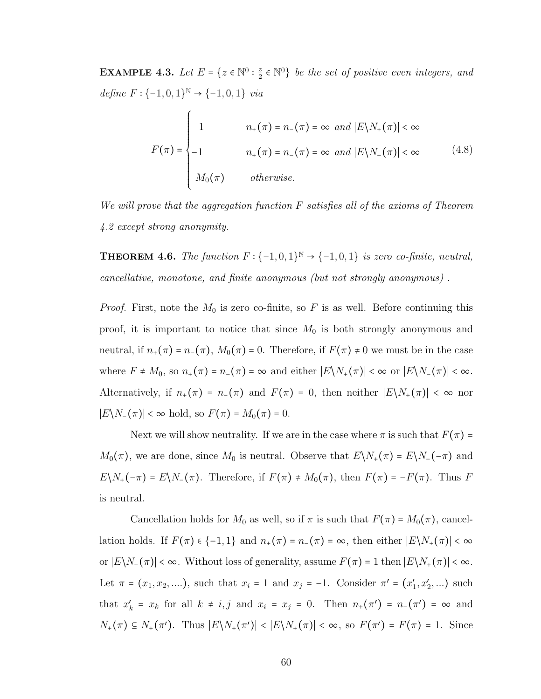**EXAMPLE 4.3.** Let  $E = \{z \in \mathbb{N}^0 : \frac{z}{2} \}$  $\frac{z}{2} \in \mathbb{N}^0$  be the set of positive even integers, and define  $F: \{-1, 0, 1\}^{\mathbb{N}} \to \{-1, 0, 1\}$  via

$$
F(\pi) = \begin{cases} 1 & n_+(\pi) = n_-(\pi) = \infty \text{ and } |E\backslash N_+(\pi)| < \infty \\ -1 & n_+(\pi) = n_-(\pi) = \infty \text{ and } |E\backslash N_-(\pi)| < \infty \\ M_0(\pi) & otherwise. \end{cases}
$$
(4.8)

We will prove that the aggregation function F satisfies all of the axioms of Theorem 4.2 except strong anonymity.

**THEOREM 4.6.** The function  $F: \{-1,0,1\}^{\mathbb{N}} \to \{-1,0,1\}$  is zero co-finite, neutral, cancellative, monotone, and finite anonymous (but not strongly anonymous) .

*Proof.* First, note the  $M_0$  is zero co-finite, so F is as well. Before continuing this proof, it is important to notice that since  $M_0$  is both strongly anonymous and neutral, if  $n_+(\pi) = n_-(\pi)$ ,  $M_0(\pi) = 0$ . Therefore, if  $F(\pi) \neq 0$  we must be in the case where  $F \neq M_0$ , so  $n_+(\pi) = n_-(\pi) = \infty$  and either  $|E\setminus N_+(\pi)| < \infty$  or  $|E\setminus N_-(\pi)| < \infty$ . Alternatively, if  $n_+(\pi) = n_-(\pi)$  and  $F(\pi) = 0$ , then neither  $|E\setminus N_+(\pi)| < \infty$  nor  $|E\backslash N_-(\pi)| < \infty$  hold, so  $F(\pi) = M_0(\pi) = 0$ .

Next we will show neutrality. If we are in the case where  $\pi$  is such that  $F(\pi)$  =  $M_0(\pi)$ , we are done, since  $M_0$  is neutral. Observe that  $E\setminus N_+(\pi) = E\setminus N_-(-\pi)$  and  $E\setminus N_+(-\pi) = E\setminus N_-(\pi)$ . Therefore, if  $F(\pi) \neq M_0(\pi)$ , then  $F(\pi) = -F(\pi)$ . Thus F is neutral.

Cancellation holds for  $M_0$  as well, so if  $\pi$  is such that  $F(\pi) = M_0(\pi)$ , cancellation holds. If  $F(\pi) \in \{-1, 1\}$  and  $n_+(\pi) = n_-(\pi) = \infty$ , then either  $|E\setminus N_+(\pi)| < \infty$ or  $|E\setminus N_-(\pi)| < \infty$ . Without loss of generality, assume  $F(\pi) = 1$  then  $|E\setminus N_+(\pi)| < \infty$ . Let  $\pi = (x_1, x_2, ....)$ , such that  $x_i = 1$  and  $x_j = -1$ . Consider  $\pi' = (x'_1, x'_2, ...)$  such that  $x'_k = x_k$  for all  $k \neq i, j$  and  $x_i = x_j = 0$ . Then  $n_+(\pi') = n_-(\pi') = \infty$  and  $N_+(\pi) \subseteq N_+(\pi')$ . Thus  $|E\setminus N_+(\pi')| < |E\setminus N_+(\pi)| < \infty$ , so  $F(\pi') = F(\pi) = 1$ . Since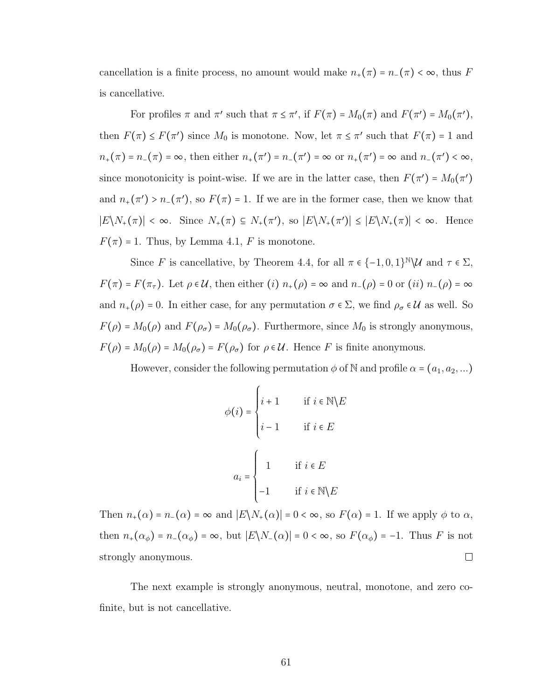cancellation is a finite process, no amount would make  $n_+(\pi) = n_-(\pi) < \infty$ , thus F is cancellative.

For profiles  $\pi$  and  $\pi'$  such that  $\pi \leq \pi'$ , if  $F(\pi) = M_0(\pi)$  and  $F(\pi') = M_0(\pi')$ , then  $F(\pi) \leq F(\pi')$  since  $M_0$  is monotone. Now, let  $\pi \leq \pi'$  such that  $F(\pi) = 1$  and  $n_+(\pi) = n_-(\pi) = \infty$ , then either  $n_+(\pi') = n_-(\pi') = \infty$  or  $n_+(\pi') = \infty$  and  $n_-(\pi') < \infty$ , since monotonicity is point-wise. If we are in the latter case, then  $F(\pi') = M_0(\pi')$ and  $n_+(\pi') > n_-(\pi')$ , so  $F(\pi) = 1$ . If we are in the former case, then we know that  $|E\setminus N_+(\pi)| < \infty$ . Since  $N_+(\pi) \subseteq N_+(\pi')$ , so  $|E\setminus N_+(\pi')| \leq |E\setminus N_+(\pi)| < \infty$ . Hence  $F(\pi) = 1$ . Thus, by Lemma 4.1, F is monotone.

Since F is cancellative, by Theorem 4.4, for all  $\pi \in \{-1,0,1\}^{\mathbb{N}}\setminus\mathcal{U}$  and  $\tau \in \Sigma$ ,  $F(\pi) = F(\pi_{\tau})$ . Let  $\rho \in \mathcal{U}$ , then either  $(i) n_{+}(\rho) = \infty$  and  $n_{-}(\rho) = 0$  or  $(ii) n_{-}(\rho) = \infty$ and  $n_+(\rho) = 0$ . In either case, for any permutation  $\sigma \in \Sigma$ , we find  $\rho_\sigma \in \mathcal{U}$  as well. So  $F(\rho) = M_0(\rho)$  and  $F(\rho_{\sigma}) = M_0(\rho_{\sigma})$ . Furthermore, since  $M_0$  is strongly anonymous,  $F(\rho) = M_0(\rho) = M_0(\rho_\sigma) = F(\rho_\sigma)$  for  $\rho \in \mathcal{U}$ . Hence F is finite anonymous.

However, consider the following permutation  $\phi$  of N and profile  $\alpha = (a_1, a_2, ...)$ 

$$
\phi(i) = \begin{cases} i+1 & \text{if } i \in \mathbb{N} \setminus E \\ i-1 & \text{if } i \in E \end{cases}
$$
  

$$
a_i = \begin{cases} 1 & \text{if } i \in E \\ -1 & \text{if } i \in \mathbb{N} \setminus E \end{cases}
$$

Then  $n_+(\alpha) = n_-(\alpha) = \infty$  and  $|E\setminus N_+(\alpha)| = 0 < \infty$ , so  $F(\alpha) = 1$ . If we apply  $\phi$  to  $\alpha$ , then  $n_+(\alpha_\phi) = n_-(\alpha_\phi) = \infty$ , but  $|E\setminus N_-(\alpha)| = 0 < \infty$ , so  $F(\alpha_\phi) = -1$ . Thus F is not strongly anonymous.  $\Box$ 

The next example is strongly anonymous, neutral, monotone, and zero cofinite, but is not cancellative.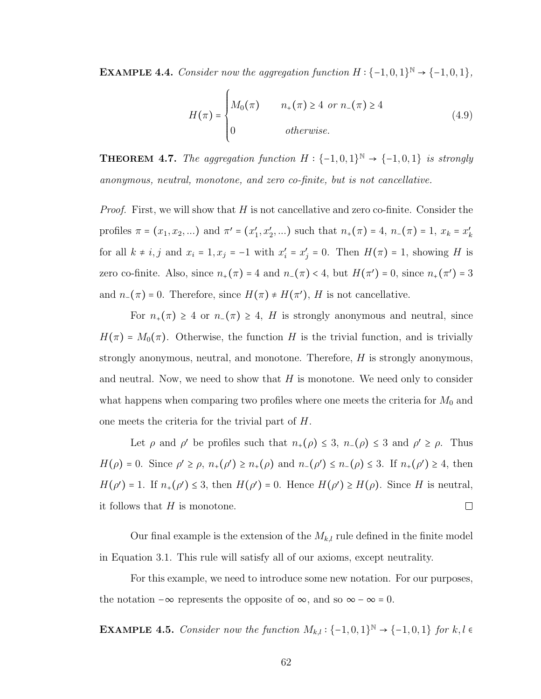**EXAMPLE 4.4.** Consider now the aggregation function  $H: \{-1,0,1\}^{\mathbb{N}} \to \{-1,0,1\}$ ,

$$
H(\pi) = \begin{cases} M_0(\pi) & n_+(\pi) \ge 4 \text{ or } n_-(\pi) \ge 4 \\ 0 & \text{otherwise.} \end{cases}
$$
 (4.9)

**THEOREM 4.7.** The aggregation function  $H: \{-1,0,1\}^{\mathbb{N}} \rightarrow \{-1,0,1\}$  is strongly anonymous, neutral, monotone, and zero co-finite, but is not cancellative.

*Proof.* First, we will show that  $H$  is not cancellative and zero co-finite. Consider the profiles  $\pi = (x_1, x_2, ...)$  and  $\pi' = (x'_1, x'_2, ...)$  such that  $n_+(\pi) = 4$ ,  $n_-(\pi) = 1$ ,  $x_k = x'_k$ for all  $k \neq i, j$  and  $x_i = 1, x_j = -1$  with  $x'_i = x'_j = 0$ . Then  $H(\pi) = 1$ , showing H is zero co-finite. Also, since  $n_+(\pi) = 4$  and  $n_-(\pi) < 4$ , but  $H(\pi') = 0$ , since  $n_+(\pi') = 3$ and  $n_{-}(\pi) = 0$ . Therefore, since  $H(\pi) \neq H(\pi')$ , H is not cancellative.

For  $n_+(\pi) \geq 4$  or  $n_-(\pi) \geq 4$ , H is strongly anonymous and neutral, since  $H(\pi) = M_0(\pi)$ . Otherwise, the function H is the trivial function, and is trivially strongly anonymous, neutral, and monotone. Therefore, H is strongly anonymous, and neutral. Now, we need to show that  $H$  is monotone. We need only to consider what happens when comparing two profiles where one meets the criteria for  $M_0$  and one meets the criteria for the trivial part of H.

Let  $\rho$  and  $\rho'$  be profiles such that  $n_+(\rho) \leq 3$ ,  $n_-(\rho) \leq 3$  and  $\rho' \geq \rho$ . Thus  $H(\rho) = 0$ . Since  $\rho' \ge \rho$ ,  $n_+(\rho') \ge n_+(\rho)$  and  $n_-(\rho') \le n_-(\rho) \le 3$ . If  $n_+(\rho') \ge 4$ , then  $H(\rho') = 1$ . If  $n_+(\rho') \leq 3$ , then  $H(\rho') = 0$ . Hence  $H(\rho') \geq H(\rho)$ . Since H is neutral,  $\Box$ it follows that  $H$  is monotone.

Our final example is the extension of the  $M_{k,l}$  rule defined in the finite model in Equation 3.1. This rule will satisfy all of our axioms, except neutrality.

For this example, we need to introduce some new notation. For our purposes, the notation  $-\infty$  represents the opposite of  $\infty$ , and so  $\infty - \infty = 0$ .

**EXAMPLE 4.5.** Consider now the function  $M_{k,l}$ : {-1,0,1}<sup>N</sup> → {-1,0,1} for k,l  $\in$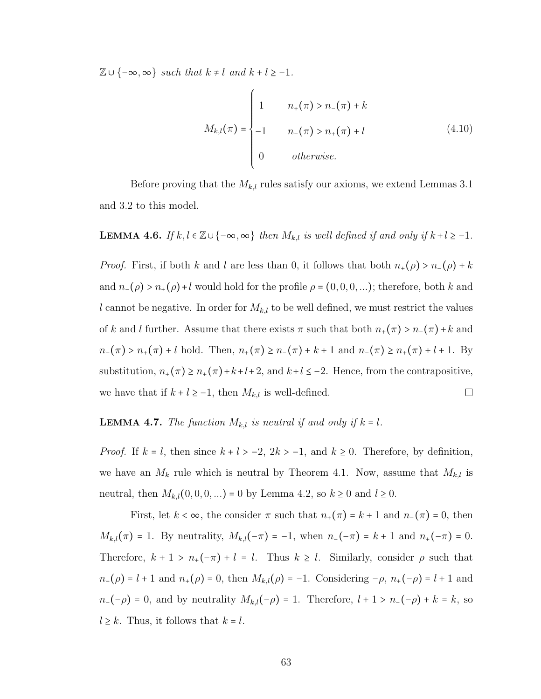$\mathbb{Z} \cup \{-\infty, \infty\}$  such that  $k \neq l$  and  $k + l \geq -1$ .

$$
M_{k,l}(\pi) = \begin{cases} 1 & n_+(\pi) > n_-(\pi) + k \\ -1 & n_-(\pi) > n_+(\pi) + l \\ 0 & otherwise. \end{cases}
$$
(4.10)

Before proving that the  $M_{k,l}$  rules satisfy our axioms, we extend Lemmas 3.1 and 3.2 to this model.

**LEMMA 4.6.** If  $k, l \in \mathbb{Z} \cup \{-\infty, \infty\}$  then  $M_{k,l}$  is well defined if and only if  $k+l \geq -1$ .

*Proof.* First, if both k and l are less than 0, it follows that both  $n_+(\rho) > n_-(\rho) + k$ and  $n_{-}(\rho) > n_{+}(\rho) + l$  would hold for the profile  $\rho = (0, 0, 0, ...)$ ; therefore, both k and l cannot be negative. In order for  $M_{k,l}$  to be well defined, we must restrict the values of k and l further. Assume that there exists  $\pi$  such that both  $n_+(\pi) > n_-(\pi) + k$  and  $n_{-}(\pi) > n_{+}(\pi) + l$  hold. Then,  $n_{+}(\pi) \ge n_{-}(\pi) + k + 1$  and  $n_{-}(\pi) \ge n_{+}(\pi) + l + 1$ . By substitution,  $n_+(\pi) \ge n_+(\pi) + k + l + 2$ , and  $k+l \le -2$ . Hence, from the contrapositive, we have that if  $k + l \geq -1$ , then  $M_{k,l}$  is well-defined.  $\Box$ 

# **LEMMA 4.7.** The function  $M_{k,l}$  is neutral if and only if  $k = l$ .

*Proof.* If  $k = l$ , then since  $k + l > -2$ ,  $2k > -1$ , and  $k \ge 0$ . Therefore, by definition, we have an  $M_k$  rule which is neutral by Theorem 4.1. Now, assume that  $M_{k,l}$  is neutral, then  $M_{k,l}(0,0,0,...) = 0$  by Lemma 4.2, so  $k \ge 0$  and  $l \ge 0$ .

First, let  $k < \infty$ , the consider  $\pi$  such that  $n_+(\pi) = k + 1$  and  $n_-(\pi) = 0$ , then  $M_{k,l}(\pi) = 1$ . By neutrality,  $M_{k,l}(-\pi) = -1$ , when  $n_{-}(-\pi) = k + 1$  and  $n_{+}(-\pi) = 0$ . Therefore,  $k + 1 > n<sub>+</sub>(-\pi) + l = l$ . Thus  $k \geq l$ . Similarly, consider  $\rho$  such that  $n_{-}(\rho) = l + 1$  and  $n_{+}(\rho) = 0$ , then  $M_{k,l}(\rho) = -1$ . Considering  $-\rho$ ,  $n_{+}(-\rho) = l + 1$  and  $n_{-}(-\rho) = 0$ , and by neutrality  $M_{k,l}(-\rho) = 1$ . Therefore,  $l + 1 > n_{-}(-\rho) + k = k$ , so  $l \geq k$ . Thus, it follows that  $k = l$ .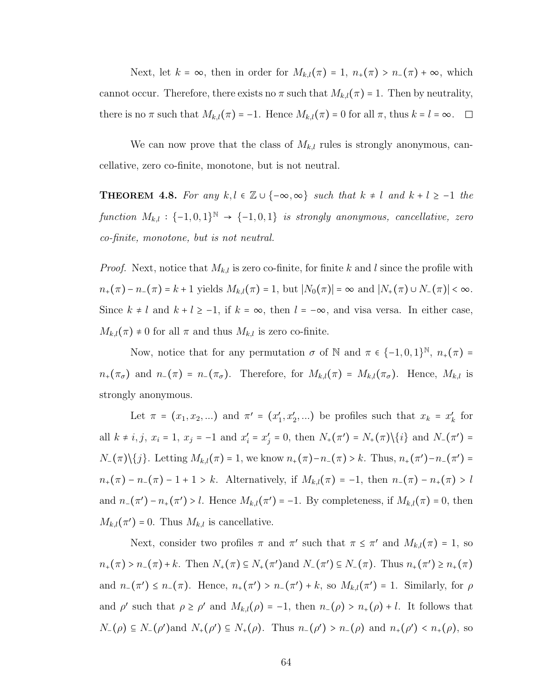Next, let  $k = \infty$ , then in order for  $M_{k,l}(\pi) = 1$ ,  $n_+(\pi) > n_-(\pi) + \infty$ , which cannot occur. Therefore, there exists no  $\pi$  such that  $M_{k,l}(\pi) = 1$ . Then by neutrality, there is no  $\pi$  such that  $M_{k,l}(\pi) = -1$ . Hence  $M_{k,l}(\pi) = 0$  for all  $\pi$ , thus  $k = l = \infty$ .  $\Box$ 

We can now prove that the class of  $M_{k,l}$  rules is strongly anonymous, cancellative, zero co-finite, monotone, but is not neutral.

**THEOREM 4.8.** For any  $k, l \in \mathbb{Z} \cup \{-\infty, \infty\}$  such that  $k \neq l$  and  $k + l \geq -1$  the function  $M_{k,l} : \{-1,0,1\}^{\mathbb{N}} \to \{-1,0,1\}$  is strongly anonymous, cancellative, zero co-finite, monotone, but is not neutral.

*Proof.* Next, notice that  $M_{k,l}$  is zero co-finite, for finite k and l since the profile with  $n_+(\pi) - n_-(\pi) = k + 1$  yields  $M_{k,l}(\pi) = 1$ , but  $|N_0(\pi)| = \infty$  and  $|N_+(\pi) \cup N_-(\pi)| < \infty$ . Since  $k \neq l$  and  $k + l \geq -1$ , if  $k = \infty$ , then  $l = -\infty$ , and visa versa. In either case,  $M_{k,l}(\pi) \neq 0$  for all  $\pi$  and thus  $M_{k,l}$  is zero co-finite.

Now, notice that for any permutation  $\sigma$  of N and  $\pi \in \{-1,0,1\}^{\mathbb{N}}, n_{+}(\pi) =$  $n_+(\pi_{\sigma})$  and  $n_-(\pi) = n_-(\pi_{\sigma})$ . Therefore, for  $M_{k,l}(\pi) = M_{k,l}(\pi_{\sigma})$ . Hence,  $M_{k,l}$  is strongly anonymous.

Let  $\pi = (x_1, x_2, \dots)$  and  $\pi' = (x'_1, x'_2, \dots)$  be profiles such that  $x_k = x'_k$  for all  $k \neq i, j, x_i = 1, x_j = -1$  and  $x'_i = x'_j = 0$ , then  $N_+(\pi') = N_+(\pi) \setminus \{i\}$  and  $N_-(\pi') =$  $N_{-}(\pi)\setminus\{j\}$ . Letting  $M_{k,l}(\pi) = 1$ , we know  $n_{+}(\pi) - n_{-}(\pi) > k$ . Thus,  $n_{+}(\pi') - n_{-}(\pi') =$  $n_{+}(\pi) - n_{-}(\pi) - 1 + 1 > k$ . Alternatively, if  $M_{k,l}(\pi) = -1$ , then  $n_{-}(\pi) - n_{+}(\pi) > l$ and  $n_-(\pi') - n_+(\pi') > l$ . Hence  $M_{k,l}(\pi') = -1$ . By completeness, if  $M_{k,l}(\pi) = 0$ , then  $M_{k,l}(\pi') = 0$ . Thus  $M_{k,l}$  is cancellative.

Next, consider two profiles  $\pi$  and  $\pi'$  such that  $\pi \leq \pi'$  and  $M_{k,l}(\pi) = 1$ , so  $n_+(\pi) > n_-(\pi) + k$ . Then  $N_+(\pi) \subseteq N_+(\pi')$  and  $N_-(\pi') \subseteq N_-(\pi)$ . Thus  $n_+(\pi') \ge n_+(\pi)$ and  $n_-(\pi') \leq n_-(\pi)$ . Hence,  $n_+(\pi') > n_-(\pi') + k$ , so  $M_{k,l}(\pi') = 1$ . Similarly, for  $\rho$ and  $\rho'$  such that  $\rho \ge \rho'$  and  $M_{k,l}(\rho) = -1$ , then  $n_{-}(\rho) > n_{+}(\rho) + l$ . It follows that  $N_{-}(\rho) \subseteq N_{-}(\rho')$  and  $N_{+}(\rho') \subseteq N_{+}(\rho)$ . Thus  $n_{-}(\rho') > n_{-}(\rho)$  and  $n_{+}(\rho') < n_{+}(\rho)$ , so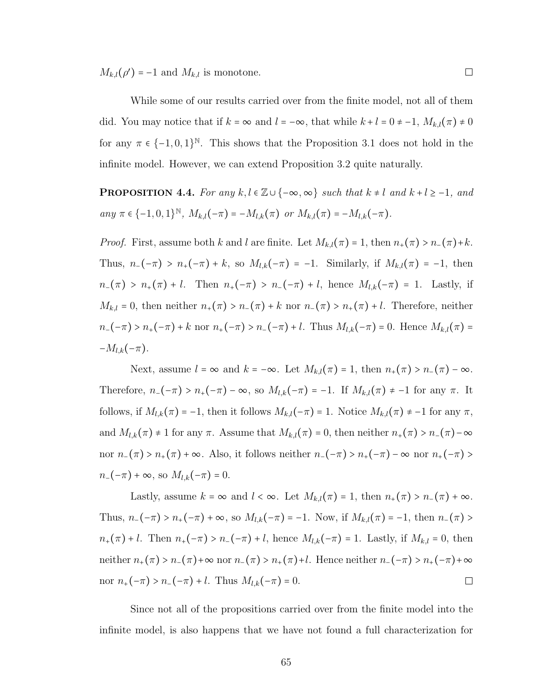$M_{k,l}(\rho') = -1$  and  $M_{k,l}$  is monotone.

While some of our results carried over from the finite model, not all of them did. You may notice that if  $k = \infty$  and  $l = -\infty$ , that while  $k + l = 0 \neq -1$ ,  $M_{k,l}(\pi) \neq 0$ for any  $\pi \in \{-1,0,1\}^{\mathbb{N}}$ . This shows that the Proposition 3.1 does not hold in the infinite model. However, we can extend Proposition 3.2 quite naturally.

**PROPOSITION 4.4.** For any  $k, l \in \mathbb{Z} \cup \{-\infty, \infty\}$  such that  $k \neq l$  and  $k + l \geq -1$ , and any  $\pi \in \{-1, 0, 1\}^{\mathbb{N}}, M_{k,l}(-\pi) = -M_{l,k}(\pi)$  or  $M_{k,l}(\pi) = -M_{l,k}(-\pi)$ .

*Proof.* First, assume both k and l are finite. Let  $M_{k,l}(\pi) = 1$ , then  $n_+(\pi) > n_-(\pi) + k$ . Thus,  $n_{-}(-\pi) > n_{+}(-\pi) + k$ , so  $M_{l,k}(-\pi) = -1$ . Similarly, if  $M_{k,l}(\pi) = -1$ , then  $n_{-}(\pi) > n_{+}(\pi) + l$ . Then  $n_{+}(-\pi) > n_{-}(-\pi) + l$ , hence  $M_{l,k}(-\pi) = 1$ . Lastly, if  $M_{k,l} = 0$ , then neither  $n_+(\pi) > n_-(\pi) + k$  nor  $n_-(\pi) > n_+(\pi) + l$ . Therefore, neither  $n_{-}(-\pi) > n_{+}(-\pi) + k$  nor  $n_{+}(-\pi) > n_{-}(-\pi) + l$ . Thus  $M_{l,k}(-\pi) = 0$ . Hence  $M_{k,l}(\pi) =$  $-M_{l,k}(-\pi).$ 

Next, assume  $l = \infty$  and  $k = -\infty$ . Let  $M_{k,l}(\pi) = 1$ , then  $n_+(\pi) > n_-(\pi) - \infty$ . Therefore,  $n_{-}(-\pi) > n_{+}(-\pi) - \infty$ , so  $M_{l,k}(-\pi) = -1$ . If  $M_{k,l}(\pi) \neq -1$  for any  $\pi$ . It follows, if  $M_{l,k}(\pi) = -1$ , then it follows  $M_{k,l}(-\pi) = 1$ . Notice  $M_{k,l}(\pi) \neq -1$  for any  $\pi$ , and  $M_{l,k}(\pi) \neq 1$  for any  $\pi$ . Assume that  $M_{k,l}(\pi) = 0$ , then neither  $n_+(\pi) > n_-(\pi) - \infty$ nor  $n_{-}(\pi) > n_{+}(\pi) + \infty$ . Also, it follows neither  $n_{-}(-\pi) > n_{+}(-\pi) - \infty$  nor  $n_{+}(-\pi) >$  $n_-(-\pi) + \infty$ , so  $M_{l,k}(-\pi) = 0$ .

Lastly, assume  $k = \infty$  and  $l < \infty$ . Let  $M_{k,l}(\pi) = 1$ , then  $n_+(\pi) > n_-(\pi) + \infty$ . Thus,  $n_{-}(-\pi) > n_{+}(-\pi) + \infty$ , so  $M_{l,k}(-\pi) = -1$ . Now, if  $M_{k,l}(\pi) = -1$ , then  $n_{-}(\pi) >$  $n_{+}(\pi) + l$ . Then  $n_{+}(-\pi) > n_{-}(-\pi) + l$ , hence  $M_{l,k}(-\pi) = 1$ . Lastly, if  $M_{k,l} = 0$ , then neither  $n_+(\pi) > n_-(\pi) + \infty$  nor  $n_-(\pi) > n_+(\pi) + l$ . Hence neither  $n_-(-\pi) > n_+(-\pi) + \infty$ nor  $n_+(-\pi) > n_-(-\pi) + l$ . Thus  $M_{l,k}(-\pi) = 0$ .  $\Box$ 

Since not all of the propositions carried over from the finite model into the infinite model, is also happens that we have not found a full characterization for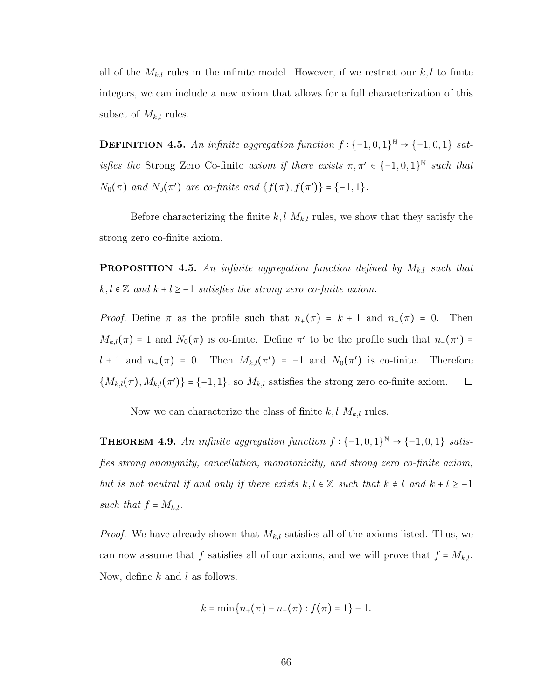all of the  $M_{k,l}$  rules in the infinite model. However, if we restrict our  $k,l$  to finite integers, we can include a new axiom that allows for a full characterization of this subset of  $M_{k,l}$  rules.

**DEFINITION 4.5.** An infinite aggregation function  $f: \{-1,0,1\}^{\mathbb{N}} \to \{-1,0,1\}$  satisfies the Strong Zero Co-finite axiom if there exists  $\pi, \pi' \in \{-1, 0, 1\}^{\mathbb{N}}$  such that  $N_0(\pi)$  and  $N_0(\pi')$  are co-finite and  $\{f(\pi), f(\pi')\} = \{-1, 1\}.$ 

Before characterizing the finite  $k, l, M_{k,l}$  rules, we show that they satisfy the strong zero co-finite axiom.

**PROPOSITION 4.5.** An infinite aggregation function defined by  $M_{k,l}$  such that  $k, l \in \mathbb{Z}$  and  $k + l \geq -1$  satisfies the strong zero co-finite axiom.

*Proof.* Define  $\pi$  as the profile such that  $n_+(\pi) = k + 1$  and  $n_-(\pi) = 0$ . Then  $M_{k,l}(\pi) = 1$  and  $N_0(\pi)$  is co-finite. Define  $\pi'$  to be the profile such that  $n_-(\pi') =$  $l + 1$  and  $n_+(\pi) = 0$ . Then  $M_{k,l}(\pi') = -1$  and  $N_0(\pi')$  is co-finite. Therefore  ${M_{k,l}(\pi), M_{k,l}(\pi')} = {-1,1}$ , so  $M_{k,l}$  satisfies the strong zero co-finite axiom.  $\Box$ 

Now we can characterize the class of finite  $k, l, M_{k,l}$  rules.

**THEOREM 4.9.** An infinite aggregation function  $f: \{-1,0,1\}^{\mathbb{N}} \rightarrow \{-1,0,1\}$  satisfies strong anonymity, cancellation, monotonicity, and strong zero co-finite axiom, but is not neutral if and only if there exists  $k, l \in \mathbb{Z}$  such that  $k \neq l$  and  $k + l \geq -1$ such that  $f = M_{k,l}$ .

*Proof.* We have already shown that  $M_{k,l}$  satisfies all of the axioms listed. Thus, we can now assume that f satisfies all of our axioms, and we will prove that  $f = M_{k,l}$ . Now, define  $k$  and  $l$  as follows.

$$
k = \min\{n_+(\pi) - n_-(\pi) : f(\pi) = 1\} - 1.
$$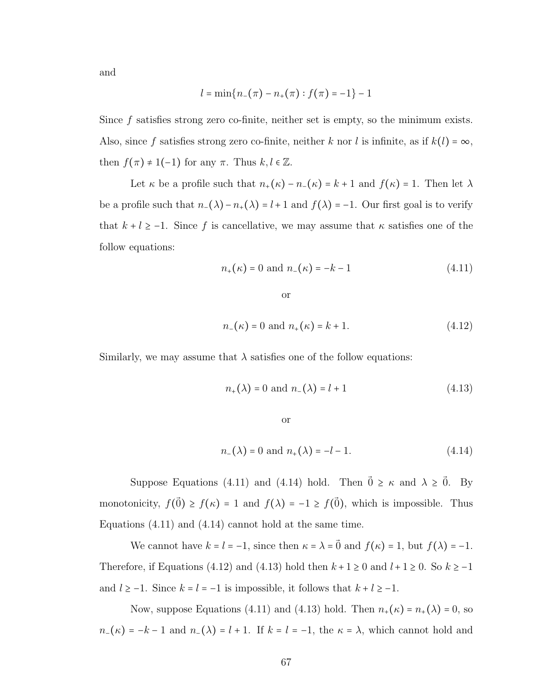and

$$
l = \min\{n_-(\pi) - n_+(\pi) : f(\pi) = -1\} - 1
$$

Since  $f$  satisfies strong zero co-finite, neither set is empty, so the minimum exists. Also, since f satisfies strong zero co-finite, neither k nor l is infinite, as if  $k(l) = \infty$ , then  $f(\pi) \neq 1(-1)$  for any  $\pi$ . Thus  $k, l \in \mathbb{Z}$ .

Let  $\kappa$  be a profile such that  $n_+(\kappa) - n_-(\kappa) = k + 1$  and  $f(\kappa) = 1$ . Then let  $\lambda$ be a profile such that  $n_{-}(\lambda)-n_{+}(\lambda) = l+1$  and  $f(\lambda) = -1$ . Our first goal is to verify that  $k + l \ge -1$ . Since f is cancellative, we may assume that  $\kappa$  satisfies one of the follow equations:

or

$$
n_{+}(\kappa) = 0 \text{ and } n_{-}(\kappa) = -k - 1 \tag{4.11}
$$

$$
n_{-}(\kappa) = 0 \text{ and } n_{+}(\kappa) = k + 1. \tag{4.12}
$$

Similarly, we may assume that  $\lambda$  satisfies one of the follow equations:

$$
n_{+}(\lambda) = 0 \text{ and } n_{-}(\lambda) = l + 1 \tag{4.13}
$$

or

$$
n_{-}(\lambda) = 0 \text{ and } n_{+}(\lambda) = -l - 1. \tag{4.14}
$$

Suppose Equations (4.11) and (4.14) hold. Then  $\vec{0} \ge \kappa$  and  $\lambda \ge \vec{0}$ . By monotonicity,  $f(\vec{0}) \ge f(\kappa) = 1$  and  $f(\lambda) = -1 \ge f(\vec{0})$ , which is impossible. Thus Equations (4.11) and (4.14) cannot hold at the same time.

We cannot have  $k = l = -1$ , since then  $\kappa = \lambda = \vec{0}$  and  $f(\kappa) = 1$ , but  $f(\lambda) = -1$ . Therefore, if Equations (4.12) and (4.13) hold then  $k + 1 \ge 0$  and  $l + 1 \ge 0$ . So  $k \ge -1$ and  $l \ge -1$ . Since  $k = l = -1$  is impossible, it follows that  $k + l \ge -1$ .

Now, suppose Equations (4.11) and (4.13) hold. Then  $n_+(\kappa) = n_+(\lambda) = 0$ , so  $n_{-}(\kappa) = -k - 1$  and  $n_{-}(\lambda) = l + 1$ . If  $k = l = -1$ , the  $\kappa = \lambda$ , which cannot hold and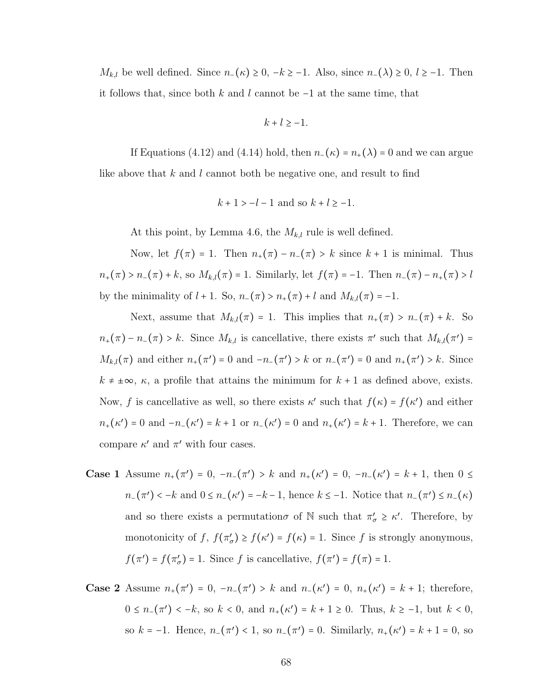$M_{k,l}$  be well defined. Since  $n_-(\kappa) \geq 0, -k \geq -1$ . Also, since  $n_-(\lambda) \geq 0, l \geq -1$ . Then it follows that, since both k and l cannot be −1 at the same time, that

$$
k+l\geq -1.
$$

If Equations (4.12) and (4.14) hold, then  $n_-(\kappa) = n_+(\lambda) = 0$  and we can argue like above that  $k$  and  $l$  cannot both be negative one, and result to find

$$
k+1 > -l-1
$$
 and so  $k+l \ge -1$ .

At this point, by Lemma 4.6, the  $M_{k,l}$  rule is well defined.

Now, let  $f(\pi) = 1$ . Then  $n_+(\pi) - n_-(\pi) > k$  since  $k + 1$  is minimal. Thus  $n_{+}(\pi) > n_{-}(\pi) + k$ , so  $M_{k,l}(\pi) = 1$ . Similarly, let  $f(\pi) = -1$ . Then  $n_{-}(\pi) - n_{+}(\pi) > l$ by the minimality of  $l + 1$ . So,  $n_{-}(\pi) > n_{+}(\pi) + l$  and  $M_{k,l}(\pi) = -1$ .

Next, assume that  $M_{k,l}(\pi) = 1$ . This implies that  $n_+(\pi) > n_-(\pi) + k$ . So  $n_+(\pi) - n_-(\pi) > k$ . Since  $M_{k,l}$  is cancellative, there exists  $\pi'$  such that  $M_{k,l}(\pi') =$  $M_{k,l}(\pi)$  and either  $n_+(\pi') = 0$  and  $-n_-(\pi') > k$  or  $n_-(\pi') = 0$  and  $n_+(\pi') > k$ . Since  $k \neq \pm \infty$ ,  $\kappa$ , a profile that attains the minimum for  $k + 1$  as defined above, exists. Now, f is cancellative as well, so there exists  $\kappa'$  such that  $f(\kappa) = f(\kappa')$  and either  $n_+(\kappa') = 0$  and  $-n_-(\kappa') = k + 1$  or  $n_-(\kappa') = 0$  and  $n_+(\kappa') = k + 1$ . Therefore, we can compare  $\kappa'$  and  $\pi'$  with four cases.

- **Case 1** Assume  $n_+(\pi') = 0$ ,  $-n_-(\pi') > k$  and  $n_+(\kappa') = 0$ ,  $-n_-(\kappa') = k + 1$ , then  $0 \le$  $n_-(\pi') < -k$  and  $0 \le n_-(\kappa') = -k-1$ , hence  $k \le -1$ . Notice that  $n_-(\pi') \le n_-(\kappa)$ and so there exists a permutation of N such that  $\pi'_{\sigma} \geq \kappa'$ . Therefore, by monotonicity of  $f, f(\pi'_{\sigma}) \ge f(\kappa') = f(\kappa) = 1$ . Since f is strongly anonymous,  $f(\pi') = f(\pi'_{\sigma}) = 1$ . Since f is cancellative,  $f(\pi') = f(\pi) = 1$ .
- **Case 2** Assume  $n_+(\pi') = 0$ ,  $-n_-(\pi') > k$  and  $n_-(\kappa') = 0$ ,  $n_+(\kappa') = k + 1$ ; therefore,  $0 \le n_-(\pi') < -k$ , so  $k < 0$ , and  $n_+(\kappa') = k + 1 \ge 0$ . Thus,  $k \ge -1$ , but  $k < 0$ , so  $k = -1$ . Hence,  $n_-(\pi') < 1$ , so  $n_-(\pi') = 0$ . Similarly,  $n_+(\kappa') = k + 1 = 0$ , so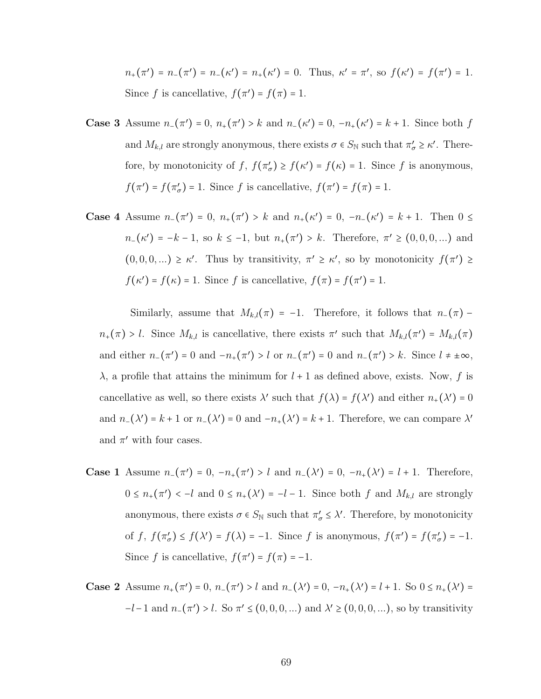$n_+(\pi') = n_-(\pi') = n_-(\kappa') = n_+(\kappa') = 0$ . Thus,  $\kappa' = \pi'$ , so  $f(\kappa') = f(\pi') = 1$ . Since f is cancellative,  $f(\pi') = f(\pi) = 1$ .

- Case 3 Assume  $n_-(\pi') = 0$ ,  $n_+(\pi') > k$  and  $n_-(\kappa') = 0$ ,  $-n_+(\kappa') = k + 1$ . Since both f and  $M_{k,l}$  are strongly anonymous, there exists  $\sigma \in S_{\mathbb{N}}$  such that  $\pi'_{\sigma} \geq \kappa'$ . Therefore, by monotonicity of  $f, f(\pi'_{\sigma}) \ge f(\kappa') = f(\kappa) = 1$ . Since f is anonymous,  $f(\pi') = f(\pi'_{\sigma}) = 1$ . Since f is cancellative,  $f(\pi') = f(\pi) = 1$ .
- Case 4 Assume  $n_-(\pi') = 0$ ,  $n_+(\pi') > k$  and  $n_+(\kappa') = 0$ ,  $-n_-(\kappa') = k + 1$ . Then 0 ≤  $n_-(\kappa') = -k - 1$ , so  $k \le -1$ , but  $n_+(\pi') > k$ . Therefore,  $\pi' \ge (0, 0, 0, ...)$  and  $(0, 0, 0, ...) \geq \kappa'$ . Thus by transitivity,  $\pi' \geq \kappa'$ , so by monotonicity  $f(\pi') \geq$  $f(\kappa') = f(\kappa) = 1$ . Since f is cancellative,  $f(\pi) = f(\pi') = 1$ .

Similarly, assume that  $M_{k,l}(\pi) = -1$ . Therefore, it follows that  $n_{-}(\pi)$  –  $n_+(\pi) > l$ . Since  $M_{k,l}$  is cancellative, there exists  $\pi'$  such that  $M_{k,l}(\pi') = M_{k,l}(\pi)$ and either  $n_-(\pi') = 0$  and  $-n_+(\pi') > l$  or  $n_-(\pi') = 0$  and  $n_-(\pi') > k$ . Since  $l \neq \pm \infty$ ,  $\lambda$ , a profile that attains the minimum for  $l + 1$  as defined above, exists. Now, f is cancellative as well, so there exists  $\lambda'$  such that  $f(\lambda) = f(\lambda')$  and either  $n_+(\lambda') = 0$ and  $n_{-}(\lambda') = k + 1$  or  $n_{-}(\lambda') = 0$  and  $-n_{+}(\lambda') = k + 1$ . Therefore, we can compare  $\lambda'$ and  $\pi'$  with four cases.

- Case 1 Assume  $n_-(\pi') = 0$ ,  $-n_+(\pi') > l$  and  $n_-(\lambda') = 0$ ,  $-n_+(\lambda') = l + 1$ . Therefore,  $0 \leq n_+(\pi') < -l$  and  $0 \leq n_+(\lambda') = -l - 1$ . Since both f and  $M_{k,l}$  are strongly anonymous, there exists  $\sigma \in S_{\mathbb{N}}$  such that  $\pi'_{\sigma} \leq \lambda'$ . Therefore, by monotonicity of  $f, f(\pi'_{\sigma}) \le f(\lambda') = f(\lambda) = -1$ . Since f is anonymous,  $f(\pi') = f(\pi'_{\sigma}) = -1$ . Since f is cancellative,  $f(\pi') = f(\pi) = -1$ .
- **Case 2** Assume  $n_+(\pi') = 0$ ,  $n_-(\pi') > l$  and  $n_-(\lambda') = 0$ ,  $-n_+(\lambda') = l + 1$ . So  $0 \le n_+(\lambda') =$  $-l-1$  and  $n_-(\pi') > l$ . So  $\pi' \leq (0,0,0,...)$  and  $\lambda' \geq (0,0,0,...)$ , so by transitivity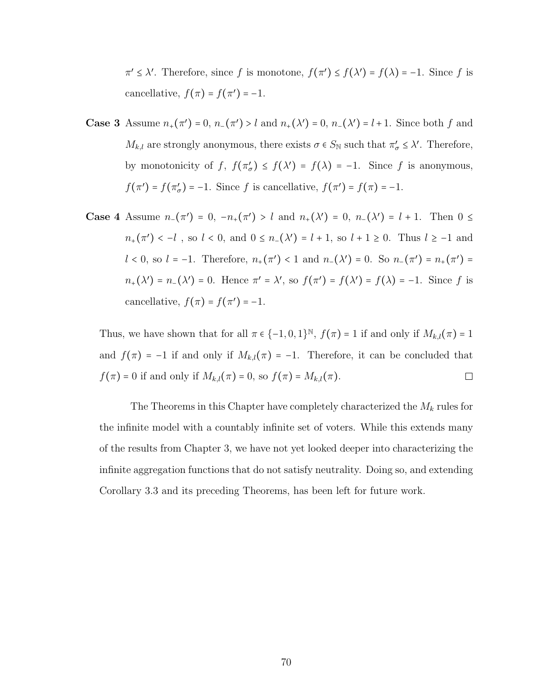$\pi' \leq \lambda'$ . Therefore, since f is monotone,  $f(\pi') \leq f(\lambda') = f(\lambda) = -1$ . Since f is cancellative,  $f(\pi) = f(\pi') = -1$ .

- **Case 3** Assume  $n_+(\pi') = 0$ ,  $n_-(\pi') > l$  and  $n_+(\lambda') = 0$ ,  $n_-(\lambda') = l + 1$ . Since both f and  $M_{k,l}$  are strongly anonymous, there exists  $\sigma \in S_{\mathbb{N}}$  such that  $\pi'_{\sigma} \leq \lambda'$ . Therefore, by monotonicity of  $f, f(\pi_{\sigma}') \leq f(\lambda') = f(\lambda) = -1$ . Since f is anonymous,  $f(\pi') = f(\pi'_{\sigma}) = -1$ . Since f is cancellative,  $f(\pi') = f(\pi) = -1$ .
- Case 4 Assume  $n_-(\pi') = 0$ ,  $-n_+(\pi') > l$  and  $n_+(\lambda') = 0$ ,  $n_-(\lambda') = l + 1$ . Then 0 ≤  $n_+(\pi') < -l$ , so  $l < 0$ , and  $0 \le n_-(\lambda') = l + 1$ , so  $l + 1 \ge 0$ . Thus  $l \ge -1$  and l < 0, so l = -1. Therefore,  $n_+(\pi') < 1$  and  $n_-(\lambda') = 0$ . So  $n_-(\pi') = n_+(\pi') = 0$  $n_+(\lambda') = n_-(\lambda') = 0$ . Hence  $\pi' = \lambda'$ , so  $f(\pi') = f(\lambda') = f(\lambda) = -1$ . Since f is cancellative,  $f(\pi) = f(\pi') = -1$ .

Thus, we have shown that for all  $\pi \in \{-1,0,1\}^{\mathbb{N}}, f(\pi) = 1$  if and only if  $M_{k,l}(\pi) = 1$ and  $f(\pi) = -1$  if and only if  $M_{k,l}(\pi) = -1$ . Therefore, it can be concluded that  $f(\pi) = 0$  if and only if  $M_{k,l}(\pi) = 0$ , so  $f(\pi) = M_{k,l}(\pi)$ .  $\Box$ 

The Theorems in this Chapter have completely characterized the  $M_k$  rules for the infinite model with a countably infinite set of voters. While this extends many of the results from Chapter 3, we have not yet looked deeper into characterizing the infinite aggregation functions that do not satisfy neutrality. Doing so, and extending Corollary 3.3 and its preceding Theorems, has been left for future work.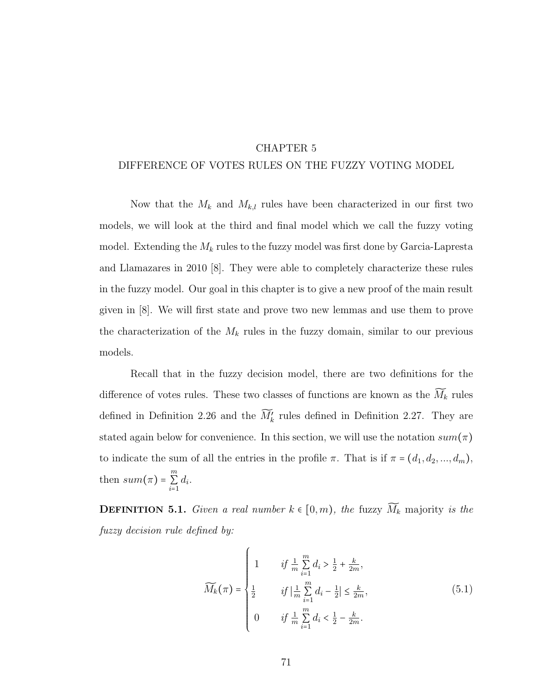#### CHAPTER 5

### DIFFERENCE OF VOTES RULES ON THE FUZZY VOTING MODEL

Now that the  $M_k$  and  $M_{k,l}$  rules have been characterized in our first two models, we will look at the third and final model which we call the fuzzy voting model. Extending the  $M_k$  rules to the fuzzy model was first done by Garcia-Lapresta and Llamazares in 2010 [8]. They were able to completely characterize these rules in the fuzzy model. Our goal in this chapter is to give a new proof of the main result given in [8]. We will first state and prove two new lemmas and use them to prove the characterization of the  $M_k$  rules in the fuzzy domain, similar to our previous models.

Recall that in the fuzzy decision model, there are two definitions for the difference of votes rules. These two classes of functions are known as the  $\widetilde{M}_k$  rules defined in Definition 2.26 and the  $\widetilde{M}'_k$  rules defined in Definition 2.27. They are stated again below for convenience. In this section, we will use the notation  $sum(\pi)$ to indicate the sum of all the entries in the profile  $\pi$ . That is if  $\pi = (d_1, d_2, ..., d_m)$ , then  $sum(\pi) = \sum^{m}$  $\sum_{i=1} d_i$ .

**DEFINITION 5.1.** Given a real number  $k \in [0, m)$ , the fuzzy  $\widetilde{M}_k$  majority is the fuzzy decision rule defined by:

$$
\widetilde{M}_k(\pi) = \begin{cases}\n1 & \text{if } \frac{1}{m} \sum_{i=1}^m d_i > \frac{1}{2} + \frac{k}{2m}, \\
\frac{1}{2} & \text{if } |\frac{1}{m} \sum_{i=1}^m d_i - \frac{1}{2}| \le \frac{k}{2m}, \\
0 & \text{if } \frac{1}{m} \sum_{i=1}^m d_i < \frac{1}{2} - \frac{k}{2m}.\n\end{cases}
$$
\n(5.1)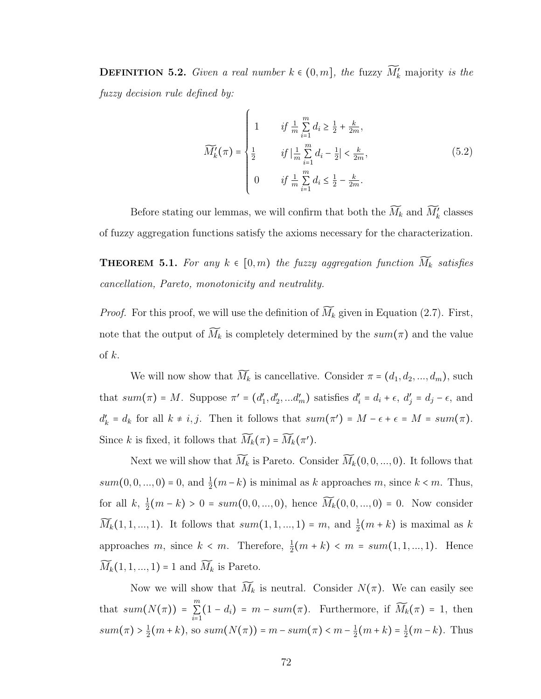**DEFINITION 5.2.** Given a real number  $k \in (0, m]$ , the fuzzy  $\widetilde{M}'_k$  majority is the fuzzy decision rule defined by:

$$
\widetilde{M}'_k(\pi) = \begin{cases}\n1 & \text{if } \frac{1}{m} \sum_{i=1}^m d_i \ge \frac{1}{2} + \frac{k}{2m}, \\
\frac{1}{2} & \text{if } |\frac{1}{m} \sum_{i=1}^m d_i - \frac{1}{2}| < \frac{k}{2m}, \\
0 & \text{if } \frac{1}{m} \sum_{i=1}^m d_i \le \frac{1}{2} - \frac{k}{2m}.\n\end{cases} \tag{5.2}
$$

Before stating our lemmas, we will confirm that both the  $\widetilde{M}_k$  and  $\widetilde{M}'_k$  classes of fuzzy aggregation functions satisfy the axioms necessary for the characterization.

**THEOREM 5.1.** For any  $k \in [0, m)$  the fuzzy aggregation function  $\widetilde{M}_k$  satisfies cancellation, Pareto, monotonicity and neutrality.

*Proof.* For this proof, we will use the definition of  $\widetilde{M}_k$  given in Equation (2.7). First, note that the output of  $\widetilde{M}_k$  is completely determined by the  $sum(\pi)$  and the value of  $k$ .

We will now show that  $\widetilde{M}_k$  is cancellative. Consider  $\pi = (d_1, d_2, ..., d_m)$ , such that  $sum(\pi) = M$ . Suppose  $\pi' = (d'_1, d'_2, ... d'_m)$  satisfies  $d'_i = d_i + \epsilon$ ,  $d'_j = d_j - \epsilon$ , and  $d'_{k} = d_{k}$  for all  $k \neq i, j$ . Then it follows that  $sum(\pi') = M - \epsilon + \epsilon = M = sum(\pi)$ . Since k is fixed, it follows that  $\widetilde{M}_k(\pi) = \widetilde{M}_k(\pi').$ 

Next we will show that  $\widetilde{M}_k$  is Pareto. Consider  $\widetilde{M}_k(0,0,...,0)$ . It follows that  $sum(0, 0, ..., 0) = 0$ , and  $\frac{1}{2}(m - k)$  is minimal as k approaches m, since  $k < m$ . Thus, for all  $k, \frac{1}{2}$  $\frac{1}{2}(m-k) > 0 = sum(0,0,...,0),$  hence  $\widetilde{M}_k(0,0,...,0) = 0$ . Now consider  $\widetilde{M}_k(1,1,...,1)$ . It follows that  $sum(1,1,...,1) = m$ , and  $\frac{1}{2}(m+k)$  is maximal as k approaches m, since  $k < m$ . Therefore,  $\frac{1}{2}(m+k) < m = sum(1, 1, ..., 1)$ . Hence  $\widetilde{M}_k(1,1,...,1) = 1$  and  $\widetilde{M}_k$  is Pareto.

Now we will show that  $\widetilde{M}_k$  is neutral. Consider  $N(\pi)$ . We can easily see that  $sum(N(\pi)) = \sum^{m}$  $\sum_{i=1}^{m} (1 - d_i) = m - sum(\pi)$ . Furthermore, if  $\widetilde{M}_k(\pi) = 1$ , then  $sum(\pi) > \frac{1}{2}$  $\frac{1}{2}(m+k)$ , so  $sum(N(\pi)) = m - sum(\pi) < m - \frac{1}{2}$  $\frac{1}{2}(m+k) = \frac{1}{2}$  $\frac{1}{2}(m-k)$ . Thus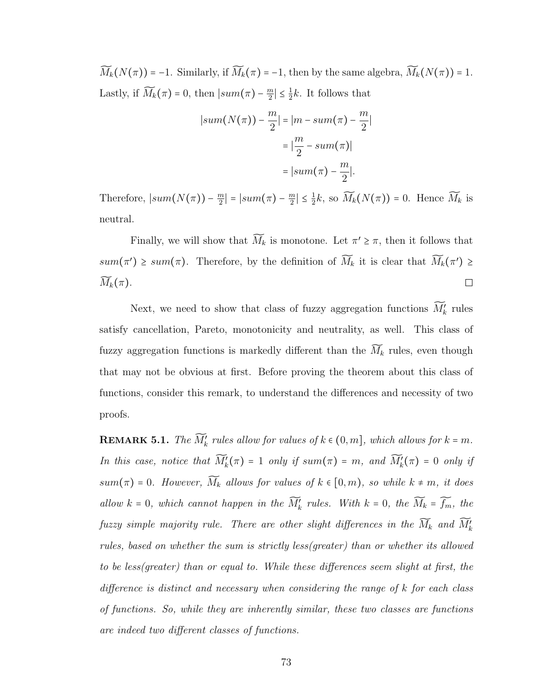$\widetilde{M}_k(N(\pi)) = -1$ . Similarly, if  $\widetilde{M}_k(\pi) = -1$ , then by the same algebra,  $\widetilde{M}_k(N(\pi)) = 1$ . Lastly, if  $\widetilde{M}_k(\pi) = 0$ , then  $|sum(\pi) - \frac{m}{2}|$  $\left|\frac{n}{2}\right| \leq \frac{1}{2}$  $\frac{1}{2}k$ . It follows that

$$
|sum(N(\pi)) - \frac{m}{2}| = |m - sum(\pi) - \frac{m}{2}|
$$

$$
= |\frac{m}{2} - sum(\pi)|
$$

$$
= |sum(\pi) - \frac{m}{2}|.
$$

Therefore,  $|sum(N(\pi)) - \frac{m}{2}|$  $\left|\frac{m}{2}\right| = |sum(\pi) - \frac{m}{2}|$  $\left|\frac{n}{2}\right| \leq \frac{1}{2}$  $\frac{1}{2}k$ , so  $\widetilde{M}_k(N(\pi)) = 0$ . Hence  $\widetilde{M}_k$  is neutral.

Finally, we will show that  $\widetilde{M}_k$  is monotone. Let  $\pi' \geq \pi$ , then it follows that  $sum(\pi') \geq sum(\pi)$ . Therefore, by the definition of  $\widetilde{M}_k$  it is clear that  $\widetilde{M}_k(\pi') \geq$  $\widetilde{M}_k(\pi)$ .  $\Box$ 

Next, we need to show that class of fuzzy aggregation functions  $\widetilde{M}'_k$  rules satisfy cancellation, Pareto, monotonicity and neutrality, as well. This class of fuzzy aggregation functions is markedly different than the  $\widetilde{M}_k$  rules, even though that may not be obvious at first. Before proving the theorem about this class of functions, consider this remark, to understand the differences and necessity of two proofs.

**REMARK 5.1.** The  $\widetilde{M}'_k$  rules allow for values of  $k \in (0, m]$ , which allows for  $k = m$ . In this case, notice that  $\widetilde{M}'_k(\pi) = 1$  only if sum $(\pi) = m$ , and  $\widetilde{M}'_k(\pi) = 0$  only if  $sum(\pi) = 0$ . However,  $\widetilde{M}_k$  allows for values of  $k \in [0, m)$ , so while  $k \neq m$ , it does allow  $k = 0$ , which cannot happen in the  $\widetilde{M}'_k$  rules. With  $k = 0$ , the  $\widetilde{M}_k = \widetilde{f_m}$ , the fuzzy simple majority rule. There are other slight differences in the  $\widetilde{M}_k$  and  $\widetilde{M}'_k$ rules, based on whether the sum is strictly less(greater) than or whether its allowed to be less(greater) than or equal to. While these differences seem slight at first, the difference is distinct and necessary when considering the range of k for each class of functions. So, while they are inherently similar, these two classes are functions are indeed two different classes of functions.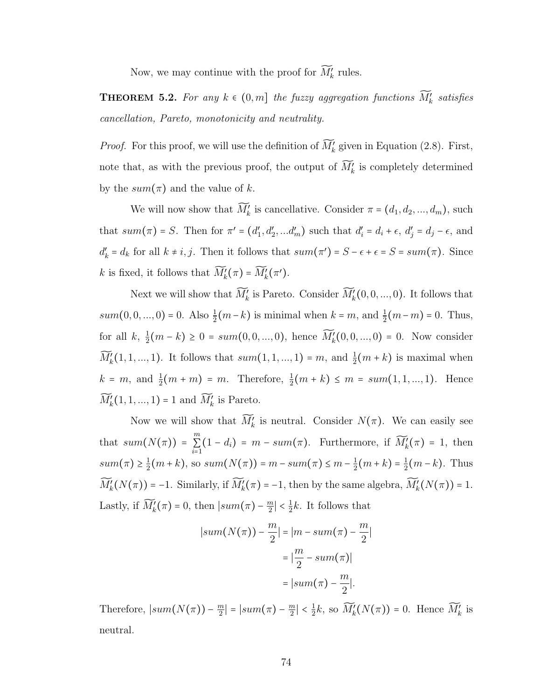Now, we may continue with the proof for  $\widetilde{M}'_k$  rules.

**THEOREM 5.2.** For any  $k \in (0, m]$  the fuzzy aggregation functions  $\widetilde{M}'_k$  satisfies cancellation, Pareto, monotonicity and neutrality.

*Proof.* For this proof, we will use the definition of  $\widetilde{M}'_k$  given in Equation (2.8). First, note that, as with the previous proof, the output of  $\widetilde{M}'_k$  is completely determined by the sum $(\pi)$  and the value of k.

We will now show that  $\widetilde{M}'_k$  is cancellative. Consider  $\pi = (d_1, d_2, ..., d_m)$ , such that  $sum(\pi) = S$ . Then for  $\pi' = (d'_1, d'_2, \dots, d'_m)$  such that  $d'_i = d_i + \epsilon$ ,  $d'_j = d_j - \epsilon$ , and  $d'_{k} = d_{k}$  for all  $k \neq i, j$ . Then it follows that  $sum(\pi') = S - \epsilon + \epsilon = S = sum(\pi)$ . Since k is fixed, it follows that  $\widetilde{M}'_k(\pi) = \widetilde{M}'_k(\pi').$ 

Next we will show that  $\widetilde{M}'_k$  is Pareto. Consider  $\widetilde{M}'_k(0,0,...,0)$ . It follows that  $sum(0, 0, ..., 0) = 0$ . Also  $\frac{1}{2}(m-k)$  is minimal when  $k = m$ , and  $\frac{1}{2}(m-m) = 0$ . Thus, for all  $k, \frac{1}{2}$  $\frac{1}{2}(m-k) \geq 0 = sum(0,0,...,0),$  hence  $\widetilde{M}'_k(0,0,...,0) = 0$ . Now consider  $\widetilde{M}'_k(1,1,...,1)$ . It follows that  $sum(1,1,...,1) = m$ , and  $\frac{1}{2}(m+k)$  is maximal when  $k = m$ , and  $\frac{1}{2}(m + m) = m$ . Therefore,  $\frac{1}{2}(m + k) \le m = sum(1, 1, ..., 1)$ . Hence  $\widetilde{M}'_k(1,1,...,1) = 1$  and  $\widetilde{M}'_k$  is Pareto.

Now we will show that  $\widetilde{M}'_k$  is neutral. Consider  $N(\pi)$ . We can easily see that  $sum(N(\pi)) = \sum^{m}$  $\sum_{i=1}^{m} (1 - d_i) = m - sum(\pi)$ . Furthermore, if  $\widetilde{M}'_k(\pi) = 1$ , then  $sum(\pi) \geq \frac{1}{2}$  $\frac{1}{2}(m+k)$ , so  $sum(N(\pi)) = m - sum(\pi) \le m - \frac{1}{2}$  $\frac{1}{2}(m+k) = \frac{1}{2}$  $\frac{1}{2}(m-k)$ . Thus  $\widetilde{M}'_k(N(\pi)) = -1$ . Similarly, if  $\widetilde{M}'_k(\pi) = -1$ , then by the same algebra,  $\widetilde{M}'_k(N(\pi)) = 1$ . Lastly, if  $\widetilde{M}'_k(\pi) = 0$ , then  $|sum(\pi) - \frac{m}{2}$  $\frac{n}{2}$  | <  $\frac{1}{2}$  $\frac{1}{2}k$ . It follows that

$$
|sum(N(\pi)) - \frac{m}{2}| = |m - sum(\pi) - \frac{m}{2}|
$$

$$
= |\frac{m}{2} - sum(\pi)|
$$

$$
= |sum(\pi) - \frac{m}{2}|.
$$

Therefore,  $|sum(N(\pi)) - \frac{m}{2}|$  $\left|\frac{m}{2}\right| = |sum(\pi) - \frac{m}{2}|$  $\frac{n}{2}$  | <  $\frac{1}{2}$  $\frac{1}{2}k$ , so  $\widetilde{M}_k'(N(\pi)) = 0$ . Hence  $\widetilde{M}_k'$  is neutral.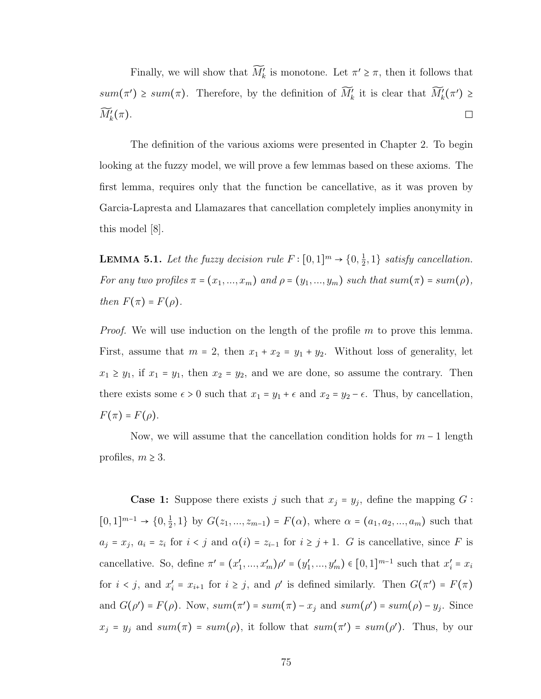Finally, we will show that  $\widetilde{M}'_k$  is monotone. Let  $\pi' \geq \pi$ , then it follows that  $sum(\pi') \geq sum(\pi)$ . Therefore, by the definition of  $\widetilde{M}'_k$  it is clear that  $\widetilde{M}'_k(\pi') \geq$  $\widetilde{M}_{k}^{\prime}(\pi).$  $\Box$ 

The definition of the various axioms were presented in Chapter 2. To begin looking at the fuzzy model, we will prove a few lemmas based on these axioms. The first lemma, requires only that the function be cancellative, as it was proven by Garcia-Lapresta and Llamazares that cancellation completely implies anonymity in this model [8].

**LEMMA 5.1.** Let the fuzzy decision rule  $F : [0,1]^m \rightarrow \{0,\frac{1}{2}\}$  $\frac{1}{2}$ , 1} satisfy cancellation. For any two profiles  $\pi = (x_1, ..., x_m)$  and  $\rho = (y_1, ..., y_m)$  such that  $sum(\pi) = sum(\rho)$ , then  $F(\pi) = F(\rho)$ .

*Proof.* We will use induction on the length of the profile  $m$  to prove this lemma. First, assume that  $m = 2$ , then  $x_1 + x_2 = y_1 + y_2$ . Without loss of generality, let  $x_1 \geq y_1$ , if  $x_1 = y_1$ , then  $x_2 = y_2$ , and we are done, so assume the contrary. Then there exists some  $\epsilon > 0$  such that  $x_1 = y_1 + \epsilon$  and  $x_2 = y_2 - \epsilon$ . Thus, by cancellation,  $F(\pi) = F(\rho).$ 

Now, we will assume that the cancellation condition holds for  $m-1$  length profiles,  $m \geq 3$ .

**Case 1:** Suppose there exists j such that  $x_j = y_j$ , define the mapping G:  $[0,1]^{m-1} \rightarrow \{0,\frac{1}{2}\}$  $\{\frac{1}{2},1\}$  by  $G(z_1,...,z_{m-1}) = F(\alpha)$ , where  $\alpha = (a_1, a_2,..., a_m)$  such that  $a_j = x_j$ ,  $a_i = z_i$  for  $i < j$  and  $\alpha(i) = z_{i-1}$  for  $i \ge j+1$ . G is cancellative, since F is cancellative. So, define  $\pi' = (x'_1, ..., x'_m)\rho' = (y'_1, ..., y'_m) \in [0, 1]^{m-1}$  such that  $x'_i = x_i$ for  $i < j$ , and  $x'_i = x_{i+1}$  for  $i \ge j$ , and  $\rho'$  is defined similarly. Then  $G(\pi') = F(\pi)$ and  $G(\rho') = F(\rho)$ . Now,  $sum(\pi') = sum(\pi) - x_j$  and  $sum(\rho') = sum(\rho) - y_j$ . Since  $x_j = y_j$  and  $sum(\pi) = sum(\rho)$ , it follow that  $sum(\pi') = sum(\rho')$ . Thus, by our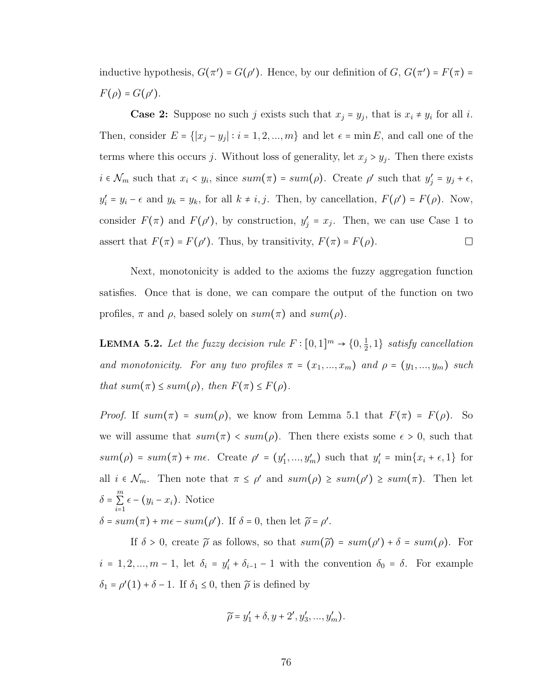inductive hypothesis,  $G(\pi') = G(\rho')$ . Hence, by our definition of  $G, G(\pi') = F(\pi) =$  $F(\rho) = G(\rho').$ 

**Case 2:** Suppose no such j exists such that  $x_j = y_j$ , that is  $x_i \neq y_i$  for all i. Then, consider  $E = \{ |x_j - y_j| : i = 1, 2, ..., m \}$  and let  $\epsilon = \min E$ , and call one of the terms where this occurs j. Without loss of generality, let  $x_j > y_j$ . Then there exists  $i \in \mathcal{N}_m$  such that  $x_i < y_i$ , since  $sum(\pi) = sum(\rho)$ . Create  $\rho'$  such that  $y'_j = y_j + \epsilon$ ,  $y_i' = y_i - \epsilon$  and  $y_k = y_k$ , for all  $k \neq i, j$ . Then, by cancellation,  $F(\rho') = F(\rho)$ . Now, consider  $F(\pi)$  and  $F(\rho')$ , by construction,  $y'_j = x_j$ . Then, we can use Case 1 to assert that  $F(\pi) = F(\rho')$ . Thus, by transitivity,  $F(\pi) = F(\rho)$ .  $\Box$ 

Next, monotonicity is added to the axioms the fuzzy aggregation function satisfies. Once that is done, we can compare the output of the function on two profiles,  $\pi$  and  $\rho$ , based solely on  $sum(\pi)$  and  $sum(\rho)$ .

**LEMMA 5.2.** Let the fuzzy decision rule  $F : [0,1]^m \rightarrow \{0,\frac{1}{2}\}$  $\frac{1}{2}$ , 1} satisfy cancellation and monotonicity. For any two profiles  $\pi = (x_1, ..., x_m)$  and  $\rho = (y_1, ..., y_m)$  such that sum( $\pi$ )  $\leq$  sum( $\rho$ ), then  $F(\pi) \leq F(\rho)$ .

*Proof.* If  $sum(\pi) = sum(\rho)$ , we know from Lemma 5.1 that  $F(\pi) = F(\rho)$ . So we will assume that  $sum(\pi) < sum(\rho)$ . Then there exists some  $\epsilon > 0$ , such that  $sum(\rho) = sum(\pi) + m\epsilon$ . Create  $\rho' = (y'_1, ..., y'_m)$  such that  $y'_i = min\{x_i + \epsilon, 1\}$  for all  $i \in \mathcal{N}_m$ . Then note that  $\pi \leq \rho'$  and  $sum(\rho) \geq sum(\rho') \geq sum(\pi)$ . Then let  $\delta = \sum^{m}$  $\sum_{i=1} \epsilon - (y_i - x_i)$ . Notice  $\delta = sum(\pi) + m\epsilon - sum(\rho')$ . If  $\delta = 0$ , then let  $\tilde{\rho} = \rho'$ .

If  $\delta > 0$ , create  $\tilde{\rho}$  as follows, so that  $sum(\tilde{\rho}) = sum(\rho') + \delta = sum(\rho)$ . For  $i = 1, 2, ..., m - 1$ , let  $\delta_i = y'_i + \delta_{i-1} - 1$  with the convention  $\delta_0 = \delta$ . For example  $\delta_1 = \rho'(1) + \delta - 1$ . If  $\delta_1 \leq 0$ , then  $\tilde{\rho}$  is defined by

$$
\widetilde{\rho} = y_1' + \delta, y + 2', y_3', \dots, y_m').
$$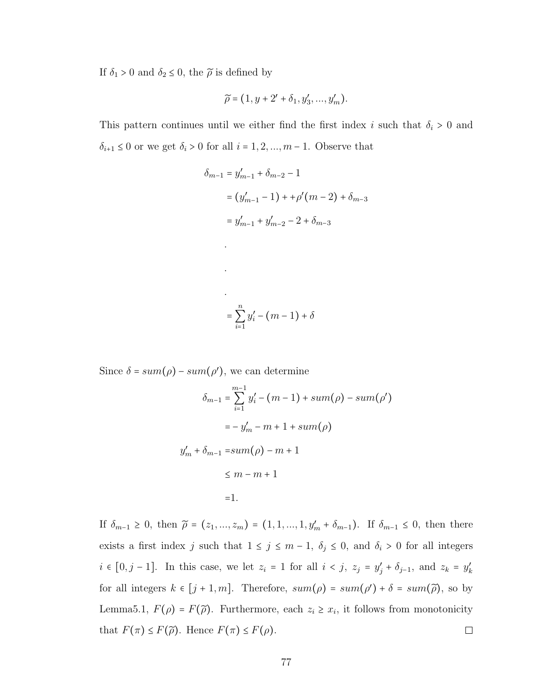If  $\delta_1 > 0$  and  $\delta_2 \leq 0$ , the  $\tilde{\rho}$  is defined by

$$
\widetilde{\rho} = (1, y + 2' + \delta_1, y'_3, ..., y'_m).
$$

This pattern continues until we either find the first index i such that  $\delta_i > 0$  and  $\delta_{i+1}\leq 0$  or we get  $\delta_i>0$  for all  $i=1,2,...,m-1.$  Observe that

δ<sup>m</sup>−<sup>1</sup> = y ′ <sup>m</sup>−<sup>1</sup> + δ<sup>m</sup>−<sup>2</sup> − 1 = (y ′ <sup>m</sup>−<sup>1</sup> − 1) + +ρ ′ (m − 2) + δ<sup>m</sup>−<sup>3</sup> = y ′ <sup>m</sup>−<sup>1</sup> + y ′ <sup>m</sup>−<sup>2</sup> − 2 + δ<sup>m</sup>−<sup>3</sup> . . . = n ∑ i=1 y ′ <sup>i</sup> − (m − 1) + δ

Since  $\delta = sum(\rho) - sum(\rho')$ , we can determine

$$
\delta_{m-1} = \sum_{i=1}^{m-1} y'_i - (m-1) + sum(\rho) - sum(\rho')
$$
  
=  $-y'_m - m + 1 + sum(\rho)$   
 $y'_m + \delta_{m-1} = sum(\rho) - m + 1$   
 $\leq m - m + 1$   
= 1.

If  $\delta_{m-1} \geq 0$ , then  $\widetilde{\rho} = (z_1, ..., z_m) = (1, 1, ..., 1, y'_m + \delta_{m-1})$ . If  $\delta_{m-1} \leq 0$ , then there exists a first index j such that  $1 \leq j \leq m-1$ ,  $\delta_j \leq 0$ , and  $\delta_i > 0$  for all integers  $i \in [0, j-1]$ . In this case, we let  $z_i = 1$  for all  $i < j$ ,  $z_j = y'_j + \delta_{j-1}$ , and  $z_k = y'_k$ for all integers  $k \in [j + 1, m]$ . Therefore,  $sum(\rho) = sum(\rho') + \delta = sum(\tilde{\rho})$ , so by Lemma5.1,  $F(\rho) = F(\tilde{\rho})$ . Furthermore, each  $z_i \geq x_i$ , it follows from monotonicity that  $F(\pi) \leq F(\widetilde{\rho})$ . Hence  $F(\pi) \leq F(\rho)$ .  $\Box$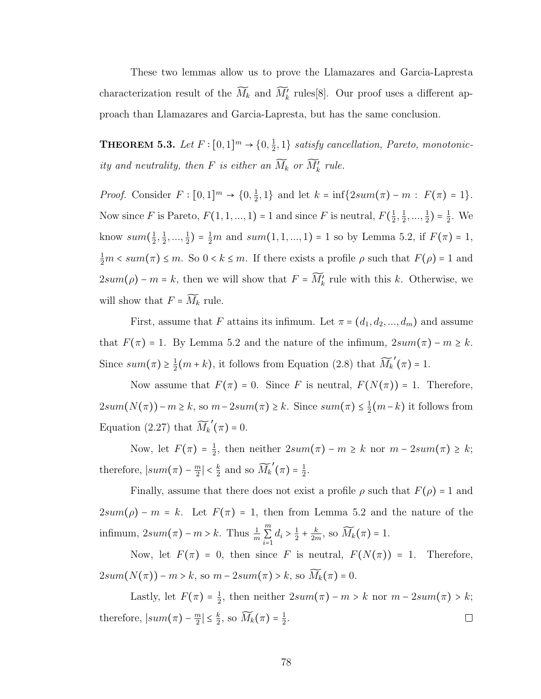These two lemmas allow us to prove the Llamazares and Garcia-Lapresta characterization result of the  $\widetilde{M}_k$  and  $\widetilde{M}'_k$  rules [8]. Our proof uses a different approach than Llamazares and Garcia-Lapresta, but has the same conclusion.

**THEOREM 5.3.** Let  $F : [0,1]^m \to \{0,\frac{1}{2}\}$  $\frac{1}{2}$ , 1} satisfy cancellation, Pareto, monotonicity and neutrality, then F is either an  $\widetilde{M}_k$  or  $\widetilde{M}'_k$  rule.

*Proof.* Consider  $F : [0,1]^m \rightarrow \{0,\frac{1}{2}\}$  $\frac{1}{2}$ , 1} and let  $k = \inf\{2sum(\pi) - m : F(\pi) = 1\}.$ Now since F is Pareto,  $F(1, 1, ..., 1) = 1$  and since F is neutral,  $F(\frac{1}{2})$  $\frac{1}{2}, \frac{1}{2}$  $\frac{1}{2},...,\frac{1}{2}$  $(\frac{1}{2}) = \frac{1}{2}$  $\frac{1}{2}$ . We know  $sum(\frac{1}{2})$  $\frac{1}{2}, \frac{1}{2}$  $\frac{1}{2}, \ldots, \frac{1}{2}$  $\frac{1}{2}$ ) =  $\frac{1}{2}m$  and sum(1,1,..., 1) = 1 so by Lemma 5.2, if  $F(\pi)$  = 1,  $\frac{1}{2}m < sum(\pi) \le m$ . So  $0 < k \le m$ . If there exists a profile  $\rho$  such that  $F(\rho) = 1$  and  $2sum(\rho) - m = k$ , then we will show that  $F = \widetilde{M}'_k$  rule with this k. Otherwise, we will show that  $F = \widetilde{M}_k$  rule.

First, assume that F attains its infimum. Let  $\pi = (d_1, d_2, ..., d_m)$  and assume that  $F(\pi) = 1$ . By Lemma 5.2 and the nature of the infimum,  $2sum(\pi) - m \ge k$ . Since  $sum(\pi) \geq \frac{1}{2}$  $\frac{1}{2}(m+k)$ , it follows from Equation (2.8) that  $\widetilde{M_k}'(\pi) = 1$ .

Now assume that  $F(\pi) = 0$ . Since F is neutral,  $F(N(\pi)) = 1$ . Therefore,  $2sum(N(\pi)) - m \ge k$ , so  $m-2sum(\pi) \ge k$ . Since  $sum(\pi) \le \frac{1}{2}$  $\frac{1}{2}(m-k)$  it follows from Equation (2.27) that  $\widetilde{M_k}'(\pi) = 0$ .

Now, let  $F(\pi) = \frac{1}{2}$  $\frac{1}{2}$ , then neither  $2sum(\pi) - m \ge k$  nor  $m - 2sum(\pi) \ge k$ ; therefore,  $|sum(\pi) - \frac{m}{2}|$  $\left|\frac{n}{2}\right| < \frac{k}{2}$  $\frac{k}{2}$  and so  $\widetilde{M_k}'(\pi) = \frac{1}{2}$  $\frac{1}{2}$ .

Finally, assume that there does not exist a profile  $\rho$  such that  $F(\rho) = 1$  and  $2sum(\rho) - m = k$ . Let  $F(\pi) = 1$ , then from Lemma 5.2 and the nature of the infimum,  $2sum(\pi) - m > k$ . Thus  $\frac{1}{m}$ m  $\sum_{i=1}^{m} d_i > \frac{1}{2}$  $rac{1}{2} + \frac{k}{2n}$  $\frac{k}{2m}$ , so  $\widetilde{M}_k(\pi) = 1$ .

Now, let  $F(\pi) = 0$ , then since F is neutral,  $F(N(\pi)) = 1$ . Therefore,  $2sum(N(\pi)) - m > k$ , so  $m - 2sum(\pi) > k$ , so  $\widetilde{M}_k(\pi) = 0$ .

Lastly, let  $F(\pi) = \frac{1}{2}$  $\frac{1}{2}$ , then neither  $2sum(\pi) - m > k$  nor  $m - 2sum(\pi) > k$ ; therefore,  $|sum(\pi) - \frac{m}{2}|$  $\left|\frac{n}{2}\right| \leq \frac{k}{2}$  $\frac{k}{2}$ , so  $\widetilde{M}_k(\pi) = \frac{1}{2}$  $\frac{1}{2}$ .  $\Box$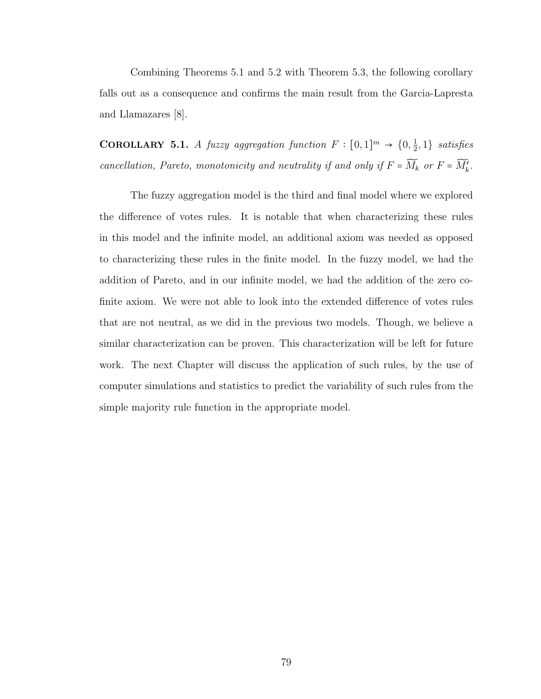Combining Theorems 5.1 and 5.2 with Theorem 5.3, the following corollary falls out as a consequence and confirms the main result from the Garcia-Lapresta and Llamazares [8].

**COROLLARY 5.1.** A fuzzy aggregation function  $F : [0,1]^m \rightarrow \{0,\frac{1}{2}\}$  $\frac{1}{2}, 1$ } satisfies cancellation, Pareto, monotonicity and neutrality if and only if  $F = \widetilde{M}_k$  or  $F = \widetilde{M}'_k$ .

The fuzzy aggregation model is the third and final model where we explored the difference of votes rules. It is notable that when characterizing these rules in this model and the infinite model, an additional axiom was needed as opposed to characterizing these rules in the finite model. In the fuzzy model, we had the addition of Pareto, and in our infinite model, we had the addition of the zero cofinite axiom. We were not able to look into the extended difference of votes rules that are not neutral, as we did in the previous two models. Though, we believe a similar characterization can be proven. This characterization will be left for future work. The next Chapter will discuss the application of such rules, by the use of computer simulations and statistics to predict the variability of such rules from the simple majority rule function in the appropriate model.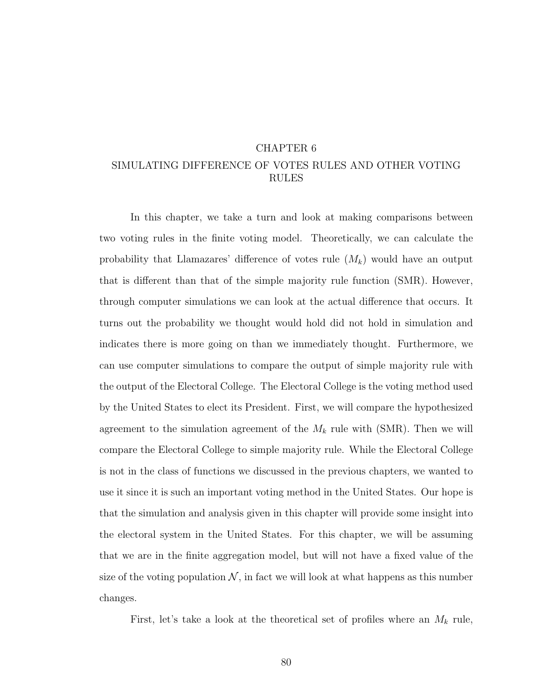## CHAPTER 6 SIMULATING DIFFERENCE OF VOTES RULES AND OTHER VOTING RULES

In this chapter, we take a turn and look at making comparisons between two voting rules in the finite voting model. Theoretically, we can calculate the probability that Llamazares' difference of votes rule  $(M_k)$  would have an output that is different than that of the simple majority rule function (SMR). However, through computer simulations we can look at the actual difference that occurs. It turns out the probability we thought would hold did not hold in simulation and indicates there is more going on than we immediately thought. Furthermore, we can use computer simulations to compare the output of simple majority rule with the output of the Electoral College. The Electoral College is the voting method used by the United States to elect its President. First, we will compare the hypothesized agreement to the simulation agreement of the  $M_k$  rule with (SMR). Then we will compare the Electoral College to simple majority rule. While the Electoral College is not in the class of functions we discussed in the previous chapters, we wanted to use it since it is such an important voting method in the United States. Our hope is that the simulation and analysis given in this chapter will provide some insight into the electoral system in the United States. For this chapter, we will be assuming that we are in the finite aggregation model, but will not have a fixed value of the size of the voting population  $N$ , in fact we will look at what happens as this number changes.

First, let's take a look at the theoretical set of profiles where an  $M_k$  rule,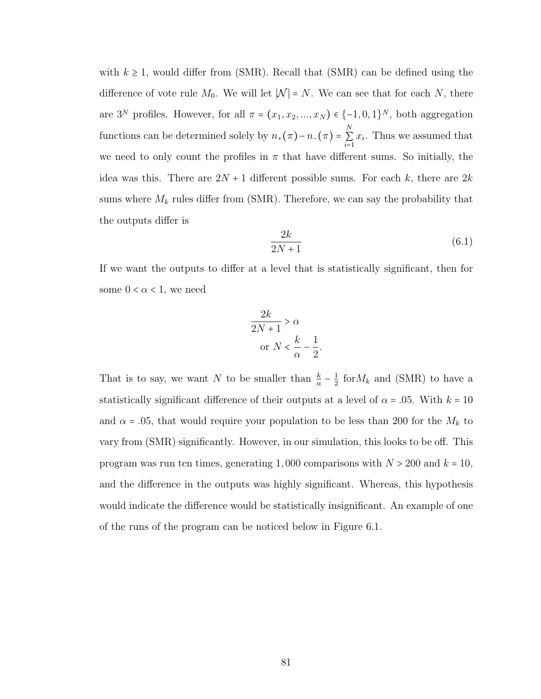with  $k \geq 1$ , would differ from (SMR). Recall that (SMR) can be defined using the difference of vote rule  $M_0$ . We will let  $|\mathcal{N}| = N$ . We can see that for each N, there are  $3^N$  profiles. However, for all  $\pi = (x_1, x_2, ..., x_N) \in \{-1, 0, 1\}^N$ , both aggregation functions can be determined solely by  $n_+(\pi) - n_-(\pi) = \sum_{n=0}^{N}$  $\sum_{i=1} x_i$ . Thus we assumed that we need to only count the profiles in  $\pi$  that have different sums. So initially, the idea was this. There are  $2N + 1$  different possible sums. For each k, there are  $2k$ sums where  $M_k$  rules differ from (SMR). Therefore, we can say the probability that the outputs differ is

$$
\frac{2k}{2N+1} \tag{6.1}
$$

If we want the outputs to differ at a level that is statistically significant, then for some  $0 < \alpha < 1$ , we need

$$
\frac{2k}{2N+1} > \alpha
$$
  
or 
$$
N < \frac{k}{\alpha} - \frac{1}{2}.
$$

That is to say, we want N to be smaller than  $\frac{k}{\alpha} - \frac{1}{2}$  $\frac{1}{2}$  for  $M_k$  and (SMR) to have a statistically significant difference of their outputs at a level of  $\alpha = .05$ . With  $k = 10$ and  $\alpha$  = .05, that would require your population to be less than 200 for the  $M_k$  to vary from (SMR) significantly. However, in our simulation, this looks to be off. This program was run ten times, generating 1,000 comparisons with  $N > 200$  and  $k = 10$ , and the difference in the outputs was highly significant. Whereas, this hypothesis would indicate the difference would be statistically insignificant. An example of one of the runs of the program can be noticed below in Figure 6.1.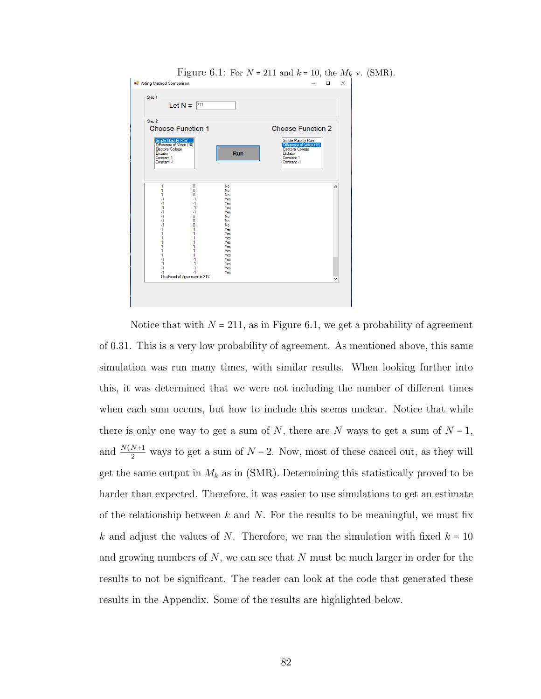

Figure 6.1: For  $N = 211$  and  $k = 10$ , the  $M_k$  v. (SMR).

Notice that with  $N = 211$ , as in Figure 6.1, we get a probability of agreement of 0.31. This is a very low probability of agreement. As mentioned above, this same simulation was run many times, with similar results. When looking further into this, it was determined that we were not including the number of different times when each sum occurs, but how to include this seems unclear. Notice that while there is only one way to get a sum of  $N$ , there are  $N$  ways to get a sum of  $N-1$ , and  $\frac{N(N+1)}{2}$  ways to get a sum of  $N-2$ . Now, most of these cancel out, as they will get the same output in  $M_k$  as in (SMR). Determining this statistically proved to be harder than expected. Therefore, it was easier to use simulations to get an estimate of the relationship between k and N. For the results to be meaningful, we must fix k and adjust the values of N. Therefore, we ran the simulation with fixed  $k = 10$ and growing numbers of  $N$ , we can see that  $N$  must be much larger in order for the results to not be significant. The reader can look at the code that generated these results in the Appendix. Some of the results are highlighted below.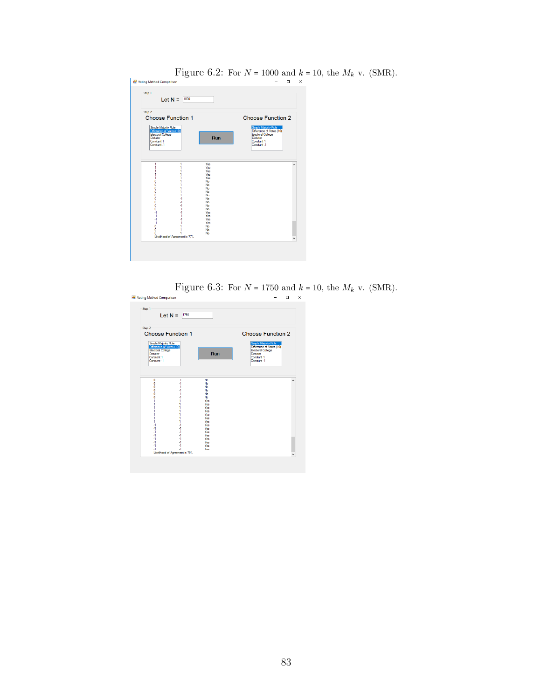| <b>Choose Function 1</b><br>Simple Majority Rule<br>Difference of Votes (10)<br>Electoral College | <b>Run</b>            | <b>Choose Function 2</b><br>Simple Majority Rule<br>Difference of Votes (10)<br><b>Electoral College</b> |          |
|---------------------------------------------------------------------------------------------------|-----------------------|----------------------------------------------------------------------------------------------------------|----------|
|                                                                                                   |                       |                                                                                                          |          |
|                                                                                                   |                       | Dictator<br>Constant 1<br>Constant -1                                                                    |          |
| 1                                                                                                 | Yes<br>Yes            |                                                                                                          | $\wedge$ |
|                                                                                                   |                       |                                                                                                          |          |
|                                                                                                   | Yes                   |                                                                                                          |          |
|                                                                                                   |                       |                                                                                                          |          |
|                                                                                                   |                       |                                                                                                          |          |
|                                                                                                   | No                    |                                                                                                          |          |
|                                                                                                   | No                    |                                                                                                          |          |
|                                                                                                   |                       |                                                                                                          |          |
| 41                                                                                                | No                    |                                                                                                          |          |
| 4                                                                                                 | No                    |                                                                                                          |          |
|                                                                                                   |                       |                                                                                                          |          |
| и                                                                                                 | Yes                   |                                                                                                          |          |
| 4                                                                                                 | Yes                   |                                                                                                          |          |
|                                                                                                   | No                    |                                                                                                          |          |
|                                                                                                   | No                    |                                                                                                          |          |
|                                                                                                   |                       |                                                                                                          |          |
|                                                                                                   | 4<br>4<br>и<br>и<br>1 | Yes<br>Yes<br>No<br>No<br>No<br>No<br>No<br>Yes<br>Yes<br>No                                             |          |

 $\frac{1}{2}$ 

Figure 6.2: For  $N = 1000$  and  $k = 10$ , the  $M_k$  v. (SMR).

Figure 6.3: For  $N = 1750$  and  $k = 10$ , the  $M_k$  v. (SMR).

| Let $N =$                                                                                                             | 1750                                                                                                                                                         |                                                                                                                                                  |                                                                                                                       |
|-----------------------------------------------------------------------------------------------------------------------|--------------------------------------------------------------------------------------------------------------------------------------------------------------|--------------------------------------------------------------------------------------------------------------------------------------------------|-----------------------------------------------------------------------------------------------------------------------|
| Sep 2<br><b>Choose Function 1</b>                                                                                     |                                                                                                                                                              |                                                                                                                                                  | Choose Function 2                                                                                                     |
| Simple Majority Rule<br>Difference of Votes (10)<br><b>Electoral College</b><br>Dictator<br>Constant 1<br>Constant -1 |                                                                                                                                                              | <b>Run</b>                                                                                                                                       | Simple Majority Rule<br>Difference of Votes (10)<br><b>Electoral College</b><br>Dictator<br>Constant 1<br>Constant -1 |
| 0<br>ö<br>0<br>Ō<br>ō<br>ō<br>1<br>١<br>1<br>1<br>1<br>1<br>1<br>4<br>4<br>ă<br>4<br>ă<br>$\mathbf{A}$<br>4<br>-1     | -1<br>4<br>$-1$<br>$\cdot$ 1<br>$\cdot$ 1<br>-1<br>1<br>1<br>1<br>1<br>1<br>1<br>1<br>4<br>-1<br>$\mathbf{A}$<br>4<br>$\cdot$ 1<br>$-1$<br>$-1$<br>$\cdot$ 1 | No<br>No<br>No<br><b>No</b><br>No<br>No<br>Yes<br>Yes<br>Yes<br>Yes<br>Yes<br>Yes<br>Yes<br>Yes<br>Yes<br>Yes<br>Yes<br>Yes<br>Yes<br>Yes<br>Yes | ۸                                                                                                                     |
| Likelihood of Agreement is 79%                                                                                        |                                                                                                                                                              |                                                                                                                                                  | v                                                                                                                     |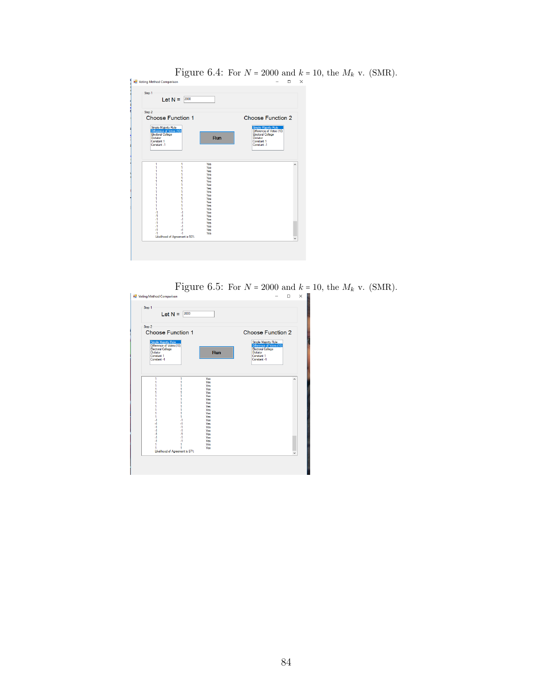| Step 2<br><b>Choose Function 1</b>                                                                                           |            | <b>Choose Function 2</b>                                                                                              |
|------------------------------------------------------------------------------------------------------------------------------|------------|-----------------------------------------------------------------------------------------------------------------------|
|                                                                                                                              |            |                                                                                                                       |
| Simple Majority Rule<br>Difference of Votes (10)<br><b>Electoral College</b><br><b>Dictator</b><br>Constant 1<br>Constant -1 | Run        | Simple Majority Rule<br>Difference of Votes (10)<br><b>Electoral College</b><br>Dictator<br>Constant 1<br>Constant -1 |
| 1<br>1                                                                                                                       | Yes        |                                                                                                                       |
| ١                                                                                                                            | Yes        |                                                                                                                       |
|                                                                                                                              | Yes<br>Yes |                                                                                                                       |
|                                                                                                                              | Yes        |                                                                                                                       |
|                                                                                                                              | Yes        |                                                                                                                       |
|                                                                                                                              | Yes        |                                                                                                                       |
|                                                                                                                              | Yes        |                                                                                                                       |
|                                                                                                                              | Yes<br>Yes |                                                                                                                       |
|                                                                                                                              | Yes        |                                                                                                                       |
|                                                                                                                              | Yes        |                                                                                                                       |
| 1                                                                                                                            | Yes        |                                                                                                                       |
| ١                                                                                                                            | Yes        |                                                                                                                       |
| -1<br>4<br>4<br>4                                                                                                            | Yes<br>Yes |                                                                                                                       |
|                                                                                                                              | Yes        |                                                                                                                       |
|                                                                                                                              | Yes        |                                                                                                                       |
| 4<br>4                                                                                                                       |            |                                                                                                                       |
| 4<br>$-1$<br>$\cdot$ 1                                                                                                       |            |                                                                                                                       |
| 4<br>4<br>4                                                                                                                  | Yes<br>Yes |                                                                                                                       |
| ă<br>-1<br>Likelihood of Agreement is 93%                                                                                    | Yes        |                                                                                                                       |

Figure 6.4: For  $N = 2000$  and  $k = 10$ , the  $M_k$  v. (SMR).

Figure 6.5: For  $N = 2000$  and  $k = 10$ , the  $M_k$  v. (SMR).

| Let $N =$                                                                                                             | 2000                           |            |                                                                                                                       |
|-----------------------------------------------------------------------------------------------------------------------|--------------------------------|------------|-----------------------------------------------------------------------------------------------------------------------|
| Step 2<br><b>Choose Function 1</b>                                                                                    |                                |            | <b>Choose Function 2</b>                                                                                              |
|                                                                                                                       |                                |            |                                                                                                                       |
| Simple Majority Rule<br>Difference of Votes (10)<br><b>Electoral College</b><br>Dictator<br>Constant 1<br>Constant -1 |                                | <b>Run</b> | Simple Majority Rule<br>Difference of Votes (10)<br><b>Electoral College</b><br>Dictator<br>Constant 1<br>Constant -1 |
| 1<br>٦                                                                                                                | 1                              | Yes<br>Yes | $\overline{\phantom{a}}$                                                                                              |
|                                                                                                                       |                                | Yes        |                                                                                                                       |
|                                                                                                                       |                                | Yes<br>Yes |                                                                                                                       |
|                                                                                                                       |                                | Yes        |                                                                                                                       |
|                                                                                                                       |                                | Yes<br>Yes |                                                                                                                       |
|                                                                                                                       |                                | Yes        |                                                                                                                       |
|                                                                                                                       |                                | Yes<br>Yes |                                                                                                                       |
| 1                                                                                                                     | 1                              | Yes        |                                                                                                                       |
| 4<br>4                                                                                                                | -1<br>4                        | Yes<br>Yes |                                                                                                                       |
| -1<br>4                                                                                                               | 4<br>-1                        | Yes        |                                                                                                                       |
| 4                                                                                                                     | 41                             | Yes<br>Yes |                                                                                                                       |
| 4<br>4                                                                                                                | 4<br>-1                        | Yes        |                                                                                                                       |
| 1                                                                                                                     | 1                              | Yes<br>Yes |                                                                                                                       |
| 1                                                                                                                     | ٠                              | Yes        |                                                                                                                       |
|                                                                                                                       | Likelihood of Agreement is 87% |            | $\checkmark$                                                                                                          |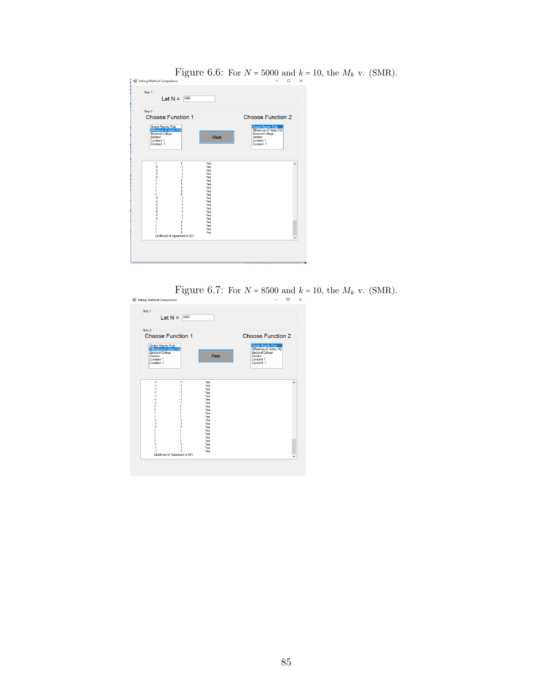| Step 2<br><b>Choose Function 1</b>                                                                                    |                          | <b>Choose Function 2</b>                                                                                                     |
|-----------------------------------------------------------------------------------------------------------------------|--------------------------|------------------------------------------------------------------------------------------------------------------------------|
| Simple Majority Rule<br>Difference of Votes (10)<br><b>Electoral College</b><br>Dictator<br>Constant 1<br>Constant -1 | <b>Run</b>               | Simple Majority Rule<br>Difference of Votes (10)<br><b>Electoral College</b><br><b>Dictator</b><br>Constant 1<br>Constant -1 |
| 1<br>1<br>$\cdot$ 1<br>4<br>4<br>$\cdot$ 1<br>4<br>-1                                                                 | Yes<br>Yes<br>Yes<br>Yes | ۸                                                                                                                            |
| 4<br>4<br>1<br>1<br>1<br>1<br>1<br>1                                                                                  | Yes<br>Yes<br>Yes<br>Yes |                                                                                                                              |
| 1<br>1<br>1<br>1<br>4<br>4                                                                                            | Yes<br>Yes<br>Yes        |                                                                                                                              |
| 4<br>$\mathbf{A}$<br>4<br>$-1$<br>-1<br>$\cdot$ 1<br>4<br>4                                                           | Yes<br>Yes<br>Yes<br>Yes |                                                                                                                              |
| 4<br>4<br>-1<br>4<br>١<br>١<br>١<br>۱                                                                                 | Yes<br>Yes<br>Yes<br>Yes |                                                                                                                              |
| ۹<br>1<br>1<br>Likelihood of Agreement is 92%                                                                         | Yes<br>Yes               |                                                                                                                              |

Figure 6.6: For  $N = 5000$  and  $k = 10$ , the  $M_k$  v. (SMR).

Figure 6.7: For  $N = 8500$  and  $k = 10$ , the  $M_k$  v. (SMR).

|                                                                                                                       | Let $N = 8500$ |            |                                                                                                                       |
|-----------------------------------------------------------------------------------------------------------------------|----------------|------------|-----------------------------------------------------------------------------------------------------------------------|
| Step 2                                                                                                                |                |            |                                                                                                                       |
| <b>Choose Function 1</b>                                                                                              |                |            | <b>Choose Function 2</b>                                                                                              |
| Simple Majority Rule<br>Difference of Votes (10)<br><b>Electoral College</b><br>Dictator<br>Constant 1<br>Constant -1 |                | <b>Run</b> | Simple Majority Rule<br>Difference of Votes (10)<br><b>Electoral College</b><br>Dictator<br>Constant 1<br>Constant -1 |
| -1<br>$-1$                                                                                                            | -1<br>$-1$     | Yes<br>Yes | ۸                                                                                                                     |
| 4                                                                                                                     | 4              | Yes        |                                                                                                                       |
| 4                                                                                                                     | -1             | Yes        |                                                                                                                       |
| $\mathbf{A}$                                                                                                          | -1             | Yes        |                                                                                                                       |
| -1<br>4                                                                                                               | 4<br>4         | Yes<br>Yes |                                                                                                                       |
| f                                                                                                                     | 1              | Yes        |                                                                                                                       |
| ١                                                                                                                     | ١              | Yes        |                                                                                                                       |
| ĭ                                                                                                                     | ١              | Yes        |                                                                                                                       |
| 1                                                                                                                     | 1              | Yes        |                                                                                                                       |
| $\mathbf{A}$<br>4                                                                                                     | 4              | Yes        |                                                                                                                       |
| 4                                                                                                                     | 4<br>4         | Yes<br>Yes |                                                                                                                       |
| 1                                                                                                                     | 1              | Yes        |                                                                                                                       |
| 1                                                                                                                     | 1              | Yes        |                                                                                                                       |
| 1                                                                                                                     | 1              | Yes        |                                                                                                                       |
| ĭ                                                                                                                     | 1              | Yes        |                                                                                                                       |
| 4                                                                                                                     | $-1$           | Yes        |                                                                                                                       |
| 4<br>$-1$                                                                                                             | $-1$           | Yes        |                                                                                                                       |
|                                                                                                                       | -1             | Yes        |                                                                                                                       |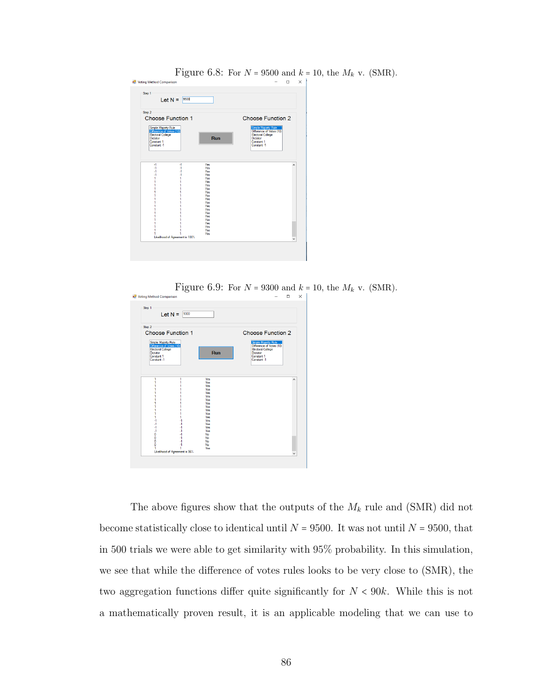

Figure 6.8: For  $N = 9500$  and  $k = 10$ , the  $M_k$  v. (SMR).

Figure 6.9: For  $N = 9300$  and  $k = 10$ , the  $M_k$  v. (SMR).



The above figures show that the outputs of the  $M_k$  rule and (SMR) did not become statistically close to identical until  $N = 9500$ . It was not until  $N = 9500$ , that in 500 trials we were able to get similarity with 95% probability. In this simulation, we see that while the difference of votes rules looks to be very close to (SMR), the two aggregation functions differ quite significantly for  $N < 90k$ . While this is not a mathematically proven result, it is an applicable modeling that we can use to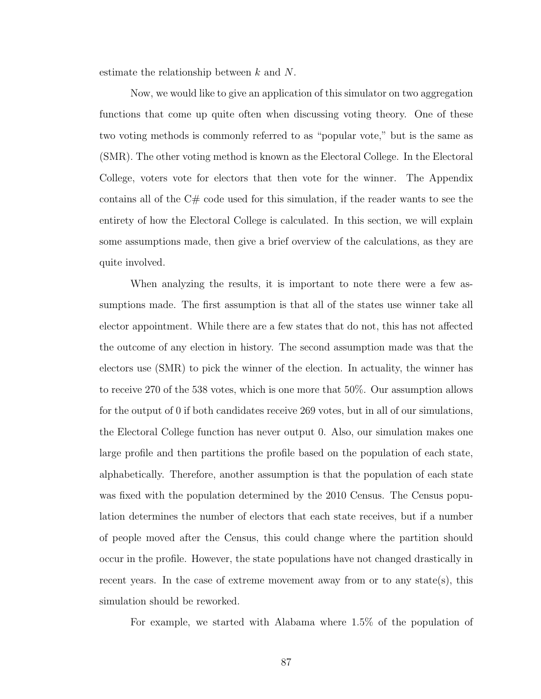estimate the relationship between k and N.

Now, we would like to give an application of this simulator on two aggregation functions that come up quite often when discussing voting theory. One of these two voting methods is commonly referred to as "popular vote," but is the same as (SMR). The other voting method is known as the Electoral College. In the Electoral College, voters vote for electors that then vote for the winner. The Appendix contains all of the  $C#$  code used for this simulation, if the reader wants to see the entirety of how the Electoral College is calculated. In this section, we will explain some assumptions made, then give a brief overview of the calculations, as they are quite involved.

When analyzing the results, it is important to note there were a few assumptions made. The first assumption is that all of the states use winner take all elector appointment. While there are a few states that do not, this has not affected the outcome of any election in history. The second assumption made was that the electors use (SMR) to pick the winner of the election. In actuality, the winner has to receive 270 of the 538 votes, which is one more that 50%. Our assumption allows for the output of 0 if both candidates receive 269 votes, but in all of our simulations, the Electoral College function has never output 0. Also, our simulation makes one large profile and then partitions the profile based on the population of each state, alphabetically. Therefore, another assumption is that the population of each state was fixed with the population determined by the 2010 Census. The Census population determines the number of electors that each state receives, but if a number of people moved after the Census, this could change where the partition should occur in the profile. However, the state populations have not changed drastically in recent years. In the case of extreme movement away from or to any state(s), this simulation should be reworked.

For example, we started with Alabama where 1.5% of the population of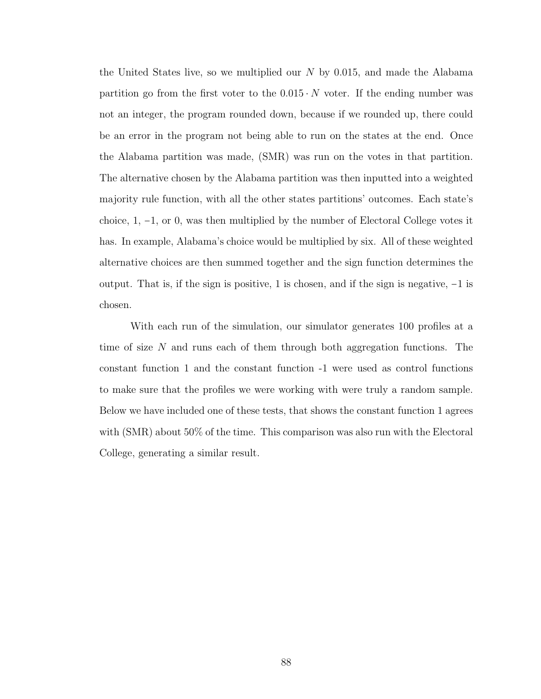the United States live, so we multiplied our  $N$  by 0.015, and made the Alabama partition go from the first voter to the  $0.015 \cdot N$  voter. If the ending number was not an integer, the program rounded down, because if we rounded up, there could be an error in the program not being able to run on the states at the end. Once the Alabama partition was made, (SMR) was run on the votes in that partition. The alternative chosen by the Alabama partition was then inputted into a weighted majority rule function, with all the other states partitions' outcomes. Each state's choice, 1, −1, or 0, was then multiplied by the number of Electoral College votes it has. In example, Alabama's choice would be multiplied by six. All of these weighted alternative choices are then summed together and the sign function determines the output. That is, if the sign is positive, 1 is chosen, and if the sign is negative, −1 is chosen.

With each run of the simulation, our simulator generates 100 profiles at a time of size N and runs each of them through both aggregation functions. The constant function 1 and the constant function -1 were used as control functions to make sure that the profiles we were working with were truly a random sample. Below we have included one of these tests, that shows the constant function 1 agrees with (SMR) about 50% of the time. This comparison was also run with the Electoral College, generating a similar result.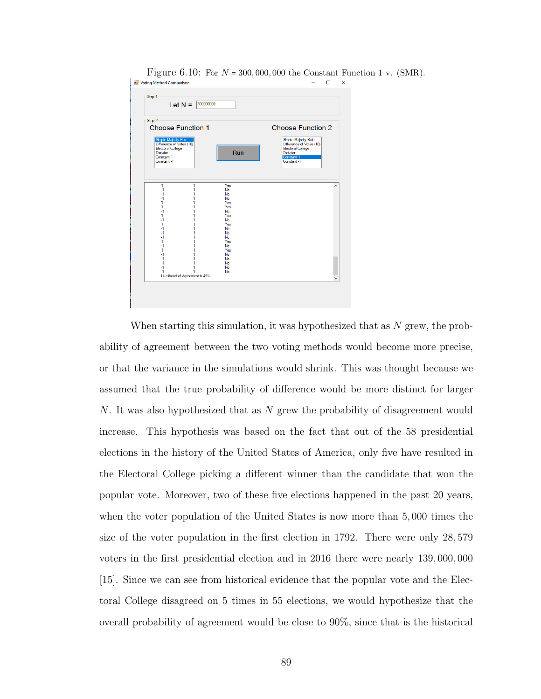|                                                  | Let $N =$                      |                  |                                                  |
|--------------------------------------------------|--------------------------------|------------------|--------------------------------------------------|
| Step 2                                           |                                |                  |                                                  |
| <b>Choose Function 1</b>                         |                                |                  | <b>Choose Function 2</b>                         |
|                                                  |                                |                  |                                                  |
| Simple Majority Rule<br>Difference of Votes (10) |                                |                  | Simple Majority Rule<br>Difference of Votes (10) |
| <b>Electoral College</b>                         |                                |                  | <b>Electoral College</b>                         |
| Dictator<br>Constant 1                           |                                | <b>Run</b>       | Dictator<br>Constant 1                           |
| Constant -1                                      |                                |                  | Constant -1                                      |
|                                                  |                                |                  |                                                  |
|                                                  |                                |                  |                                                  |
|                                                  |                                |                  |                                                  |
| 1<br>-1                                          | 1<br>1                         | Yes<br>No        | $\wedge$                                         |
| 4                                                |                                | No               |                                                  |
| $-1$                                             |                                | No               |                                                  |
| 1                                                | 1                              | Yes              |                                                  |
| 1<br>-1                                          | 1<br>1                         | Yes<br><b>No</b> |                                                  |
| 1                                                | 1                              | Yes              |                                                  |
| $-1$                                             | 1                              | No               |                                                  |
| 1                                                | 1                              | Yes              |                                                  |
| $-1$                                             | 1                              | No               |                                                  |
| 4                                                | 1                              | No               |                                                  |
| $-1$                                             | 1                              | No               |                                                  |
| 1                                                | 1                              | Yes              |                                                  |
| $-1$<br>1                                        | 1<br>1                         | No<br>Yes        |                                                  |
| $-1$                                             | 1                              | No               |                                                  |
| $-1$                                             | 1                              | No               |                                                  |
| $-1$                                             | 1                              | No               |                                                  |
| $-1$                                             | 1                              | No               |                                                  |
| $-1$                                             | 1                              | No               |                                                  |
|                                                  | Likelihood of Agreement is 49% |                  | w                                                |

Figure 6.10: For  $N = 300,000,000$  the Constant Function 1 v. (SMR).

When starting this simulation, it was hypothesized that as  $N$  grew, the probability of agreement between the two voting methods would become more precise, or that the variance in the simulations would shrink. This was thought because we assumed that the true probability of difference would be more distinct for larger N. It was also hypothesized that as N grew the probability of disagreement would increase. This hypothesis was based on the fact that out of the 58 presidential elections in the history of the United States of America, only five have resulted in the Electoral College picking a different winner than the candidate that won the popular vote. Moreover, two of these five elections happened in the past 20 years, when the voter population of the United States is now more than 5, 000 times the size of the voter population in the first election in 1792. There were only 28, 579 voters in the first presidential election and in 2016 there were nearly 139, 000, 000 [15]. Since we can see from historical evidence that the popular vote and the Electoral College disagreed on 5 times in 55 elections, we would hypothesize that the overall probability of agreement would be close to 90%, since that is the historical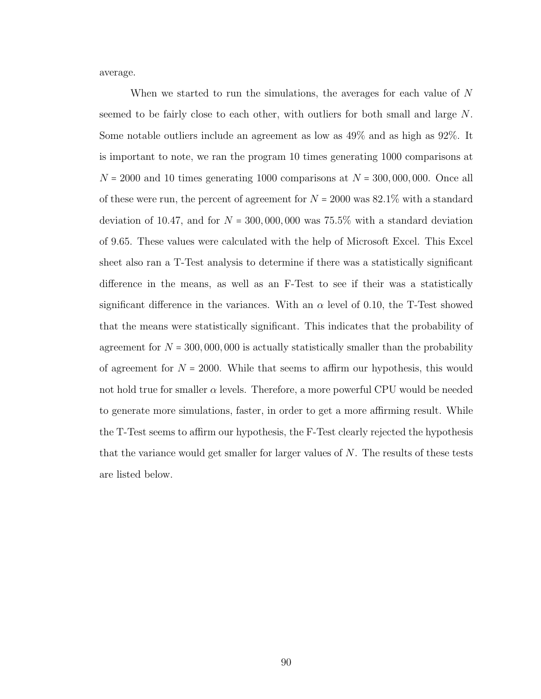average.

When we started to run the simulations, the averages for each value of N seemed to be fairly close to each other, with outliers for both small and large N. Some notable outliers include an agreement as low as 49% and as high as 92%. It is important to note, we ran the program 10 times generating 1000 comparisons at  $N = 2000$  and 10 times generating 1000 comparisons at  $N = 300,000,000$ . Once all of these were run, the percent of agreement for  $N = 2000$  was 82.1% with a standard deviation of 10.47, and for  $N = 300,000,000$  was 75.5% with a standard deviation of 9.65. These values were calculated with the help of Microsoft Excel. This Excel sheet also ran a T-Test analysis to determine if there was a statistically significant difference in the means, as well as an F-Test to see if their was a statistically significant difference in the variances. With an  $\alpha$  level of 0.10, the T-Test showed that the means were statistically significant. This indicates that the probability of agreement for  $N = 300,000,000$  is actually statistically smaller than the probability of agreement for  $N = 2000$ . While that seems to affirm our hypothesis, this would not hold true for smaller  $\alpha$  levels. Therefore, a more powerful CPU would be needed to generate more simulations, faster, in order to get a more affirming result. While the T-Test seems to affirm our hypothesis, the F-Test clearly rejected the hypothesis that the variance would get smaller for larger values of  $N$ . The results of these tests are listed below.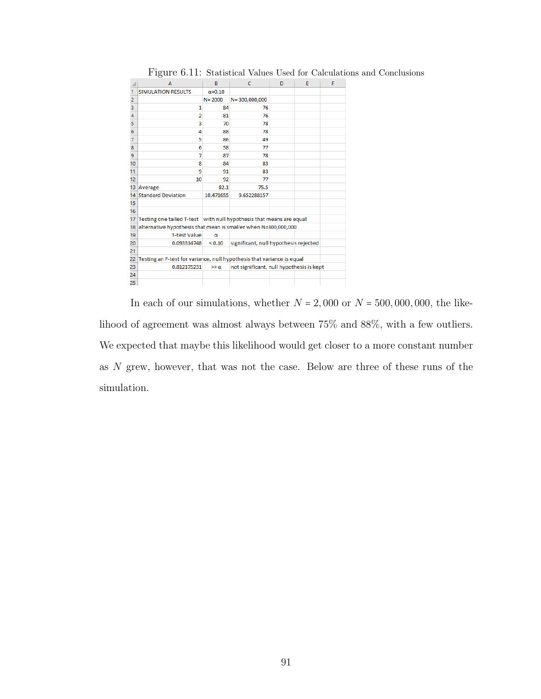|                | A                                                                      | B               | C                                        | D | F | F |
|----------------|------------------------------------------------------------------------|-----------------|------------------------------------------|---|---|---|
|                | <b>SIMULATION RESULTS</b>                                              | $\alpha = 0.10$ |                                          |   |   |   |
| $\overline{2}$ |                                                                        | $N = 2000$      | $N = 300,000,000$                        |   |   |   |
| 3              | 1                                                                      | 84              | 76                                       |   |   |   |
| 4              | $\overline{2}$                                                         | 81              | 76                                       |   |   |   |
| 5              | 3                                                                      | 70              | 78                                       |   |   |   |
| 6              | 4                                                                      | 88              | 78                                       |   |   |   |
| 7              | 5                                                                      | 86              | 49                                       |   |   |   |
| 8              | 6                                                                      | 58              | 77                                       |   |   |   |
| 9              | 7                                                                      | 87              | 78                                       |   |   |   |
| 10             | 8                                                                      | 84              | 83                                       |   |   |   |
| 11             | 9                                                                      | 91              | 83                                       |   |   |   |
| 12             | 10                                                                     | 92              | 77                                       |   |   |   |
| 13             | Average                                                                | 82.1            | 75.5                                     |   |   |   |
| 14             | <b>Standard Deviation</b>                                              | 10.471655       | 9.652288157                              |   |   |   |
| 15             |                                                                        |                 |                                          |   |   |   |
| 16             |                                                                        |                 |                                          |   |   |   |
| 17             | Testing one tailed T-test   with null hypothesis that means are equal  |                 |                                          |   |   |   |
| 18             | alternative hypothesis that mean is smaller when N=300,000,000         |                 |                                          |   |   |   |
| 19             | <b>T-test Value</b>                                                    | α               |                                          |   |   |   |
| 20             | 0.093314748                                                            | < 0.10          | significant, null hypothesis rejected    |   |   |   |
| 21             |                                                                        |                 |                                          |   |   |   |
| 22             | Testing an F-test for variance, null hypothesis that variance is equal |                 |                                          |   |   |   |
| 23             | 0.812175231                                                            | $\gg \alpha$    | not significant, null hypothesis is kept |   |   |   |
| 24             |                                                                        |                 |                                          |   |   |   |
| 25             |                                                                        |                 |                                          |   |   |   |

Figure 6.11: Statistical Values Used for Calculations and Conclusions

In each of our simulations, whether  $N = 2,000$  or  $N = 500,000,000$ , the likelihood of agreement was almost always between 75% and 88%, with a few outliers. We expected that maybe this likelihood would get closer to a more constant number as N grew, however, that was not the case. Below are three of these runs of the simulation.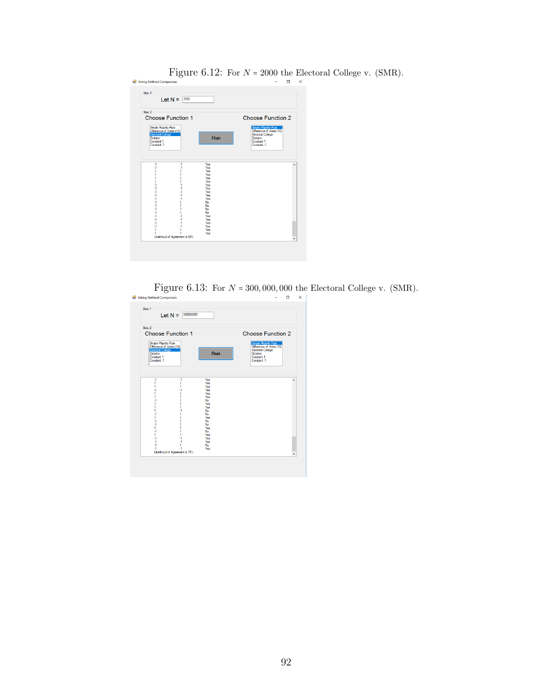|                                                                                                                       | Let $N = 2000$                 |            |                                                                                                                       |
|-----------------------------------------------------------------------------------------------------------------------|--------------------------------|------------|-----------------------------------------------------------------------------------------------------------------------|
| Step 2<br><b>Choose Function 1</b>                                                                                    |                                |            | <b>Choose Function 2</b>                                                                                              |
|                                                                                                                       |                                |            |                                                                                                                       |
| Simple Majority Rule<br>Difference of Votes (10)<br><b>Electoral College</b><br>Dictator<br>Constant 1<br>Constant -1 |                                | <b>Run</b> | Simple Majority Rule<br>Difference of Votes (10)<br><b>Electoral College</b><br>Dictator<br>Constant 1<br>Constant -1 |
| -1                                                                                                                    | -1                             | Yes        | $\lambda$                                                                                                             |
| $\cdot$ 1<br>٠                                                                                                        | 4<br>٠                         | Yes        |                                                                                                                       |
| 1                                                                                                                     | 1                              | Yes<br>Yes |                                                                                                                       |
| ٠                                                                                                                     | 1                              | Yes        |                                                                                                                       |
| 1                                                                                                                     | 1                              | Yes        |                                                                                                                       |
| 4                                                                                                                     | $-1$                           | Yes        |                                                                                                                       |
| 4                                                                                                                     | 4                              | Yes        |                                                                                                                       |
| $\cdot$ 1<br>4                                                                                                        | $-1$<br>4                      | Yes<br>Yes |                                                                                                                       |
| 4                                                                                                                     | 4                              | Yes        |                                                                                                                       |
| -1                                                                                                                    | 1                              | No         |                                                                                                                       |
| 4                                                                                                                     | ٦                              | No         |                                                                                                                       |
| $-1$                                                                                                                  | 1                              | No         |                                                                                                                       |
| $\cdot$ 1                                                                                                             | 1                              | No         |                                                                                                                       |
| $-1$                                                                                                                  | 4                              | Yes        |                                                                                                                       |
| $-1$<br>$\cdot$ 1                                                                                                     | 4<br>$\cdot$ 1                 | Yes<br>Yes |                                                                                                                       |
| $-1$                                                                                                                  | $-1$                           | Yes        |                                                                                                                       |
| 1                                                                                                                     | 1                              | Yes        |                                                                                                                       |
| 1                                                                                                                     | ٠                              | Yes        |                                                                                                                       |
|                                                                                                                       | Likelihood of Agreement is 88% |            |                                                                                                                       |

Figure 6.12: For  $N = 2000$  the Electoral College v. (SMR).

Figure 6.13: For  $N = 300,000,000$  the Electoral College v. (SMR).

| Voting Method Comparison                                                                                              |                                |            | п<br>$\times$                                                                                                         |  |
|-----------------------------------------------------------------------------------------------------------------------|--------------------------------|------------|-----------------------------------------------------------------------------------------------------------------------|--|
|                                                                                                                       |                                |            |                                                                                                                       |  |
| Step 1                                                                                                                |                                |            |                                                                                                                       |  |
|                                                                                                                       | Let $N = 300000000$            |            |                                                                                                                       |  |
| Step 2                                                                                                                |                                |            |                                                                                                                       |  |
|                                                                                                                       | <b>Choose Function 1</b>       |            | <b>Choose Function 2</b>                                                                                              |  |
| Simple Majority Rule<br>Difference of Votes (10)<br><b>Electoral College</b><br>Dictator<br>Constant 1<br>Constant -1 |                                | Run        | Simple Majority Rule<br>Difference of Votes (10)<br><b>Electoral College</b><br>Dictator<br>Constant 1<br>Constant -1 |  |
| $\cdot$ 1                                                                                                             | -1                             | Yes        | $\lambda$                                                                                                             |  |
| ٦<br>٦                                                                                                                | 1<br>١                         | Yes<br>Yes |                                                                                                                       |  |
| 4                                                                                                                     | 4                              | Yes        |                                                                                                                       |  |
| 1                                                                                                                     | ١                              | Yes        |                                                                                                                       |  |
| 1                                                                                                                     | 1                              | Yes        |                                                                                                                       |  |
| 4                                                                                                                     | ٦                              | <b>No</b>  |                                                                                                                       |  |
| 1                                                                                                                     | 1                              | Yes        |                                                                                                                       |  |
| 1                                                                                                                     | ٦                              | Yes        |                                                                                                                       |  |
| ١                                                                                                                     | 4                              | <b>No</b>  |                                                                                                                       |  |
| 4<br>1                                                                                                                | 1<br>1                         | No<br>Yes  |                                                                                                                       |  |
| 4                                                                                                                     | 1                              | <b>No</b>  |                                                                                                                       |  |
| 4                                                                                                                     | 1                              | <b>No</b>  |                                                                                                                       |  |
| ٦                                                                                                                     | ٦                              | Yes        |                                                                                                                       |  |
| 4                                                                                                                     | ٠                              | No         |                                                                                                                       |  |
| ٦                                                                                                                     | ٠                              | Yes        |                                                                                                                       |  |
| -1                                                                                                                    | 4                              | Yes        |                                                                                                                       |  |
| $\cdot$ 1                                                                                                             | $-1$                           | Yes        |                                                                                                                       |  |
| $\cdot$ 1                                                                                                             | ٠                              | <b>No</b>  |                                                                                                                       |  |
| 4                                                                                                                     | 4                              | Yes        |                                                                                                                       |  |
|                                                                                                                       | Likelihood of Agreement is 78% |            |                                                                                                                       |  |
|                                                                                                                       |                                |            |                                                                                                                       |  |
|                                                                                                                       |                                |            |                                                                                                                       |  |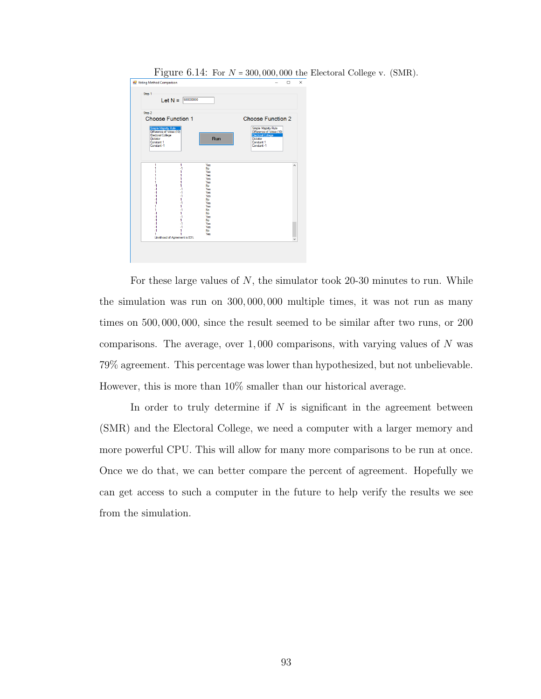| Voting Method Comparison                                                                                                                                                                                                               |                                                                                                               | п                                                                                                                            |
|----------------------------------------------------------------------------------------------------------------------------------------------------------------------------------------------------------------------------------------|---------------------------------------------------------------------------------------------------------------|------------------------------------------------------------------------------------------------------------------------------|
| Step 1<br>500000000<br>Let $N =$                                                                                                                                                                                                       |                                                                                                               |                                                                                                                              |
| Step 2<br><b>Choose Function 1</b>                                                                                                                                                                                                     |                                                                                                               | <b>Choose Function 2</b>                                                                                                     |
| Simple Majority Rule<br>Difference of Votes (10)<br><b>Electoral College</b><br>Dictator<br>Constant 1<br>Constant -1                                                                                                                  | Run                                                                                                           | Simple Majority Rule<br>Difference of Votes (10)<br><b>Electoral College</b><br><b>Dictator</b><br>Constant 1<br>Constant -1 |
| 1<br>1<br>1<br>$\cdot$ 1<br>1<br>٢<br>1<br>f<br>1<br>1<br>1<br>1<br>-1<br>1<br>4<br>4<br>-1<br>$\cdot$ 1<br>-1<br>-1<br>4<br>1<br>$\cdot$ 1<br>и<br>1<br>1<br>1<br>$\cdot$ 1<br>$\cdot$ 1<br>1<br>$\mathbf{d}$<br>-1<br>$\cdot$ 1<br>1 | Yes<br>No<br>Yes<br>Yes<br>Yes<br>Yes<br>No<br>Yes<br>Yes<br>Yes<br>No<br>Yes<br>Yes<br>No<br>No<br>Yes<br>No | ۸                                                                                                                            |
| 4<br>-1<br>$\cdot$ 1<br>$\cdot$ 1<br>4<br>٠<br>1<br>٠<br>Likelihood of Agreement is 83%                                                                                                                                                | Yes<br>Yes<br>No<br>Yes                                                                                       |                                                                                                                              |

Figure 6.14: For  $N = 300,000,000$  the Electoral College v. (SMR).

For these large values of  $N$ , the simulator took 20-30 minutes to run. While the simulation was run on 300, 000, 000 multiple times, it was not run as many times on 500, 000, 000, since the result seemed to be similar after two runs, or 200 comparisons. The average, over  $1,000$  comparisons, with varying values of N was 79% agreement. This percentage was lower than hypothesized, but not unbelievable. However, this is more than 10% smaller than our historical average.

In order to truly determine if  $N$  is significant in the agreement between (SMR) and the Electoral College, we need a computer with a larger memory and more powerful CPU. This will allow for many more comparisons to be run at once. Once we do that, we can better compare the percent of agreement. Hopefully we can get access to such a computer in the future to help verify the results we see from the simulation.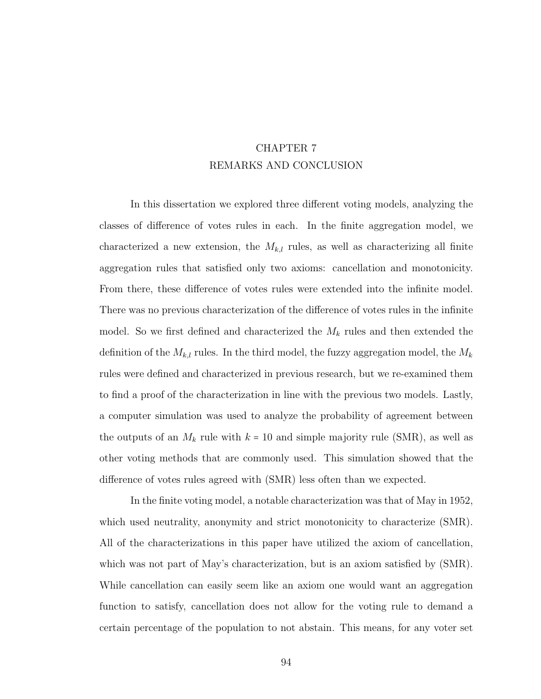## CHAPTER 7 REMARKS AND CONCLUSION

In this dissertation we explored three different voting models, analyzing the classes of difference of votes rules in each. In the finite aggregation model, we characterized a new extension, the  $M_{k,l}$  rules, as well as characterizing all finite aggregation rules that satisfied only two axioms: cancellation and monotonicity. From there, these difference of votes rules were extended into the infinite model. There was no previous characterization of the difference of votes rules in the infinite model. So we first defined and characterized the  $M_k$  rules and then extended the definition of the  $M_{k,l}$  rules. In the third model, the fuzzy aggregation model, the  $M_k$ rules were defined and characterized in previous research, but we re-examined them to find a proof of the characterization in line with the previous two models. Lastly, a computer simulation was used to analyze the probability of agreement between the outputs of an  $M_k$  rule with  $k = 10$  and simple majority rule (SMR), as well as other voting methods that are commonly used. This simulation showed that the difference of votes rules agreed with (SMR) less often than we expected.

In the finite voting model, a notable characterization was that of May in 1952, which used neutrality, anonymity and strict monotonicity to characterize  $(SMR)$ . All of the characterizations in this paper have utilized the axiom of cancellation, which was not part of May's characterization, but is an axiom satisfied by (SMR). While cancellation can easily seem like an axiom one would want an aggregation function to satisfy, cancellation does not allow for the voting rule to demand a certain percentage of the population to not abstain. This means, for any voter set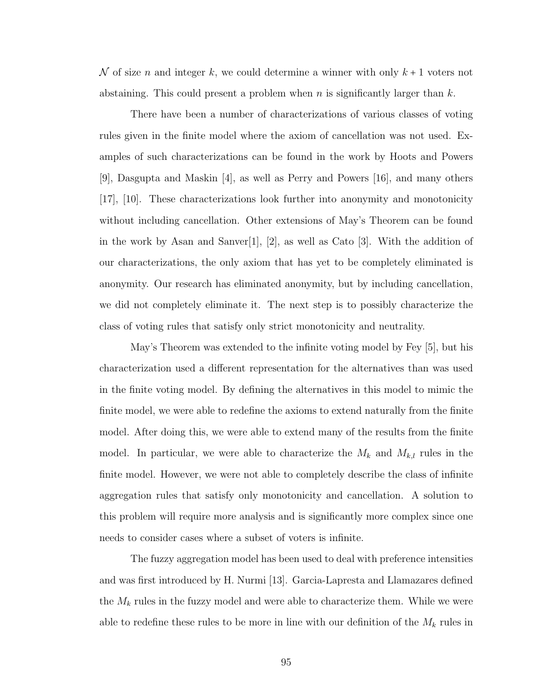N of size n and integer k, we could determine a winner with only  $k+1$  voters not abstaining. This could present a problem when n is significantly larger than  $k$ .

There have been a number of characterizations of various classes of voting rules given in the finite model where the axiom of cancellation was not used. Examples of such characterizations can be found in the work by Hoots and Powers [9], Dasgupta and Maskin [4], as well as Perry and Powers [16], and many others [17], [10]. These characterizations look further into anonymity and monotonicity without including cancellation. Other extensions of May's Theorem can be found in the work by Asan and Sanver[1], [2], as well as Cato [3]. With the addition of our characterizations, the only axiom that has yet to be completely eliminated is anonymity. Our research has eliminated anonymity, but by including cancellation, we did not completely eliminate it. The next step is to possibly characterize the class of voting rules that satisfy only strict monotonicity and neutrality.

May's Theorem was extended to the infinite voting model by Fey [5], but his characterization used a different representation for the alternatives than was used in the finite voting model. By defining the alternatives in this model to mimic the finite model, we were able to redefine the axioms to extend naturally from the finite model. After doing this, we were able to extend many of the results from the finite model. In particular, we were able to characterize the  $M_k$  and  $M_{k,l}$  rules in the finite model. However, we were not able to completely describe the class of infinite aggregation rules that satisfy only monotonicity and cancellation. A solution to this problem will require more analysis and is significantly more complex since one needs to consider cases where a subset of voters is infinite.

The fuzzy aggregation model has been used to deal with preference intensities and was first introduced by H. Nurmi [13]. Garcia-Lapresta and Llamazares defined the  $M_k$  rules in the fuzzy model and were able to characterize them. While we were able to redefine these rules to be more in line with our definition of the  $M_k$  rules in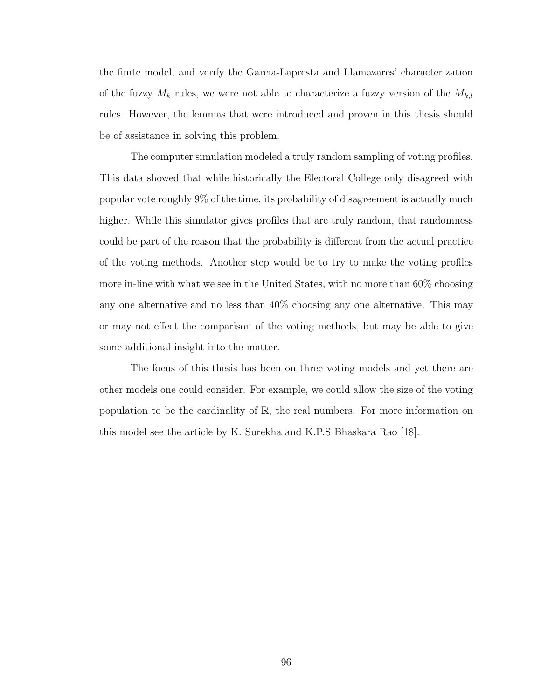the finite model, and verify the Garcia-Lapresta and Llamazares' characterization of the fuzzy  $M_k$  rules, we were not able to characterize a fuzzy version of the  $M_{k,l}$ rules. However, the lemmas that were introduced and proven in this thesis should be of assistance in solving this problem.

The computer simulation modeled a truly random sampling of voting profiles. This data showed that while historically the Electoral College only disagreed with popular vote roughly 9% of the time, its probability of disagreement is actually much higher. While this simulator gives profiles that are truly random, that randomness could be part of the reason that the probability is different from the actual practice of the voting methods. Another step would be to try to make the voting profiles more in-line with what we see in the United States, with no more than 60% choosing any one alternative and no less than 40% choosing any one alternative. This may or may not effect the comparison of the voting methods, but may be able to give some additional insight into the matter.

The focus of this thesis has been on three voting models and yet there are other models one could consider. For example, we could allow the size of the voting population to be the cardinality of R, the real numbers. For more information on this model see the article by K. Surekha and K.P.S Bhaskara Rao [18].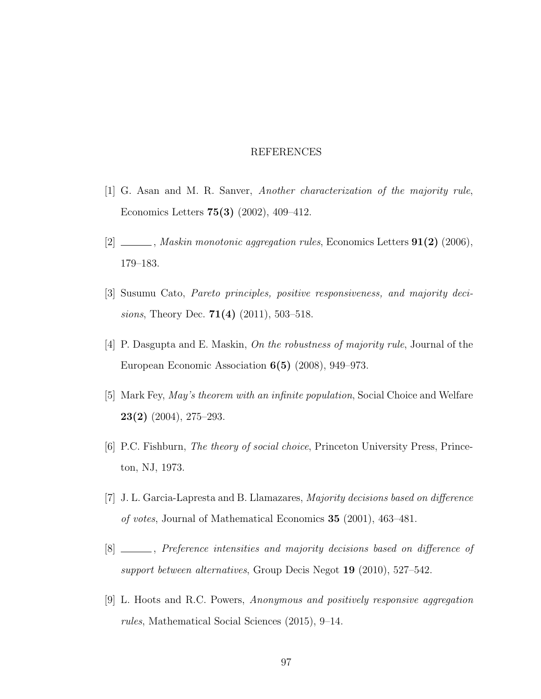#### REFERENCES

- [1] G. Asan and M. R. Sanver, Another characterization of the majority rule, Economics Letters  $75(3)$  (2002), 409–412.
- $[2]$   $\_\_\_\_\_\$ , *Maskin monotonic aggregation rules*, Economics Letters **91(2)** (2006), 179–183.
- [3] Susumu Cato, Pareto principles, positive responsiveness, and majority decisions, Theory Dec.  $71(4)$  (2011), 503-518.
- [4] P. Dasgupta and E. Maskin, On the robustness of majority rule, Journal of the European Economic Association 6(5) (2008), 949–973.
- [5] Mark Fey, May's theorem with an infinite population, Social Choice and Welfare 23(2) (2004), 275–293.
- [6] P.C. Fishburn, The theory of social choice, Princeton University Press, Princeton, NJ, 1973.
- [7] J. L. Garcia-Lapresta and B. Llamazares, Majority decisions based on difference of votes, Journal of Mathematical Economics 35 (2001), 463–481.
- [8] \_\_\_\_\_, Preference intensities and majority decisions based on difference of support between alternatives, Group Decis Negot 19 (2010), 527–542.
- [9] L. Hoots and R.C. Powers, Anonymous and positively responsive aggregation rules, Mathematical Social Sciences (2015), 9–14.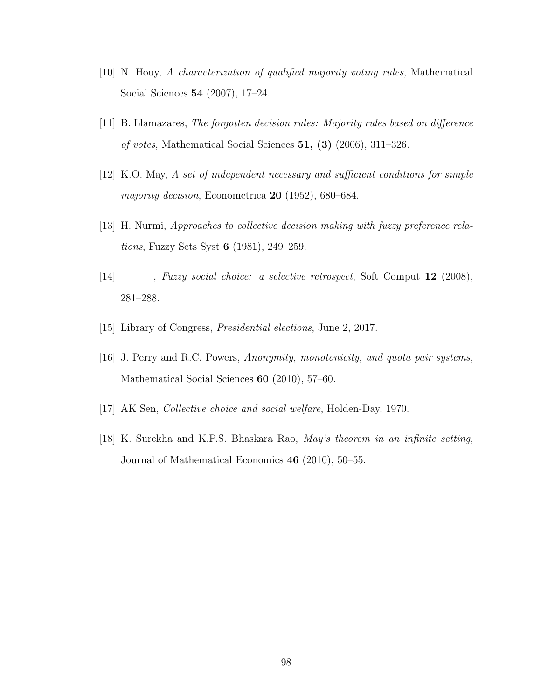- [10] N. Houy, A characterization of qualified majority voting rules, Mathematical Social Sciences 54 (2007), 17–24.
- [11] B. Llamazares, The forgotten decision rules: Majority rules based on difference of votes, Mathematical Social Sciences  $51, (3)$   $(2006), 311-326$ .
- [12] K.O. May, A set of independent necessary and sufficient conditions for simple majority decision, Econometrica 20 (1952), 680–684.
- [13] H. Nurmi, Approaches to collective decision making with fuzzy preference relations, Fuzzy Sets Syst 6 (1981), 249–259.
- [14] \_\_\_\_, Fuzzy social choice: a selective retrospect, Soft Comput 12 (2008), 281–288.
- [15] Library of Congress, Presidential elections, June 2, 2017.
- [16] J. Perry and R.C. Powers, Anonymity, monotonicity, and quota pair systems, Mathematical Social Sciences 60 (2010), 57–60.
- [17] AK Sen, Collective choice and social welfare, Holden-Day, 1970.
- [18] K. Surekha and K.P.S. Bhaskara Rao, May's theorem in an infinite setting, Journal of Mathematical Economics 46 (2010), 50–55.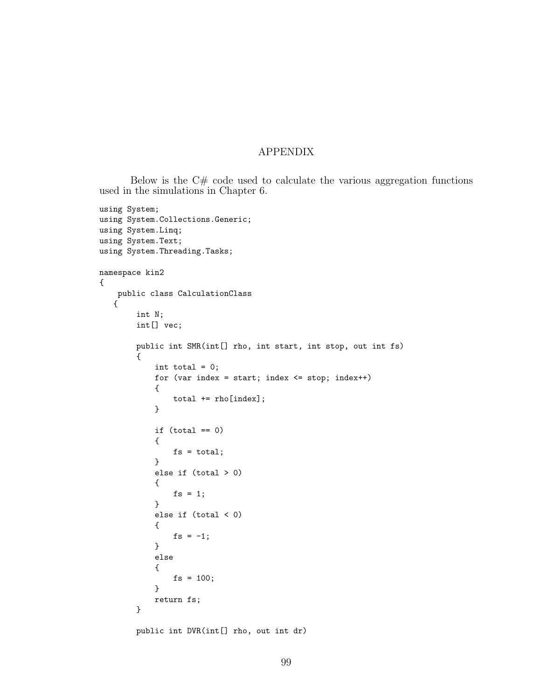## APPENDIX

Below is the C $#$  code used to calculate the various aggregation functions used in the simulations in Chapter 6.

```
using System;
using System.Collections.Generic;
using System.Linq;
using System.Text;
using System.Threading.Tasks;
namespace kin2
{
    public class CalculationClass
   {
        int N;
        int[] vec;
        public int SMR(int[] rho, int start, int stop, out int fs)
        {
            int total = 0;
            for (var index = start; index \leq stop; index++)
            {
                total += rho[index];
            }
            if (total == 0){
                fs = total;}
            else if (total > 0)
            {
                fs = 1;}
            else if (total < 0)
            {
                fs = -1;
            }
            else
            {
                fs = 100;}
            return fs;
        }
        public int DVR(int[] rho, out int dr)
```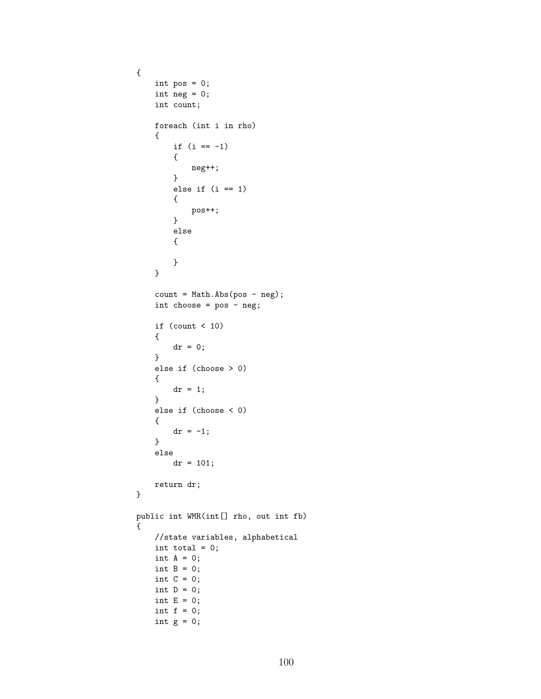```
{
    int pos = 0;
    int neg = 0;
    int count;
    foreach (int i in rho)
    {
       if (i == -1)
        {
           neg++;
        }
       else if (i == 1){
           pos++;
        }
        else
        {
        }
    }
    count = Math.Abs(pos - neg);int choose = pos - neg;
    if (count < 10)
    {
       dr = 0;}
    else if (choose > 0)
    {
       dr = 1;}
    else if (choose < 0)
    {
       dr = -1;}
    else
       dr = 101;return dr;
}
public int WMR(int[] rho, out int fb)
{
   //state variables, alphabetical
   int total = 0;
    int A = 0;
    int B = 0;
    int C = 0;
    int D = 0;
    int E = 0;
    int f = 0;
    int g = 0;
```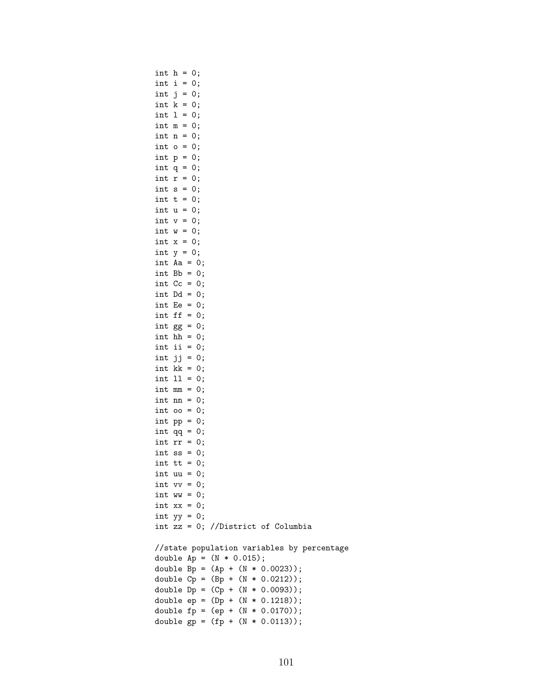```
int h = 0;
int i = 0;
int j = 0;
int k = 0;
int l = 0;
int m = 0;
int n = 0;
int o = 0;
int p = 0;
int q = 0;
int r = 0;
int s = 0;
int t = 0;
int u = 0;
int v = 0;
int w = 0;
int x = 0;
int y = 0;
int Aa = 0;
int Bb = 0;
int Cc = 0;int Dd = 0;
int Ee = 0;
int ff = 0;
int gg = 0;
int hh = 0;
int ii = 0;
int jj = 0;
int kk = 0;
int 11 = 0;
int mm = 0;
int nn = 0;
int oo = 0;
int pp = 0;
int qq = 0;
int rr = 0;
int ss = 0;
int tt = 0;
int uu = 0;
int vv = 0;
int ww = 0;
int xx = 0;
int yy = 0;
int zz = 0; //District of Columbia
//state population variables by percentage
double Ap = (N * 0.015);
double Bp = (Ap + (N * 0.0023));double Cp = (Bp + (N * 0.0212));double Dp = (Cp + (N * 0.0093));double ep = (Dp + (N * 0.1218));double fp = (ep + (N * 0.0170));double gp = (fp + (N * 0.0113));
```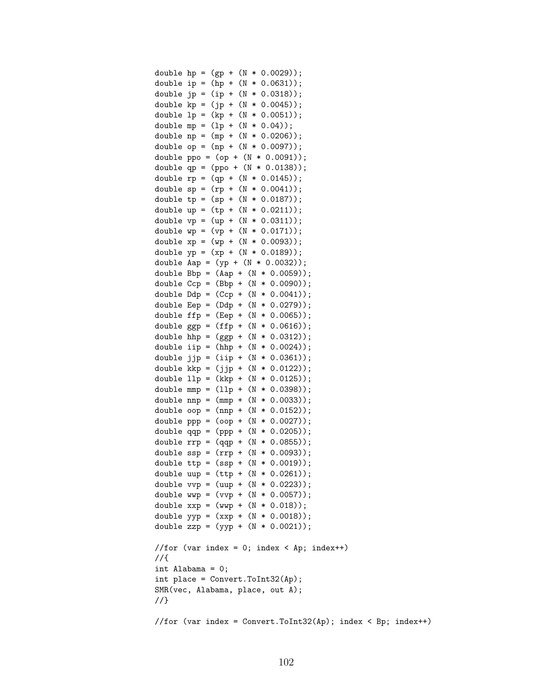```
double hp = (gp + (N * 0.0029));double ip = (hp + (N * 0.0631));double jp = (ip + (N * 0.0318));double kp = (jp + (N * 0.0045));double lp = (kp + (N * 0.0051));double mp = (1p + (N * 0.04));double np = (mp + (N * 0.0206));double op = (np + (N * 0.0097));double ppo = (op + (N * 0.0091));double qp = (ppo + (N * 0.0138));double rp = (qp + (N * 0.0145));double sp = (rp + (N * 0.0041));double tp = (sp + (N * 0.0187));double up = (tp + (N * 0.0211));double vp = (up + (N * 0.0311));double wp = (vp + (N * 0.0171));double xp = (wp + (N * 0.0093));double yp = (xp + (N * 0.0189));double Aap = (yp + (N * 0.0032));double Bbp = (Aap + (N * 0.0059));double Ccp = (Bbp + (N * 0.0090));double Ddp = (Ccp + (N * 0.0041));double Eep = (Ddp + (N * 0.0279));double ffp = (Eep + (N * 0.0065));double ggp = (ffp + (N * 0.0616));double hhp = (ggp + (N * 0.0312));double iip = (hhp + (N * 0.0024));double jjp = (iip + (N * 0.0361));double kkp = (jjp + (N * 0.0122));double llp = (kkp + (N * 0.0125));double mmp = (llp + (N * 0.0398));double nnp = (mmp + (N * 0.0033));double oop = (nnp + (N * 0.0152));double pp = (oop + (N * 0.0027));double qqp = (ppp + (N * 0.0205));double rrp = (qqp + (N * 0.0855));double ssp = (rrp + (N * 0.0093));double ttp = (ssp + (N * 0.0019));double uup = (ttp + (N * 0.0261));double vvp = (uup + (N * 0.0223));double wwp = (vvp + (N * 0.0057));double xxp = (wwp + (N * 0.018));double yyp = (xxp + (N * 0.0018));double zzp = (yyp + (N * 0.0021));//for (var index = 0; index < Ap; index++)
//{
int Alabama = 0;
int place = Convert.ToInt32(Ap);
SMR(vec, Alabama, place, out A);
//}
//for (var index = Convert.ToInt32(Ap); index < Bp; index++)
```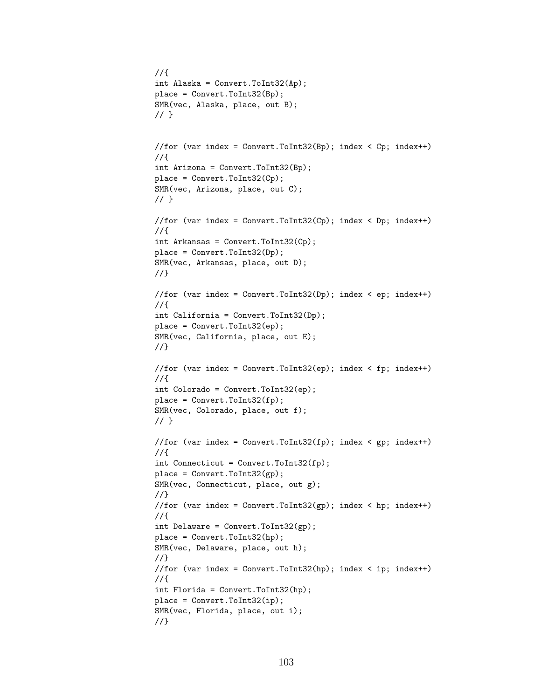```
//{
int Alaska = Convert.ToInt32(Ap);
place = Convert.ToInt32(Bp);
SMR(vec, Alaska, place, out B);
// }
//for (var index = Convert.ToInt32(Bp); index < Cp; index++)
//{
int Arizona = Convert.ToInt32(Bp);
place = Convert.ToInt32(Cp);
SMR(vec, Arizona, place, out C);
// }
//for (var index = Convert.ToInt32(Cp); index < Dp; index++)
//{
int Arkansas = Convert.ToInt32(Cp);
place = Convert.ToInt32(Dp);
SMR(vec, Arkansas, place, out D);
//}
//for (var index = Convert.ToInt32(Dp); index < ep; index++)
//{
int California = Convert.ToInt32(Dp);
place = Convert.ToInt32(ep);
SMR(vec, California, place, out E);
//}
//for (var index = Convert.ToInt32(ep); index < fp; index++)
//{
int Colorado = Convert.ToInt32(ep);
place = Convert.ToInt32(fp);
SMR(vec, Colorado, place, out f);
// }
//for (var index = Convert.ToInt32(fp); index < gp; index++)
//{
int Connecticut = Convert.Tolnt32(fp);place = Convert.ToInt32(gp);
SMR(vec, Connecticut, place, out g);
//}
//for (var index = Convert.ToInt32(gp); index < hp; index++)
//{
int Delaware = Convert.ToInt32(gp);
place = Convert.ToInt32(hp);
SMR(vec, Delaware, place, out h);
//}
//for (var index = Convert.ToInt32(hp); index < ip; index++)
//{
int Florida = Convert.ToInt32(hp);
place = Convert.ToInt32(ip);
SMR(vec, Florida, place, out i);
//}
```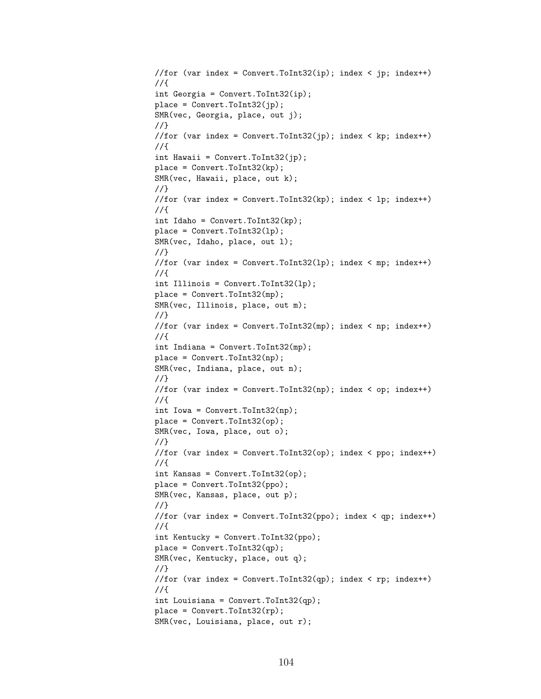```
//for (var index = Convert.ToInt32(ip); index < jp; index++)
//{
int Georgia = Convert.ToInt32(ip);
place = Convert.Tolnt32(ip);SMR(vec, Georgia, place, out j);
//}
//for (var index = Convert.ToInt32(jp); index < kp; index++)
//{
int Hawaii = Convert.ToInt32(jp);
place = Convert.ToInt32(kp);
SMR(vec, Hawaii, place, out k);
//}
//for (var index = Convert.ToInt32(kp); index < lp; index ++)
//{
int Idaho = Convert.ToInt32(kp);
place = Convert.ToInt32(lp);
SMR(vec, Idaho, place, out l);
//}
//for (var index = Convert.ToInt32(lp); index < mp; index++)
//{
int Illinois = Convert.ToInt32(lp);
place = Convert.ToInt32(mp);
SMR(vec, Illinois, place, out m);
//}
//for (var index = Convert.ToInt32(mp); index < np; index++)
//{
int Indiana = Convert.ToInt32(mp);
place = Convert.ToInt32(np);
SMR(vec, Indiana, place, out n);
//}
//for (var index = Convert.ToInt32(np); index < op; index++)
//{
int Iowa = Convert.ToInt32(np);
place = Convert.ToInt32(op);
SMR(vec, Iowa, place, out o);
//}
//for (var index = Convert.ToInt32(op); index < ppo; index++)
//{
int Kansas = Convert.ToInt32(op);
place = Convert.ToInt32(ppo);
SMR(vec, Kansas, place, out p);
//}
//for (var index = Convert.ToInt32(ppo); index < qp; index++)
//{
int Kentucky = Convert.ToInt32(ppo);
place = Convert.ToInt32(qp);
SMR(vec, Kentucky, place, out q);
//}
//for (var index = Convert.ToInt32(qp); index < rp; index++)
//{
int Louisiana = Convert.ToInt32(qp);
place = Convert.ToInt32(rp);
SMR(vec, Louisiana, place, out r);
```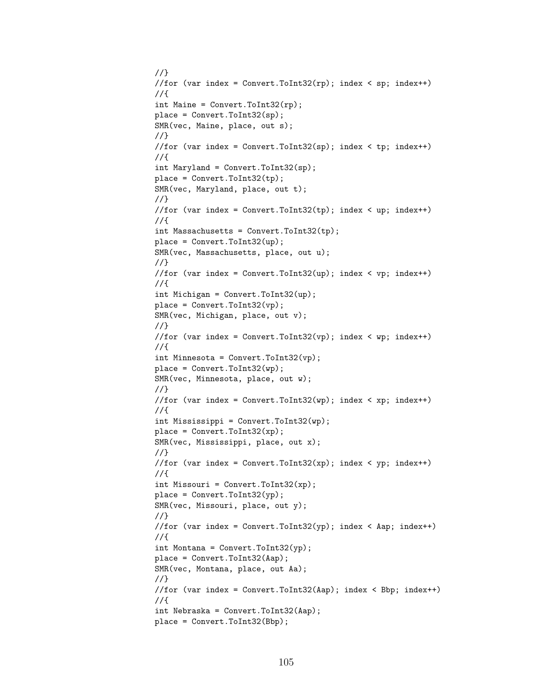```
//}
//for (var index = Convert.ToInt32(rp); index < sp; index++)
//{
int Maine = Convert.Tolnt32(rp);place = Convert.ToInt32(sp);
SMR(vec, Maine, place, out s);
//}
//for (var index = Convert.ToInt32(sp); index < tp; index++)
//{
int Maryland = Convert.ToInt32(sp);
place = Convert.ToInt32(tp);
SMR(vec, Maryland, place, out t);
//}
//for (var index = Convert.ToInt32(tp); index < up; index++)
//{
int Massachusetts = Convert.ToInt32(tp);
place = Convert.ToInt32(up);
SMR(vec, Massachusetts, place, out u);
//}
//for (var index = Convert.ToInt32(up); index < vp; index++)
//{
int Michigan = Convert.ToInt32(up);
place = Convert.ToInt32(vp);
SMR(vec, Michigan, place, out v);
//}
//for (var index = Convert.ToInt32(vp); index < wp; index++)
//{
int Minnesota = Convert.ToInt32(vp);
place = Convert.ToInt32(wp);
SMR(vec, Minnesota, place, out w);
//}
//for (var index = Convert.ToInt32(wp); index < xp; index++)
//{
int Mississippi = Convert.ToInt32(wp);
place = Convert.ToInt32(xp);
SMR(vec, Mississippi, place, out x);
//}
//for (var index = Convert.ToInt32(xp); index < yp; index++)
//{
int Missouri = Convert.ToInt32(xp);
place = Convert.ToInt32(yp);
SMR(vec, Missouri, place, out y);
//}
//for (var index = Convert.ToInt32(yp); index < Aap; index++)
//{
int Montana = Convert.ToInt32(yp);
place = Convert.ToInt32(Aap);
SMR(vec, Montana, place, out Aa);
//}
//for (var index = Convert.ToInt32(Aap); index < Bbp; index++)
//{
int Nebraska = Convert.ToInt32(Aap);
place = Convert.ToInt32(Bbp);
```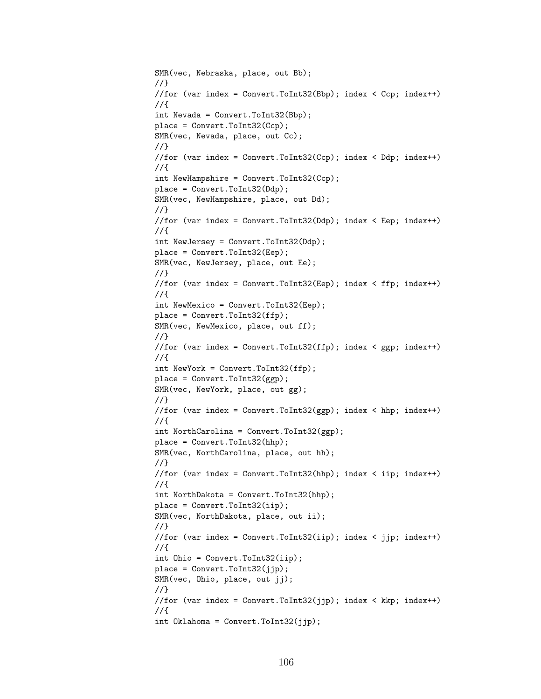```
SMR(vec, Nebraska, place, out Bb);
//}
//for (var index = Convert.ToInt32(Bbp); index < Ccp; index++)
//{
int Nevada = Convert.ToInt32(Bbp);
place = Convert.ToInt32(Ccp);
SMR(vec, Nevada, place, out Cc);
//}
//for (var index = Convert.ToInt32(Ccp); index < Ddp; index++)
//{
int NewHampshire = Convert.ToInt32(Ccp);
place = Convert.ToInt32(Ddp);
SMR(vec, NewHampshire, place, out Dd);
//}
//for (var index = Convert.ToInt32(Ddp); index < Eep; index++)
//{
int NewJersey = Convert.ToInt32(Ddp);
place = Convert.ToInt32(Eep);
SMR(vec, NewJersey, place, out Ee);
//}
//for (var index = Convert.ToInt32(Eep); index < ffp; index++)
//{
int NewMexico = Convert.ToInt32(Eep);
place = Convert.ToInt32(ffp);
SMR(vec, NewMexico, place, out ff);
//}
//for (var index = Convert.ToInt32(ffp); index < ggp; index++)
//{
int NewYork = Convert.ToInt32(ffp);
place = Convert.ToInt32(ggp);
SMR(vec, NewYork, place, out gg);
//}
//for (var index = Convert.ToInt32(ggp); index < hhp; index++)
//{
int NorthCarolina = Convert.ToInt32(ggp);
place = Convert.ToInt32(hhp);
SMR(vec, NorthCarolina, place, out hh);
//}
//for (var index = Convert.ToInt32(hhp); index < iip; index++)
//{
int NorthDakota = Convert.ToInt32(hhp);
place = Convert.ToInt32(iip);
SMR(vec, NorthDakota, place, out ii);
//}
//for (var index = Convert.ToInt32(iip); index < jjp; index++)
//{
int Ohio = Convert.ToInt32(iip);
place = Convert.ToInt32(jjp);
SMR(vec, Ohio, place, out jj);
////for (var index = Convert.ToInt32(jjp); index < kkp; index++)
//{
int Oklahoma = Convert.ToInt32(jjp);
```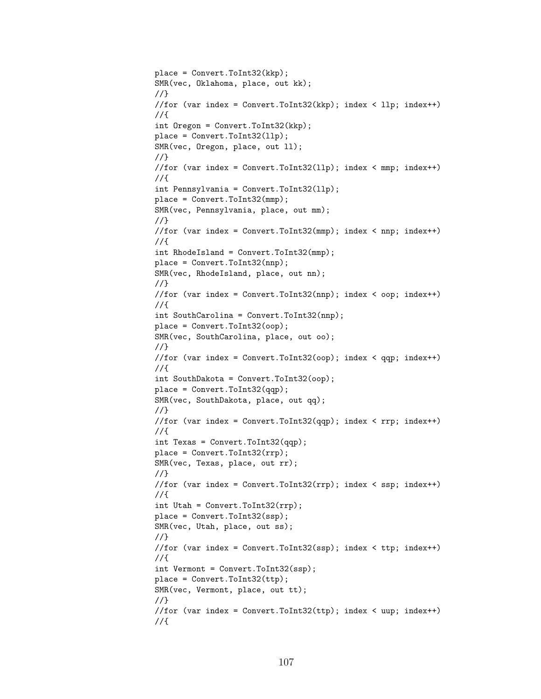```
place = Convert.ToInt32(kkp);
SMR(vec, Oklahoma, place, out kk);
//}
//for (var index = Convert.ToInt32(kkp); index < llp; index ++)
//{
int Oregon = Convert.ToInt32(kkp);
place = Convert.ToInt32(llp);
SMR(vec, Oregon, place, out ll);
//}
//for (var index = Convert.ToInt32(llp); index < mmp; index++)
//{
int Pennsylvania = Convert.ToInt32(llp);
place = Convert.ToInt32(mmp);
SMR(vec, Pennsylvania, place, out mm);
//}
//for (var index = Convert.ToInt32(mmp); index < nnp; index++)
//{
int RhodeIsland = Convert.ToInt32(mmp);
place = Convert.ToInt32(nnp);
SMR(vec, RhodeIsland, place, out nn);
//}
//for (var index = Convert.ToInt32(nnp); index < oop; index++)
//{
int SouthCarolina = Convert.ToInt32(nnp);
place = Convert.ToInt32(oop);
SMR(vec, SouthCarolina, place, out oo);
//}
//for (var index = Convert.ToInt32(oop); index < qqp; index++)
//{
int SouthDakota = Convert.ToInt32(oop);
place = Convert.ToInt32(qqp);
SMR(vec, SouthDakota, place, out qq);
////for (var index = Convert.ToInt32(qqp); index < rrp; index++)
//{
int Texas = Convert.ToInt32(qqp);
place = Convert.ToInt32(rrp);
SMR(vec, Texas, place, out rr);
//}
//for (var index = Convert.ToInt32(rrp); index < ssp; index++)
//{
int Utah = Convert.ToInt32(rrp);
place = Convert.ToInt32(ssp);
SMR(vec, Utah, place, out ss);
//}
//for (var index = Convert.ToInt32(ssp); index < ttp; index++)
//{
int Vermont = Convert.ToInt32(ssp);
place = Convert.ToInt32(ttp);
SMR(vec, Vermont, place, out tt);
//}
//for (var index = Convert.ToInt32(ttp); index < uup; index++)
//{
```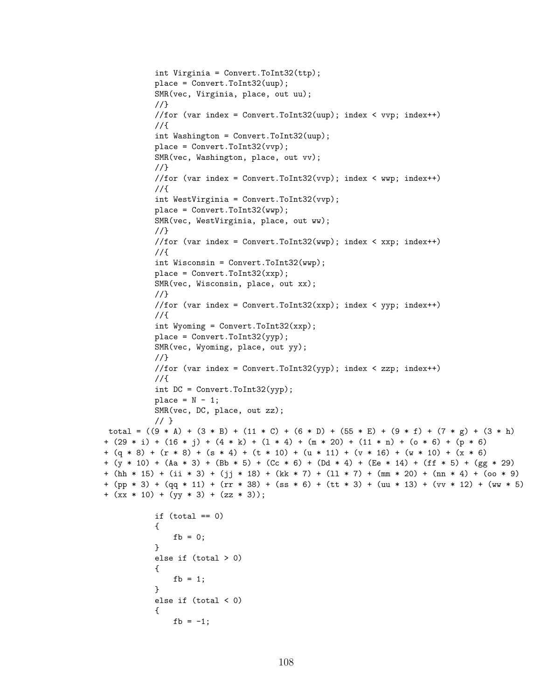```
int Virginia = Convert.ToInt32(ttp);
           place = Convert.ToInt32(uup);
           SMR(vec, Virginia, place, out uu);
           //}
           //for (var index = Convert.ToInt32(uup); index < vvp; index++)
           //{
           int Washington = Convert.ToInt32(uup);
           place = Convert.ToInt32(vvp);
           SMR(vec, Washington, place, out vv);
           //}
           //for (var index = Convert.ToInt32(vvp); index < wwp; index++)
           //{
           int WestVirginia = Convert.ToInt32(vvp);
           place = Convert.ToInt32(wwp);
           SMR(vec, WestVirginia, place, out ww);
           //}
           //for (var index = Convert.ToInt32(wwp); index < xxp; index++)
           //{
           int Wisconsin = Convert.ToInt32(wwp);
           place = Convert.ToInt32(xxp);
           SMR(vec, Wisconsin, place, out xx);
           //}
           //for (var index = Convert.ToInt32(xxp); index < yyp; index++)
           //{
           int Wyoming = Convert.ToInt32(xxp);
           place = Convert.ToInt32(yyp);
           SMR(vec, Wyoming, place, out yy);
           //}
           //for (var index = Convert.ToInt32(yyp); index < zzp; index++)
           //{
           int DC = Convert.Tolnt32(vvp);place = N - 1;SMR(vec, DC, place, out zz);
           // }
total = ((9 * A) + (3 * B) + (11 * C) + (6 * D) + (55 * E) + (9 * f) + (7 * g) + (3 * h)+ (29 * i) + (16 * j) + (4 * k) + (l * 4) + (m * 20) + (11 * n) + (o * 6) + (p * 6)
+ (q * 8) + (r * 8) + (s * 4) + (t * 10) + (u * 11) + (v * 16) + (w * 10) + (x * 6)
+ (y * 10) + (Aa * 3) + (Bb * 5) + (Cc * 6) + (Dd * 4) + (Ee * 14) + (ff * 5) + (gg * 29)
+ (hh * 15) + (ii * 3) + (jj * 18) + (kk * 7) + (ll * 7) + (mm * 20) + (nn * 4) + (oo * 9)
+ (pp * 3) + (qq * 11) + (rr * 38) + (ss * 6) + (tt * 3) + (uu * 13) + (vv * 12) + (ww * 5)
+ (xx * 10) + (yy * 3) + (zz * 3));if (total == 0){
               fb = 0;
           }
           else if (total > 0)
           {
               fb = 1;
           }
           else if (total < 0)
           {
               fb = -1;
```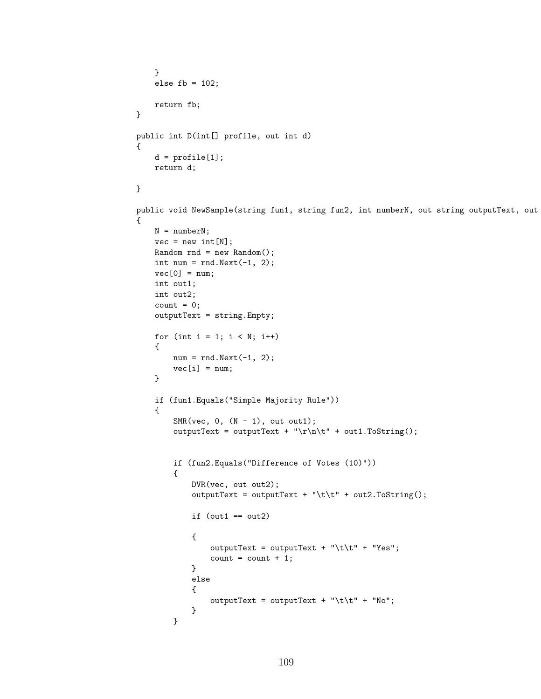```
}
    else fb = 102;
    return fb;
}
public int D(int[] profile, out int d)
{
    d = profile[1];return d;
}
public void NewSample(string fun1, string fun2, int numberN, out string outputText, out
{
   N = numberN;
    vec = new int[N];Random rnd = new Random();
    int num = rnd.Next(-1, 2);vec[0] = num;int out1;
    int out2;
    count = 0;outputText = string.Empty;
    for (int i = 1; i < N; i++){
        num = rnd.Next(-1, 2);vec[i] = num;}
    if (fun1.Equals("Simple Majority Rule"))
    {
        SMR(vec, 0, (N - 1), out out1);outputText = outputText + "\r\n\tt\i' + out1. ToString();if (fun2.Equals("Difference of Votes (10)"))
        {
            DVR(vec, out out2);
            outputText = outputText + "\t\tt\" + out2.ToString();if (out1 == out2){
                outputText = outputText + "\t\tt\&" + "Yes";count = count + 1;}
            else
            {
                outputText = outputText + "\t\tt\to "\t\" + "\t\
            }
        }
```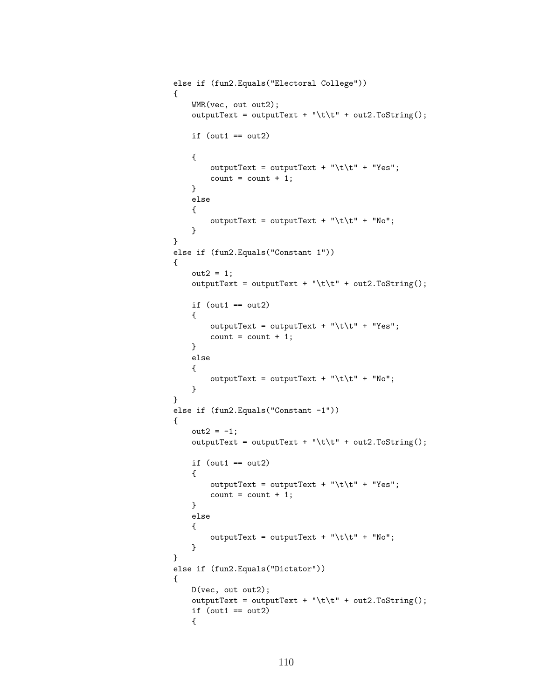```
else if (fun2.Equals("Electoral College"))
{
    WMR(vec, out out2);
    outputText = outputText + "\t\tt\t" + out2.ToString();if (out1 == out2){
        outputText = outputText + "\t\tt\% + "\Yes";count = count + 1;}
    else
    {
        outputText = outputText + "\t\tt\to "No";}
}
else if (fun2.Equals("Constant 1"))
{
    out2 = 1;outputText = outputText + "\t\tt\% + out2. ToString();if (out1 == out2){
        outputText = outputText + "\t\tt\% + "\Yes";count = count + 1;}
    else
    {
        outputText = outputText + "\t\tt\% + "\no";}
}
else if (fun2.Equals("Constant -1"))
{
    out2 = -1;outputText = outputText + "\t\tt\text{'} + out2.ToString();if (out1 == out2)
    {
        outputText = outputText + "\t\tt\% + "\es";count = count + 1;}
    else
    {
        outputText = outputText + "\t\tt\to "\t\" + "\t\
    }
}
else if (fun2.Equals("Dictator"))
{
    D(vec, out out2);
    outputText = outputText + "\t\tt\" + out2.ToString();if (out1 == out2){
```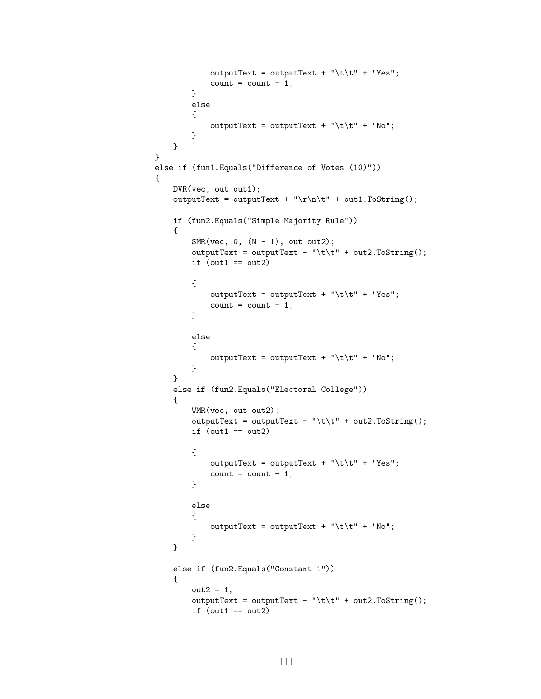```
outputText = outputText + "\t\tt\" + "Yes";count = count + 1;}
        else
        {
            outputText = outputText + "\t\tt\" + "\no";}
    }
}
else if (fun1.Equals("Difference of Votes (10)"))
{
    DVR(vec, out out1);
    outputText = outputText + "\r\r\" + out1.ToString();
    if (fun2.Equals("Simple Majority Rule"))
    {
        SMR(vec, 0, (N - 1), out out2);
        outputText = outputText + "\t\tt\t" + out2.ToString();if (out1 == out2){
            outputText = outputText + "\t\tt\" + "Yes";count = count + 1;}
        else
        {
            outputText = outputText + "\t\tt\% + "\No";}
    }
    else if (fun2.Equals("Electoral College"))
    {
        WMR(vec, out out2);
        outputText = outputText + "\t\tt\to out2.ToString();if (out1 == out2){
            outputText = outputText + "\t\tt\" + "Yes";count = count + 1;}
        else
        {
            outputText = outputText + "\t\tt\% + "\No";}
    }
    else if (fun2.Equals("Constant 1"))
    {
        out2 = 1;outputText = outputText + "\t\tt\to out2.ToString();if (out1 == out2)
```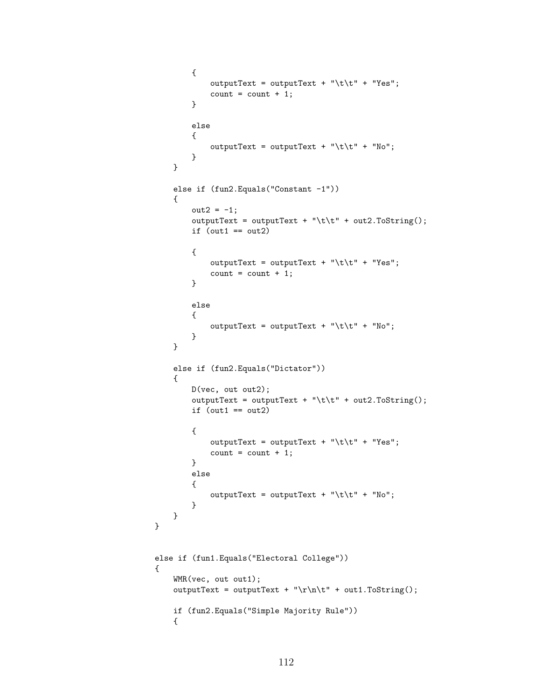```
{
             outputText = outputText + "\t\tt\" + "Yes";count = count + 1;}
        else
        {
             outputText = outputText + "\t\tt\to "\t\" + "\t\
        }
    }
    else if (fun2.Equals("Constant -1"))
    {
        out2 = -1;
        outputText = outputText + "\tilde{\text{t}}" + out2.ToString();
        if (out1 == out2)
        {
             outputText = outputText + "\t\tt\" + "\Yes";count = count + 1;}
        else
        {
             outputText = outputText + "\t\tt\to "\t\" + "\t\
        }
    }
    else if (fun2.Equals("Dictator"))
    {
        D(vec, out out2);
        outputText = outputText + "\tilde{\text{t}}" + out2.ToString();
        if (out1 == out2){
             outputText = outputText + "\t\tt\% + "\F\count = count + 1;}
        else
        {
             outputText = outputText + "\t\tt\%" + "\no";}
    }
}
else if (fun1.Equals("Electoral College"))
{
    WMR(vec, out out1);
    outputText = outputText + "\r \n\cdot" + out1.ToString();
    if (fun2.Equals("Simple Majority Rule"))
    {
```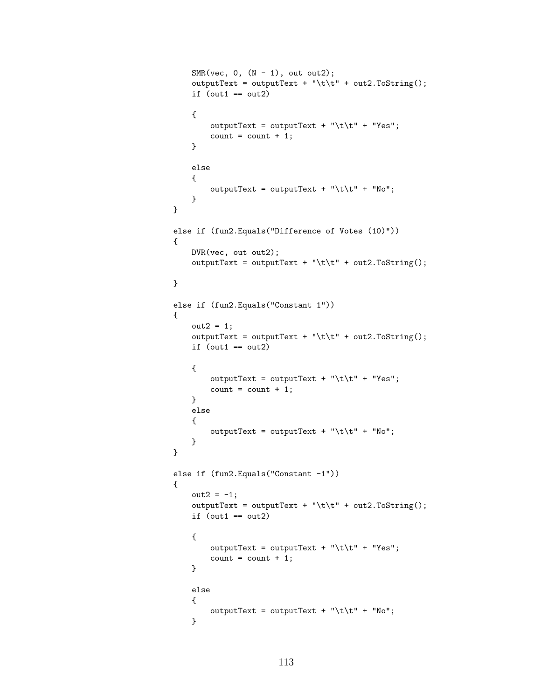```
SMR(vec, 0, (N - 1), out out2);outputText = outputText + "\t\tt\" + out2.ToString();if (out1 == out2){
        outputText = outputText + "\t\tt\% + "\F\count = count + 1;}
   else
    {
        outputText = outputText + "\t\tt\to "\0";}
}
else if (fun2.Equals("Difference of Votes (10)"))
{
   DVR(vec, out out2);
    outputText = outputText + "\t\tt\" + out2.ToString();}
else if (fun2.Equals("Constant 1"))
{
   out2 = 1;outputText = outputText + "\t\tt\" + out2.ToString();if (out1 == out2)
    {
        outputText = outputText + "\t\tt\%" + "Yes";count = count + 1;
   }
   else
    {
        outputText = outputText + "\t\tt\% + "\no";}
}
else if (fun2.Equals("Constant -1"))
{
   out2 = -1;outputText = outputText + "\t\tt\" + out2.ToString();if (out1 == out2){
        outputText = outputText + "\t\tt\&" + "Yes";count = count + 1;}
   else
    {
        outputText = outputText + "\t\tt\% + "\no";}
```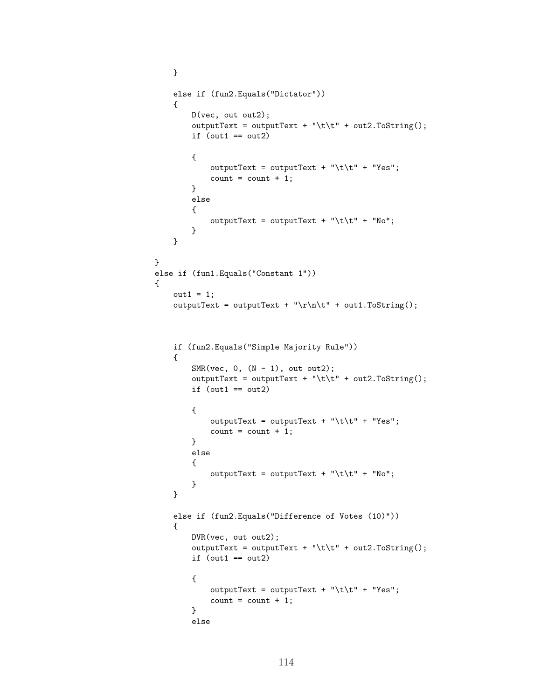```
}
    else if (fun2.Equals("Dictator"))
    {
        D(vec, out out2);
        outputText = outputText + "\t\tt\t" + out2.ToString();if (out1 == out2){
            outputText = outputText + "\t\t" + "Yes";
            count = count + 1;}
        else
        {
            outputText = outputText + "\t\tt\to "No";}
    }
}
else if (fun1.Equals("Constant 1"))
{
    out1 = 1;outputText = outputText + "\r\n\nt" + out1.ToString();if (fun2.Equals("Simple Majority Rule"))
    {
        SMR(vec, 0, (N - 1), out out2);outputText = outputText + "\t\tt\" + out2.ToString();if (out1 == out2){
            outputText = outputText + "\t\tt\" + "Yes";count = count + 1;}
        else
        {
            outputText = outputText + "\t\tt\to "\t\" + "\t\
        }
    }
    else if (fun2.Equals("Difference of Votes (10)"))
    {
        DVR(vec, out out2);
        outputText = outputText + "\tt \tilde{\tt}" + out2.ToString();
        if (out1 == out2){
            outputText = outputText + "\t\t" + "Yes";
            count = count + 1;}
        else
```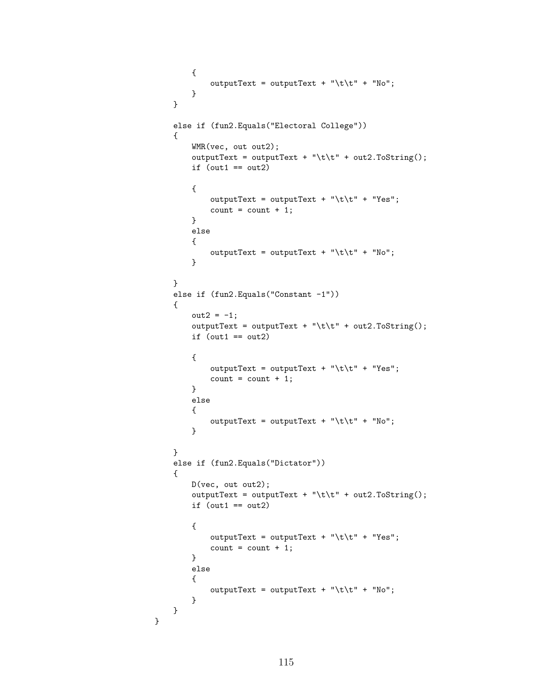```
{
            outputText = outputText + "\t\tt\to "\t\" + "\t\
        }
    }
    else if (fun2.Equals("Electoral College"))
    {
        WMR(vec, out out2);
        outputText = outputText + "\t\tt\" + out2.ToString();if (out1 == out2)
        {
            outputText = outputText + "\t\tt\%" + "Yes";count = count + 1;
        }
        else
        {
            outputText = outputText + "\t\tt\% + "\no";}
    }
    else if (fun2.Equals("Constant -1"))
    {
        out2 = -1;outputText = outputText + "\t\tt\" + out2.ToString();if (out1 == out2){
            outputText = outputText + "\t\tt\&" + "Yes";count = count + 1;}
        else
        {
            outputText = outputText + "\t\tt\to "\t\" + "\t\
        }
    }
    else if (fun2.Equals("Dictator"))
    {
        D(vec, out out2);
        outputText = outputText + "\t\tt\to out2.ToString();if (out1 == out2)
        {
            outputText = outputText + "\t\tt\" + "Yes";count = count + 1;}
        else
        {
            outputText = outputText + "\t\tt\to "\t\" + "\t\
        }
    }
}
```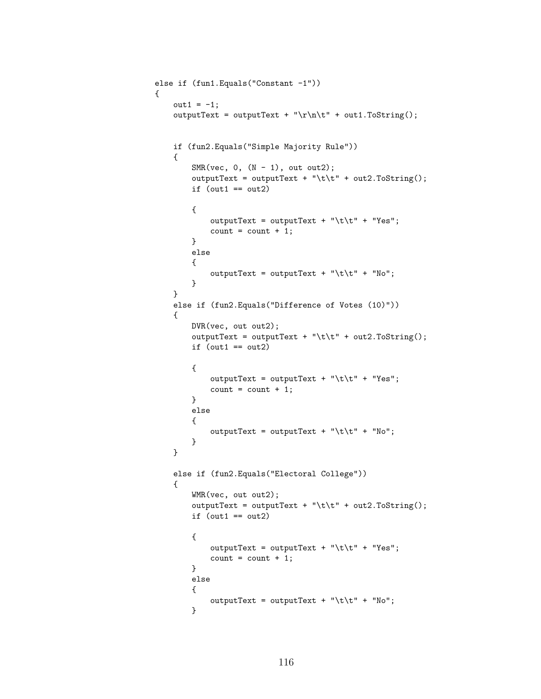```
else if (fun1.Equals("Constant -1"))
{
    out1 = -1;outputText = outputText + "\r \n\cdot" + out1.ToString();
    if (fun2.Equals("Simple Majority Rule"))
    {
        SMR(vec, 0, (N - 1), out out2);outputText = outputText + "\t\tt\" + out2.ToString();if (out1 == out2){
            outputText = outputText + "\t\tt\&+ "Yes";count = count + 1;}
        else
        {
            outputText = outputText + "\t\tt\" + "\no";}
    }
    else if (fun2.Equals("Difference of Votes (10)"))
    {
        DVR(vec, out out2);
        outputText = outputText + "\t\tt\text{'} + out2. ToString();if (out1 == out2)
        {
            outputText = outputText + "\t\tt\%" + "Yes";count = count + 1;
        }
        else
        {
            outputText = outputText + "\t\tt\% + "\no";}
    }
    else if (fun2.Equals("Electoral College"))
    {
        WMR(vec, out out2);
        outputText = outputText + "\t\tt\" + out2.ToString();if (out1 == out2)
        {
            outputText = outputText + "\t\tt\&" + "Yes";count = count + 1;}
        else
        {
            outputText = outputText + "\t\tt\to "\t\" + "\t\
        }
```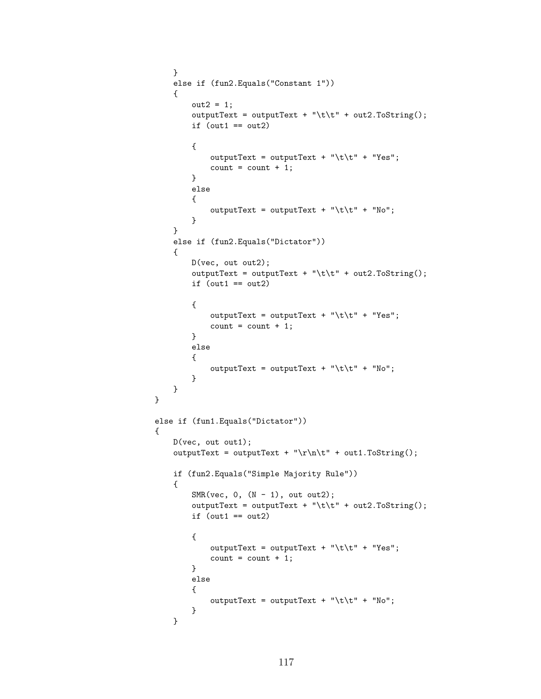```
}
    else if (fun2.Equals("Constant 1"))
    {
        out2 = 1;outputText = outputText + "\t\tt\" + out2.ToString();if (out1 == out2){
            outputText = outputText + "\t\tt\" + "Yes";count = count + 1;}
        else
        {
            outputText = outputText + "\t\tt\to "\t\" + "\t\
        }
    }
    else if (fun2.Equals("Dictator"))
    {
        D(vec, out out2);
        outputText = outputText + "\tilde{\text{t}}" + out2.ToString();
        if (out1 == out2){
            outputText = outputText + "\t\tt\" + "Yes";count = count + 1;}
        else
        {
            outputText = outputText + "\t\tt\to "\t\" + "\t\
        }
    }
}
else if (fun1.Equals("Dictator"))
{
    D(vec, out out1);
    outputText = outputText + "\r\n\nt" + out1.ToString();if (fun2.Equals("Simple Majority Rule"))
    {
        SMR(vec, 0, (N - 1), out out2);outputText = outputText + "\t\tt\" + out2.ToString();if (out1 == out2){
            outputText = outputText + "\t\tt\&" + "Yes";count = count + 1;}
        else
        {
            outputText = outputText + "\t\tt\to "\t\" + "\t\
        }
    }
```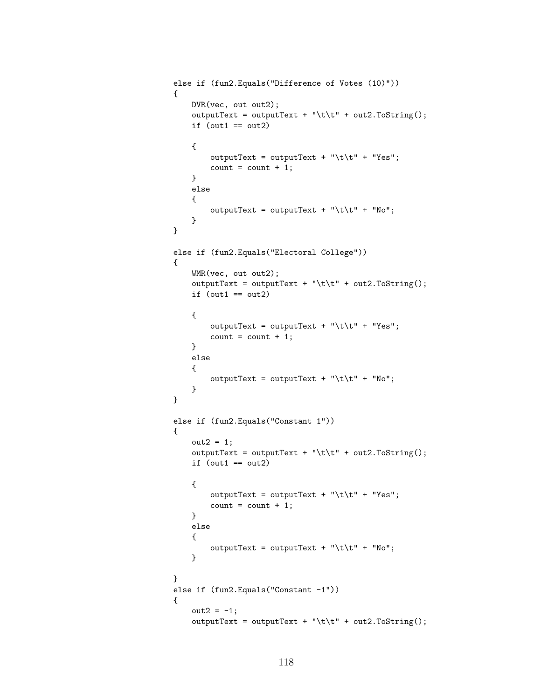```
else if (fun2.Equals("Difference of Votes (10)"))
{
    DVR(vec, out out2);
    outputText = outputText + "\tilde{\text{t}}" + out2.ToString();
    if (out1 == out2)
    {
        outputText = outputText + "\t\tt\" + "Yes";count = count + 1;}
    else
    {
        outputText = outputText + "\t\tt\to "\t\" + "\t\
    }
}
else if (fun2.Equals("Electoral College"))
{
    WMR(vec, out out2);
    outputText = outputText + "\t\tt\" + out2.ToString();if (out1 == out2){
        outputText = outputText + "\t\tt\" + "Yes";count = count + 1;}
    else
    {
        outputText = outputText + "\t\tt\% + "\no";}
}
else if (fun2.Equals("Constant 1"))
{
    out2 = 1;outputText = outputText + "\tilde{\text{t}}" + out2.ToString();
    if (out1 == out2)
    {
        outputText = outputText + "\t\tt\" + "Yes";count = count + 1;}
    else
    {
        outputText = outputText + "\t\tt\to "\t\" + "\t\
    }
}
else if (fun2.Equals("Constant -1"))
{
    out2 = -1;outputText = outputText + "\t\tt\% + out2. ToString();
```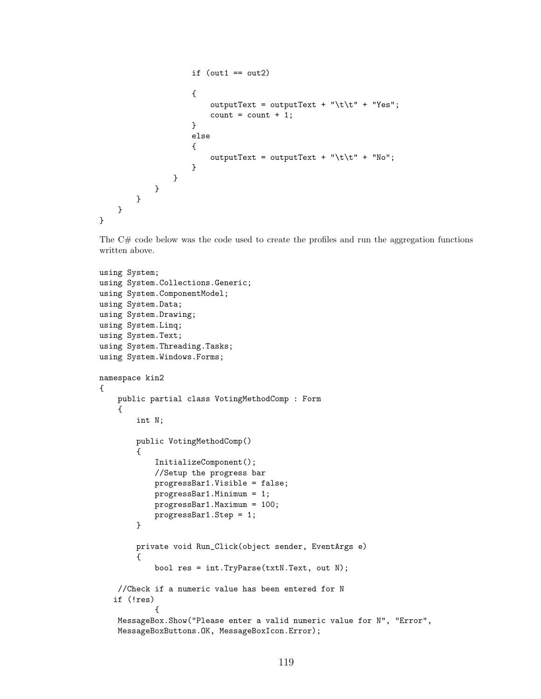```
if (out1 == out2){
                         outputText = outputText + "\t\tt\t" + "Yes";count = count + 1;}
                     else
                     {
                         outputText = outputText + "\t\tt\% + "\No";}
                }
            }
        }
    }
}
```
The C# code below was the code used to create the profiles and run the aggregation functions written above.

```
using System;
using System.Collections.Generic;
using System.ComponentModel;
using System.Data;
using System.Drawing;
using System.Linq;
using System.Text;
using System.Threading.Tasks;
using System.Windows.Forms;
namespace kin2
{
   public partial class VotingMethodComp : Form
    {
        int N;
        public VotingMethodComp()
        {
            InitializeComponent();
            //Setup the progress bar
            progressBar1.Visible = false;
            progressBar1.Minimum = 1;
            progressBar1.Maximum = 100;
            progressBar1.Step = 1;
        }
        private void Run_Click(object sender, EventArgs e)
        {
            bool res = int.TryParse(txtN.Text, out N);
    //Check if a numeric value has been entered for N
   if (!res)
            {
   MessageBox.Show("Please enter a valid numeric value for N", "Error",
    MessageBoxButtons.OK, MessageBoxIcon.Error);
```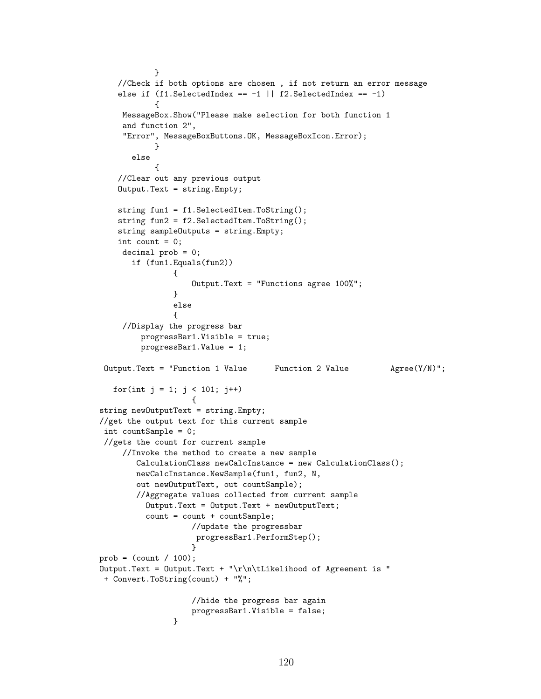```
}
    //Check if both options are chosen , if not return an error message
    else if (f1.SelectedIndex == -1 || f2.SelectedIndex == -1){
    MessageBox.Show("Please make selection for both function 1
     and function 2",
     "Error", MessageBoxButtons.OK, MessageBoxIcon.Error);
            }
       else
            {
    //Clear out any previous output
    Output.Text = string.Empty;
    string fun1 = f1.SelectedItem.ToString();
    string fun2 = f2.SelectedItem.ToString();
    string sampleOutputs = string.Empty;
    int count = 0;
    decimal prob = 0;
       if (fun1.Equals(fun2))
                {
                    Output.Text = "Functions agree 100%";
                }
                else
                {
     //Display the progress bar
         progressBar1.Visible = true;
        progressBar1.Value = 1;
 Output.Text = "Function 1 Value Function 2 Value Agree(Y/N)";
   for(int j = 1; j < 101; j++){
string newOutputText = string.Empty;
//get the output text for this current sample
int countSample = 0;
//gets the count for current sample
     //Invoke the method to create a new sample
        CalculationClass newCalcInstance = new CalculationClass();
       newCalcInstance.NewSample(fun1, fun2, N,
        out newOutputText, out countSample);
       //Aggregate values collected from current sample
          Output.Text = Output.Text + newOutputText;
          count = count + countSample;
                    //update the progressbar
                    progressBar1.PerformStep();
                    }
prob = (count / 100);Output. Text = Output. Text + "\r\n\tLikelihood of Agreement is "
+ Convert.ToString(count) + "%";
                    //hide the progress bar again
                    progressBar1.Visible = false;
                }
```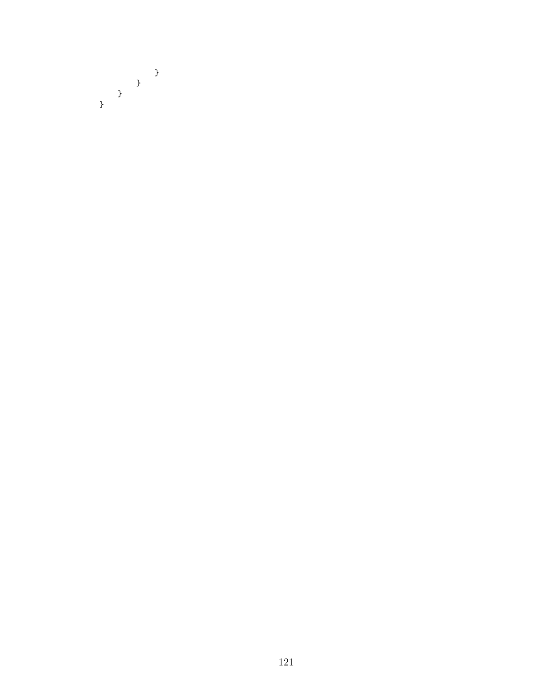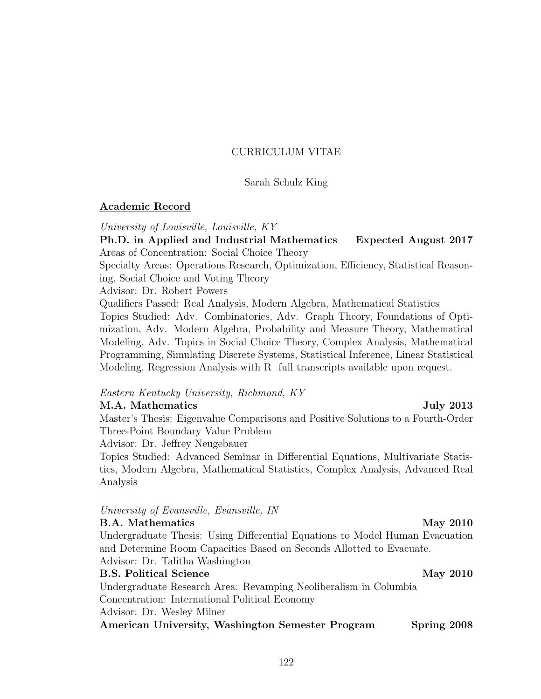## CURRICULUM VITAE

### Sarah Schulz King

### Academic Record

University of Louisville, Louisville, KY

Ph.D. in Applied and Industrial Mathematics Expected August 2017 Areas of Concentration: Social Choice Theory

Specialty Areas: Operations Research, Optimization, Efficiency, Statistical Reasoning, Social Choice and Voting Theory

Advisor: Dr. Robert Powers

Qualifiers Passed: Real Analysis, Modern Algebra, Mathematical Statistics Topics Studied: Adv. Combinatorics, Adv. Graph Theory, Foundations of Optimization, Adv. Modern Algebra, Probability and Measure Theory, Mathematical Modeling, Adv. Topics in Social Choice Theory, Complex Analysis, Mathematical Programming, Simulating Discrete Systems, Statistical Inference, Linear Statistical Modeling, Regression Analysis with R full transcripts available upon request.

### Eastern Kentucky University, Richmond, KY

### M.A. Mathematics July 2013

Master's Thesis: Eigenvalue Comparisons and Positive Solutions to a Fourth-Order Three-Point Boundary Value Problem

Advisor: Dr. Jeffrey Neugebauer

Topics Studied: Advanced Seminar in Differential Equations, Multivariate Statistics, Modern Algebra, Mathematical Statistics, Complex Analysis, Advanced Real Analysis

#### University of Evansville, Evansville, IN

B.A. Mathematics and the mathematics of the mathematics of  $\mathbf{M}$ ay 2010 Undergraduate Thesis: Using Differential Equations to Model Human Evacuation and Determine Room Capacities Based on Seconds Allotted to Evacuate. Advisor: Dr. Talitha Washington

B.S. Political Science May 2010

Undergraduate Research Area: Revamping Neoliberalism in Columbia Concentration: International Political Economy Advisor: Dr. Wesley Milner American University, Washington Semester Program Spring 2008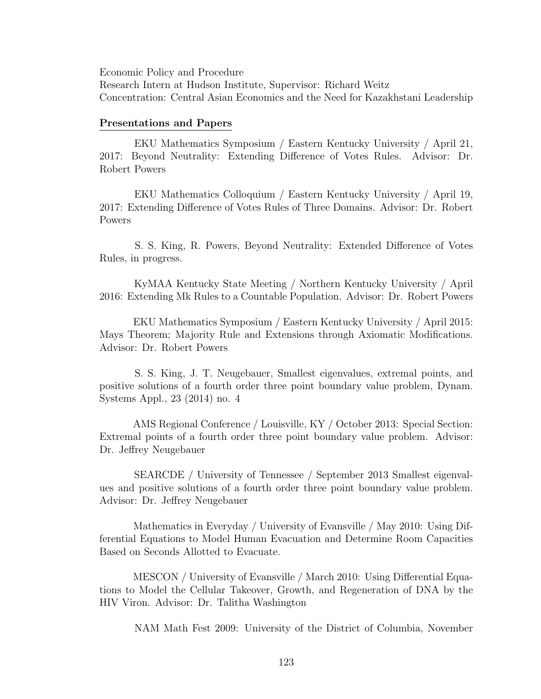Economic Policy and Procedure Research Intern at Hudson Institute, Supervisor: Richard Weitz Concentration: Central Asian Economics and the Need for Kazakhstani Leadership

#### Presentations and Papers

EKU Mathematics Symposium / Eastern Kentucky University / April 21, 2017: Beyond Neutrality: Extending Difference of Votes Rules. Advisor: Dr. Robert Powers

EKU Mathematics Colloquium / Eastern Kentucky University / April 19, 2017: Extending Difference of Votes Rules of Three Domains. Advisor: Dr. Robert Powers

S. S. King, R. Powers, Beyond Neutrality: Extended Difference of Votes Rules, in progress.

KyMAA Kentucky State Meeting / Northern Kentucky University / April 2016: Extending Mk Rules to a Countable Population. Advisor: Dr. Robert Powers

EKU Mathematics Symposium / Eastern Kentucky University / April 2015: Mays Theorem; Majority Rule and Extensions through Axiomatic Modifications. Advisor: Dr. Robert Powers

S. S. King, J. T. Neugebauer, Smallest eigenvalues, extremal points, and positive solutions of a fourth order three point boundary value problem, Dynam. Systems Appl., 23 (2014) no. 4

AMS Regional Conference / Louisville, KY / October 2013: Special Section: Extremal points of a fourth order three point boundary value problem. Advisor: Dr. Jeffrey Neugebauer

SEARCDE / University of Tennessee / September 2013 Smallest eigenvalues and positive solutions of a fourth order three point boundary value problem. Advisor: Dr. Jeffrey Neugebauer

Mathematics in Everyday / University of Evansville / May 2010: Using Differential Equations to Model Human Evacuation and Determine Room Capacities Based on Seconds Allotted to Evacuate.

MESCON / University of Evansville / March 2010: Using Differential Equations to Model the Cellular Takeover, Growth, and Regeneration of DNA by the HIV Viron. Advisor: Dr. Talitha Washington

NAM Math Fest 2009: University of the District of Columbia, November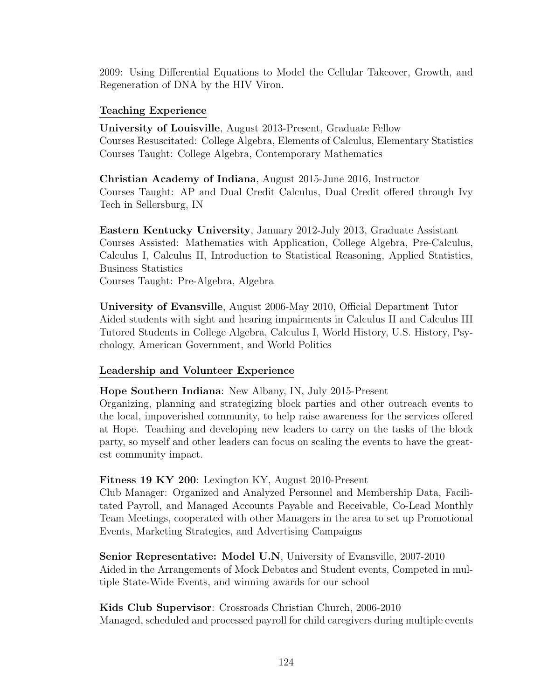2009: Using Differential Equations to Model the Cellular Takeover, Growth, and Regeneration of DNA by the HIV Viron.

## Teaching Experience

University of Louisville, August 2013-Present, Graduate Fellow Courses Resuscitated: College Algebra, Elements of Calculus, Elementary Statistics Courses Taught: College Algebra, Contemporary Mathematics

Christian Academy of Indiana, August 2015-June 2016, Instructor Courses Taught: AP and Dual Credit Calculus, Dual Credit offered through Ivy Tech in Sellersburg, IN

Eastern Kentucky University, January 2012-July 2013, Graduate Assistant Courses Assisted: Mathematics with Application, College Algebra, Pre-Calculus, Calculus I, Calculus II, Introduction to Statistical Reasoning, Applied Statistics, Business Statistics Courses Taught: Pre-Algebra, Algebra

University of Evansville, August 2006-May 2010, Official Department Tutor Aided students with sight and hearing impairments in Calculus II and Calculus III Tutored Students in College Algebra, Calculus I, World History, U.S. History, Psychology, American Government, and World Politics

## Leadership and Volunteer Experience

Hope Southern Indiana: New Albany, IN, July 2015-Present

Organizing, planning and strategizing block parties and other outreach events to the local, impoverished community, to help raise awareness for the services offered at Hope. Teaching and developing new leaders to carry on the tasks of the block party, so myself and other leaders can focus on scaling the events to have the greatest community impact.

### Fitness 19 KY 200: Lexington KY, August 2010-Present

Club Manager: Organized and Analyzed Personnel and Membership Data, Facilitated Payroll, and Managed Accounts Payable and Receivable, Co-Lead Monthly Team Meetings, cooperated with other Managers in the area to set up Promotional Events, Marketing Strategies, and Advertising Campaigns

Senior Representative: Model U.N, University of Evansville, 2007-2010 Aided in the Arrangements of Mock Debates and Student events, Competed in multiple State-Wide Events, and winning awards for our school

Kids Club Supervisor: Crossroads Christian Church, 2006-2010 Managed, scheduled and processed payroll for child caregivers during multiple events